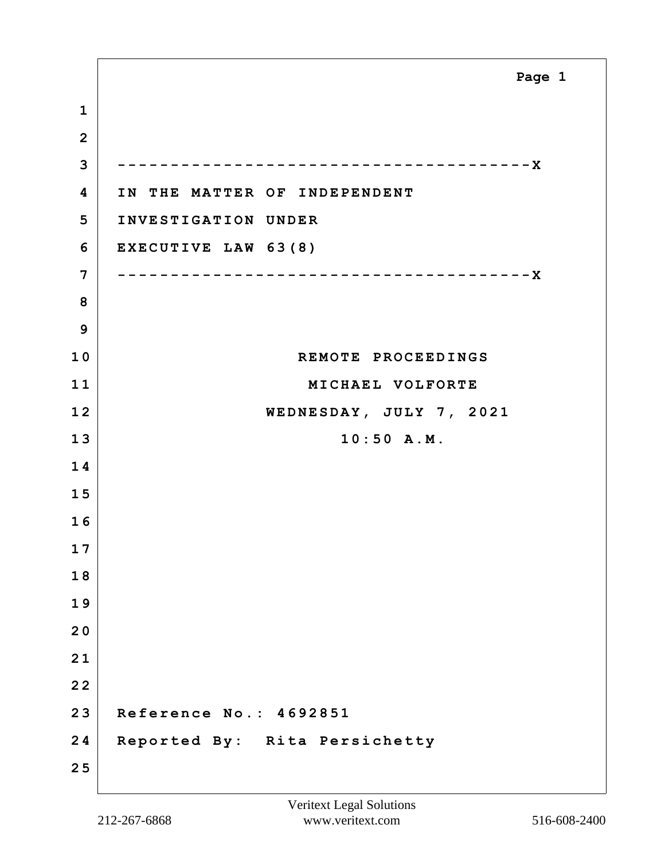**1 2 3 ---------------------------------------X 4 IN THE MATTER OF INDEPENDENT 5 INVESTIGATION UNDER 6 EXECUTIVE LAW 63(8) 7 ---------------------------------------X 8 9 10 REMOTE PROCEEDINGS 11 MICHAEL VOLFORTE 12 WEDNESDAY, JULY 7, 2021 13 10:50 A.M. 1 4 1 5 1 6 1 7 1 8 1 9 2 0 2 1 2 2 23 Reference No.: 4692851 24 Reported By: Rita Persichetty 2 5 Page 1**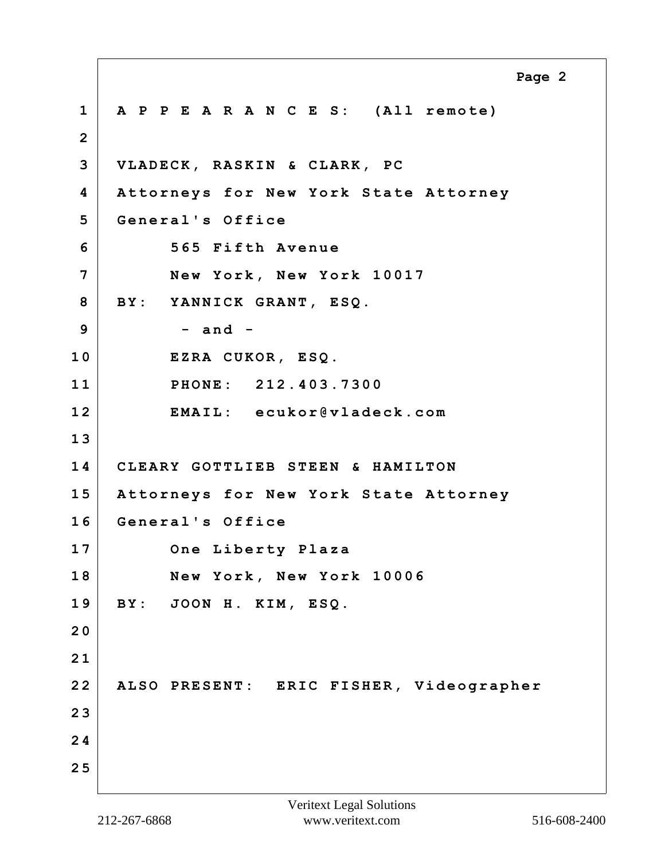**1 A P P E A R A N C E S: (All remote) 2 3 VLADECK, RASKIN & CLARK, PC 4 Attorneys for New York State Attorney 5 General's Office 6 565 Fifth Avenue 7 New York, New York 10017 8 BY: YANNICK GRANT, ESQ. 9 - and - 10 EZRA CUKOR, ESQ. 11 PHONE: 212.403.7300 12 EMAIL: ecukor@vladeck.com 1 3 14 CLEARY GOTTLIEB STEEN & HAMILTON 15 Attorneys for New York State Attorney 16 General's Office 17 One Liberty Plaza 18 New York, New York 10006 19 BY: JOON H. KIM, ESQ. 2 0 2 1 22 ALSO PRESENT: ERIC FISHER, Videographer 2 3 2 4 2 5 Page 2**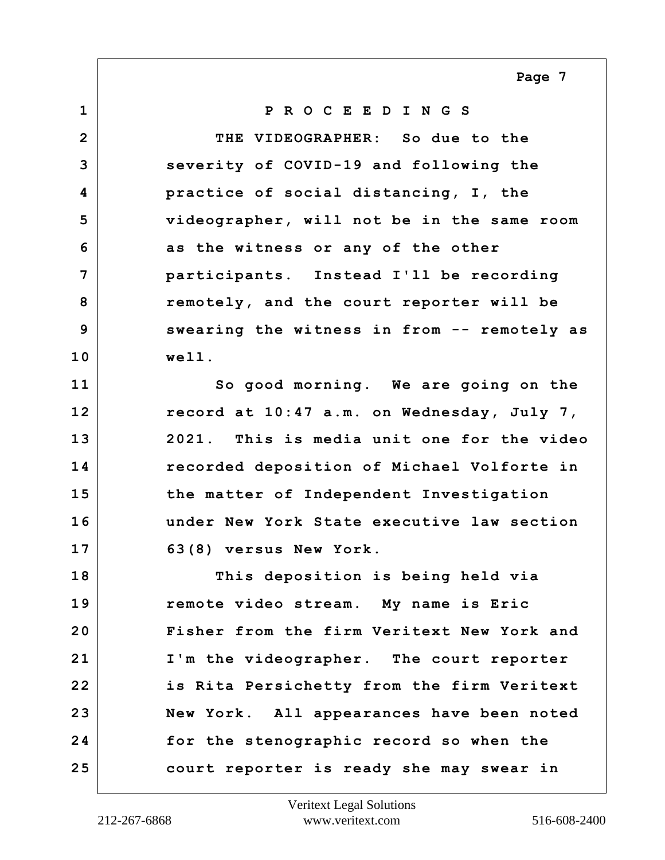**Page 7**

**1 P R O C E E D I N G S 2 THE VIDEOGRAPHER: So due to the 3 severity of COVID-19 and following the 4 practice of social distancing, I, the 5 videographer, will not be in the same room 6 as the witness or any of the other 7 participants. Instead I'll be recording 8 remotely, and the court reporter will be 9 swearing the witness in from -- remotely as 10 well. 11 So good morning. We are going on the 12 record at 10:47 a.m. on Wednesday, July 7, 13 2021. This is media unit one for the video 14 recorded deposition of Michael Volforte in 15 the matter of Independent Investigation 16 under New York State executive law section 17 63(8) versus New York. 18 This deposition is being held via 19 remote video stream. My name is Eric 20 Fisher from the firm Veritext New York and 21 I'm the videographer. The court reporter 22 is Rita Persichetty from the firm Veritext 23 New York. All appearances have been noted 24 for the stenographic record so when the 25 court reporter is ready she may swear in**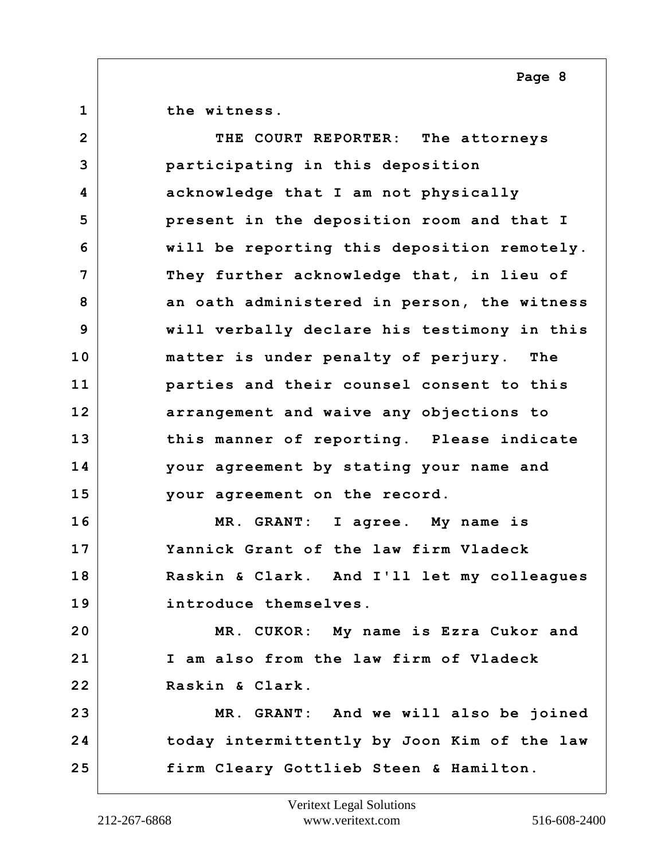**Page 8**

**1 the witness.**

**2 THE COURT REPORTER: The attorneys 3 participating in this deposition 4 acknowledge that I am not physically 5 present in the deposition room and that I 6 will be reporting this deposition remotely. 7 They further acknowledge that, in lieu of 8 an oath administered in person, the witness 9 will verbally declare his testimony in this 10 matter is under penalty of perjury. The 11 parties and their counsel consent to this 12 arrangement and waive any objections to 13 this manner of reporting. Please indicate 14 your agreement by stating your name and 15 your agreement on the record. 16 MR. GRANT: I agree. My name is 17 Yannick Grant of the law firm Vladeck 18 Raskin & Clark. And I'll let my colleagues 19 introduce themselves. 20 MR. CUKOR: My name is Ezra Cukor and 21 I am also from the law firm of Vladeck 22 Raskin & Clark. 23 MR. GRANT: And we will also be joined 24 today intermittently by Joon Kim of the law 25 firm Cleary Gottlieb Steen & Hamilton.**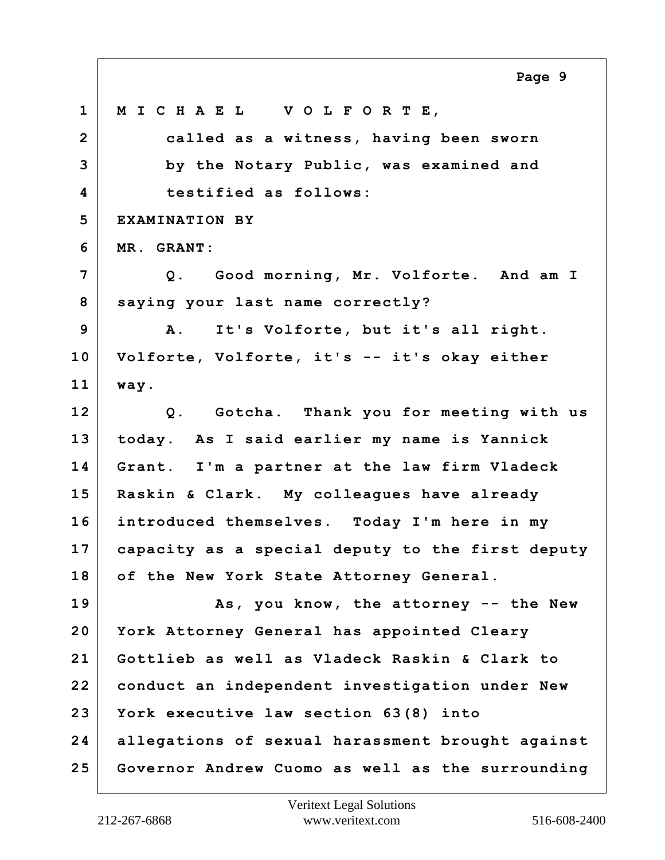**1 M I C H A E L V O L F O R T E, 2 called as a witness, having been sworn 3 by the Notary Public, was examined and 4 testified as follows: 5 EXAMINATION BY 6 MR. GRANT: 7 Q. Good morning, Mr. Volforte. And am I 8 saying your last name correctly? 9 A. It's Volforte, but it's all right. 10 Volforte, Volforte, it's -- it's okay either 11 way. 12 Q. Gotcha. Thank you for meeting with us 13 today. As I said earlier my name is Yannick 14 Grant. I'm a partner at the law firm Vladeck 15 Raskin & Clark. My colleagues have already 16 introduced themselves. Today I'm here in my 17 capacity as a special deputy to the first deputy 18 of the New York State Attorney General. 19 As, you know, the attorney -- the New 20 York Attorney General has appointed Cleary 21 Gottlieb as well as Vladeck Raskin & Clark to 22 conduct an independent investigation under New 23 York executive law section 63(8) into 24 allegations of sexual harassment brought against 25 Governor Andrew Cuomo as well as the surrounding Page 9**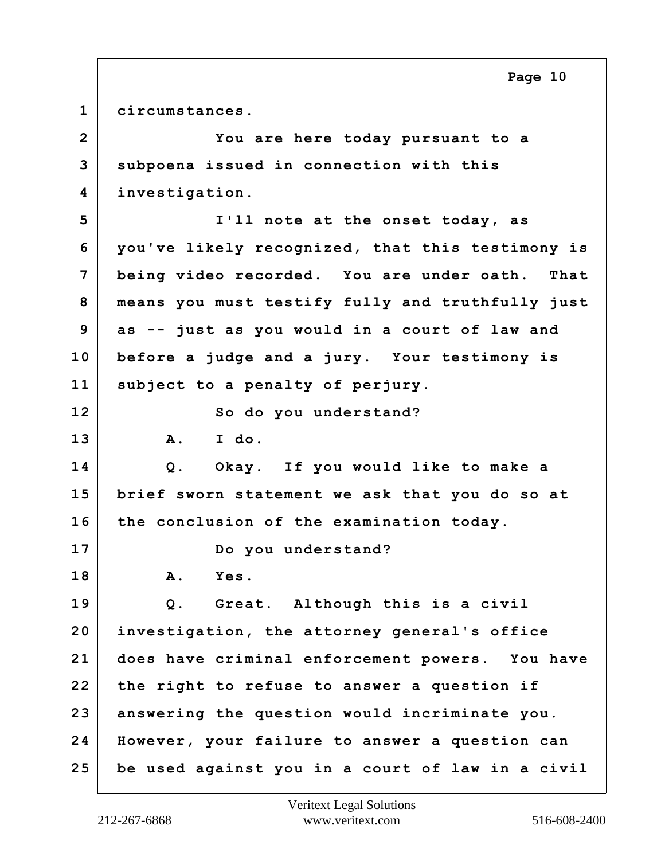**1 circumstances.**

**2 You are here today pursuant to a 3 subpoena issued in connection with this 4 investigation. 5 I'll note at the onset today, as 6 you've likely recognized, that this testimony is 7 being video recorded. You are under oath. That 8 means you must testify fully and truthfully just 9 as -- just as you would in a court of law and 10 before a judge and a jury. Your testimony is 11 subject to a penalty of perjury. 12 So do you understand? 13 A. I do. 14 Q. Okay. If you would like to make a 15 brief sworn statement we ask that you do so at 16 the conclusion of the examination today. 17 Do you understand? 18 A. Yes. 19 Q. Great. Although this is a civil 20 investigation, the attorney general's office 21 does have criminal enforcement powers. You have 22 the right to refuse to answer a question if 23 answering the question would incriminate you. 24 However, your failure to answer a question can 25 be used against you in a court of law in a civil**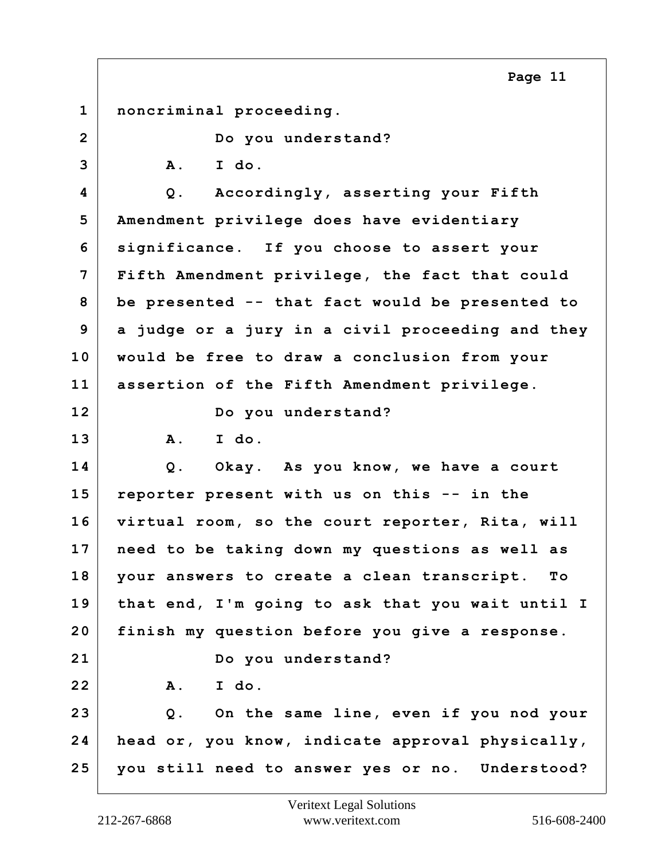**1 noncriminal proceeding. 2 Do you understand? 3 A. I do. 4 Q. Accordingly, asserting your Fifth 5 Amendment privilege does have evidentiary 6 significance. If you choose to assert your 7 Fifth Amendment privilege, the fact that could 8 be presented -- that fact would be presented to 9 a judge or a jury in a civil proceeding and they 10 would be free to draw a conclusion from your 11 assertion of the Fifth Amendment privilege. 12 Do you understand? 13 A. I do. 14 Q. Okay. As you know, we have a court 15 reporter present with us on this -- in the 16 virtual room, so the court reporter, Rita, will 17 need to be taking down my questions as well as 18 your answers to create a clean transcript. To 19 that end, I'm going to ask that you wait until I 20 finish my question before you give a response. 21 Do you understand? 22 A. I do. 23 Q. On the same line, even if you nod your 24 head or, you know, indicate approval physically, 25 you still need to answer yes or no. Understood? Page 11**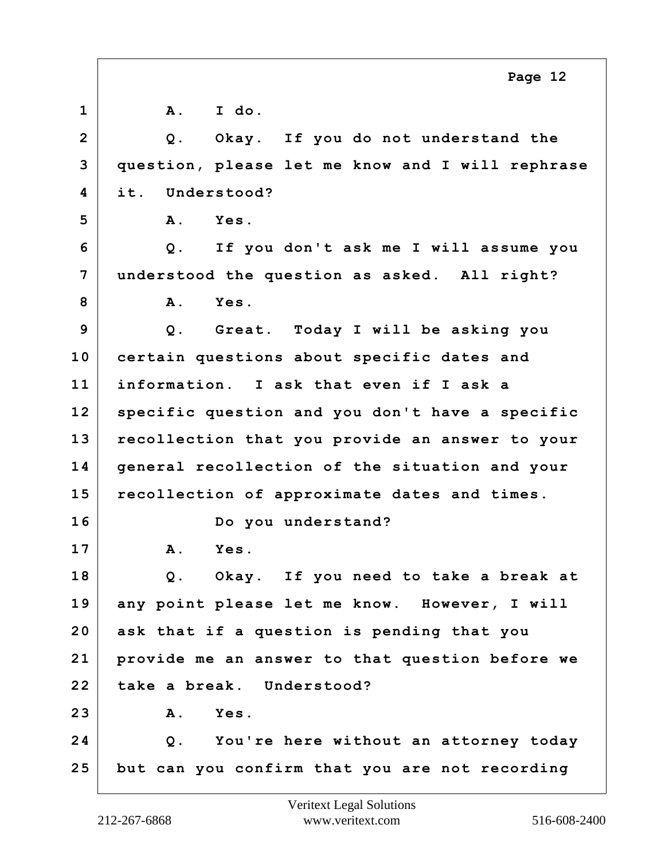|                | Page 12                                          |
|----------------|--------------------------------------------------|
| $\mathbf{1}$   | A. I do.                                         |
| $\overline{2}$ | Okay. If you do not understand the<br>$Q$ .      |
| 3              | question, please let me know and I will rephrase |
| 4              | it. Understood?                                  |
| 5              | Yes.<br><b>A</b> .                               |
| 6              | Q. If you don't ask me I will assume you         |
| $\overline{7}$ | understood the question as asked. All right?     |
| 8              | <b>A</b> .<br><b>Yes.</b>                        |
| 9              | Q. Great. Today I will be asking you             |
| 10             | certain questions about specific dates and       |
| 11             | information. I ask that even if I ask a          |
| 12             | specific question and you don't have a specific  |
| 13             | recollection that you provide an answer to your  |
| 14             | general recollection of the situation and your   |
| 15             | recollection of approximate dates and times.     |
| 16             | Do you understand?                               |
| 17             | <b>A</b> .<br>Yes.                               |
| 18             | Q. Okay. If you need to take a break at          |
| 19             | any point please let me know. However, I will    |
| 20             | ask that if a question is pending that you       |
| 21             | provide me an answer to that question before we  |
| 22             | take a break. Understood?                        |
| 23             | Yes.<br><b>A</b> .                               |
| 24             | Q. You're here without an attorney today         |
| 25             | but can you confirm that you are not recording   |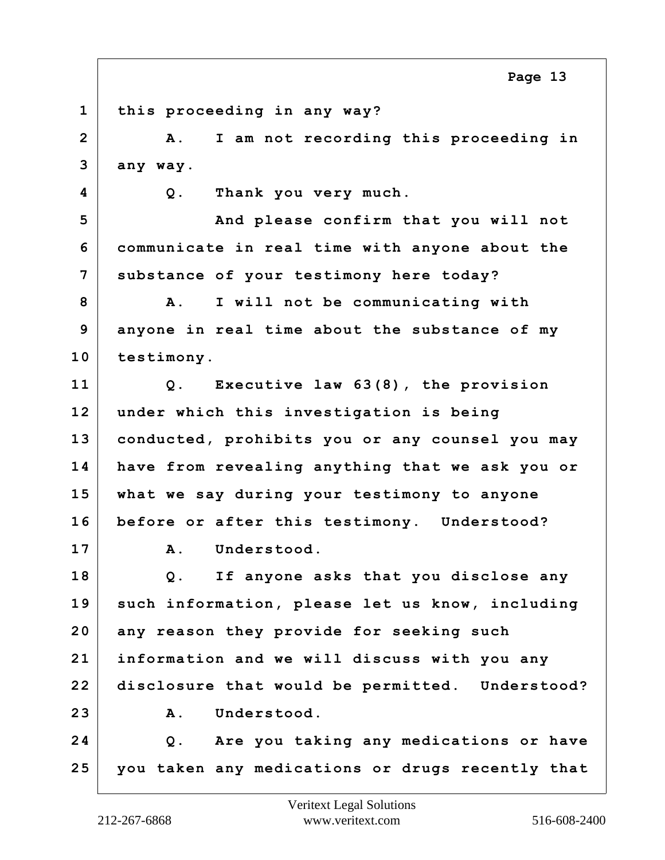**Page 13**

**1 this proceeding in any way? 2 A. I am not recording this proceeding in 3 any way. 4 Q. Thank you very much. 5 And please confirm that you will not 6 communicate in real time with anyone about the 7 substance of your testimony here today? 8 A. I will not be communicating with 9 anyone in real time about the substance of my 10 testimony. 11 Q. Executive law 63(8), the provision 12 under which this investigation is being 13 conducted, prohibits you or any counsel you may 14 have from revealing anything that we ask you or 15 what we say during your testimony to anyone 16 before or after this testimony. Understood? 17 A. Understood. 18 Q. If anyone asks that you disclose any 19 such information, please let us know, including 20 any reason they provide for seeking such 21 information and we will discuss with you any 22 disclosure that would be permitted. Understood?** 23 A. Understood. **24 Q. Are you taking any medications or have 25 you taken any medications or drugs recently that**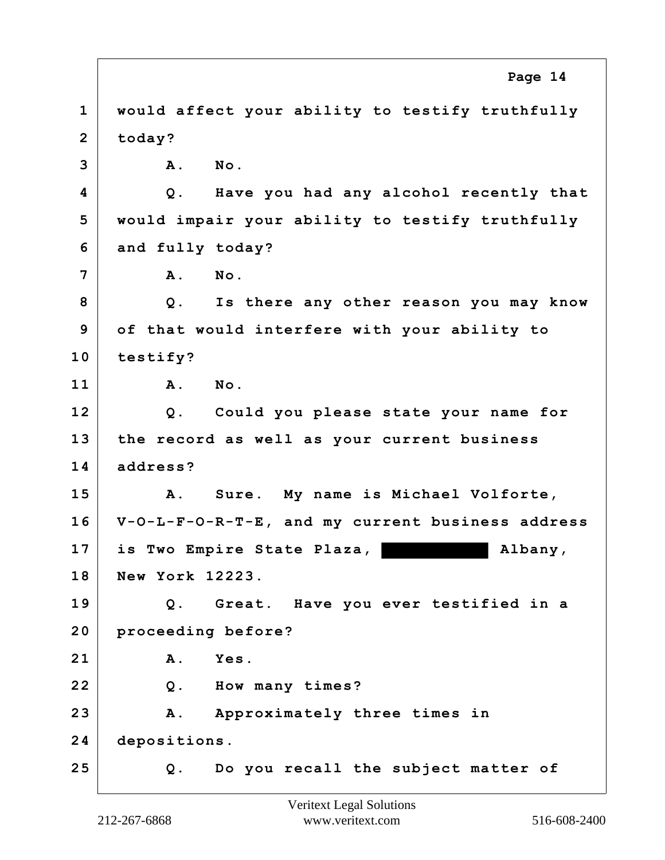|                | Page 14                                          |
|----------------|--------------------------------------------------|
| $\mathbf{1}$   | would affect your ability to testify truthfully  |
| $\overline{2}$ | today?                                           |
| 3              | No.<br>Α.                                        |
| 4              | Have you had any alcohol recently that<br>Q.     |
| 5              | would impair your ability to testify truthfully  |
| 6              | and fully today?                                 |
| 7              | No.<br><b>A</b> .                                |
| 8              | Is there any other reason you may know<br>$Q$ .  |
| 9              | of that would interfere with your ability to     |
| 10             | testify?                                         |
| 11             | No.<br><b>A</b> .                                |
| 12             | Q. Could you please state your name for          |
| 13             | the record as well as your current business      |
| 14             | address?                                         |
| 15             | A. Sure. My name is Michael Volforte,            |
| 16             | V-O-L-F-O-R-T-E, and my current business address |
| 17             | is Two Empire State Plaza,<br>Albany,            |
| 18             | New York 12223.                                  |
| 19             | Great. Have you ever testified in a<br>Q.        |
| 20             | proceeding before?                               |
| 21             | Α.<br>Yes.                                       |
| 22             | How many times?<br>Q.                            |
| 23             | Approximately three times in<br>A.               |
| 24             | depositions.                                     |
| 25             | Do you recall the subject matter of<br>Q.        |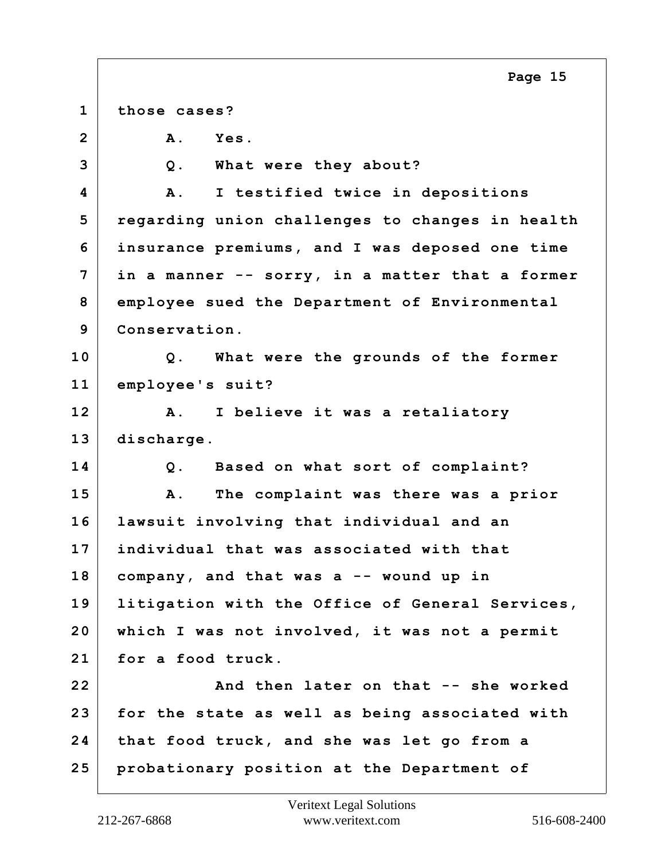**1 those cases? 2 A. Yes. 3 Q. What were they about? 4 A. I testified twice in depositions 5 regarding union challenges to changes in health 6 insurance premiums, and I was deposed one time 7 in a manner -- sorry, in a matter that a former 8 employee sued the Department of Environmental 9 Conservation. 10 Q. What were the grounds of the former 11 employee's suit? 12 A. I believe it was a retaliatory 13 discharge. 14 Q. Based on what sort of complaint? 15 A. The complaint was there was a prior 16 lawsuit involving that individual and an 17 individual that was associated with that 18 company, and that was a -- wound up in 19 litigation with the Office of General Services, 20 which I was not involved, it was not a permit 21 for a food truck. 22 And then later on that -- she worked 23 for the state as well as being associated with 24 that food truck, and she was let go from a 25 probationary position at the Department of Page 15**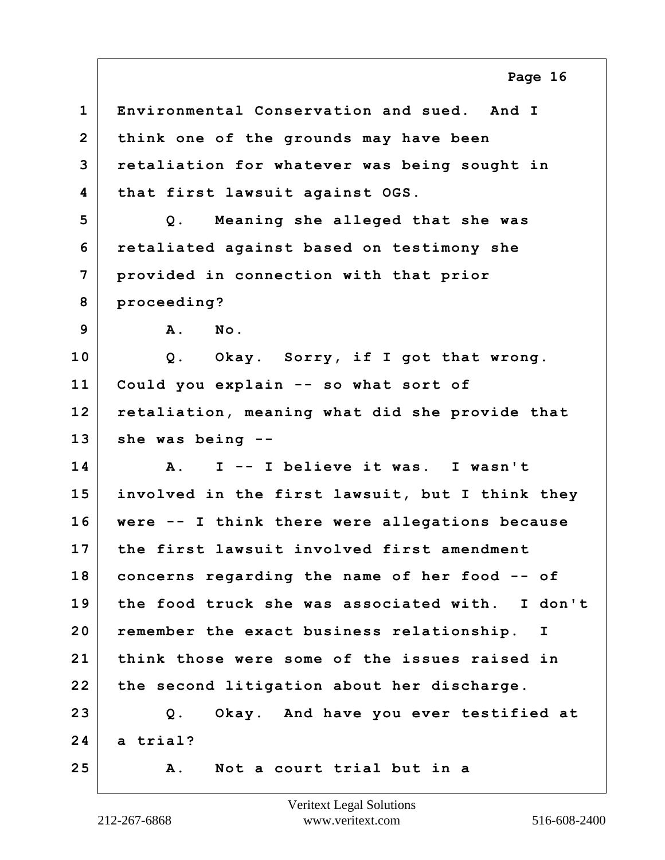**1 Environmental Conservation and sued. And I 2 think one of the grounds may have been 3 retaliation for whatever was being sought in 4 that first lawsuit against OGS. 5 Q. Meaning she alleged that she was 6 retaliated against based on testimony she 7 provided in connection with that prior 8 proceeding? 9 A. No. 10 Q. Okay. Sorry, if I got that wrong. 11 Could you explain -- so what sort of 12 retaliation, meaning what did she provide that 13 she was being -- 14 A. I -- I believe it was. I wasn't 15 involved in the first lawsuit, but I think they 16 were -- I think there were allegations because 17 the first lawsuit involved first amendment 18 concerns regarding the name of her food -- of 19 the food truck she was associated with. I don't 20 remember the exact business relationship. I 21 think those were some of the issues raised in 22 the second litigation about her discharge. 23 Q. Okay. And have you ever testified at 24 a trial? 25 A. Not a court trial but in a Page 16**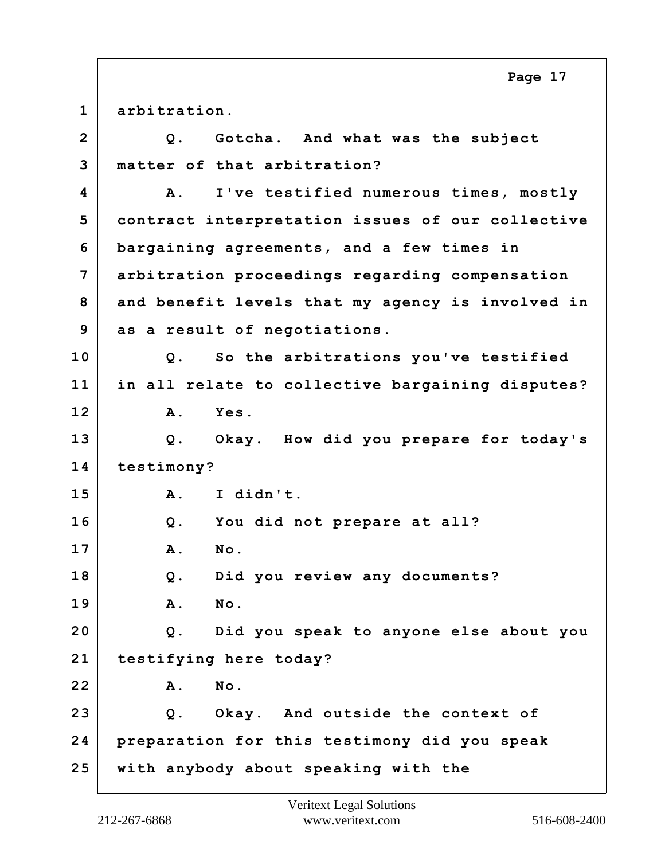**1 arbitration. 2 Q. Gotcha. And what was the subject 3 matter of that arbitration? 4 A. I've testified numerous times, mostly 5 contract interpretation issues of our collective 6 bargaining agreements, and a few times in 7 arbitration proceedings regarding compensation 8 and benefit levels that my agency is involved in 9 as a result of negotiations. 10 Q. So the arbitrations you've testified 11 in all relate to collective bargaining disputes? 12 A. Yes. 13 Q. Okay. How did you prepare for today's 14 testimony? 15 A. I didn't. 16 Q. You did not prepare at all? 17 A. No. 18 Q. Did you review any documents? 19 A. No. 20 Q. Did you speak to anyone else about you 21 testifying here today? 22 A. No. 23 Q. Okay. And outside the context of 24 preparation for this testimony did you speak 25 with anybody about speaking with the Page 17**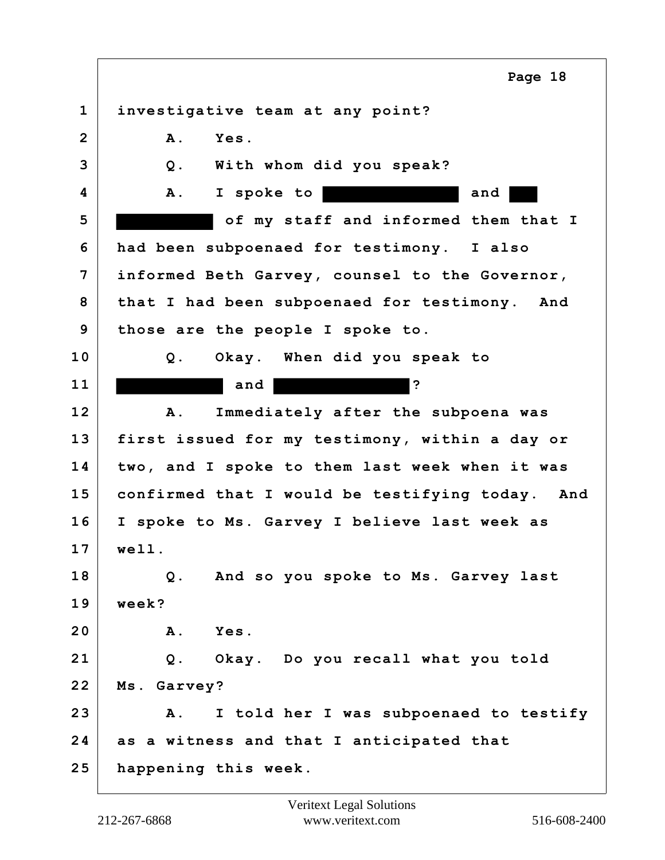**1 investigative team at any point? 2 A. Yes. 3 Q. With whom did you speak? 4 A. I spoke to and 5 of my staff and informed them that I 6 had been subpoenaed for testimony. I also 7 informed Beth Garvey, counsel to the Governor, 8 that I had been subpoenaed for testimony. And 9 those are the people I spoke to. 10 Q. Okay. When did you speak to 11** and ? **12 A. Immediately after the subpoena was 13 first issued for my testimony, within a day or 14 two, and I spoke to them last week when it was 15 confirmed that I would be testifying today. And 16 I spoke to Ms. Garvey I believe last week as 17 well. 18 Q. And so you spoke to Ms. Garvey last 19 week? 20 A. Yes. 21 Q. Okay. Do you recall what you told 22 Ms. Garvey? 23 A. I told her I was subpoenaed to testify 24 as a witness and that I anticipated that 25 happening this week. Page 18**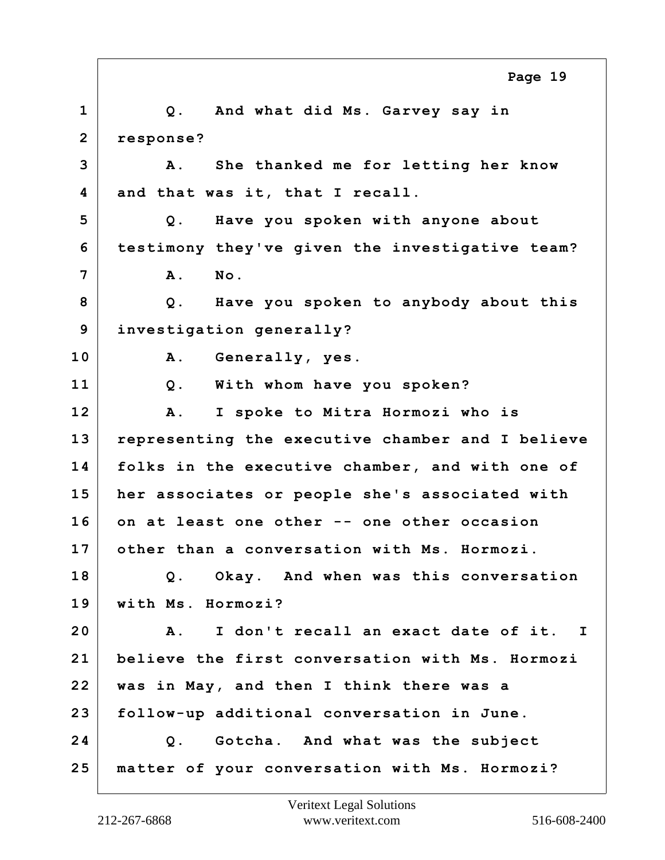**1 Q. And what did Ms. Garvey say in 2 response? 3 A. She thanked me for letting her know 4 and that was it, that I recall. 5 Q. Have you spoken with anyone about 6 testimony they've given the investigative team? 7 A. No. 8 Q. Have you spoken to anybody about this 9 investigation generally? 10 A. Generally, yes. 11 Q. With whom have you spoken? 12 A. I spoke to Mitra Hormozi who is 13 representing the executive chamber and I believe 14 folks in the executive chamber, and with one of 15 her associates or people she's associated with 16 on at least one other -- one other occasion 17 other than a conversation with Ms. Hormozi. 18 Q. Okay. And when was this conversation 19 with Ms. Hormozi? 20 A. I don't recall an exact date of it. I 21 believe the first conversation with Ms. Hormozi 22 was in May, and then I think there was a 23 follow-up additional conversation in June. 24 Q. Gotcha. And what was the subject 25 matter of your conversation with Ms. Hormozi? Page 19**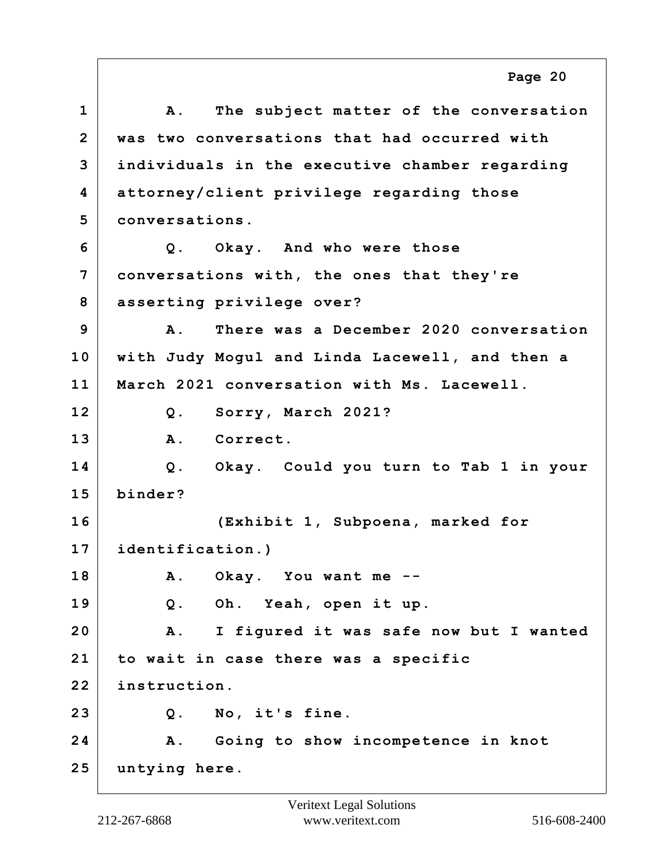**1 A. The subject matter of the conversation 2 was two conversations that had occurred with 3 individuals in the executive chamber regarding 4 attorney/client privilege regarding those 5 conversations. 6 Q. Okay. And who were those 7 conversations with, the ones that they're 8 asserting privilege over? 9 A. There was a December 2020 conversation 10 with Judy Mogul and Linda Lacewell, and then a 11 March 2021 conversation with Ms. Lacewell. 12 Q. Sorry, March 2021? 13 A. Correct. 14 Q. Okay. Could you turn to Tab 1 in your 15 binder? 16 (Exhibit 1, Subpoena, marked for 17 identification.) 18 A. Okay. You want me -- 19 Q. Oh. Yeah, open it up. 20 A. I figured it was safe now but I wanted 21 to wait in case there was a specific 22 instruction. 23 Q. No, it's fine. 24 A. Going to show incompetence in knot 25 untying here. Page 20**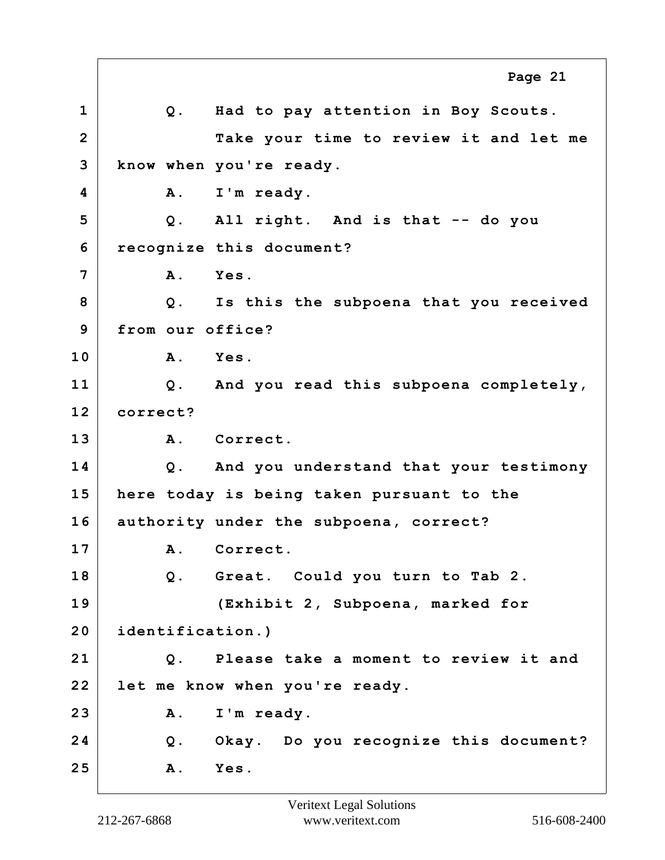**1 Q. Had to pay attention in Boy Scouts. 2 Take your time to review it and let me 3 know when you're ready. 4 A. I'm ready. 5 Q. All right. And is that -- do you 6 recognize this document? 7 A. Yes. 8 Q. Is this the subpoena that you received 9 from our office? 10 A. Yes. 11 Q. And you read this subpoena completely, 12 correct? 13 A. Correct. 14 Q. And you understand that your testimony 15 here today is being taken pursuant to the 16 authority under the subpoena, correct? 17 A. Correct. 18 Q. Great. Could you turn to Tab 2. 19 (Exhibit 2, Subpoena, marked for 20 identification.) 21 Q. Please take a moment to review it and 22 let me know when you're ready. 23 A. I'm ready. 24 Q. Okay. Do you recognize this document? 25 A. Yes. Page 21**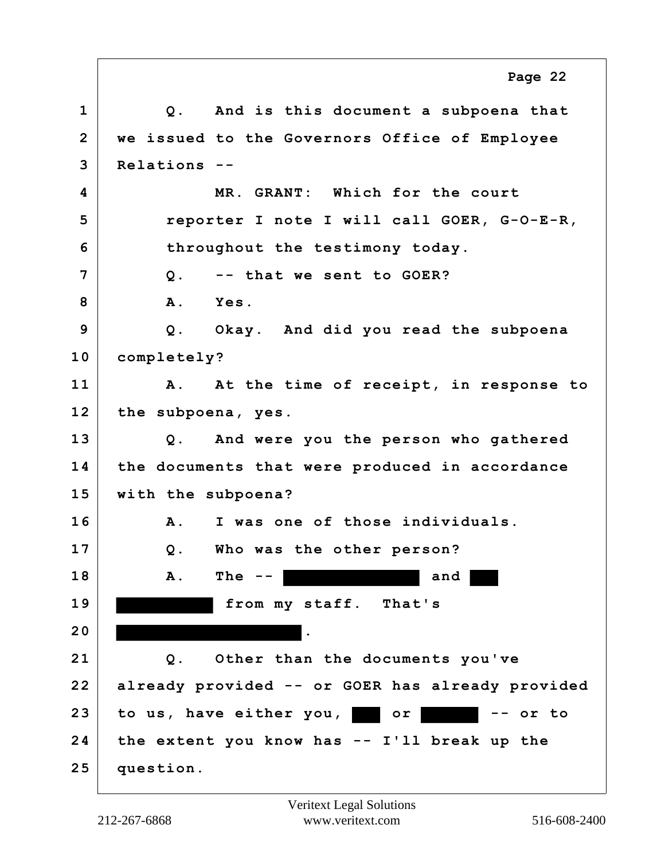**1 Q. And is this document a subpoena that 2 we issued to the Governors Office of Employee 3 Relations -- 4 MR. GRANT: Which for the court 5 reporter I note I will call GOER, G-O-E-R, 6 throughout the testimony today. 7 Q. -- that we sent to GOER? 8 A. Yes. 9 Q. Okay. And did you read the subpoena 10 completely? 11 A. At the time of receipt, in response to 12 the subpoena, yes. 13 Q. And were you the person who gathered 14 the documents that were produced in accordance 15 with the subpoena? 16 A. I was one of those individuals. 17 Q. Who was the other person? 18 A. The -- and 19 from my staff. That's 20 . 21 Q. Other than the documents you've 22 already provided -- or GOER has already provided 23 to us, have either you, or -- or to 24 the extent you know has -- I'll break up the 25 question. Page 22**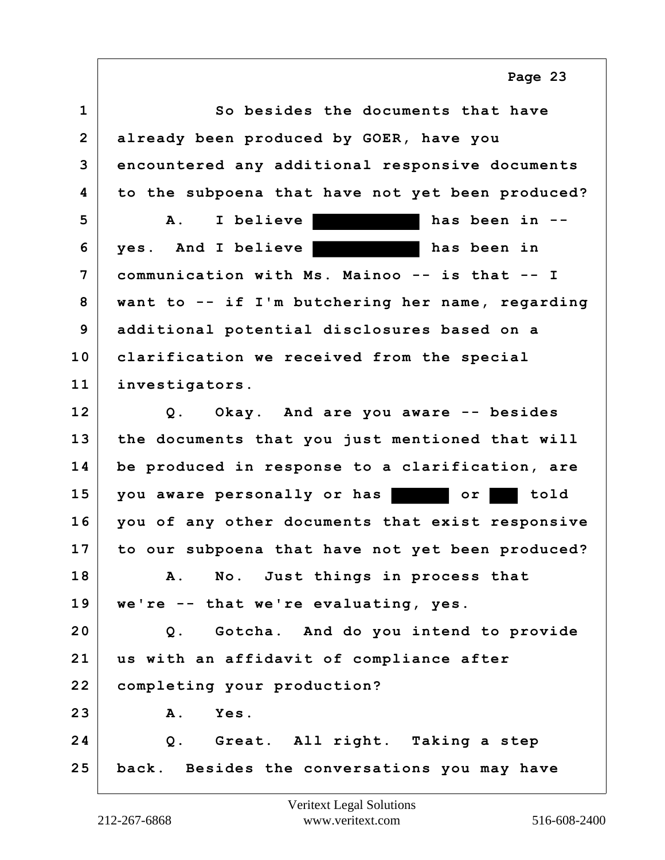**1 So besides the documents that have 2 already been produced by GOER, have you 3 encountered any additional responsive documents 4 to the subpoena that have not yet been produced? 5 A. I believe has been in -- 6 yes. And I believe has been in 7 communication with Ms. Mainoo -- is that -- I 8 want to -- if I'm butchering her name, regarding 9 additional potential disclosures based on a 10 clarification we received from the special 11 investigators. 12 Q. Okay. And are you aware -- besides 13 the documents that you just mentioned that will 14 be produced in response to a clarification, are 15 you aware personally or has or told 16 you of any other documents that exist responsive 17 to our subpoena that have not yet been produced? 18 A. No. Just things in process that 19 we're -- that we're evaluating, yes. 20 Q. Gotcha. And do you intend to provide 21 us with an affidavit of compliance after 22 completing your production? 23 A. Yes. 24 Q. Great. All right. Taking a step 25 back. Besides the conversations you may have Page 23**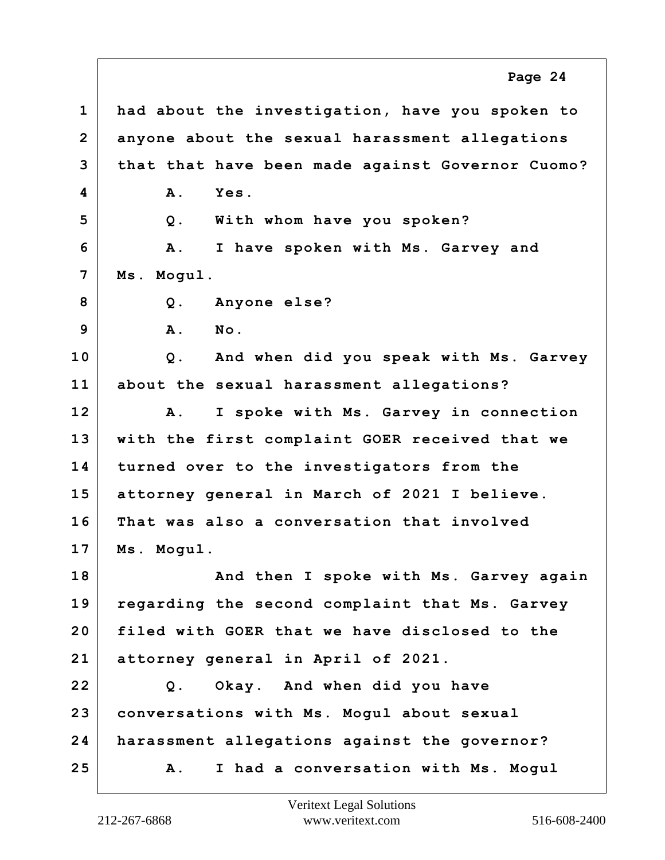**1 had about the investigation, have you spoken to 2 anyone about the sexual harassment allegations 3 that that have been made against Governor Cuomo? 4 A. Yes. 5 Q. With whom have you spoken? 6 A. I have spoken with Ms. Garvey and 7 Ms. Mogul. 8 Q. Anyone else? 9 A. No. 10 Q. And when did you speak with Ms. Garvey 11 about the sexual harassment allegations? 12 A. I spoke with Ms. Garvey in connection 13 with the first complaint GOER received that we 14 turned over to the investigators from the 15 attorney general in March of 2021 I believe. 16 That was also a conversation that involved 17 Ms. Mogul. 18 And then I spoke with Ms. Garvey again 19 regarding the second complaint that Ms. Garvey 20 filed with GOER that we have disclosed to the 21 attorney general in April of 2021. 22 Q. Okay. And when did you have 23 conversations with Ms. Mogul about sexual 24 harassment allegations against the governor? 25 A. I had a conversation with Ms. Mogul Page 24**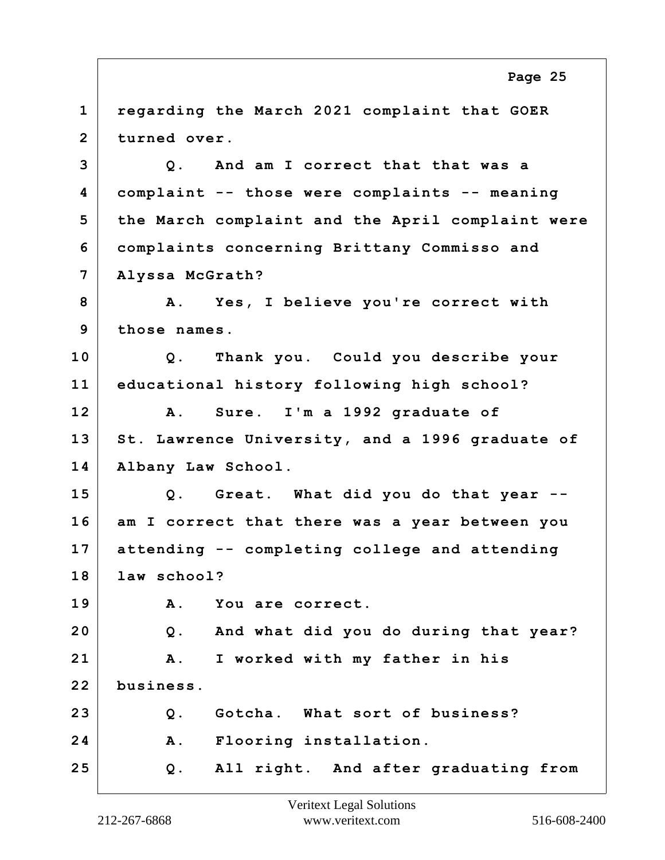**1 regarding the March 2021 complaint that GOER 2 turned over. 3 Q. And am I correct that that was a 4 complaint -- those were complaints -- meaning 5 the March complaint and the April complaint were 6 complaints concerning Brittany Commisso and 7 Alyssa McGrath? 8 A. Yes, I believe you're correct with 9 those names. 10 Q. Thank you. Could you describe your 11 educational history following high school? 12 A. Sure. I'm a 1992 graduate of 13 St. Lawrence University, and a 1996 graduate of 14 Albany Law School. 15 Q. Great. What did you do that year -- 16 am I correct that there was a year between you 17 attending -- completing college and attending 18 law school? 19 A. You are correct. 20 Q. And what did you do during that year? 21 A. I worked with my father in his 22 business. 23 Q. Gotcha. What sort of business? 24 A. Flooring installation. 25 Q. All right. And after graduating from Page 25**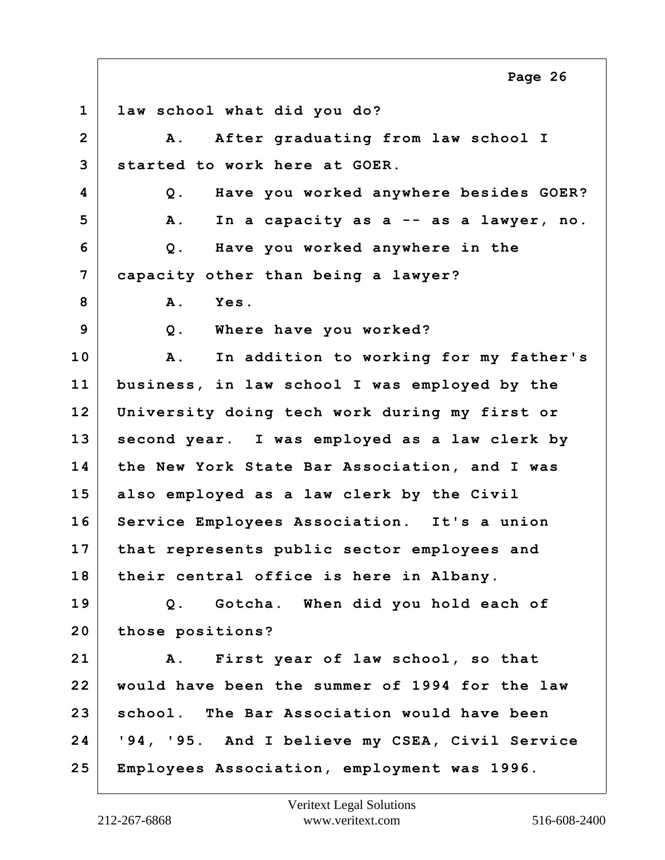**1 law school what did you do? 2 A. After graduating from law school I 3 started to work here at GOER. 4 Q. Have you worked anywhere besides GOER? 5 A. In a capacity as a -- as a lawyer, no. 6 Q. Have you worked anywhere in the 7 capacity other than being a lawyer? 8 A. Yes. 9 Q. Where have you worked? 10 A. In addition to working for my father's 11 business, in law school I was employed by the 12 University doing tech work during my first or 13 second year. I was employed as a law clerk by 14 the New York State Bar Association, and I was 15 also employed as a law clerk by the Civil 16 Service Employees Association. It's a union 17 that represents public sector employees and 18 their central office is here in Albany. 19 Q. Gotcha. When did you hold each of 20 those positions? 21 A. First year of law school, so that 22 would have been the summer of 1994 for the law 23 school. The Bar Association would have been 24 '94, '95. And I believe my CSEA, Civil Service 25 Employees Association, employment was 1996. Page 26**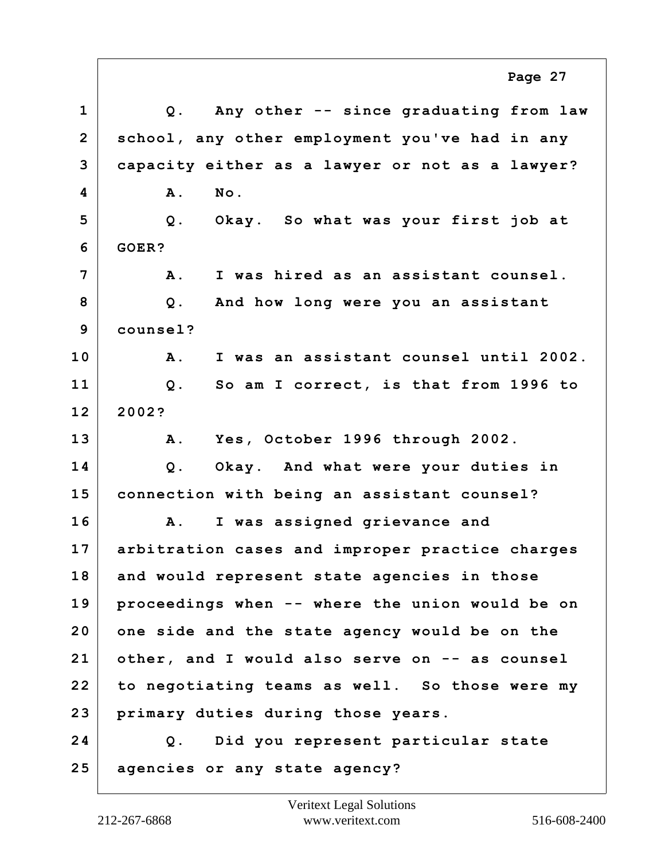**1 Q. Any other -- since graduating from law 2 school, any other employment you've had in any 3 capacity either as a lawyer or not as a lawyer? 4 A. No. 5 Q. Okay. So what was your first job at 6 GOER? 7 A. I was hired as an assistant counsel. 8 Q. And how long were you an assistant 9 counsel? 10 A. I was an assistant counsel until 2002. 11 Q. So am I correct, is that from 1996 to 12 2002? 13 A. Yes, October 1996 through 2002. 14 Q. Okay. And what were your duties in 15 connection with being an assistant counsel? 16 A. I was assigned grievance and 17 arbitration cases and improper practice charges 18 and would represent state agencies in those 19 proceedings when -- where the union would be on 20 one side and the state agency would be on the 21 other, and I would also serve on -- as counsel 22 to negotiating teams as well. So those were my 23 primary duties during those years. 24 Q. Did you represent particular state 25 agencies or any state agency? Page 27**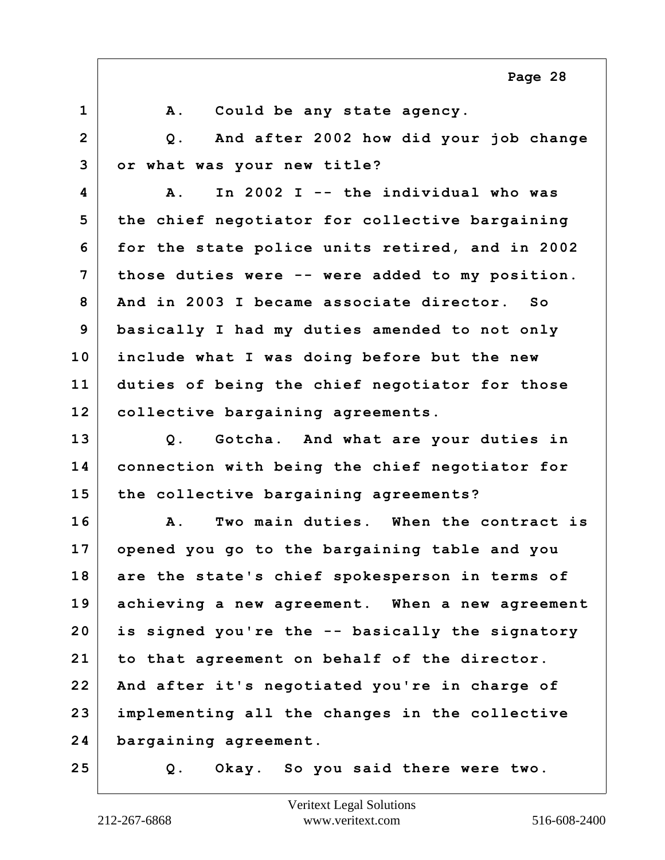1 A. Could be any state agency. **2 Q. And after 2002 how did your job change 3 or what was your new title? 4 A. In 2002 I -- the individual who was 5 the chief negotiator for collective bargaining 6 for the state police units retired, and in 2002 7 those duties were -- were added to my position. 8 And in 2003 I became associate director. So 9 basically I had my duties amended to not only 10 include what I was doing before but the new 11 duties of being the chief negotiator for those 12 collective bargaining agreements. 13 Q. Gotcha. And what are your duties in 14 connection with being the chief negotiator for 15 the collective bargaining agreements? 16 A. Two main duties. When the contract is 17 opened you go to the bargaining table and you 18 are the state's chief spokesperson in terms of 19 achieving a new agreement. When a new agreement 20 is signed you're the -- basically the signatory 21 to that agreement on behalf of the director. 22 And after it's negotiated you're in charge of 23 implementing all the changes in the collective 24 bargaining agreement. 25 Q. Okay. So you said there were two. Page 28**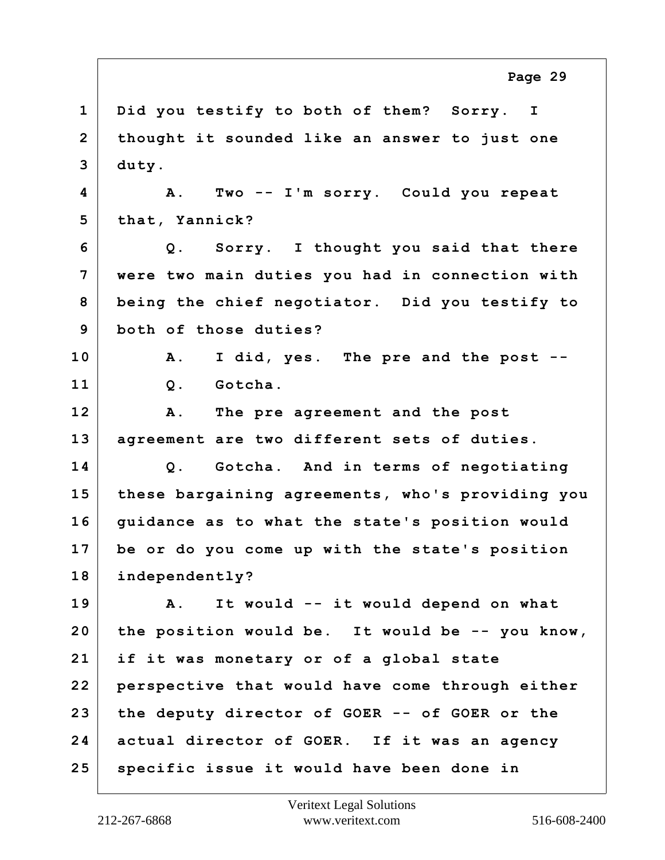**1 Did you testify to both of them? Sorry. I 2 thought it sounded like an answer to just one 3 duty. 4 A. Two -- I'm sorry. Could you repeat 5 that, Yannick? 6 Q. Sorry. I thought you said that there 7 were two main duties you had in connection with 8 being the chief negotiator. Did you testify to 9 both of those duties? 10 A. I did, yes. The pre and the post -- 11 Q. Gotcha. 12 A. The pre agreement and the post 13 agreement are two different sets of duties. 14 Q. Gotcha. And in terms of negotiating 15 these bargaining agreements, who's providing you 16 guidance as to what the state's position would 17 be or do you come up with the state's position 18 independently? 19 A. It would -- it would depend on what 20 the position would be. It would be -- you know, 21 if it was monetary or of a global state 22 perspective that would have come through either 23 the deputy director of GOER -- of GOER or the 24 actual director of GOER. If it was an agency 25 specific issue it would have been done in Page 29**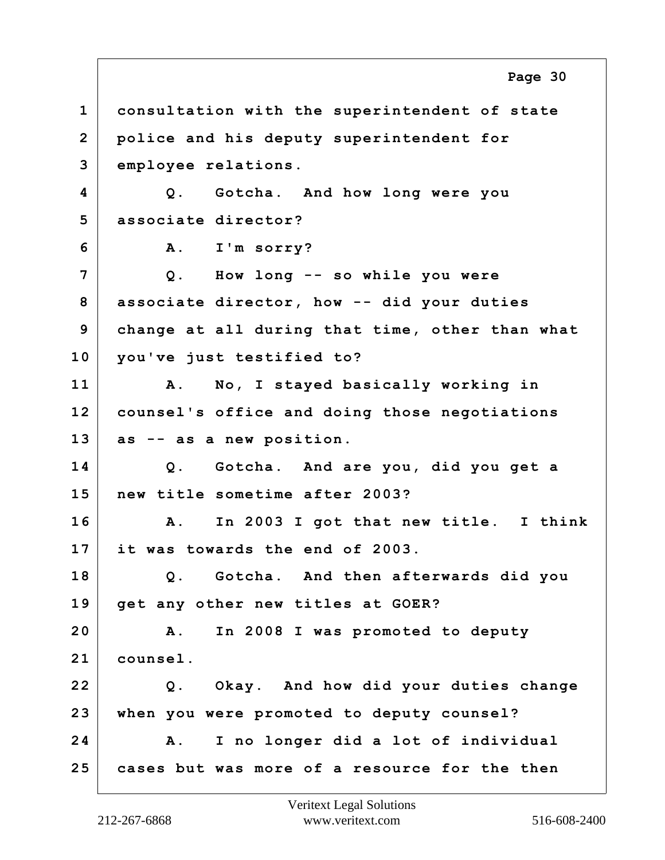**1 consultation with the superintendent of state 2 police and his deputy superintendent for 3 employee relations. 4 Q. Gotcha. And how long were you 5 associate director? 6 A. I'm sorry? 7 Q. How long -- so while you were 8 associate director, how -- did your duties 9 change at all during that time, other than what 10 you've just testified to? 11 A. No, I stayed basically working in 12 counsel's office and doing those negotiations 13 as -- as a new position. 14 Q. Gotcha. And are you, did you get a 15 new title sometime after 2003? 16 A. In 2003 I got that new title. I think 17 it was towards the end of 2003. 18 Q. Gotcha. And then afterwards did you 19 get any other new titles at GOER? 20 A. In 2008 I was promoted to deputy 21 counsel. 22 Q. Okay. And how did your duties change 23 when you were promoted to deputy counsel? 24 A. I no longer did a lot of individual 25 cases but was more of a resource for the then Page 30**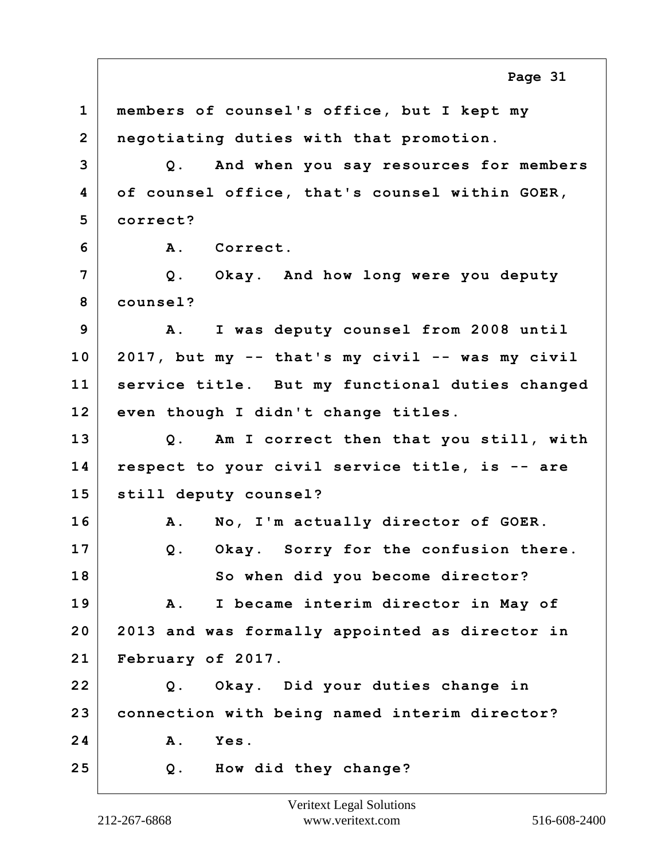**1 members of counsel's office, but I kept my 2 negotiating duties with that promotion. 3 Q. And when you say resources for members 4 of counsel office, that's counsel within GOER, 5 correct? 6 A. Correct. 7 Q. Okay. And how long were you deputy 8 counsel? 9 A. I was deputy counsel from 2008 until 10 2017, but my -- that's my civil -- was my civil 11 service title. But my functional duties changed 12 even though I didn't change titles. 13 Q. Am I correct then that you still, with 14 respect to your civil service title, is -- are 15 still deputy counsel? 16 A. No, I'm actually director of GOER. 17 Q. Okay. Sorry for the confusion there. 18 So when did you become director? 19 A. I became interim director in May of 20 2013 and was formally appointed as director in 21 February of 2017. 22 Q. Okay. Did your duties change in 23 connection with being named interim director? 24 A. Yes. 25 Q. How did they change? Page 31**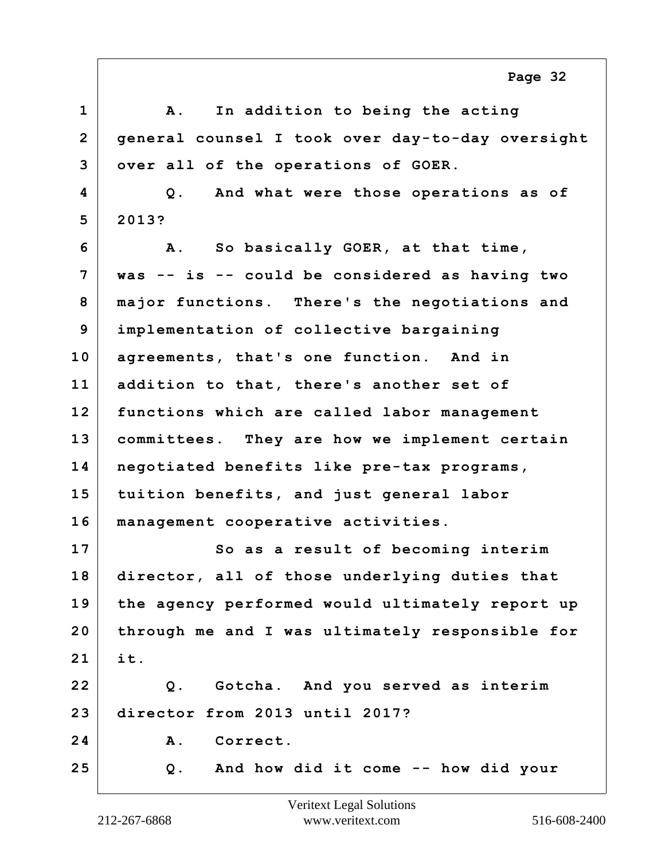**1 A. In addition to being the acting 2 general counsel I took over day-to-day oversight 3 over all of the operations of GOER. 4 Q. And what were those operations as of 5 2013? 6 A. So basically GOER, at that time, 7 was -- is -- could be considered as having two 8 major functions. There's the negotiations and 9 implementation of collective bargaining 10 agreements, that's one function. And in 11 addition to that, there's another set of 12 functions which are called labor management 13 committees. They are how we implement certain 14 negotiated benefits like pre-tax programs, 15 tuition benefits, and just general labor 16 management cooperative activities. 17 So as a result of becoming interim 18 director, all of those underlying duties that 19 the agency performed would ultimately report up 20 through me and I was ultimately responsible for 21 it. 22 Q. Gotcha. And you served as interim 23 director from 2013 until 2017?** 24 A. Correct. **25 Q. And how did it come -- how did your Page 32**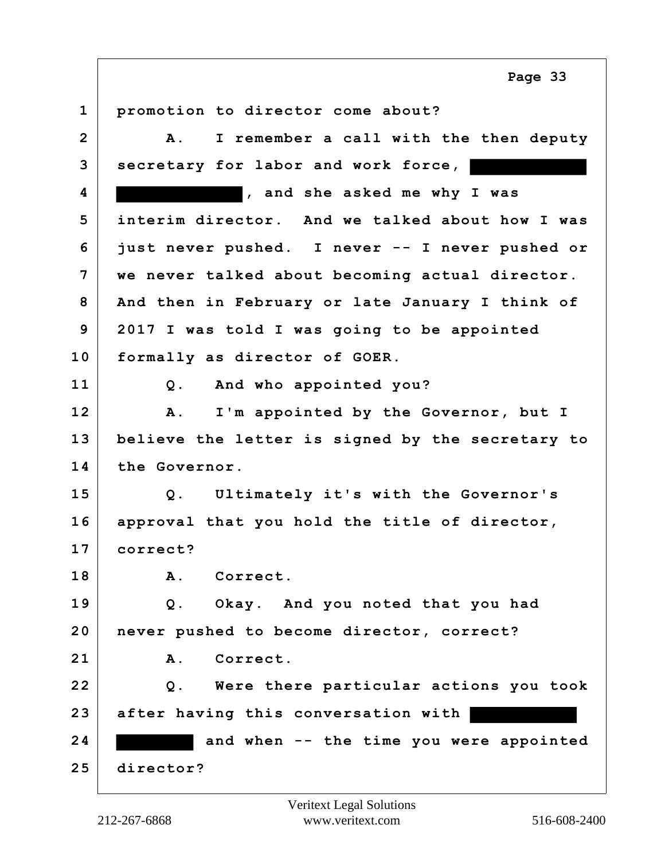**1 promotion to director come about? 2 A. I remember a call with the then deputy 3 secretary for labor and work force, 4 , and she asked me why I was 5 interim director. And we talked about how I was 6 just never pushed. I never -- I never pushed or 7 we never talked about becoming actual director. 8 And then in February or late January I think of 9 2017 I was told I was going to be appointed 10 formally as director of GOER. 11 Q. And who appointed you? 12 A. I'm appointed by the Governor, but I 13 believe the letter is signed by the secretary to 14 the Governor. 15 Q. Ultimately it's with the Governor's 16 approval that you hold the title of director, 17 correct? 18 A. Correct. 19 Q. Okay. And you noted that you had 20 never pushed to become director, correct? 21 A. Correct. 22 Q. Were there particular actions you took 23 after having this conversation with**  24 and when -- the time you were appointed **25 director? Page 33**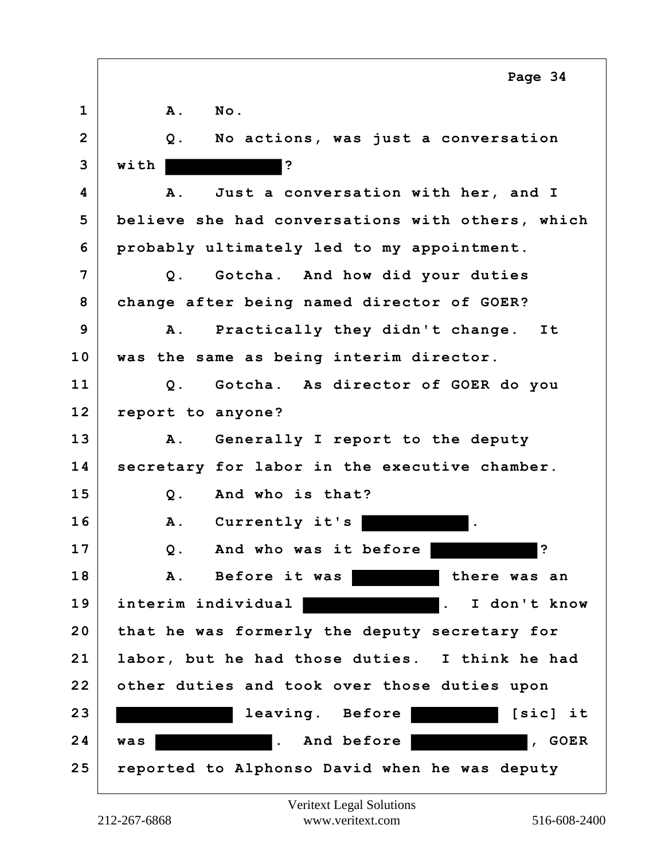|                | Page 34                                          |
|----------------|--------------------------------------------------|
| $\mathbf 1$    | No.<br>Α.                                        |
| $\overline{2}$ | No actions, was just a conversation<br>Q.        |
| 3              | ?<br>with                                        |
| 4              | Just a conversation with her, and I<br>Α.        |
| 5              | believe she had conversations with others, which |
| 6              | probably ultimately led to my appointment.       |
| 7              | Q. Gotcha. And how did your duties               |
| 8              | change after being named director of GOER?       |
| 9              | Practically they didn't change. It<br>A.         |
| 10             | was the same as being interim director.          |
| 11             | Gotcha. As director of GOER do you<br>$Q$ .      |
| 12             | report to anyone?                                |
| 13             | Generally I report to the deputy<br><b>A</b> .   |
| 14             | secretary for labor in the executive chamber.    |
| 15             | And who is that?<br>Q.                           |
| 16             | Currently it's<br>A.                             |
| 17             | خ.<br>And who was it before<br>Q.                |
| 18             | Before it was<br>Α.<br>there was an              |
| 19             | interim individual  <br>I don't know             |
| 20             | that he was formerly the deputy secretary for    |
| 21             | labor, but he had those duties. I think he had   |
| 22             | other duties and took over those duties upon     |
| 23             | leaving. Before<br>[sic] it                      |
| 24             | . And before<br>$\sqrt{6}$ GOER<br>was           |
| 25             | reported to Alphonso David when he was deputy    |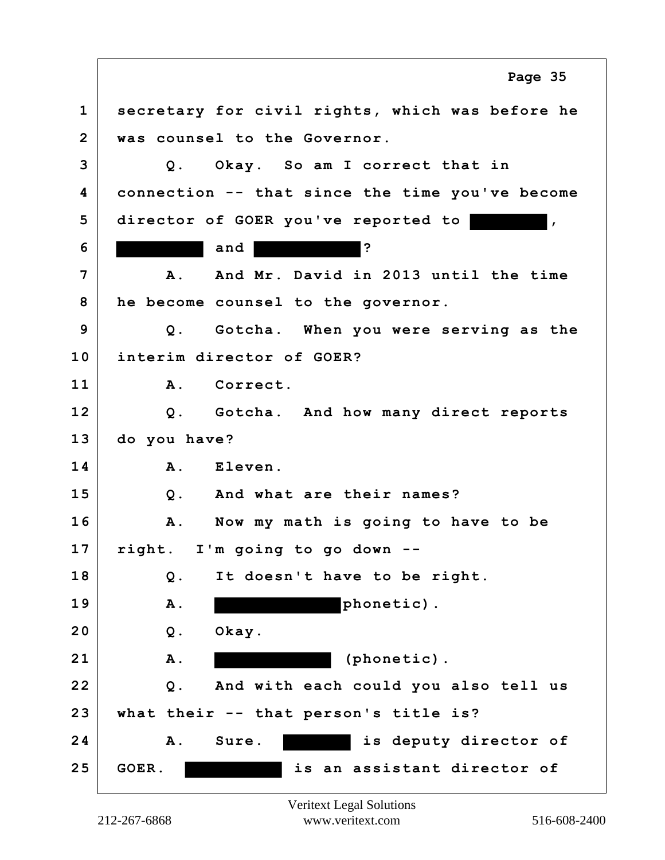**1 secretary for civil rights, which was before he 2 was counsel to the Governor. 3 Q. Okay. So am I correct that in 4 connection -- that since the time you've become 5 director of GOER you've reported to , 6 and ? 7 A. And Mr. David in 2013 until the time 8 he become counsel to the governor. 9 Q. Gotcha. When you were serving as the 10 interim director of GOER? 11 A. Correct. 12 Q. Gotcha. And how many direct reports 13 do you have? 14 A. Eleven. 15 Q. And what are their names? 16 A. Now my math is going to have to be 17 right. I'm going to go down -- 18 Q. It doesn't have to be right.** 19 A. **A.** phonetic). **20 Q. Okay. 21 A. (phonetic). 22 Q. And with each could you also tell us 23 what their -- that person's title is? 24 A. Sure. is deputy director of 25 GOER. is an assistant director of Page 35**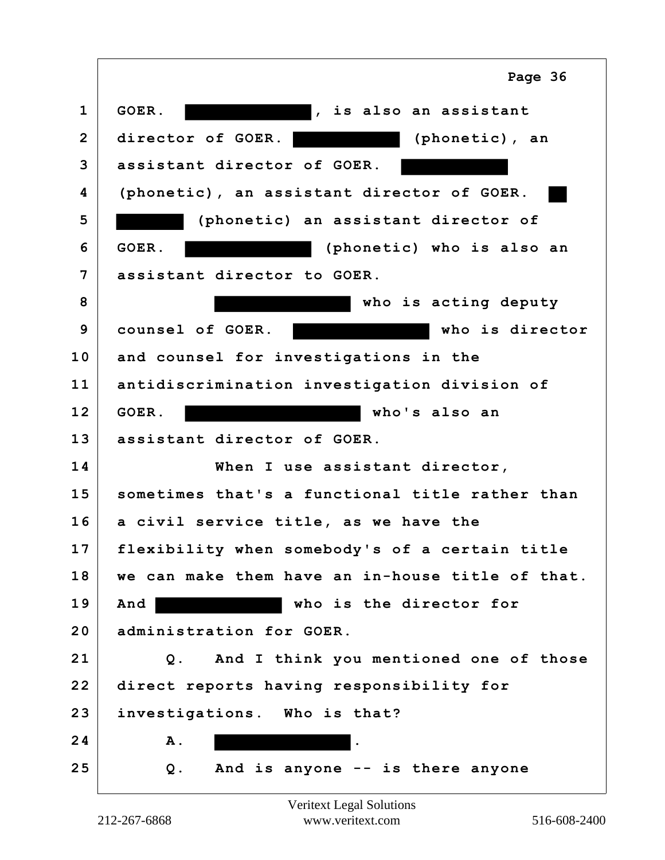|                | Page 36                                          |
|----------------|--------------------------------------------------|
| 1              | GOER.<br>, is also an assistant                  |
| $\overline{2}$ | director of GOER.<br>(phonetic), an              |
| 3              | assistant director of GOER.                      |
| 4              | (phonetic), an assistant director of GOER.       |
| 5              | (phonetic) an assistant director of              |
| 6              | (phonetic) who is also an<br>GOER.               |
| 7              | assistant director to GOER.                      |
| 8              | who is acting deputy                             |
| 9              | counsel of GOER.<br>who is director              |
| 10             | and counsel for investigations in the            |
| 11             | antidiscrimination investigation division of     |
| 12             | GOER.<br>who's also an                           |
| 13             | assistant director of GOER.                      |
| 14             | When I use assistant director,                   |
| 15             | sometimes that's a functional title rather than  |
| 16             | a civil service title, as we have the            |
| 17             | flexibility when somebody's of a certain title   |
| 18             | we can make them have an in-house title of that. |
| 19             | who is the director for<br>And                   |
| 20             | administration for GOER.                         |
| 21             | And I think you mentioned one of those<br>Q.     |
| 22             | direct reports having responsibility for         |
| 23             | investigations. Who is that?                     |
| 24             | Α.                                               |
| 25             | And is anyone -- is there anyone<br>Q.           |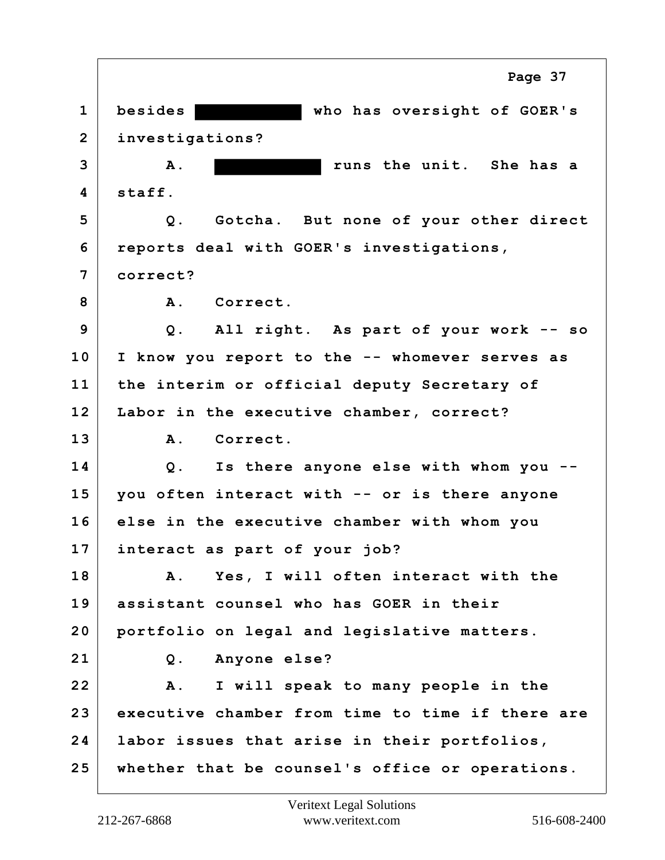**1 besides who has oversight of GOER's 2 investigations? 3 A. runs the unit. She has a 4 staff. 5 Q. Gotcha. But none of your other direct 6 reports deal with GOER's investigations, 7 correct?** 8 A. Correct. **9 Q. All right. As part of your work -- so 10 I know you report to the -- whomever serves as 11 the interim or official deputy Secretary of 12 Labor in the executive chamber, correct? 13 A. Correct. 14 Q. Is there anyone else with whom you -- 15 you often interact with -- or is there anyone 16 else in the executive chamber with whom you 17 interact as part of your job? 18 A. Yes, I will often interact with the 19 assistant counsel who has GOER in their 20 portfolio on legal and legislative matters. 21 Q. Anyone else? 22 A. I will speak to many people in the 23 executive chamber from time to time if there are 24 labor issues that arise in their portfolios, 25 whether that be counsel's office or operations. Page 37**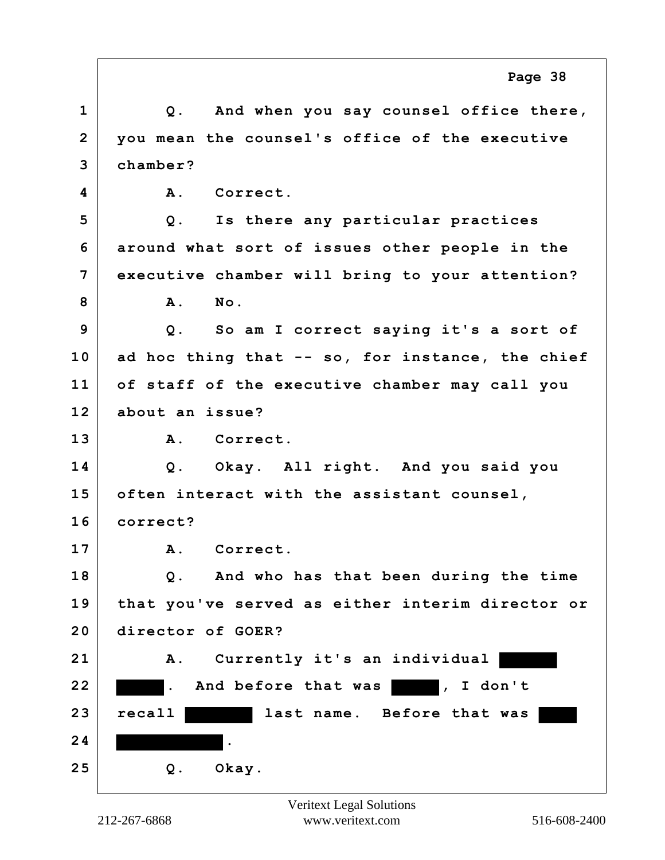|                | Page 38                                          |
|----------------|--------------------------------------------------|
| $\mathbf{1}$   | Q. And when you say counsel office there,        |
| $\overline{2}$ | you mean the counsel's office of the executive   |
| 3              | chamber?                                         |
| 4              | Correct.<br><b>A</b> .                           |
| 5              | Q. Is there any particular practices             |
| 6              | around what sort of issues other people in the   |
| 7              | executive chamber will bring to your attention?  |
| 8              | No.<br>A.                                        |
| 9              | Q. So am I correct saying it's a sort of         |
| 10             | ad hoc thing that -- so, for instance, the chief |
| 11             | of staff of the executive chamber may call you   |
| 12             | about an issue?                                  |
| 13             | A. Correct.                                      |
| 14             | Q. Okay. All right. And you said you             |
| 15             | often interact with the assistant counsel,       |
| 16             | correct?                                         |
| 17             | A. Correct.                                      |
| 18             | Q. And who has that been during the time         |
| 19             | that you've served as either interim director or |
| 20             | director of GOER?                                |
| 21             | Currently it's an individual<br>${\bf A}$ .      |
| 22             | And before that was<br>, I don't<br>Ι.           |
| 23             | recall<br>last name. Before that was             |
| 24             | $\bullet$                                        |
| 25             | Q. Okay.                                         |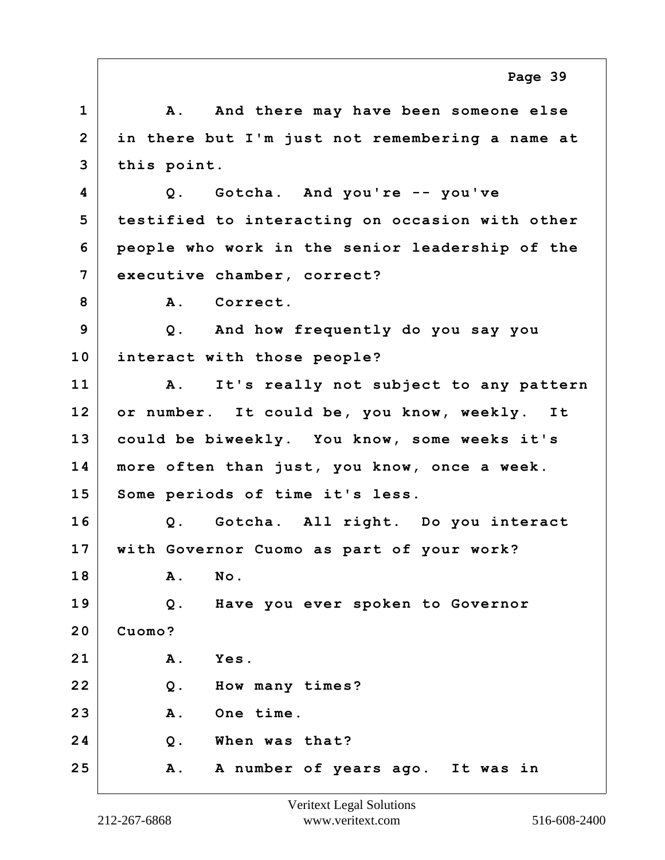1 A. And there may have been someone else **2 in there but I'm just not remembering a name at 3 this point. 4 Q. Gotcha. And you're -- you've 5 testified to interacting on occasion with other 6 people who work in the senior leadership of the 7 executive chamber, correct?** 8 A. Correct. **9 Q. And how frequently do you say you 10 interact with those people? 11 A. It's really not subject to any pattern 12 or number. It could be, you know, weekly. It 13 could be biweekly. You know, some weeks it's 14 more often than just, you know, once a week. 15 Some periods of time it's less. 16 Q. Gotcha. All right. Do you interact 17 with Governor Cuomo as part of your work? 18 A. No. 19 Q. Have you ever spoken to Governor 20 Cuomo? 21 A. Yes. 22 Q. How many times? 23 A. One time. 24 Q. When was that? 25 A. A number of years ago. It was in Page 39**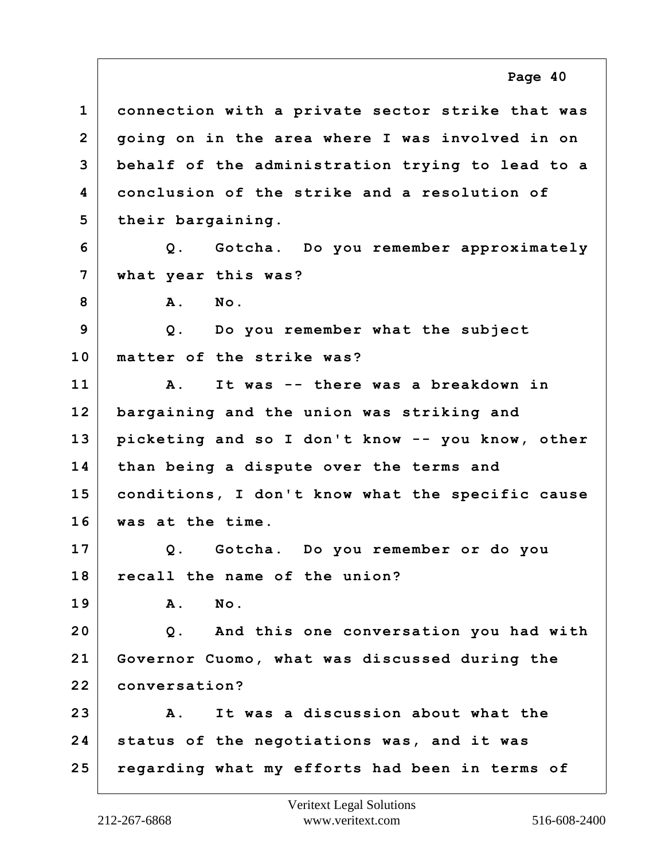**1 connection with a private sector strike that was 2 going on in the area where I was involved in on 3 behalf of the administration trying to lead to a 4 conclusion of the strike and a resolution of 5 their bargaining. 6 Q. Gotcha. Do you remember approximately 7 what year this was? 8 A. No. 9 Q. Do you remember what the subject 10 matter of the strike was? 11 A. It was -- there was a breakdown in 12 bargaining and the union was striking and 13 picketing and so I don't know -- you know, other 14 than being a dispute over the terms and 15 conditions, I don't know what the specific cause 16 was at the time. 17 Q. Gotcha. Do you remember or do you 18 recall the name of the union? 19 A. No. 20 Q. And this one conversation you had with 21 Governor Cuomo, what was discussed during the 22 conversation? 23 A. It was a discussion about what the 24 status of the negotiations was, and it was 25 regarding what my efforts had been in terms of Page 40**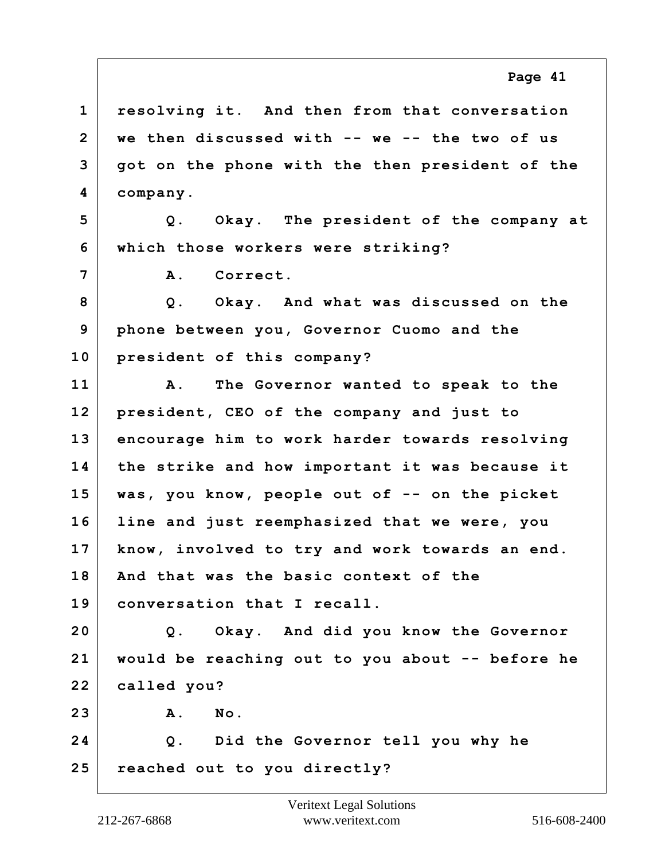**1 resolving it. And then from that conversation 2 we then discussed with -- we -- the two of us 3 got on the phone with the then president of the 4 company. 5 Q. Okay. The president of the company at 6 which those workers were striking? 7 A. Correct. 8 Q. Okay. And what was discussed on the 9 phone between you, Governor Cuomo and the 10 president of this company? 11 A. The Governor wanted to speak to the 12 president, CEO of the company and just to 13 encourage him to work harder towards resolving 14 the strike and how important it was because it 15 was, you know, people out of -- on the picket 16 line and just reemphasized that we were, you 17 know, involved to try and work towards an end. 18 And that was the basic context of the 19 conversation that I recall. 20 Q. Okay. And did you know the Governor 21 would be reaching out to you about -- before he 22 called you? 23 A. No. 24 Q. Did the Governor tell you why he 25 reached out to you directly? Page 41**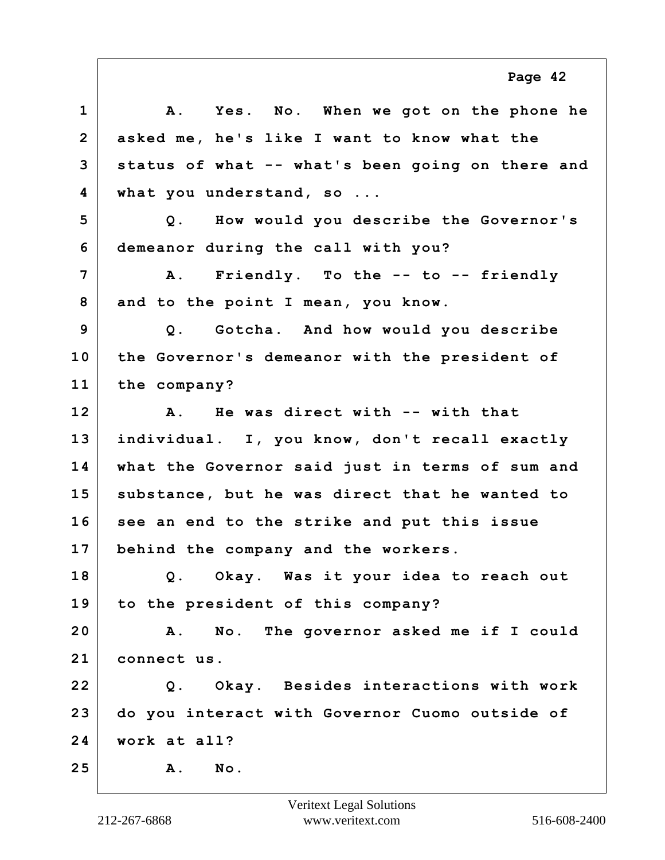**1 A. Yes. No. When we got on the phone he 2 asked me, he's like I want to know what the 3 status of what -- what's been going on there and 4 what you understand, so ... 5 Q. How would you describe the Governor's 6 demeanor during the call with you? 7 A. Friendly. To the -- to -- friendly 8 and to the point I mean, you know. 9 Q. Gotcha. And how would you describe 10 the Governor's demeanor with the president of 11 the company? 12 A. He was direct with -- with that 13 individual. I, you know, don't recall exactly 14 what the Governor said just in terms of sum and 15 substance, but he was direct that he wanted to 16 see an end to the strike and put this issue 17 behind the company and the workers. 18 Q. Okay. Was it your idea to reach out 19 to the president of this company? 20 A. No. The governor asked me if I could 21 connect us. 22 Q. Okay. Besides interactions with work 23 do you interact with Governor Cuomo outside of 24 work at all? 25 A. No. Page 42**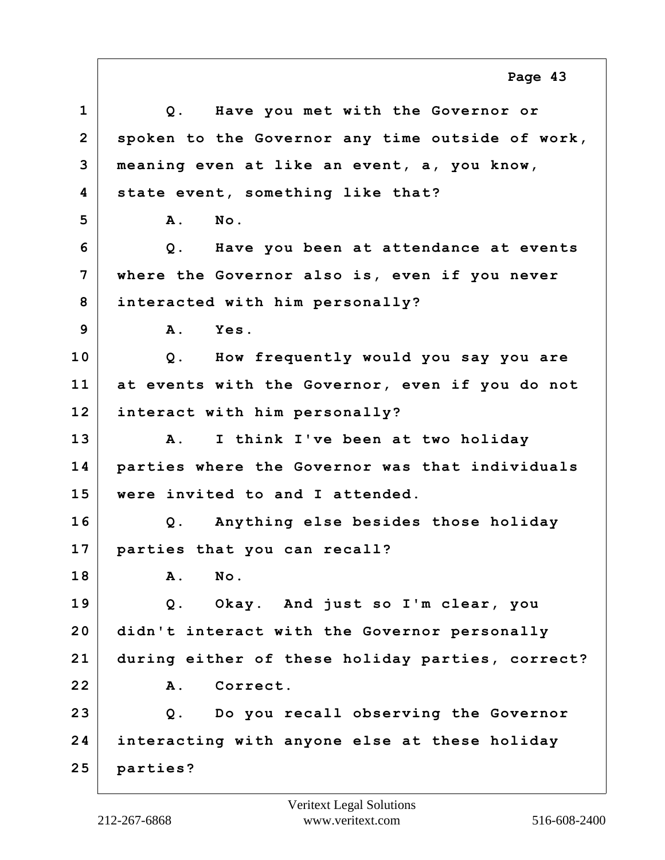**1 Q. Have you met with the Governor or 2 spoken to the Governor any time outside of work, 3 meaning even at like an event, a, you know, 4 state event, something like that? 5 A. No. 6 Q. Have you been at attendance at events 7 where the Governor also is, even if you never 8 interacted with him personally? 9 A. Yes. 10 Q. How frequently would you say you are 11 at events with the Governor, even if you do not 12 interact with him personally? 13 A. I think I've been at two holiday 14 parties where the Governor was that individuals 15 were invited to and I attended. 16 Q. Anything else besides those holiday 17 parties that you can recall? 18 A. No. 19 Q. Okay. And just so I'm clear, you 20 didn't interact with the Governor personally 21 during either of these holiday parties, correct? 22 A. Correct. 23 Q. Do you recall observing the Governor 24 interacting with anyone else at these holiday 25 parties? Page 43**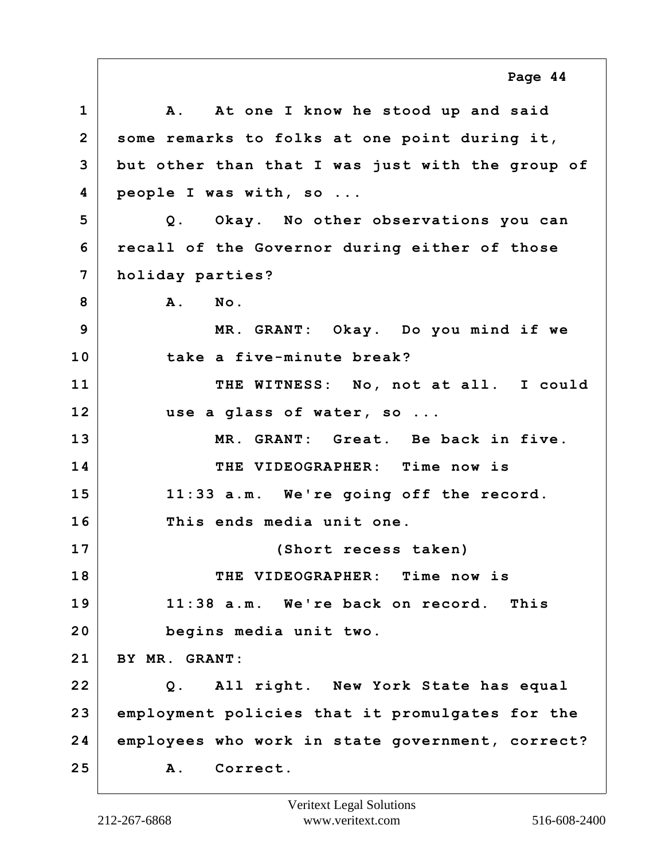**1 A. At one I know he stood up and said 2 some remarks to folks at one point during it, 3 but other than that I was just with the group of 4 people I was with, so ... 5 Q. Okay. No other observations you can 6 recall of the Governor during either of those 7 holiday parties? 8 A. No. 9 MR. GRANT: Okay. Do you mind if we 10 take a five-minute break? 11 THE WITNESS: No, not at all. I could 12 use a glass of water, so ... 13 MR. GRANT: Great. Be back in five. 14 THE VIDEOGRAPHER: Time now is 15 11:33 a.m. We're going off the record. 16 This ends media unit one. 17 (Short recess taken) 18 THE VIDEOGRAPHER: Time now is 19 11:38 a.m. We're back on record. This 20 begins media unit two. 21 BY MR. GRANT: 22 Q. All right. New York State has equal 23 employment policies that it promulgates for the 24 employees who work in state government, correct? 25 A. Correct. Page 44**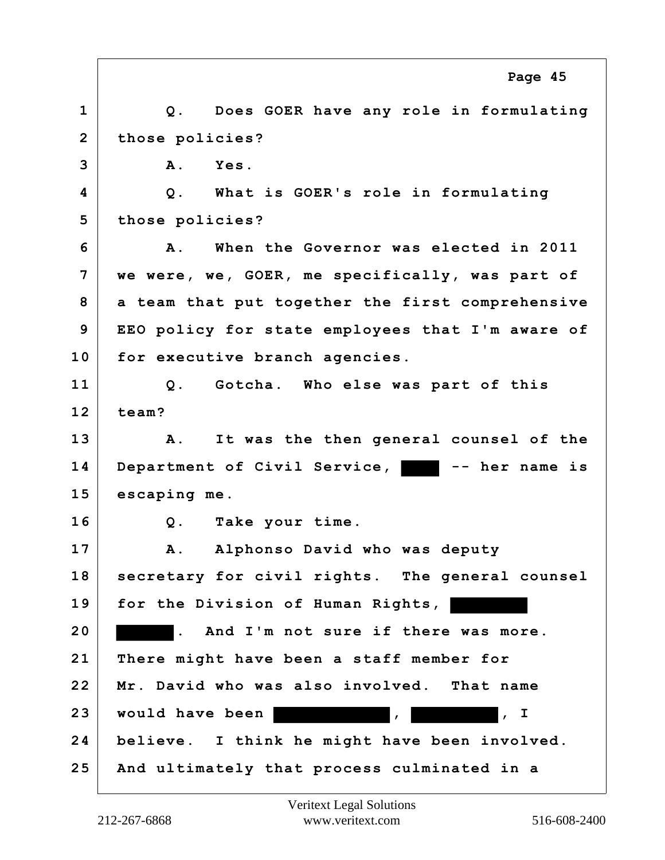|                | Page 45                                          |
|----------------|--------------------------------------------------|
| $\mathbf{1}$   | Q. Does GOER have any role in formulating        |
| $\overline{2}$ | those policies?                                  |
| 3              | A.<br>Yes.                                       |
| 4              | Q. What is GOER's role in formulating            |
| 5              | those policies?                                  |
| 6              | When the Governor was elected in 2011<br>Α.      |
| 7              | we were, we, GOER, me specifically, was part of  |
| 8              | a team that put together the first comprehensive |
| 9              | EEO policy for state employees that I'm aware of |
| 10             | for executive branch agencies.                   |
| 11             | Q. Gotcha. Who else was part of this             |
| 12             | team?                                            |
| 13             | It was the then general counsel of the<br>Α.     |
| 14             | Department of Civil Service, There her name is   |
| 15             | escaping me.                                     |
| 16             | Q. Take your time.                               |
| 17             | A. Alphonso David who was deputy                 |
| 18             | secretary for civil rights. The general counsel  |
| 19             | for the Division of Human Rights,                |
| 20             | . And I'm not sure if there was more.            |
| 21             | There might have been a staff member for         |
| 22             | Mr. David who was also involved. That name       |
| 23             | would have been<br>$\sqrt{1}$                    |
| 24             | believe. I think he might have been involved.    |
| 25             | And ultimately that process culminated in a      |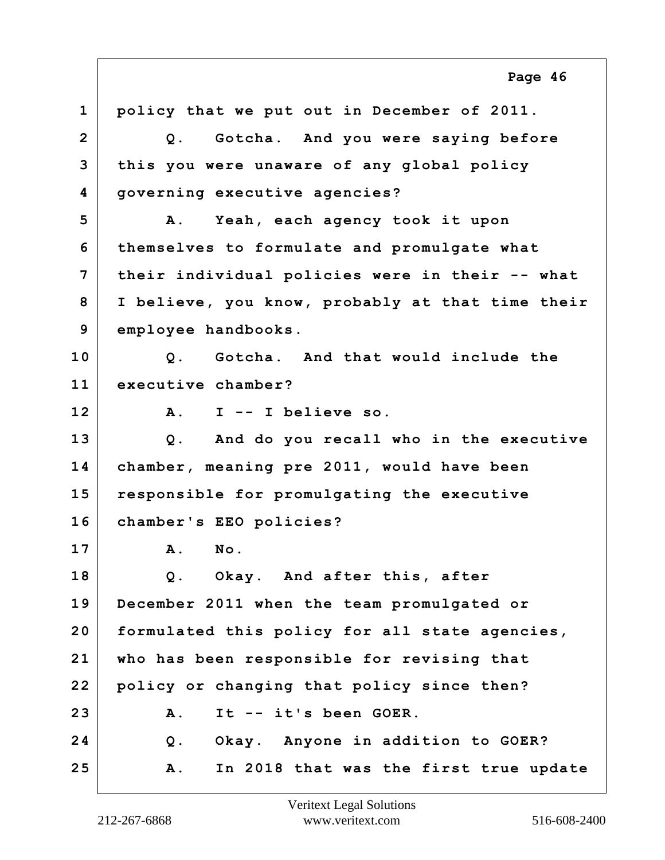**1 policy that we put out in December of 2011. 2 Q. Gotcha. And you were saying before 3 this you were unaware of any global policy 4 governing executive agencies? 5 A. Yeah, each agency took it upon 6 themselves to formulate and promulgate what 7 their individual policies were in their -- what 8 I believe, you know, probably at that time their 9 employee handbooks. 10 Q. Gotcha. And that would include the 11 executive chamber? 12 A. I -- I believe so. 13 Q. And do you recall who in the executive 14 chamber, meaning pre 2011, would have been 15 responsible for promulgating the executive 16 chamber's EEO policies? 17 A. No. 18 Q. Okay. And after this, after 19 December 2011 when the team promulgated or 20 formulated this policy for all state agencies, 21 who has been responsible for revising that 22 policy or changing that policy since then? 23 A. It -- it's been GOER. 24 Q. Okay. Anyone in addition to GOER? 25 A. In 2018 that was the first true update Page 46**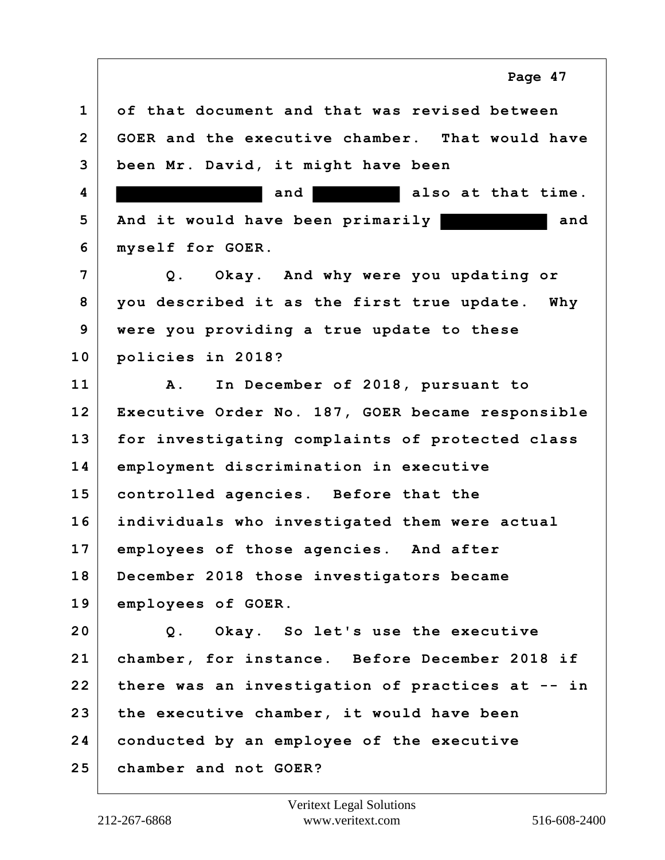**1 of that document and that was revised between 2 GOER and the executive chamber. That would have 3 been Mr. David, it might have been 4 and and also at that time. 5 And it would have been primarily and 6 myself for GOER. 7 Q. Okay. And why were you updating or 8 you described it as the first true update. Why 9 were you providing a true update to these 10 policies in 2018? 11 A. In December of 2018, pursuant to 12 Executive Order No. 187, GOER became responsible 13 for investigating complaints of protected class 14 employment discrimination in executive 15 controlled agencies. Before that the 16 individuals who investigated them were actual 17 employees of those agencies. And after 18 December 2018 those investigators became 19 employees of GOER. 20 Q. Okay. So let's use the executive 21 chamber, for instance. Before December 2018 if 22 there was an investigation of practices at -- in 23 the executive chamber, it would have been 24 conducted by an employee of the executive 25 chamber and not GOER?**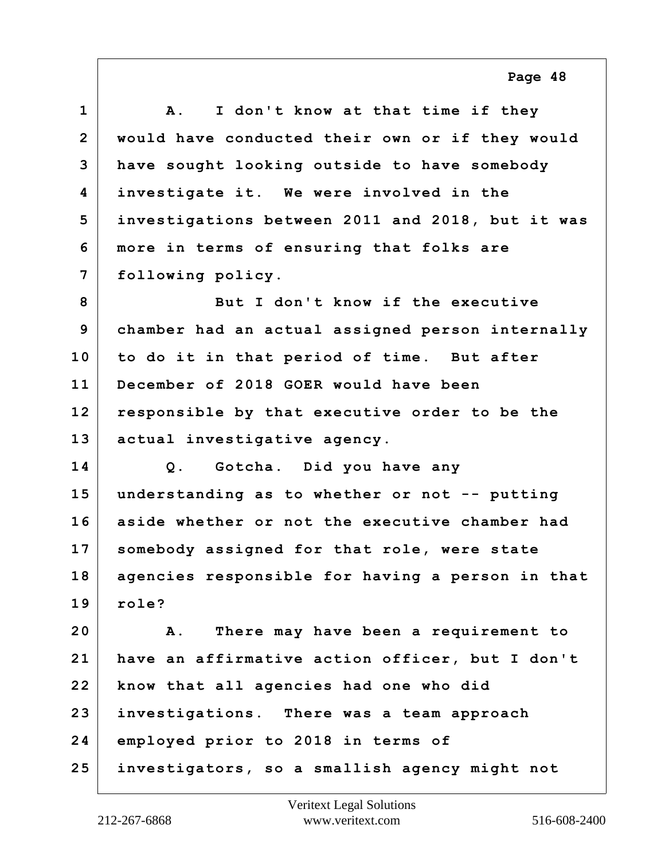| $\mathbf{1}$   | I don't know at that time if they<br><b>A</b> .  |
|----------------|--------------------------------------------------|
| $\overline{2}$ | would have conducted their own or if they would  |
| 3              | have sought looking outside to have somebody     |
| 4              | investigate it. We were involved in the          |
| 5              | investigations between 2011 and 2018, but it was |
| 6              | more in terms of ensuring that folks are         |
| $\overline{7}$ | following policy.                                |
| 8              | But I don't know if the executive                |
| 9              | chamber had an actual assigned person internally |
| 10             | to do it in that period of time. But after       |
| 11             | December of 2018 GOER would have been            |
| 12             | responsible by that executive order to be the    |
| 13             | actual investigative agency.                     |
| 14             | Q. Gotcha. Did you have any                      |
| 15             | understanding as to whether or not -- putting    |
| 16             | aside whether or not the executive chamber had   |
| 17             | somebody assigned for that role, were state      |
| 18             | agencies responsible for having a person in that |
| 19             | role?                                            |
| 20             | There may have been a requirement to<br>Α.       |
| 21             | have an affirmative action officer, but I don't  |
| 22             | know that all agencies had one who did           |
| 23             | investigations. There was a team approach        |
| 24             | employed prior to 2018 in terms of               |
| 25             | investigators, so a smallish agency might not    |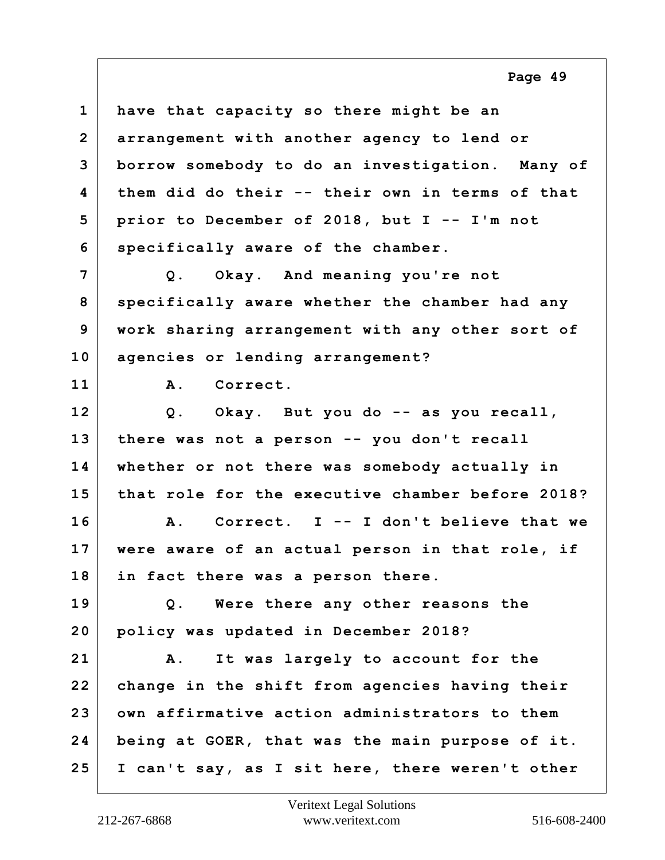**1 have that capacity so there might be an 2 arrangement with another agency to lend or 3 borrow somebody to do an investigation. Many of 4 them did do their -- their own in terms of that 5 prior to December of 2018, but I -- I'm not 6 specifically aware of the chamber. 7 Q. Okay. And meaning you're not 8 specifically aware whether the chamber had any 9 work sharing arrangement with any other sort of 10 agencies or lending arrangement? 11 A. Correct. 12 Q. Okay. But you do -- as you recall, 13 there was not a person -- you don't recall 14 whether or not there was somebody actually in 15 that role for the executive chamber before 2018? 16 A. Correct. I -- I don't believe that we 17 were aware of an actual person in that role, if 18 in fact there was a person there. 19 Q. Were there any other reasons the 20 policy was updated in December 2018?**

**21 A. It was largely to account for the 22 change in the shift from agencies having their 23 own affirmative action administrators to them 24 being at GOER, that was the main purpose of it. 25 I can't say, as I sit here, there weren't other**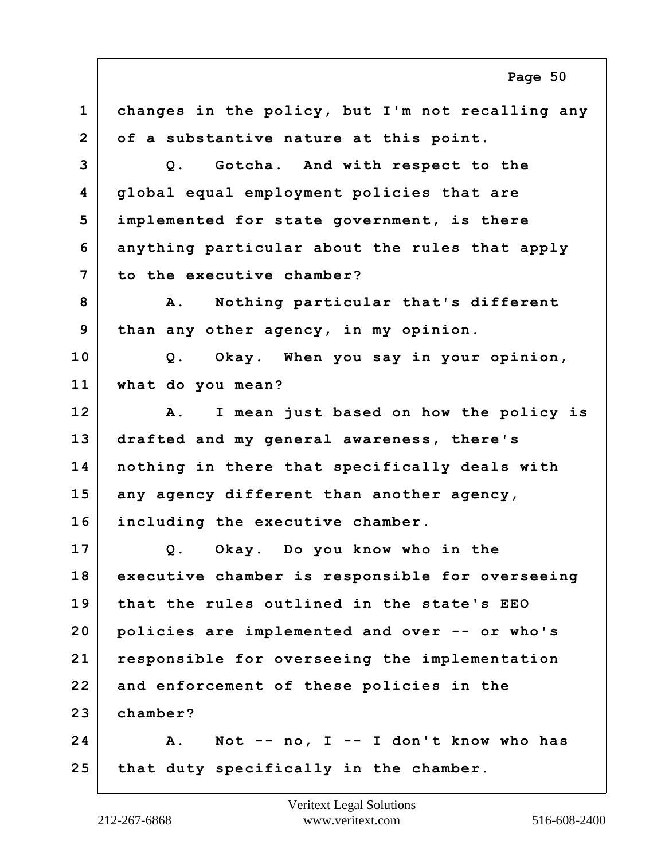**1 changes in the policy, but I'm not recalling any 2 of a substantive nature at this point. 3 Q. Gotcha. And with respect to the 4 global equal employment policies that are 5 implemented for state government, is there 6 anything particular about the rules that apply 7 to the executive chamber? 8 A. Nothing particular that's different 9 than any other agency, in my opinion. 10 Q. Okay. When you say in your opinion, 11 what do you mean? 12 A. I mean just based on how the policy is 13 drafted and my general awareness, there's 14 nothing in there that specifically deals with 15 any agency different than another agency, 16 including the executive chamber. 17 Q. Okay. Do you know who in the 18 executive chamber is responsible for overseeing 19 that the rules outlined in the state's EEO 20 policies are implemented and over -- or who's 21 responsible for overseeing the implementation 22 and enforcement of these policies in the 23 chamber? 24 A. Not -- no, I -- I don't know who has 25 that duty specifically in the chamber. Page 50**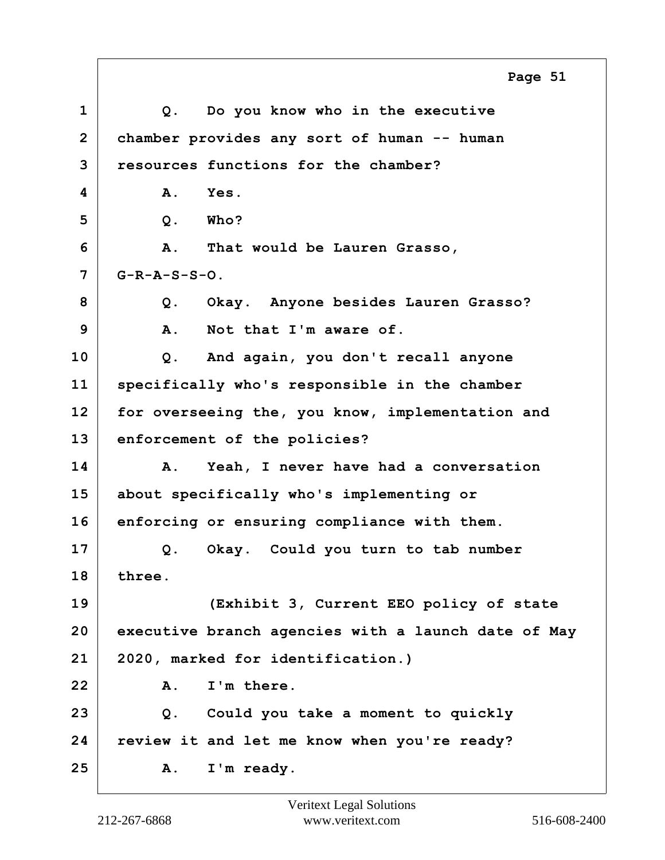**1 Q. Do you know who in the executive 2 chamber provides any sort of human -- human 3 resources functions for the chamber? 4 A. Yes. 5 Q. Who? 6 A. That would be Lauren Grasso, 7 G-R-A-S-S-O. 8 Q. Okay. Anyone besides Lauren Grasso? 9 A. Not that I'm aware of. 10 Q. And again, you don't recall anyone 11 specifically who's responsible in the chamber 12 for overseeing the, you know, implementation and 13 enforcement of the policies? 14 A. Yeah, I never have had a conversation 15 about specifically who's implementing or 16 enforcing or ensuring compliance with them. 17 Q. Okay. Could you turn to tab number 18 three. 19 (Exhibit 3, Current EEO policy of state 20 executive branch agencies with a launch date of May 21 2020, marked for identification.) 22 A. I'm there. 23 Q. Could you take a moment to quickly 24 review it and let me know when you're ready? 25 A. I'm ready. Page 51**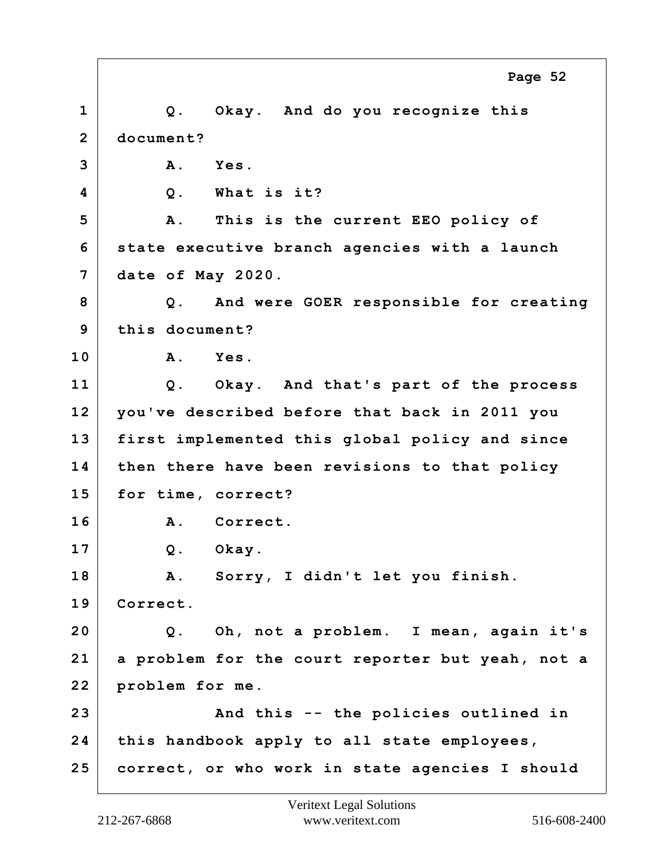**1 Q. Okay. And do you recognize this 2 document? 3 A. Yes. 4 Q. What is it? 5 A. This is the current EEO policy of 6 state executive branch agencies with a launch 7 date of May 2020. 8 Q. And were GOER responsible for creating 9 this document? 10 A. Yes. 11 Q. Okay. And that's part of the process 12 you've described before that back in 2011 you 13 first implemented this global policy and since 14 then there have been revisions to that policy 15 for time, correct? 16 A. Correct. 17 Q. Okay. 18 A. Sorry, I didn't let you finish. 19 Correct. 20 Q. Oh, not a problem. I mean, again it's 21 a problem for the court reporter but yeah, not a 22 problem for me. 23 And this -- the policies outlined in 24 this handbook apply to all state employees, 25 correct, or who work in state agencies I should Page 52**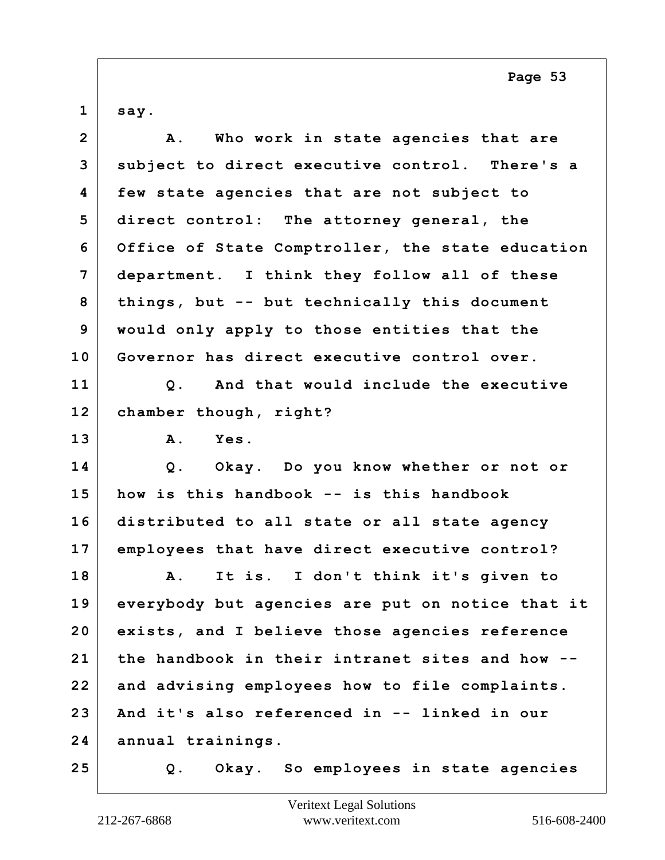$1 |$  say.

| $\overline{2}$ | Who work in state agencies that are<br>Α.         |
|----------------|---------------------------------------------------|
| 3              | subject to direct executive control. There's a    |
| 4              | few state agencies that are not subject to        |
| 5              | direct control: The attorney general, the         |
| 6              | Office of State Comptroller, the state education  |
| 7              | department. I think they follow all of these      |
| 8              | things, but -- but technically this document      |
| 9              | would only apply to those entities that the       |
| 10             | Governor has direct executive control over.       |
| 11             | And that would include the executive<br>$Q$ .     |
| 12             | chamber though, right?                            |
| 13             | <b>A</b> .<br>Yes.                                |
| 14             | Q. Okay. Do you know whether or not or            |
| 15             | how is this handbook -- is this handbook          |
| 16             | distributed to all state or all state agency      |
| 17             | employees that have direct executive control?     |
| 18             | It is. I don't think it's given to<br>${\bf A}$ . |
| 19             | everybody but agencies are put on notice that it  |
| 20             | exists, and I believe those agencies reference    |
| 21             | the handbook in their intranet sites and how      |
| 22             | and advising employees how to file complaints.    |
| 23             | And it's also referenced in -- linked in our      |
| 24             | annual trainings.                                 |
| 25             | Okay. So employees in state agencies<br>Q.        |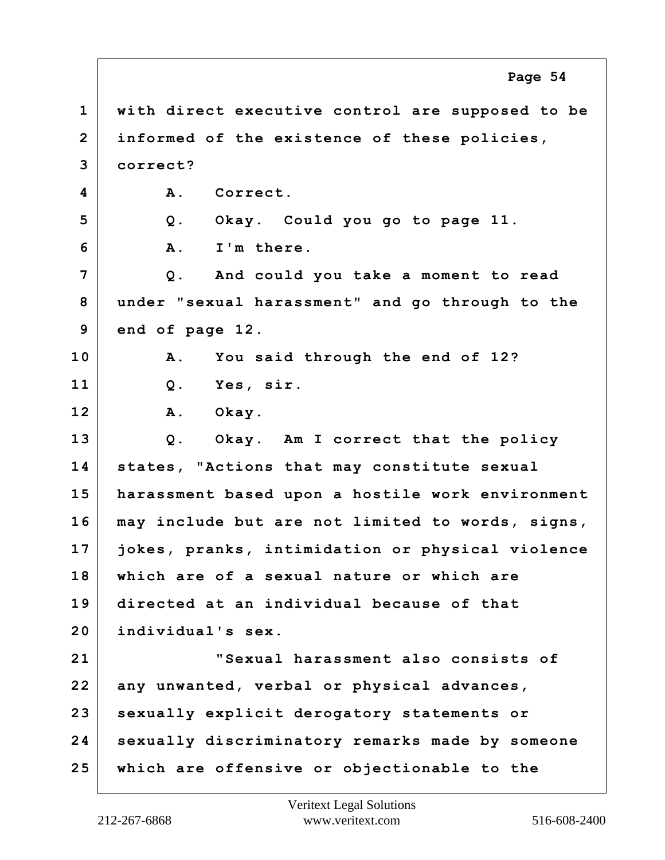**1 with direct executive control are supposed to be 2 informed of the existence of these policies, 3 correct? 4 A. Correct. 5 Q. Okay. Could you go to page 11. 6 A. I'm there. 7 Q. And could you take a moment to read 8 under "sexual harassment" and go through to the 9 end of page 12. 10 A. You said through the end of 12? 11 Q. Yes, sir. 12 A. Okay. 13 Q. Okay. Am I correct that the policy 14 states, "Actions that may constitute sexual 15 harassment based upon a hostile work environment 16 may include but are not limited to words, signs, 17 jokes, pranks, intimidation or physical violence 18 which are of a sexual nature or which are 19 directed at an individual because of that 20 individual's sex. 21 "Sexual harassment also consists of 22 any unwanted, verbal or physical advances, 23 sexually explicit derogatory statements or 24 sexually discriminatory remarks made by someone 25 which are offensive or objectionable to the Page 54**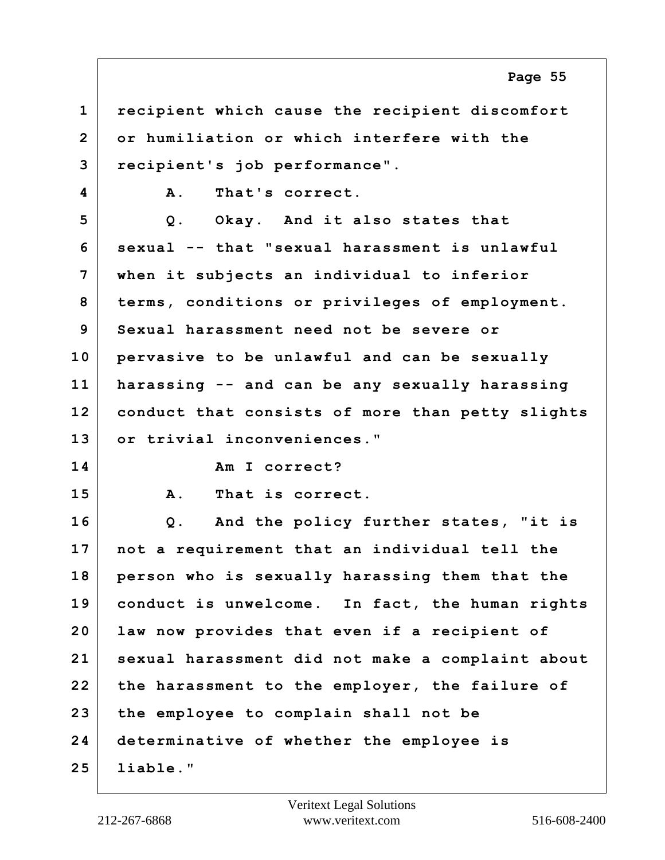**1 recipient which cause the recipient discomfort 2 or humiliation or which interfere with the 3 recipient's job performance". 4 A. That's correct. 5 Q. Okay. And it also states that 6 sexual -- that "sexual harassment is unlawful 7 when it subjects an individual to inferior 8 terms, conditions or privileges of employment. 9 Sexual harassment need not be severe or 10 pervasive to be unlawful and can be sexually 11 harassing -- and can be any sexually harassing 12 conduct that consists of more than petty slights 13 or trivial inconveniences." 14 Am I correct? 15 A. That is correct. 16 Q. And the policy further states, "it is 17 not a requirement that an individual tell the 18 person who is sexually harassing them that the 19 conduct is unwelcome. In fact, the human rights 20 law now provides that even if a recipient of 21 sexual harassment did not make a complaint about 22 the harassment to the employer, the failure of 23 the employee to complain shall not be 24 determinative of whether the employee is 25 liable."**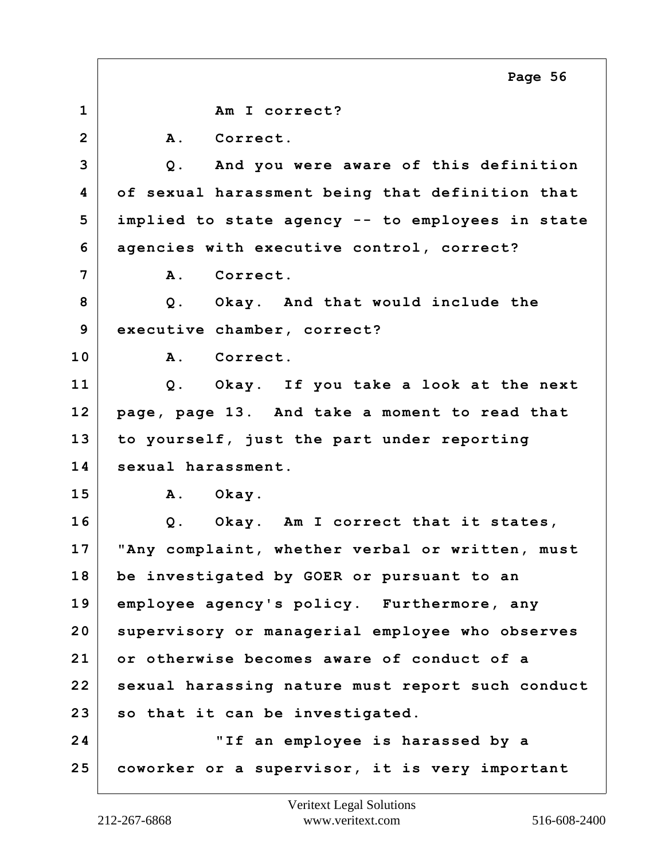**1 Am I correct?** 2 A. Correct. **3 Q. And you were aware of this definition 4 of sexual harassment being that definition that 5 implied to state agency -- to employees in state 6 agencies with executive control, correct? 7 A. Correct. 8 Q. Okay. And that would include the 9 executive chamber, correct? 10 A. Correct. 11 Q. Okay. If you take a look at the next 12 page, page 13. And take a moment to read that 13 to yourself, just the part under reporting 14 sexual harassment. 15 A. Okay. 16 Q. Okay. Am I correct that it states, 17 "Any complaint, whether verbal or written, must 18 be investigated by GOER or pursuant to an 19 employee agency's policy. Furthermore, any 20 supervisory or managerial employee who observes 21 or otherwise becomes aware of conduct of a 22 sexual harassing nature must report such conduct 23 so that it can be investigated. 24 "If an employee is harassed by a 25 coworker or a supervisor, it is very important Page 56**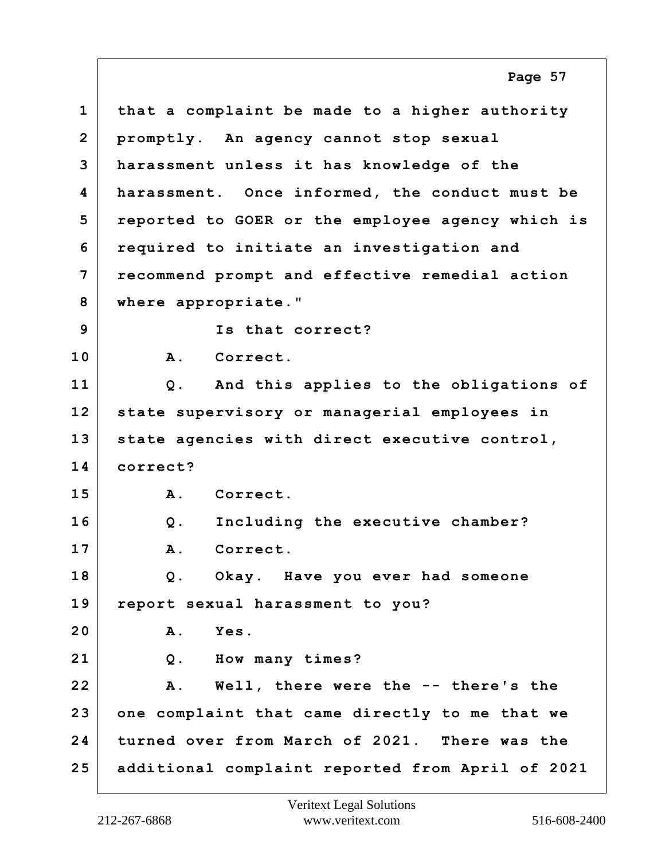**1 that a complaint be made to a higher authority 2 promptly. An agency cannot stop sexual 3 harassment unless it has knowledge of the 4 harassment. Once informed, the conduct must be 5 reported to GOER or the employee agency which is 6 required to initiate an investigation and 7 recommend prompt and effective remedial action 8 where appropriate." 9 Is that correct? 10 A. Correct. 11 Q. And this applies to the obligations of 12 state supervisory or managerial employees in 13 state agencies with direct executive control, 14 correct? 15 A. Correct. 16 Q. Including the executive chamber? 17 A. Correct. 18 Q. Okay. Have you ever had someone 19 report sexual harassment to you? 20 A. Yes. 21 Q. How many times? 22 A. Well, there were the -- there's the 23 one complaint that came directly to me that we 24 turned over from March of 2021. There was the 25 additional complaint reported from April of 2021 Page 57**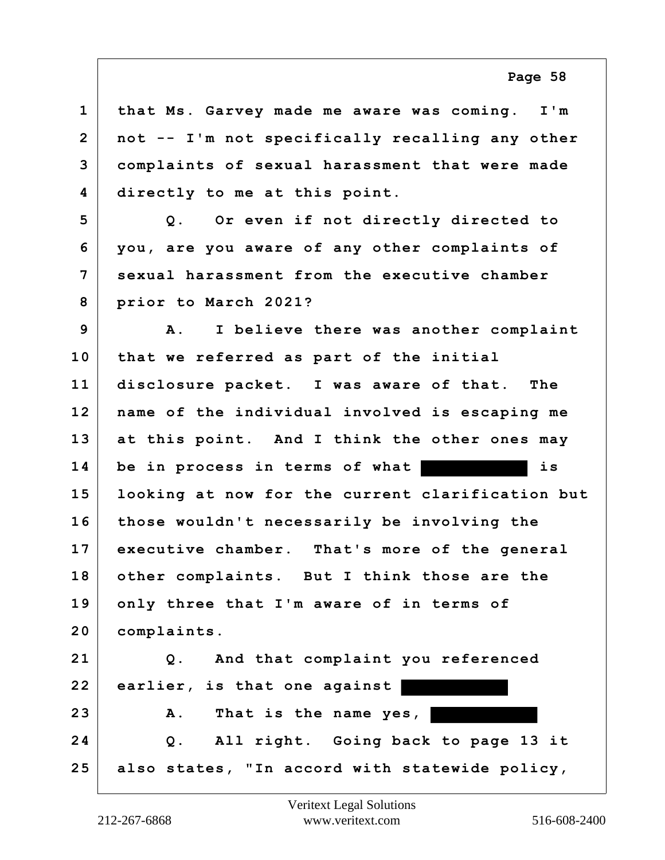**1 that Ms. Garvey made me aware was coming. I'm 2 not -- I'm not specifically recalling any other 3 complaints of sexual harassment that were made 4 directly to me at this point. 5 Q. Or even if not directly directed to 6 you, are you aware of any other complaints of 7 sexual harassment from the executive chamber 8 prior to March 2021? 9 A. I believe there was another complaint 10 that we referred as part of the initial 11 disclosure packet. I was aware of that. The 12 name of the individual involved is escaping me 13 at this point. And I think the other ones may 14 be in process in terms of what is 15 looking at now for the current clarification but 16 those wouldn't necessarily be involving the 17 executive chamber. That's more of the general 18 other complaints. But I think those are the 19 only three that I'm aware of in terms of 20 complaints. 21 Q. And that complaint you referenced 22 earlier, is that one against 23 A. That is the name yes, 24 Q. All right. Going back to page 13 it 25 also states, "In accord with statewide policy,**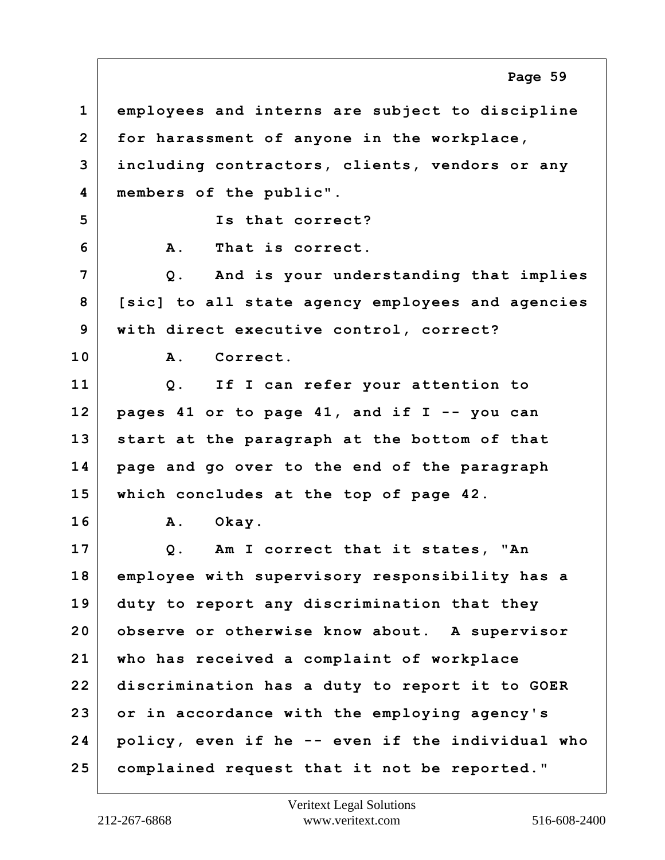**1 employees and interns are subject to discipline 2 for harassment of anyone in the workplace, 3 including contractors, clients, vendors or any 4 members of the public". 5 Is that correct? 6 A. That is correct. 7 Q. And is your understanding that implies 8 [sic] to all state agency employees and agencies 9 with direct executive control, correct? 10 A. Correct. 11 Q. If I can refer your attention to 12 pages 41 or to page 41, and if I -- you can 13 start at the paragraph at the bottom of that 14 page and go over to the end of the paragraph 15 which concludes at the top of page 42. 16 A. Okay. 17 Q. Am I correct that it states, "An 18 employee with supervisory responsibility has a 19 duty to report any discrimination that they 20 observe or otherwise know about. A supervisor 21 who has received a complaint of workplace 22 discrimination has a duty to report it to GOER 23 or in accordance with the employing agency's 24 policy, even if he -- even if the individual who 25 complained request that it not be reported." Page 59**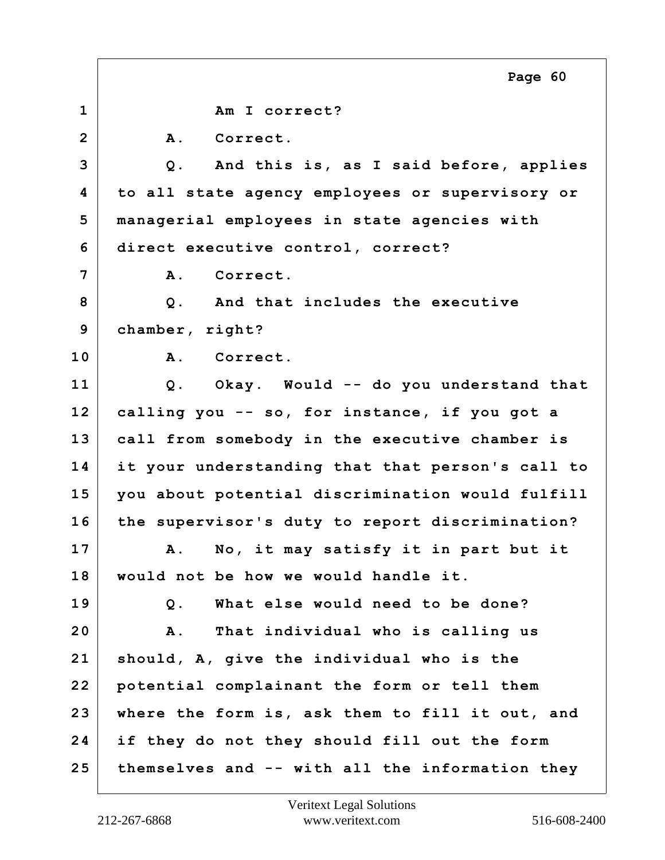**1 Am I correct?** 2 A. Correct. **3 Q. And this is, as I said before, applies 4 to all state agency employees or supervisory or 5 managerial employees in state agencies with 6 direct executive control, correct? 7 A. Correct. 8 Q. And that includes the executive 9 chamber, right? 10 A. Correct. 11 Q. Okay. Would -- do you understand that 12 calling you -- so, for instance, if you got a 13 call from somebody in the executive chamber is 14 it your understanding that that person's call to 15 you about potential discrimination would fulfill 16 the supervisor's duty to report discrimination? 17 A. No, it may satisfy it in part but it 18 would not be how we would handle it. 19 Q. What else would need to be done? 20 A. That individual who is calling us 21 should, A, give the individual who is the 22 potential complainant the form or tell them 23 where the form is, ask them to fill it out, and 24 if they do not they should fill out the form 25 themselves and -- with all the information they Page 60**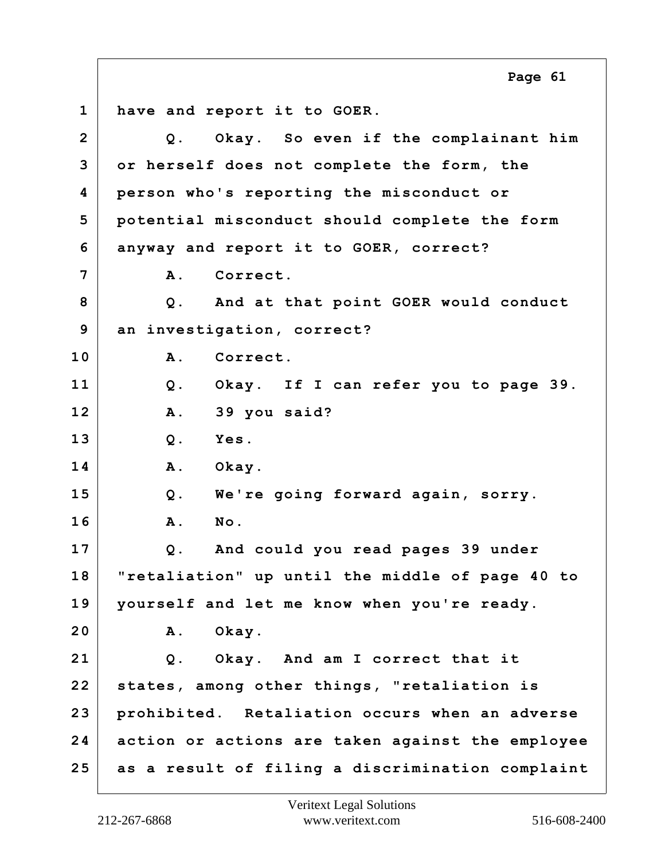**1 have and report it to GOER. 2 Q. Okay. So even if the complainant him 3 or herself does not complete the form, the 4 person who's reporting the misconduct or 5 potential misconduct should complete the form 6 anyway and report it to GOER, correct? 7 A. Correct. 8 Q. And at that point GOER would conduct 9 an investigation, correct? 10 A. Correct. 11 Q. Okay. If I can refer you to page 39. 12 A. 39 you said? 13 Q. Yes. 14 A. Okay. 15 Q. We're going forward again, sorry. 16 A. No. 17 Q. And could you read pages 39 under 18 "retaliation" up until the middle of page 40 to 19 yourself and let me know when you're ready. 20 A. Okay. 21 Q. Okay. And am I correct that it 22 states, among other things, "retaliation is 23 prohibited. Retaliation occurs when an adverse 24 action or actions are taken against the employee 25 as a result of filing a discrimination complaint Page 61**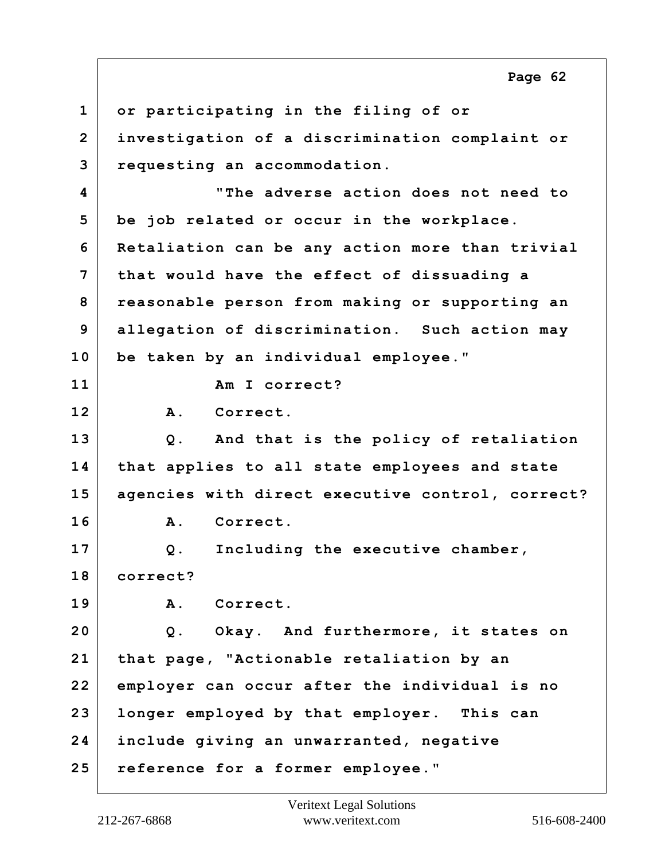**1 or participating in the filing of or 2 investigation of a discrimination complaint or 3 requesting an accommodation. 4 "The adverse action does not need to 5 be job related or occur in the workplace. 6 Retaliation can be any action more than trivial 7 that would have the effect of dissuading a 8 reasonable person from making or supporting an 9 allegation of discrimination. Such action may 10 be taken by an individual employee." 11 Am I correct? 12 A. Correct. 13 Q. And that is the policy of retaliation 14 that applies to all state employees and state 15 agencies with direct executive control, correct? 16 A. Correct. 17 Q. Including the executive chamber, 18 correct? 19 A. Correct. 20 Q. Okay. And furthermore, it states on 21 that page, "Actionable retaliation by an 22 employer can occur after the individual is no 23 longer employed by that employer. This can 24 include giving an unwarranted, negative 25 reference for a former employee." Page 62**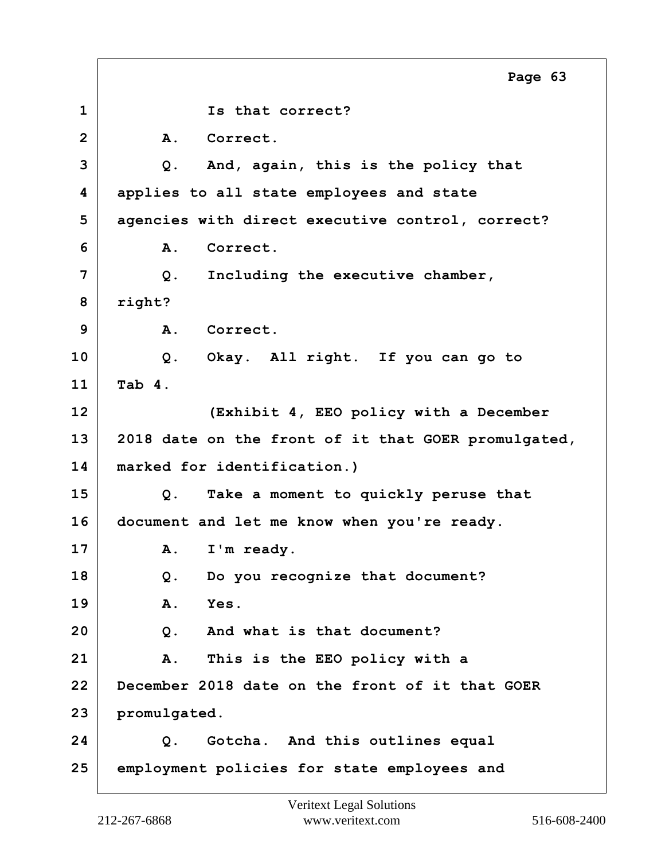**1 Is that correct? 2 A. Correct. 3 Q. And, again, this is the policy that 4 applies to all state employees and state 5 agencies with direct executive control, correct? 6 A. Correct. 7 Q. Including the executive chamber, 8 right? 9 A. Correct. 10 Q. Okay. All right. If you can go to 11 Tab 4. 12 (Exhibit 4, EEO policy with a December 13 2018 date on the front of it that GOER promulgated, 14 marked for identification.) 15 Q. Take a moment to quickly peruse that 16 document and let me know when you're ready.** 17 | A. I'm ready. **18 Q. Do you recognize that document? 19 A. Yes. 20 Q. And what is that document? 21 A. This is the EEO policy with a 22 December 2018 date on the front of it that GOER 23 promulgated. 24 Q. Gotcha. And this outlines equal 25 employment policies for state employees and Page 63**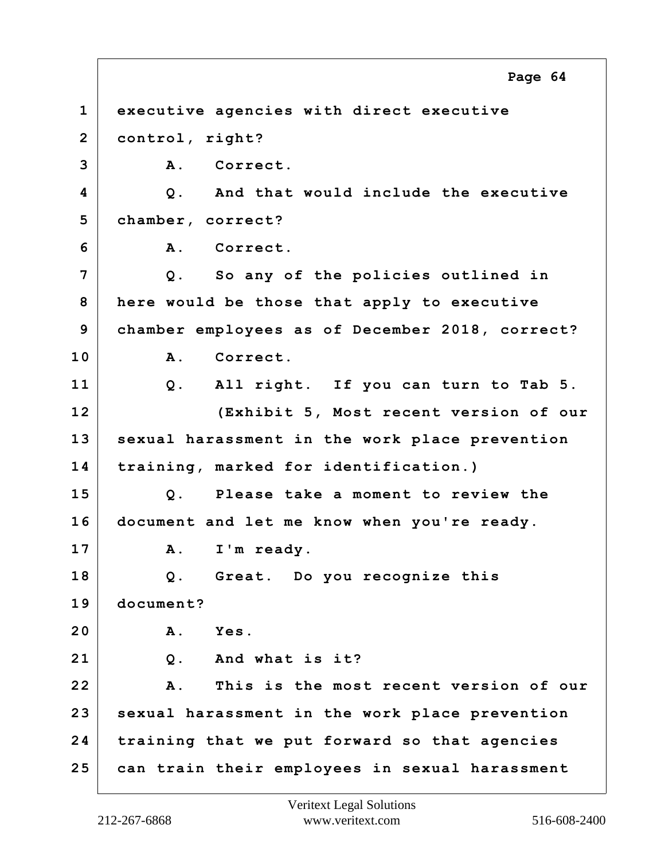**1 executive agencies with direct executive 2 control, right? 3 A. Correct. 4 Q. And that would include the executive 5 chamber, correct? 6 A. Correct. 7 Q. So any of the policies outlined in 8 here would be those that apply to executive 9 chamber employees as of December 2018, correct? 10 A. Correct. 11 Q. All right. If you can turn to Tab 5. 12 (Exhibit 5, Most recent version of our 13 sexual harassment in the work place prevention 14 training, marked for identification.) 15 Q. Please take a moment to review the 16 document and let me know when you're ready.** 17 A. I'm ready. **18 Q. Great. Do you recognize this 19 document? 20 A. Yes. 21 Q. And what is it? 22 A. This is the most recent version of our 23 sexual harassment in the work place prevention 24 training that we put forward so that agencies 25 can train their employees in sexual harassment Page 64**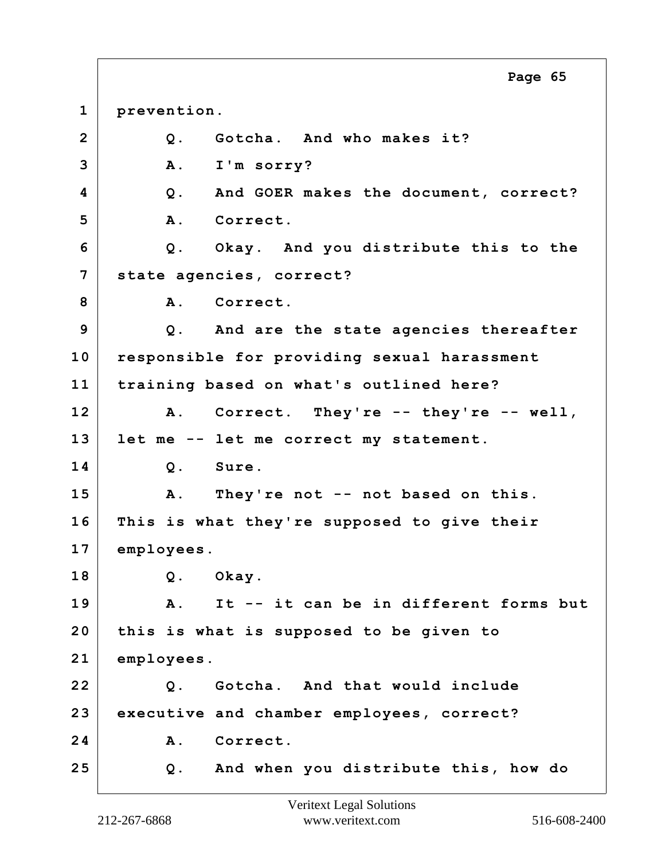**1 prevention. 2 Q. Gotcha. And who makes it? 3 A. I'm sorry? 4 Q. And GOER makes the document, correct? 5 A. Correct. 6 Q. Okay. And you distribute this to the 7 state agencies, correct?** 8 A. Correct. **9 Q. And are the state agencies thereafter 10 responsible for providing sexual harassment 11 training based on what's outlined here? 12 A. Correct. They're -- they're -- well, 13 let me -- let me correct my statement. 14 Q. Sure. 15 A. They're not -- not based on this. 16 This is what they're supposed to give their 17 employees. 18 Q. Okay. 19 A. It -- it can be in different forms but 20 this is what is supposed to be given to 21 employees. 22 Q. Gotcha. And that would include 23 executive and chamber employees, correct?** 24 A. Correct. **25 Q. And when you distribute this, how do Page 65**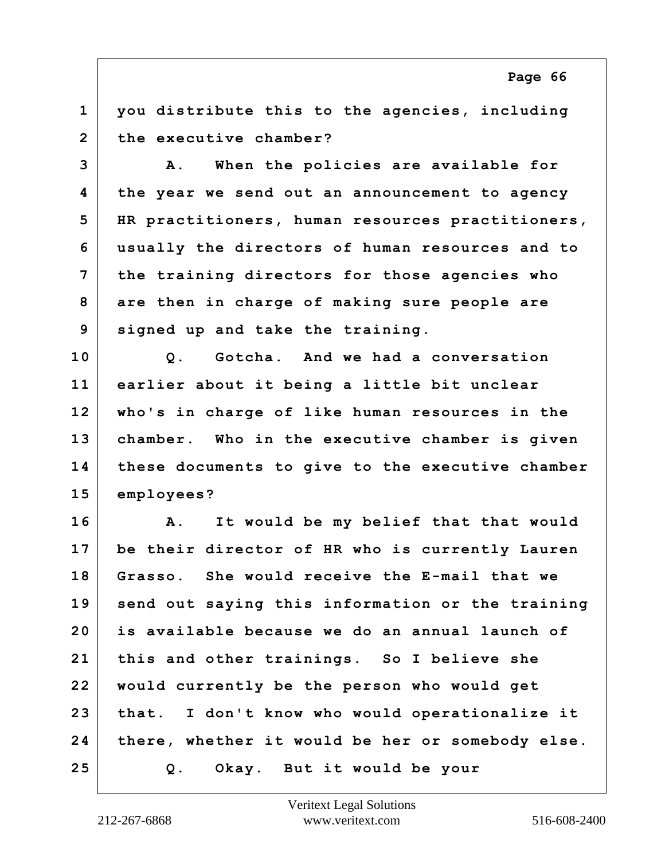**1 you distribute this to the agencies, including 2 the executive chamber?**

**3 A. When the policies are available for 4 the year we send out an announcement to agency 5 HR practitioners, human resources practitioners, 6 usually the directors of human resources and to 7 the training directors for those agencies who 8 are then in charge of making sure people are 9 signed up and take the training.**

**10 Q. Gotcha. And we had a conversation 11 earlier about it being a little bit unclear 12 who's in charge of like human resources in the 13 chamber. Who in the executive chamber is given 14 these documents to give to the executive chamber 15 employees?**

**16 A. It would be my belief that that would 17 be their director of HR who is currently Lauren 18 Grasso. She would receive the E-mail that we 19 send out saying this information or the training 20 is available because we do an annual launch of 21 this and other trainings. So I believe she 22 would currently be the person who would get 23 that. I don't know who would operationalize it 24 there, whether it would be her or somebody else. 25 Q. Okay. But it would be your**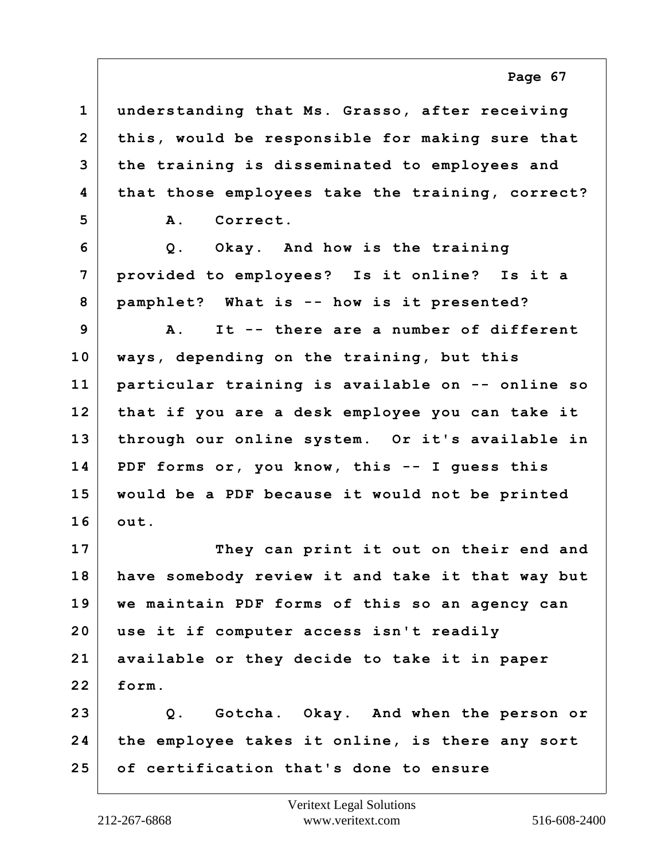**1 understanding that Ms. Grasso, after receiving 2 this, would be responsible for making sure that 3 the training is disseminated to employees and 4 that those employees take the training, correct? 5 A. Correct. 6 Q. Okay. And how is the training 7 provided to employees? Is it online? Is it a 8 pamphlet? What is -- how is it presented? 9 A. It -- there are a number of different 10 ways, depending on the training, but this 11 particular training is available on -- online so 12 that if you are a desk employee you can take it 13 through our online system. Or it's available in 14 PDF forms or, you know, this -- I guess this 15 would be a PDF because it would not be printed 16 out. 17 They can print it out on their end and 18 have somebody review it and take it that way but 19 we maintain PDF forms of this so an agency can 20 use it if computer access isn't readily 21 available or they decide to take it in paper 22 form. 23 Q. Gotcha. Okay. And when the person or 24 the employee takes it online, is there any sort 25 of certification that's done to ensure**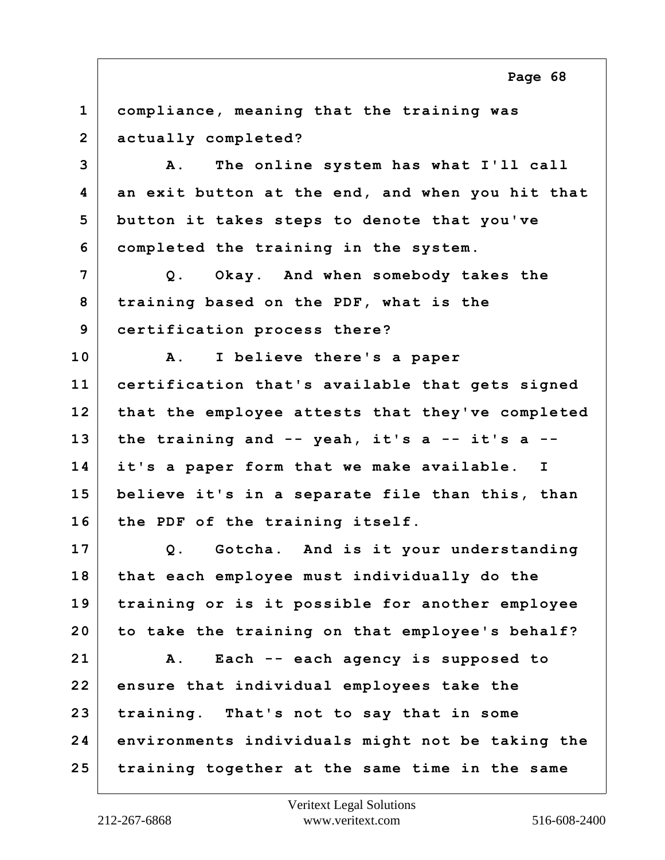**1 compliance, meaning that the training was 2 actually completed? 3 A. The online system has what I'll call 4 an exit button at the end, and when you hit that 5 button it takes steps to denote that you've 6 completed the training in the system. 7 Q. Okay. And when somebody takes the 8 training based on the PDF, what is the 9 certification process there? 10 A. I believe there's a paper 11 certification that's available that gets signed 12 that the employee attests that they've completed 13 the training and -- yeah, it's a -- it's a -- 14 it's a paper form that we make available. I 15 believe it's in a separate file than this, than 16 the PDF of the training itself. 17 Q. Gotcha. And is it your understanding 18 that each employee must individually do the 19 training or is it possible for another employee 20 to take the training on that employee's behalf? 21 A. Each -- each agency is supposed to 22 ensure that individual employees take the 23 training. That's not to say that in some 24 environments individuals might not be taking the 25 training together at the same time in the same**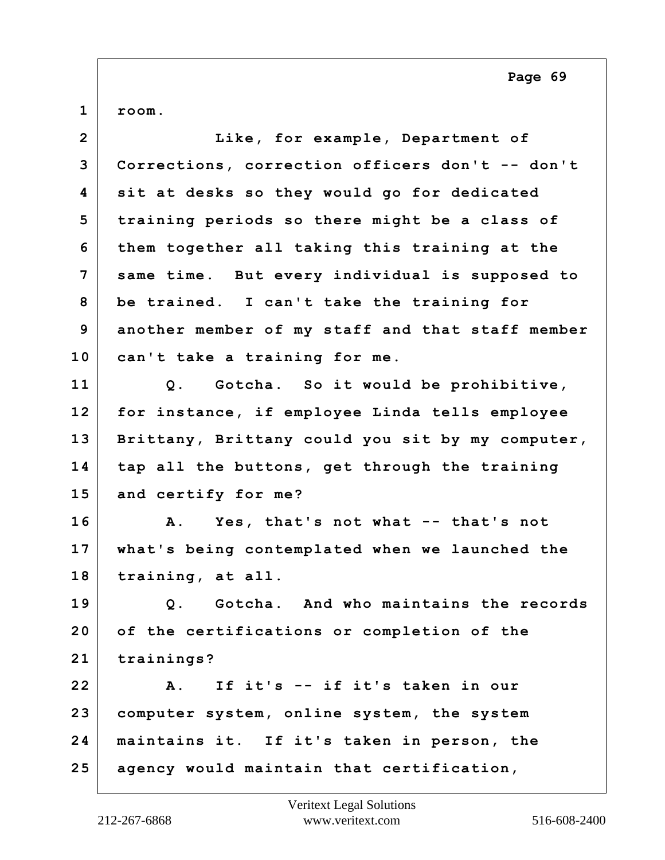$1 |$  room.

| Like, for example, Department of                 |
|--------------------------------------------------|
| Corrections, correction officers don't -- don't  |
| sit at desks so they would go for dedicated      |
| training periods so there might be a class of    |
| them together all taking this training at the    |
| same time. But every individual is supposed to   |
| be trained. I can't take the training for        |
| another member of my staff and that staff member |
| can't take a training for me.                    |
| Q. Gotcha. So it would be prohibitive,           |
| for instance, if employee Linda tells employee   |
| Brittany, Brittany could you sit by my computer, |
| tap all the buttons, get through the training    |
| and certify for me?                              |
| A. Yes, that's not what -- that's not            |
| what's being contemplated when we launched the   |
| training, at all.                                |
| Q. Gotcha. And who maintains the records         |
| of the certifications or completion of the       |
| trainings?                                       |
| If it's -- if it's taken in our<br>A.            |
| computer system, online system, the system       |
| maintains it. If it's taken in person, the       |
| agency would maintain that certification,        |
|                                                  |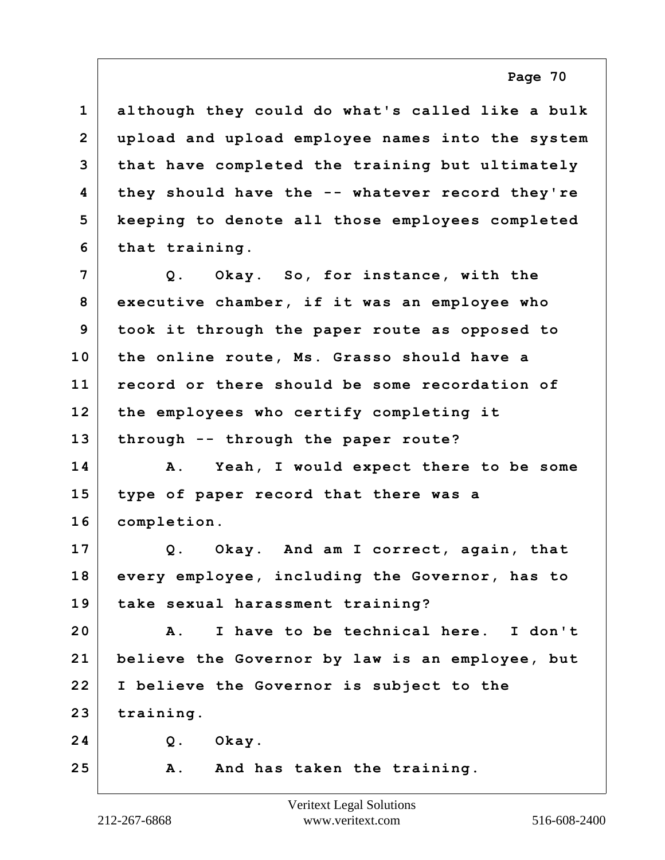| $\mathbf{1}$            | although they could do what's called like a bulk |
|-------------------------|--------------------------------------------------|
| $\overline{\mathbf{2}}$ | upload and upload employee names into the system |
| 3                       | that have completed the training but ultimately  |
| 4                       | they should have the -- whatever record they're  |
| 5                       | keeping to denote all those employees completed  |
| 6                       | that training.                                   |
| 7                       | Q. Okay. So, for instance, with the              |
| 8                       | executive chamber, if it was an employee who     |
| 9                       | took it through the paper route as opposed to    |
| 10                      | the online route, Ms. Grasso should have a       |
| 11                      | record or there should be some recordation of    |
| 12                      | the employees who certify completing it          |
| 13                      | through -- through the paper route?              |
| 14                      | Yeah, I would expect there to be some<br>Α.      |
| 15                      | type of paper record that there was a            |
| 16                      | completion.                                      |
| 17                      | Q. Okay. And am I correct, again, that           |
| 18                      | every employee, including the Governor, has to   |
| 19                      | take sexual harassment training?                 |
| 20                      | I have to be technical here. I don't<br>Α.       |
| 21                      | believe the Governor by law is an employee, but  |
| 22                      | I believe the Governor is subject to the         |
| 23                      | training.                                        |
| 24                      | $Q$ .<br>Okay.                                   |
| 25                      | And has taken the training.<br>Α.                |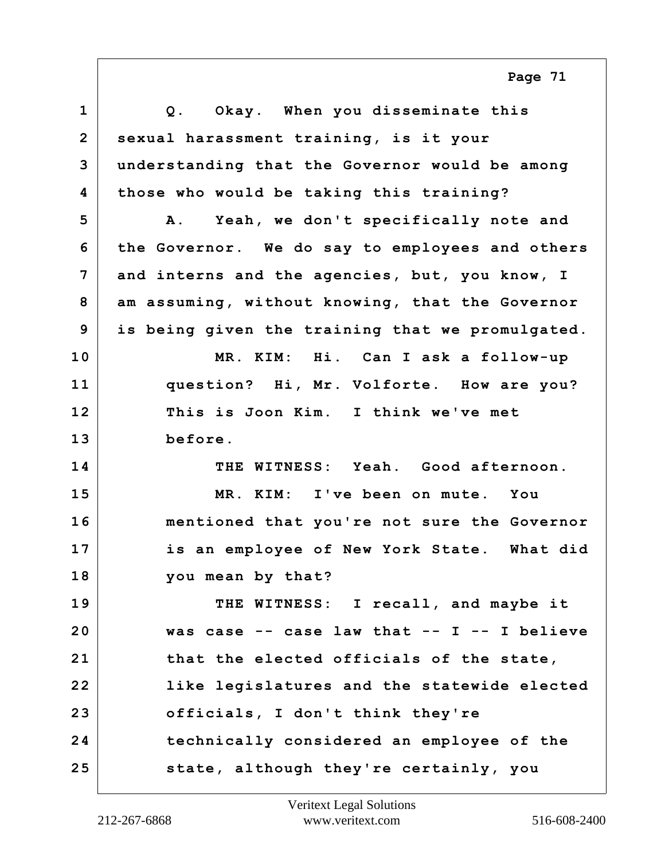| $\mathbf{1}$   | Q. Okay. When you disseminate this                |
|----------------|---------------------------------------------------|
| $\overline{2}$ | sexual harassment training, is it your            |
| 3              | understanding that the Governor would be among    |
| 4              | those who would be taking this training?          |
| 5              | A. Yeah, we don't specifically note and           |
| 6              | the Governor. We do say to employees and others   |
| 7              | and interns and the agencies, but, you know, I    |
| 8              | am assuming, without knowing, that the Governor   |
| 9              | is being given the training that we promulgated.  |
| 10             | MR. KIM: Hi. Can I ask a follow-up                |
| 11             | question? Hi, Mr. Volforte. How are you?          |
| 12             | This is Joon Kim. I think we've met               |
| 13             | before.                                           |
| 14             | THE WITNESS: Yeah. Good afternoon.                |
| 15             | MR. KIM: I've been on mute. You                   |
| 16             | mentioned that you're not sure the Governor       |
| 17             | is an employee of New York State. What did        |
| 18             | you mean by that?                                 |
| 19             | THE WITNESS: I recall, and maybe it               |
| 20             | was case $--$ case law that $--$ I $--$ I believe |
| 21             | that the elected officials of the state,          |
| 22             | like legislatures and the statewide elected       |
| 23             | officials, I don't think they're                  |
| 24             | technically considered an employee of the         |
| 25             | state, although they're certainly, you            |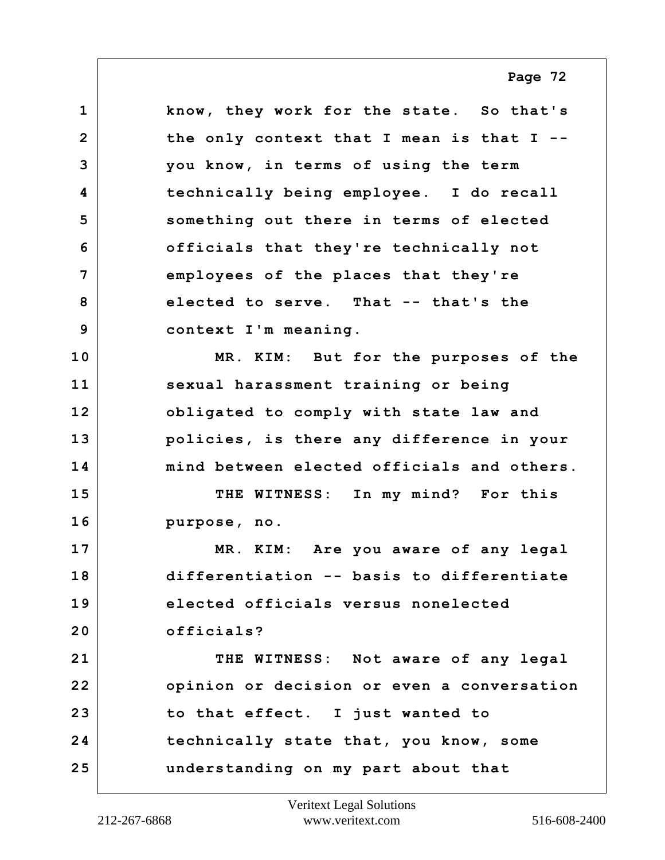**1 know, they work for the state. So that's 2 the only context that I mean is that I -- 3 you know, in terms of using the term 4 technically being employee. I do recall 5 something out there in terms of elected 6 officials that they're technically not 7 employees of the places that they're 8 elected to serve. That -- that's the 9 context I'm meaning. 10 MR. KIM: But for the purposes of the 11 sexual harassment training or being 12 obligated to comply with state law and 13 policies, is there any difference in your 14 mind between elected officials and others. 15 THE WITNESS: In my mind? For this 16 purpose, no. 17 MR. KIM: Are you aware of any legal 18 differentiation -- basis to differentiate 19 elected officials versus nonelected 20 officials? 21 THE WITNESS: Not aware of any legal 22 opinion or decision or even a conversation 23 to that effect. I just wanted to 24 technically state that, you know, some 25 understanding on my part about that**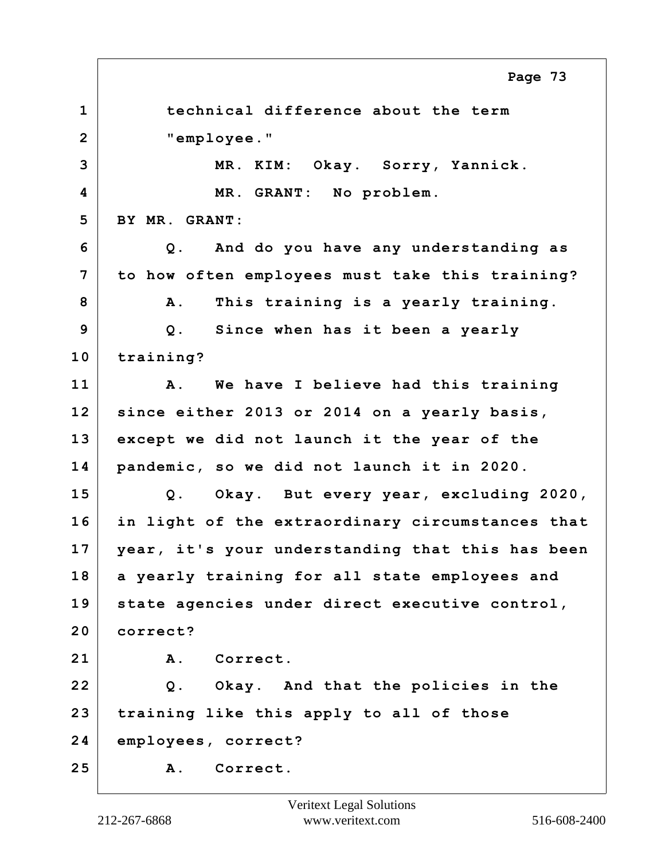**1 technical difference about the term 2 "employee." 3 MR. KIM: Okay. Sorry, Yannick. 4 MR. GRANT: No problem. 5 BY MR. GRANT: 6 Q. And do you have any understanding as 7 to how often employees must take this training? 8 A. This training is a yearly training. 9 Q. Since when has it been a yearly 10 training? 11 A. We have I believe had this training 12 since either 2013 or 2014 on a yearly basis, 13 except we did not launch it the year of the 14 pandemic, so we did not launch it in 2020. 15 Q. Okay. But every year, excluding 2020, 16 in light of the extraordinary circumstances that 17 year, it's your understanding that this has been 18 a yearly training for all state employees and 19 state agencies under direct executive control, 20 correct? 21 A. Correct. 22 Q. Okay. And that the policies in the 23 training like this apply to all of those 24 employees, correct? 25 A. Correct. Page 73**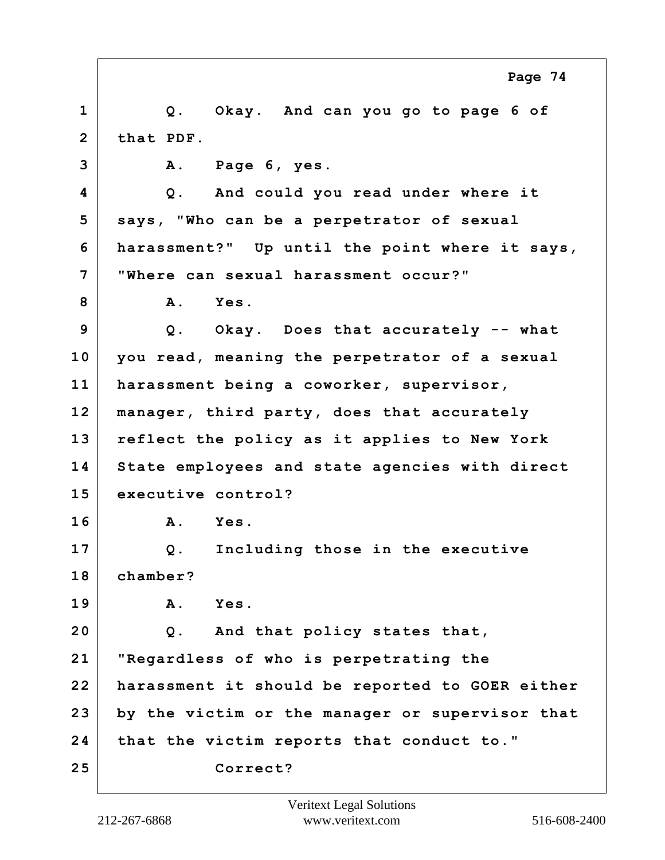**1 Q. Okay. And can you go to page 6 of 2 that PDF. 3 A. Page 6, yes. 4 Q. And could you read under where it 5 says, "Who can be a perpetrator of sexual 6 harassment?" Up until the point where it says, 7 "Where can sexual harassment occur?" 8 A. Yes. 9 Q. Okay. Does that accurately -- what 10 you read, meaning the perpetrator of a sexual 11 harassment being a coworker, supervisor, 12 manager, third party, does that accurately 13 reflect the policy as it applies to New York 14 State employees and state agencies with direct 15 executive control? 16 A. Yes. 17 Q. Including those in the executive 18 chamber? 19 A. Yes. 20 Q. And that policy states that, 21 "Regardless of who is perpetrating the 22 harassment it should be reported to GOER either 23 by the victim or the manager or supervisor that 24 that the victim reports that conduct to." 25 Correct? Page 74**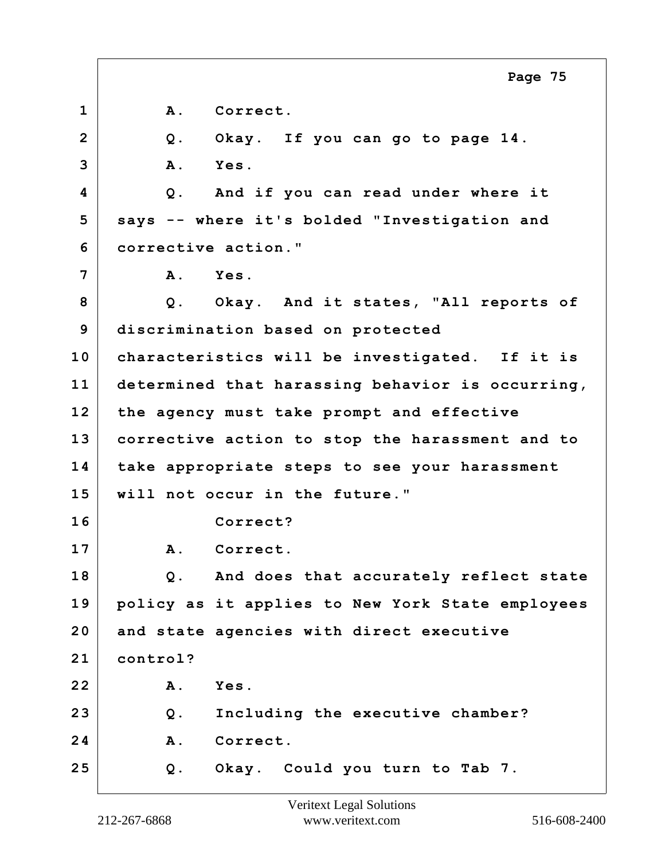|                | Page 75                                          |
|----------------|--------------------------------------------------|
| $\mathbf{1}$   | Correct.<br><b>A</b> .                           |
| $\overline{2}$ | Okay. If you can go to page 14.<br>Q.            |
| 3              | Yes.<br><b>A</b> .                               |
| 4              | And if you can read under where it<br>$Q$ .      |
| 5              | says -- where it's bolded "Investigation and     |
| 6              | corrective action."                              |
| 7              | ${\bf A}$ .<br><b>Yes.</b>                       |
| 8              | Q. Okay. And it states, "All reports of          |
| 9              | discrimination based on protected                |
| 10             | characteristics will be investigated. If it is   |
| 11             | determined that harassing behavior is occurring, |
| 12             | the agency must take prompt and effective        |
| 13             | corrective action to stop the harassment and to  |
| 14             | take appropriate steps to see your harassment    |
| 15             | will not occur in the future."                   |
| 16             | Correct?                                         |
| 17             | Correct.<br><b>A</b> .                           |
| 18             | And does that accurately reflect state<br>Q.     |
| 19             | policy as it applies to New York State employees |
| 20             | and state agencies with direct executive         |
| 21             | control?                                         |
| 22             | Α.<br>Yes.                                       |
| 23             | Including the executive chamber?<br>Q.           |
| 24             | <b>A</b> .<br>Correct.                           |
| 25             | Okay. Could you turn to Tab 7.<br>Q.             |

 $\Gamma$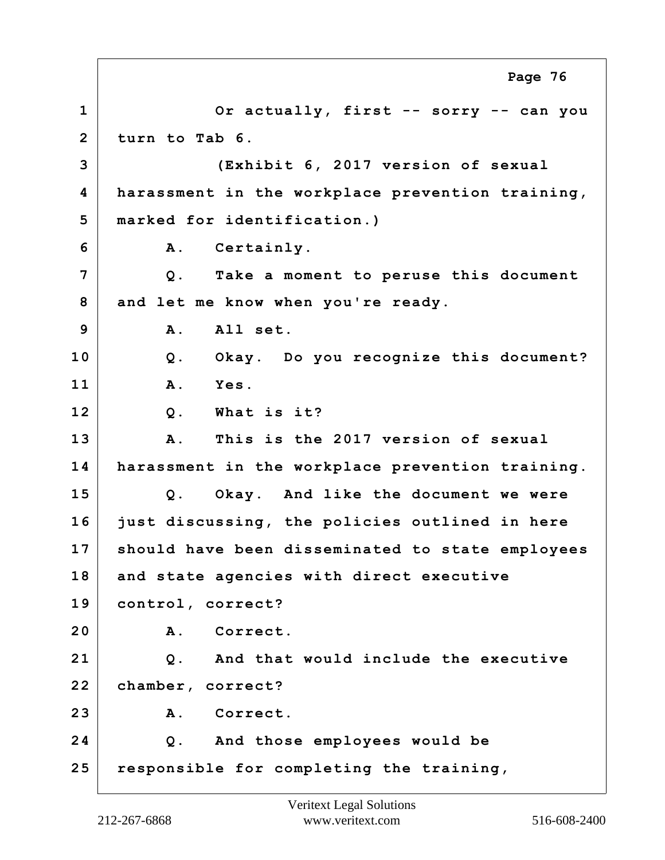**1 Or actually, first -- sorry -- can you 2 turn to Tab 6. 3 (Exhibit 6, 2017 version of sexual 4 harassment in the workplace prevention training, 5 marked for identification.) 6 A. Certainly. 7 Q. Take a moment to peruse this document 8 and let me know when you're ready. 9 A. All set. 10 Q. Okay. Do you recognize this document? 11 A. Yes. 12 Q. What is it? 13 A. This is the 2017 version of sexual 14 harassment in the workplace prevention training. 15 Q. Okay. And like the document we were 16 just discussing, the policies outlined in here 17 should have been disseminated to state employees 18 and state agencies with direct executive 19 control, correct? 20 A. Correct. 21 Q. And that would include the executive 22 chamber, correct? 23 A. Correct. 24 Q. And those employees would be 25 responsible for completing the training, Page 76**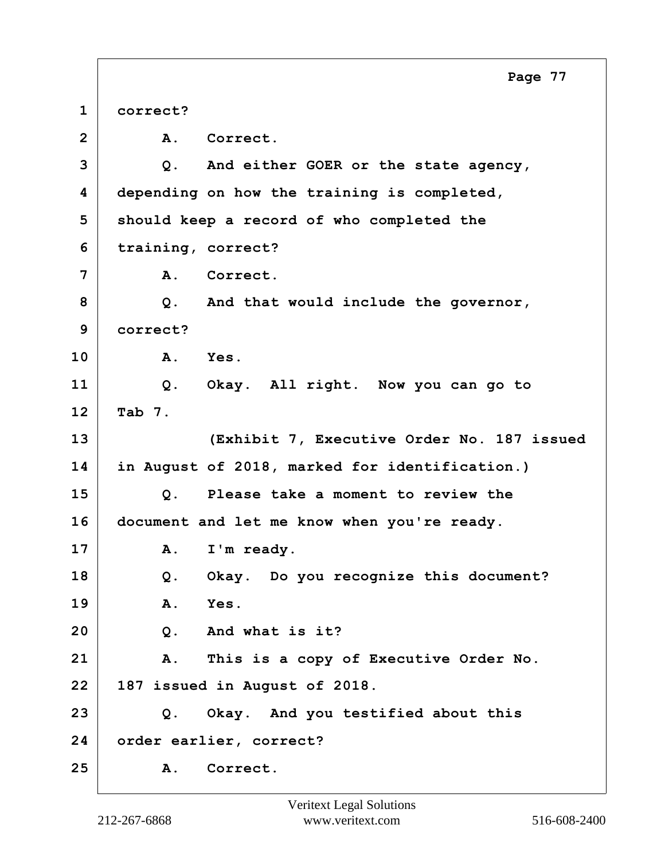**1 correct? 2 A. Correct. 3 Q. And either GOER or the state agency, 4 depending on how the training is completed, 5 should keep a record of who completed the 6 training, correct? 7 A. Correct. 8 Q. And that would include the governor, 9 correct? 10 A. Yes. 11 Q. Okay. All right. Now you can go to 12 Tab 7. 13 (Exhibit 7, Executive Order No. 187 issued 14 in August of 2018, marked for identification.) 15 Q. Please take a moment to review the 16 document and let me know when you're ready.** 17 | A. I'm ready. **18 Q. Okay. Do you recognize this document? 19 A. Yes. 20 Q. And what is it? 21 A. This is a copy of Executive Order No. 22 187 issued in August of 2018. 23 Q. Okay. And you testified about this 24 order earlier, correct? 25 A. Correct. Page 77**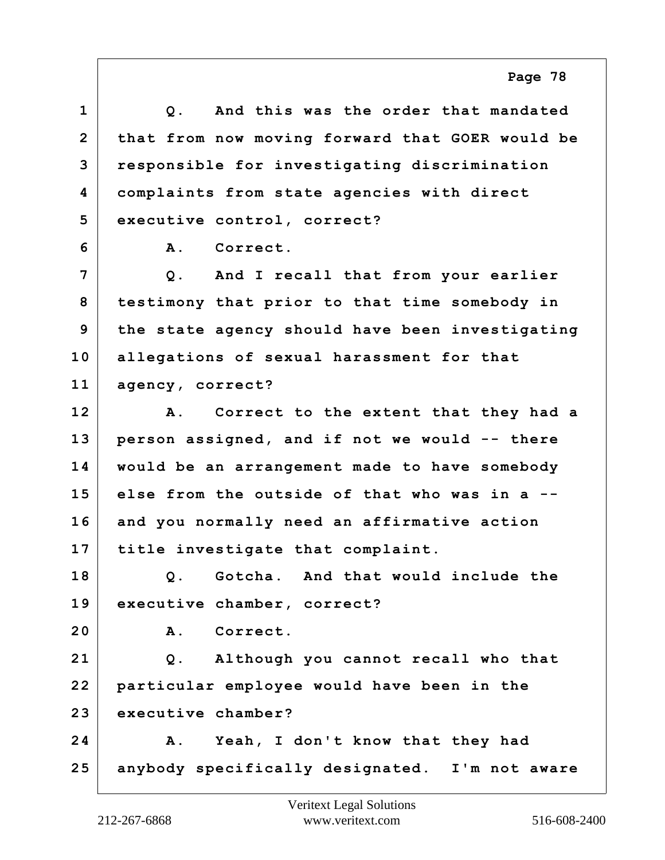## **1 Q. And this was the order that mandated 2 that from now moving forward that GOER would be 3 responsible for investigating discrimination 4 complaints from state agencies with direct 5 executive control, correct? 6 A. Correct. 7 Q. And I recall that from your earlier 8 testimony that prior to that time somebody in 9 the state agency should have been investigating 10 allegations of sexual harassment for that 11 agency, correct? 12 A. Correct to the extent that they had a 13 person assigned, and if not we would -- there 14 would be an arrangement made to have somebody 15 else from the outside of that who was in a -- 16 and you normally need an affirmative action 17 title investigate that complaint. 18 Q. Gotcha. And that would include the 19 executive chamber, correct? 20 A. Correct. 21 Q. Although you cannot recall who that 22 particular employee would have been in the 23 executive chamber? 24 A. Yeah, I don't know that they had 25 anybody specifically designated. I'm not aware**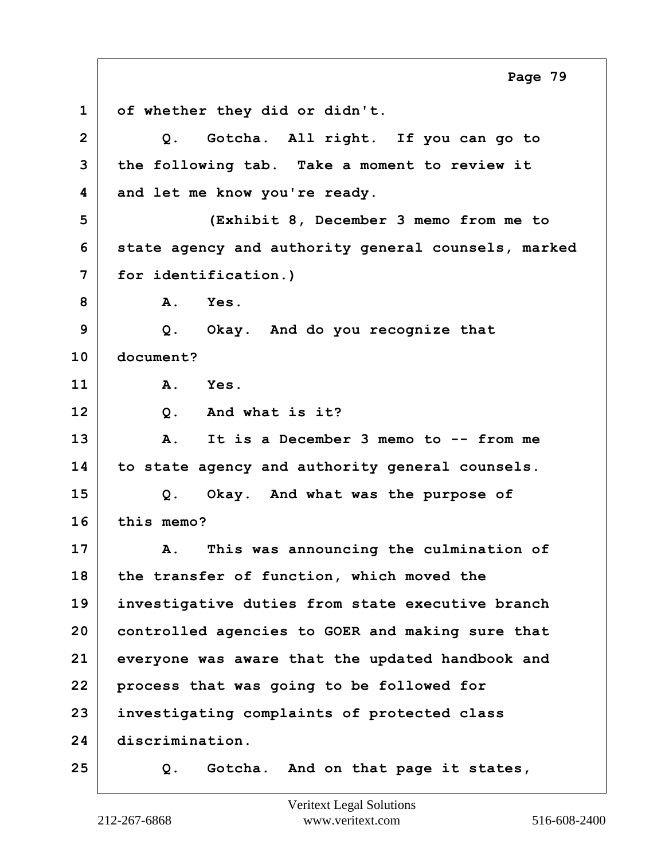**1 of whether they did or didn't. 2 Q. Gotcha. All right. If you can go to 3 the following tab. Take a moment to review it 4 and let me know you're ready. 5 (Exhibit 8, December 3 memo from me to 6 state agency and authority general counsels, marked 7 for identification.) 8 A. Yes. 9 Q. Okay. And do you recognize that 10 document? 11 A. Yes. 12 Q. And what is it? 13 A. It is a December 3 memo to -- from me 14 to state agency and authority general counsels. 15 Q. Okay. And what was the purpose of 16 this memo? 17 A. This was announcing the culmination of 18 the transfer of function, which moved the 19 investigative duties from state executive branch 20 controlled agencies to GOER and making sure that 21 everyone was aware that the updated handbook and 22 process that was going to be followed for 23 investigating complaints of protected class 24 discrimination. 25 Q. Gotcha. And on that page it states, Page 79**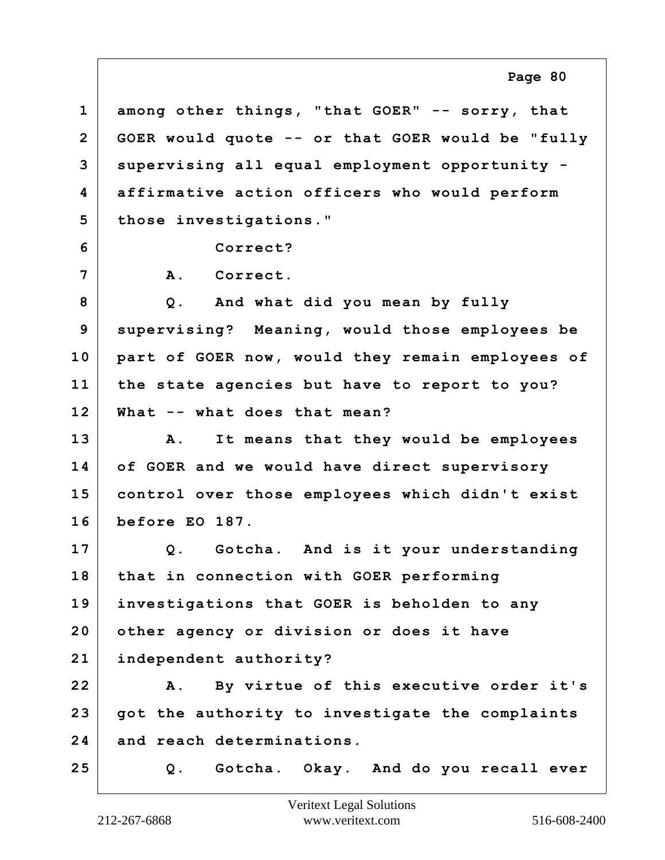**1 among other things, "that GOER" -- sorry, that 2 GOER would quote -- or that GOER would be "fully 3 supervising all equal employment opportunity - 4 affirmative action officers who would perform 5 those investigations." 6 Correct? 7 A. Correct. 8 Q. And what did you mean by fully 9 supervising? Meaning, would those employees be 10 part of GOER now, would they remain employees of 11 the state agencies but have to report to you? 12 What -- what does that mean? 13 A. It means that they would be employees 14 of GOER and we would have direct supervisory 15 control over those employees which didn't exist 16 before EO 187. 17 Q. Gotcha. And is it your understanding 18 that in connection with GOER performing 19 investigations that GOER is beholden to any 20 other agency or division or does it have 21 independent authority? 22 A. By virtue of this executive order it's 23 got the authority to investigate the complaints 24 and reach determinations. 25 Q. Gotcha. Okay. And do you recall ever**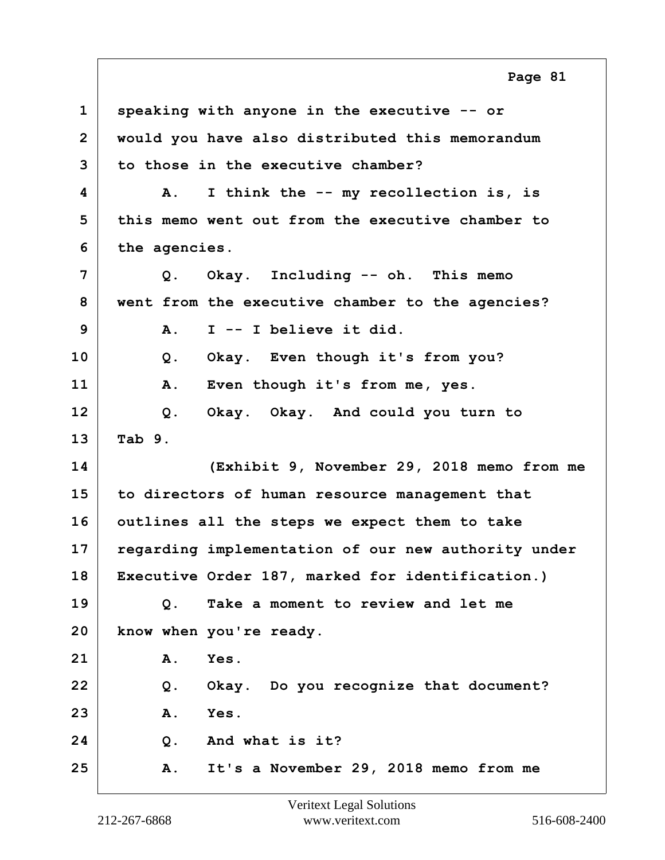**1 speaking with anyone in the executive -- or 2 would you have also distributed this memorandum 3 to those in the executive chamber? 4 A. I think the -- my recollection is, is 5 this memo went out from the executive chamber to 6 the agencies. 7 Q. Okay. Including -- oh. This memo 8 went from the executive chamber to the agencies? 9 A. I -- I believe it did. 10 Q. Okay. Even though it's from you? 11 A. Even though it's from me, yes. 12 Q. Okay. Okay. And could you turn to 13 Tab 9. 14 (Exhibit 9, November 29, 2018 memo from me 15 to directors of human resource management that 16 outlines all the steps we expect them to take 17 regarding implementation of our new authority under 18 Executive Order 187, marked for identification.) 19 Q. Take a moment to review and let me 20 know when you're ready. 21 A. Yes. 22 Q. Okay. Do you recognize that document? 23 A. Yes. 24 Q. And what is it? 25 A. It's a November 29, 2018 memo from me Page 81**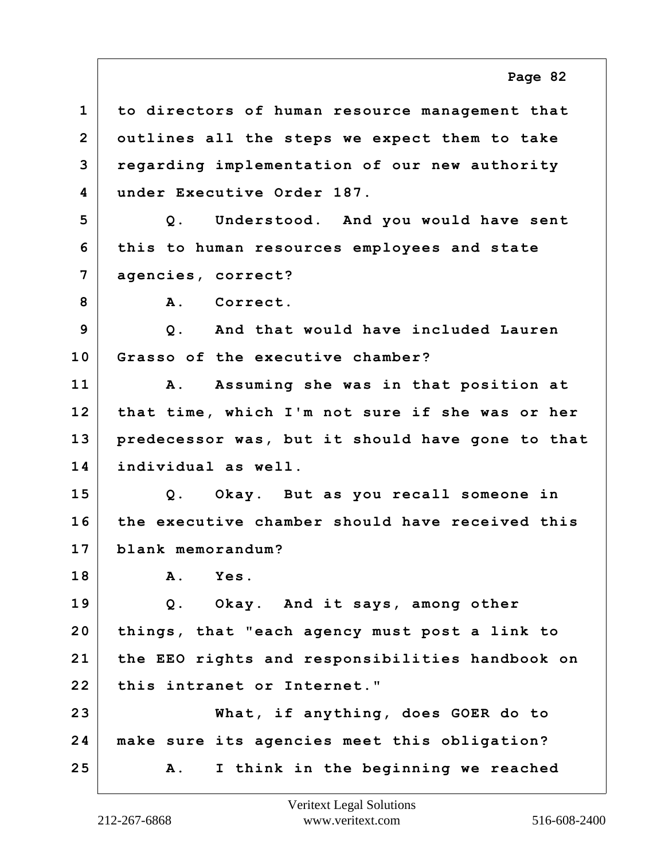**1 to directors of human resource management that 2 outlines all the steps we expect them to take 3 regarding implementation of our new authority 4 under Executive Order 187. 5 Q. Understood. And you would have sent 6 this to human resources employees and state 7 agencies, correct?** 8 A. Correct. **9 Q. And that would have included Lauren 10 Grasso of the executive chamber? 11 A. Assuming she was in that position at 12 that time, which I'm not sure if she was or her 13 predecessor was, but it should have gone to that 14 individual as well. 15 Q. Okay. But as you recall someone in 16 the executive chamber should have received this 17 blank memorandum? 18 A. Yes. 19 Q. Okay. And it says, among other 20 things, that "each agency must post a link to 21 the EEO rights and responsibilities handbook on 22 this intranet or Internet." 23 What, if anything, does GOER do to 24 make sure its agencies meet this obligation? 25 A. I think in the beginning we reached Page 82**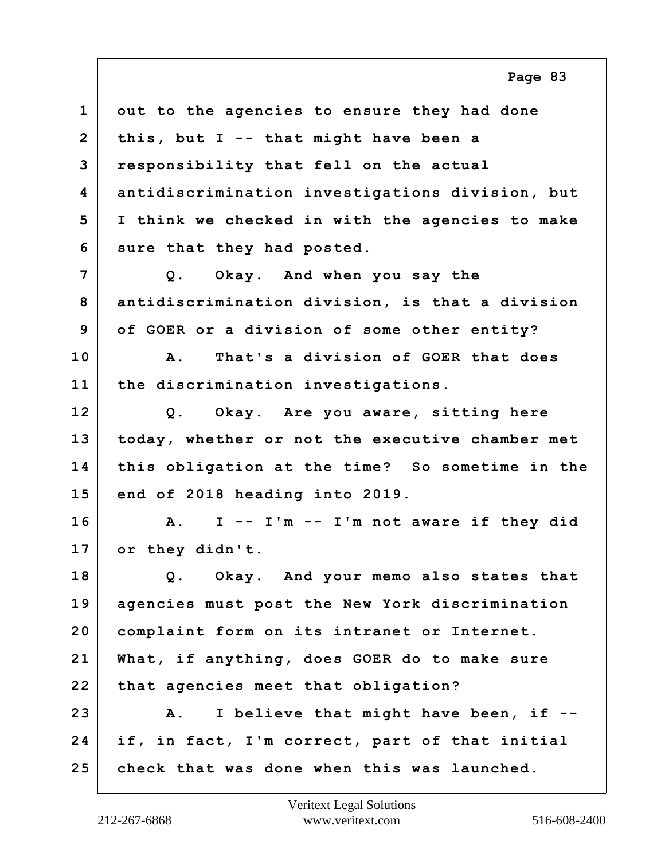| $\mathbf{1}$   | out to the agencies to ensure they had done          |
|----------------|------------------------------------------------------|
| $\overline{2}$ | this, but $I - -$ that might have been a             |
| 3              | responsibility that fell on the actual               |
| 4              | antidiscrimination investigations division, but      |
| 5              | I think we checked in with the agencies to make      |
| 6              | sure that they had posted.                           |
| 7              | Q. Okay. And when you say the                        |
| 8              | antidiscrimination division, is that a division      |
| 9              | of GOER or a division of some other entity?          |
| 10             | That's a division of GOER that does<br>A.            |
| 11             | the discrimination investigations.                   |
| 12             | Q. Okay. Are you aware, sitting here                 |
| 13             | today, whether or not the executive chamber met      |
| 14             | this obligation at the time? So sometime in the      |
| 15             | end of 2018 heading into 2019.                       |
| 16             | I -- I'm -- I'm not aware if they did<br>${\bf A}$ . |
| 17             | or they didn't.                                      |
| 18             | Q. Okay. And your memo also states that              |
| 19             | agencies must post the New York discrimination       |
| 20             | complaint form on its intranet or Internet.          |
| 21             | What, if anything, does GOER do to make sure         |
| 22             | that agencies meet that obligation?                  |
| 23             | I believe that might have been, if --<br><b>A</b> .  |
| 24             | if, in fact, I'm correct, part of that initial       |
| 25             | check that was done when this was launched.          |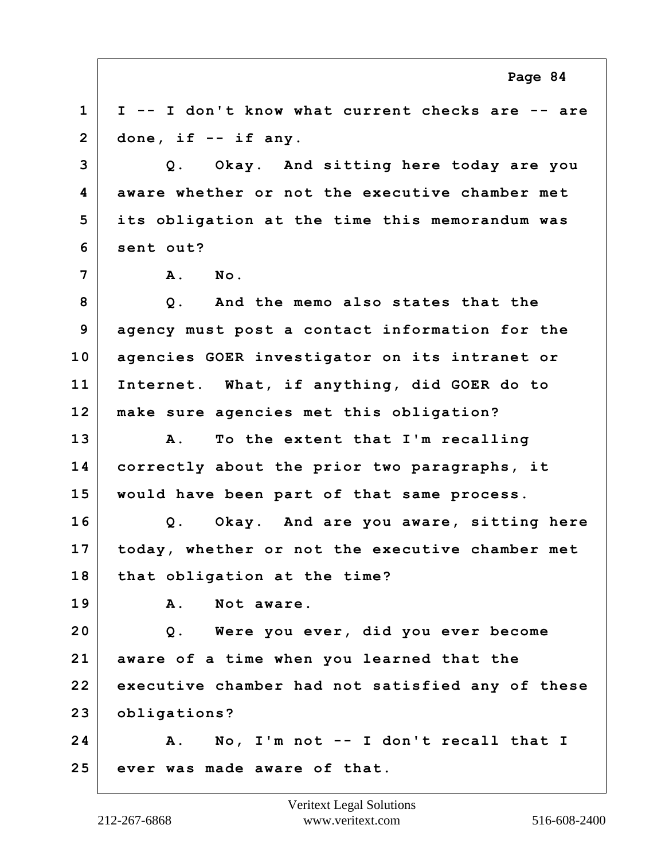**1 I -- I don't know what current checks are -- are 2 done, if -- if any. 3 Q. Okay. And sitting here today are you 4 aware whether or not the executive chamber met 5 its obligation at the time this memorandum was 6 sent out? 7 A. No. 8 Q. And the memo also states that the 9 agency must post a contact information for the 10 agencies GOER investigator on its intranet or 11 Internet. What, if anything, did GOER do to 12 make sure agencies met this obligation? 13 A. To the extent that I'm recalling 14 correctly about the prior two paragraphs, it 15 would have been part of that same process. 16 Q. Okay. And are you aware, sitting here 17 today, whether or not the executive chamber met 18 that obligation at the time? 19 A. Not aware. 20 Q. Were you ever, did you ever become 21 aware of a time when you learned that the 22 executive chamber had not satisfied any of these 23 obligations? 24 A. No, I'm not -- I don't recall that I 25 ever was made aware of that.**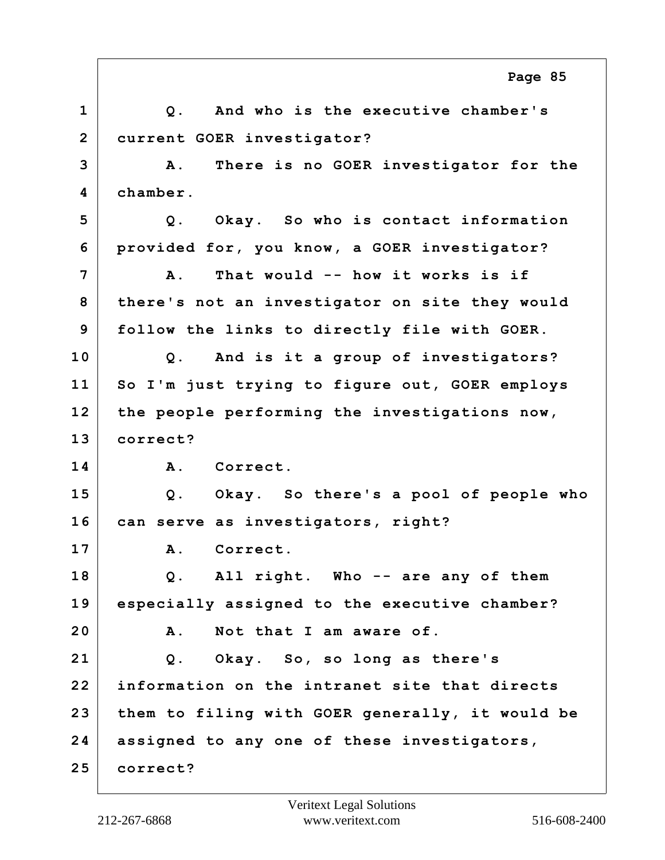**1 Q. And who is the executive chamber's 2 current GOER investigator? 3 A. There is no GOER investigator for the 4 chamber. 5 Q. Okay. So who is contact information 6 provided for, you know, a GOER investigator? 7 A. That would -- how it works is if 8 there's not an investigator on site they would 9 follow the links to directly file with GOER. 10 Q. And is it a group of investigators? 11 So I'm just trying to figure out, GOER employs 12 the people performing the investigations now, 13 correct? 14 A. Correct. 15 Q. Okay. So there's a pool of people who 16 can serve as investigators, right? 17 A. Correct. 18 Q. All right. Who -- are any of them 19 especially assigned to the executive chamber? 20 A. Not that I am aware of. 21 Q. Okay. So, so long as there's 22 information on the intranet site that directs 23 them to filing with GOER generally, it would be 24 assigned to any one of these investigators, 25 correct? Page 85**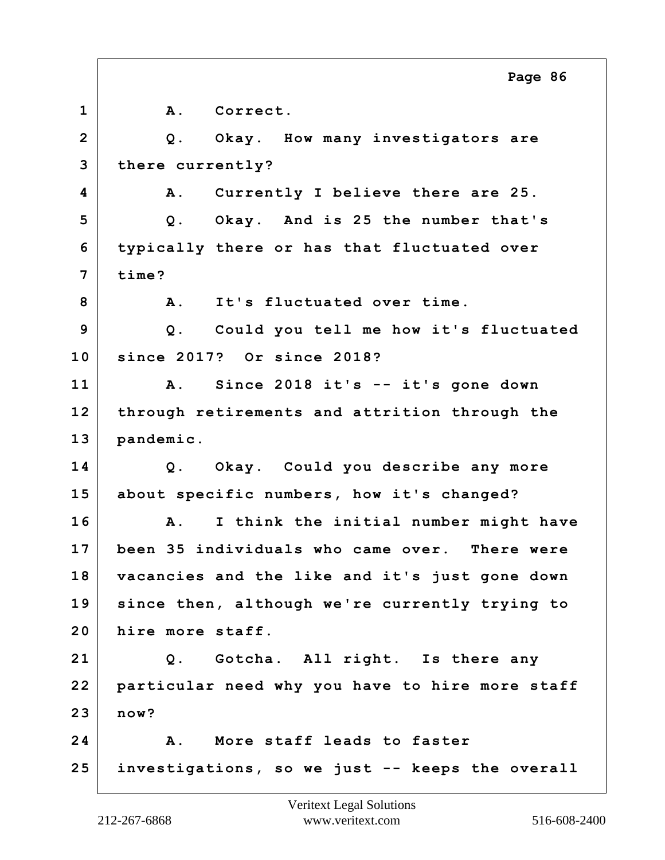**1 A. Correct. 2 Q. Okay. How many investigators are 3 there currently? 4 A. Currently I believe there are 25. 5 Q. Okay. And is 25 the number that's 6 typically there or has that fluctuated over 7 time? 8 A. It's fluctuated over time. 9 Q. Could you tell me how it's fluctuated 10 since 2017? Or since 2018? 11 A. Since 2018 it's -- it's gone down 12 through retirements and attrition through the 13 pandemic. 14 Q. Okay. Could you describe any more 15 about specific numbers, how it's changed? 16 A. I think the initial number might have 17 been 35 individuals who came over. There were 18 vacancies and the like and it's just gone down 19 since then, although we're currently trying to 20 hire more staff. 21 Q. Gotcha. All right. Is there any 22 particular need why you have to hire more staff 23 now? 24 A. More staff leads to faster 25 investigations, so we just -- keeps the overall Page 86**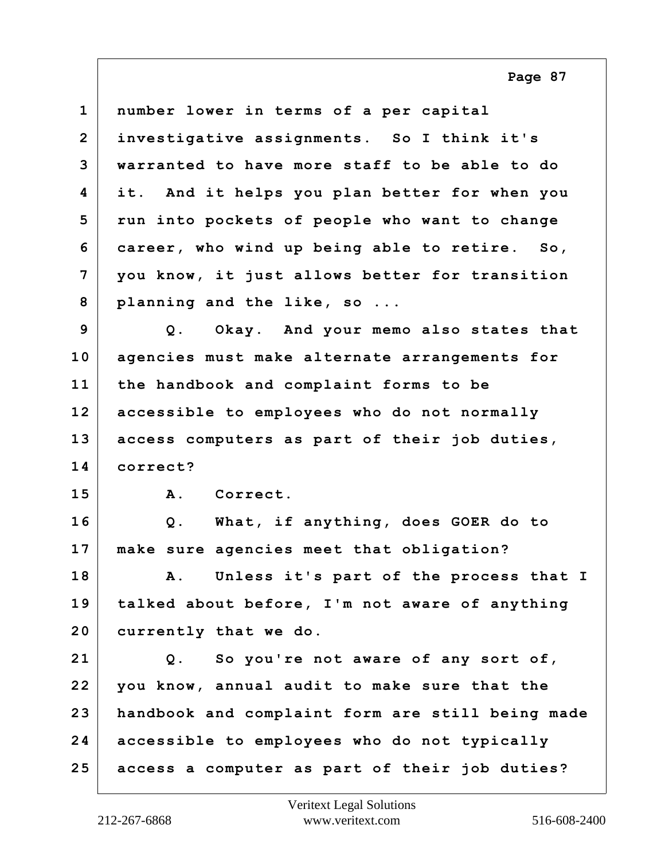| $\mathbf 1$    | number lower in terms of a per capital               |
|----------------|------------------------------------------------------|
| $\overline{2}$ | investigative assignments. So I think it's           |
| 3              | warranted to have more staff to be able to do        |
| 4              | it. And it helps you plan better for when you        |
| 5              | run into pockets of people who want to change        |
| 6              | career, who wind up being able to retire. So,        |
| 7              | you know, it just allows better for transition       |
| 8              | planning and the like, so                            |
| 9              | Q. Okay. And your memo also states that              |
| 10             | agencies must make alternate arrangements for        |
| 11             | the handbook and complaint forms to be               |
| 12             | accessible to employees who do not normally          |
| 13             | access computers as part of their job duties,        |
| 14             | correct?                                             |
| 15             | Correct.<br><b>A</b> .                               |
| 16             | What, if anything, does GOER do to<br>$Q$ .          |
| 17             | make sure agencies meet that obligation?             |
| 18             | Unless it's part of the process that I<br><b>A</b> . |
| 19             | talked about before, I'm not aware of anything       |
| 20             | currently that we do.                                |
| 21             | So you're not aware of any sort of,<br>Q.            |
| 22             | you know, annual audit to make sure that the         |
| 23             | handbook and complaint form are still being made     |
| 24             | accessible to employees who do not typically         |
| 25             | access a computer as part of their job duties?       |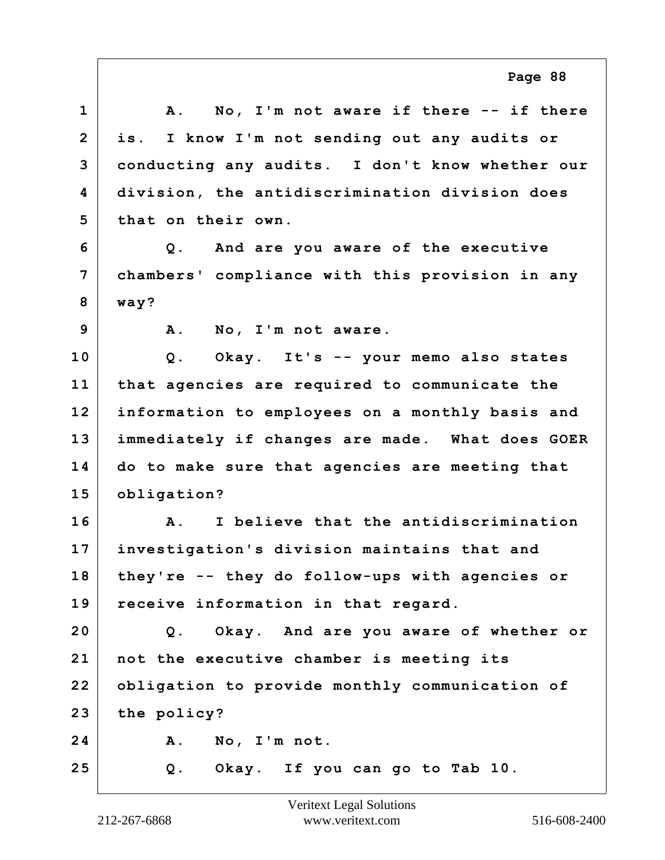**1 A. No, I'm not aware if there -- if there 2 is. I know I'm not sending out any audits or 3 conducting any audits. I don't know whether our 4 division, the antidiscrimination division does 5 that on their own. 6 Q. And are you aware of the executive 7 chambers' compliance with this provision in any 8 way? 9 A. No, I'm not aware. 10 Q. Okay. It's -- your memo also states 11 that agencies are required to communicate the 12 information to employees on a monthly basis and 13 immediately if changes are made. What does GOER 14 do to make sure that agencies are meeting that 15 obligation? 16 A. I believe that the antidiscrimination 17 investigation's division maintains that and 18 they're -- they do follow-ups with agencies or 19 receive information in that regard. 20 Q. Okay. And are you aware of whether or 21 not the executive chamber is meeting its 22 obligation to provide monthly communication of 23 the policy? 24 A. No, I'm not. 25 Q. Okay. If you can go to Tab 10.**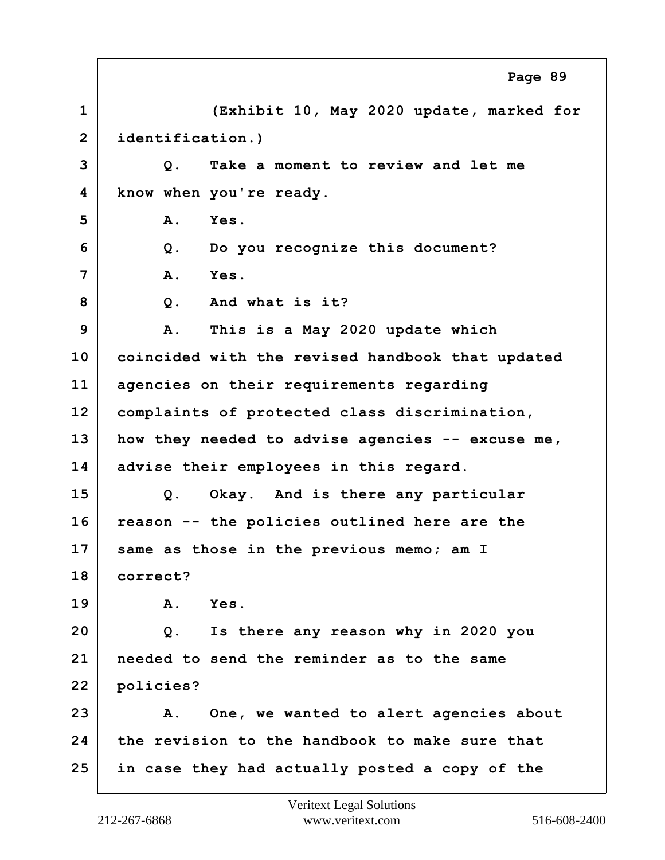**1 (Exhibit 10, May 2020 update, marked for 2 identification.) 3 Q. Take a moment to review and let me 4 know when you're ready. 5 A. Yes. 6 Q. Do you recognize this document? 7 A. Yes. 8 Q. And what is it? 9 A. This is a May 2020 update which 10 coincided with the revised handbook that updated 11 agencies on their requirements regarding 12 complaints of protected class discrimination, 13 how they needed to advise agencies -- excuse me, 14 advise their employees in this regard. 15 Q. Okay. And is there any particular 16 reason -- the policies outlined here are the 17 same as those in the previous memo; am I 18 correct? 19 A. Yes. 20 Q. Is there any reason why in 2020 you 21 needed to send the reminder as to the same 22 policies? 23 A. One, we wanted to alert agencies about 24 the revision to the handbook to make sure that 25 in case they had actually posted a copy of the Page 89**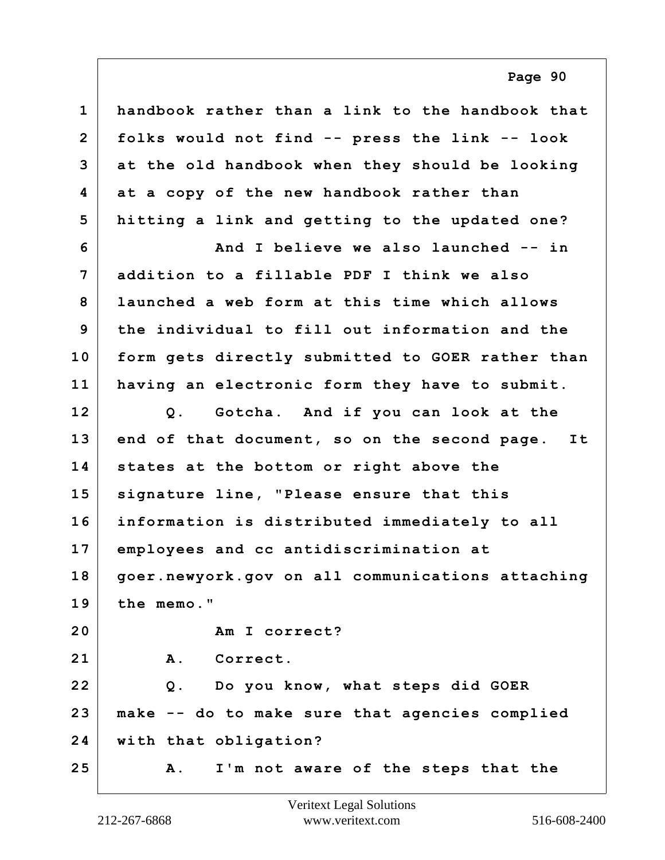| $\mathbf 1$    | handbook rather than a link to the handbook that  |
|----------------|---------------------------------------------------|
| $\overline{2}$ | folks would not find -- press the link -- look    |
| 3              | at the old handbook when they should be looking   |
| 4              | at a copy of the new handbook rather than         |
| 5              | hitting a link and getting to the updated one?    |
| 6              | And I believe we also launched -- in              |
| 7              | addition to a fillable PDF I think we also        |
| 8              | launched a web form at this time which allows     |
| 9              | the individual to fill out information and the    |
| 10             | form gets directly submitted to GOER rather than  |
| 11             | having an electronic form they have to submit.    |
| 12             | Q. Gotcha. And if you can look at the             |
| 13             | end of that document, so on the second page. It   |
| 14             | states at the bottom or right above the           |
| 15             | signature line, "Please ensure that this          |
| 16             | information is distributed immediately to all     |
| 17             | employees and cc antidiscrimination at            |
| 18             | goer.newyork.gov on all communications attaching  |
| 19             | the memo."                                        |
| 20             | Am I correct?                                     |
| 21             | Correct.<br><b>A</b> .                            |
| 22             | Q. Do you know, what steps did GOER               |
| 23             | make -- do to make sure that agencies complied    |
| 24             | with that obligation?                             |
| 25             | I'm not aware of the steps that the<br><b>A</b> . |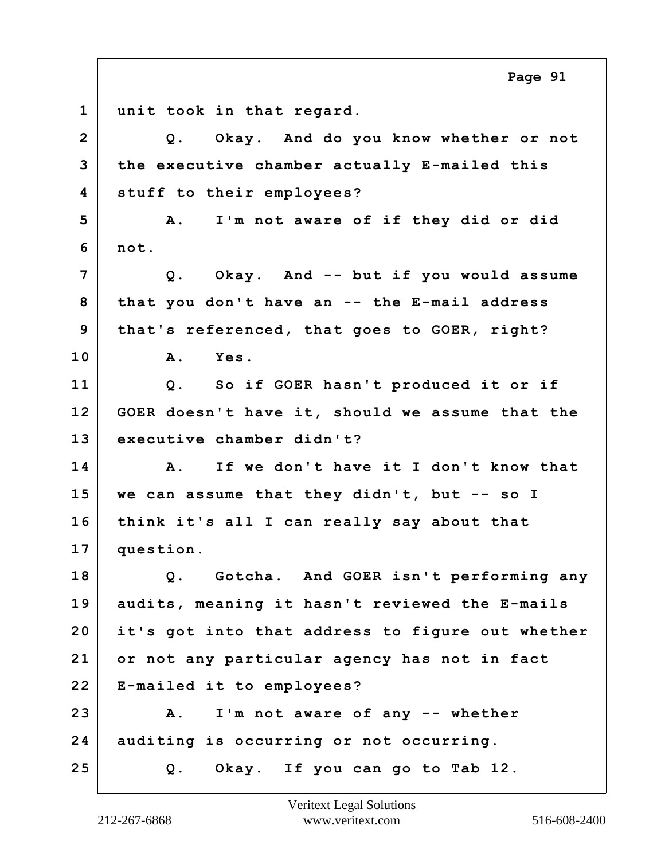**1 unit took in that regard. 2 Q. Okay. And do you know whether or not 3 the executive chamber actually E-mailed this 4 stuff to their employees? 5 A. I'm not aware of if they did or did 6 not. 7 Q. Okay. And -- but if you would assume 8 that you don't have an -- the E-mail address 9 that's referenced, that goes to GOER, right? 10 A. Yes. 11 Q. So if GOER hasn't produced it or if 12 GOER doesn't have it, should we assume that the 13 executive chamber didn't? 14 A. If we don't have it I don't know that 15 we can assume that they didn't, but -- so I 16 think it's all I can really say about that 17 question. 18 Q. Gotcha. And GOER isn't performing any 19 audits, meaning it hasn't reviewed the E-mails 20 it's got into that address to figure out whether 21 or not any particular agency has not in fact 22 E-mailed it to employees? 23 A. I'm not aware of any -- whether 24 auditing is occurring or not occurring. 25 Q. Okay. If you can go to Tab 12. Page 91**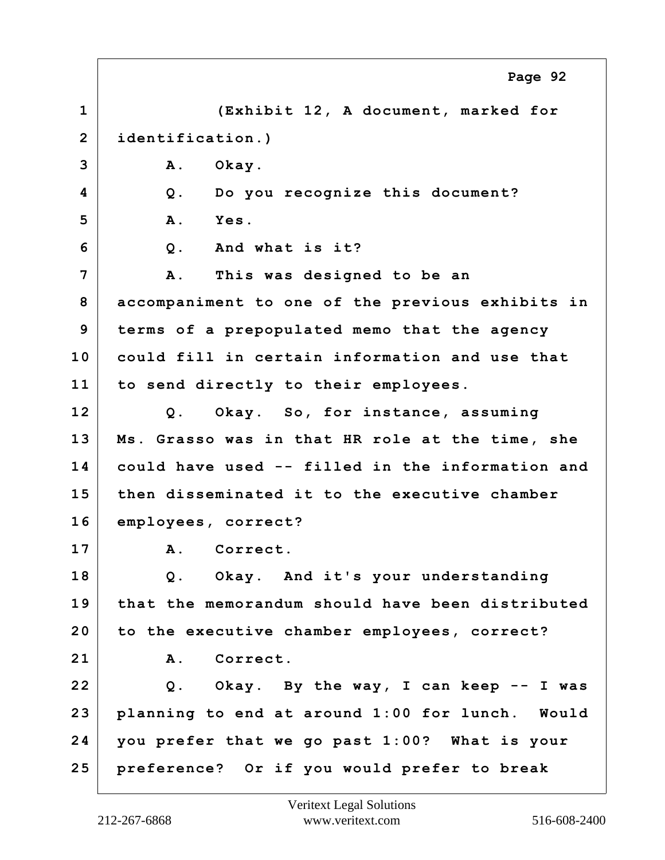**1 (Exhibit 12, A document, marked for 2 identification.) 3 A. Okay. 4 Q. Do you recognize this document? 5 A. Yes. 6 Q. And what is it? 7 A. This was designed to be an 8 accompaniment to one of the previous exhibits in 9 terms of a prepopulated memo that the agency 10 could fill in certain information and use that 11 to send directly to their employees. 12 Q. Okay. So, for instance, assuming 13 Ms. Grasso was in that HR role at the time, she 14 could have used -- filled in the information and 15 then disseminated it to the executive chamber 16 employees, correct? 17 A. Correct. 18 Q. Okay. And it's your understanding 19 that the memorandum should have been distributed 20 to the executive chamber employees, correct? 21 A. Correct. 22 Q. Okay. By the way, I can keep -- I was 23 planning to end at around 1:00 for lunch. Would 24 you prefer that we go past 1:00? What is your 25 preference? Or if you would prefer to break Page 92**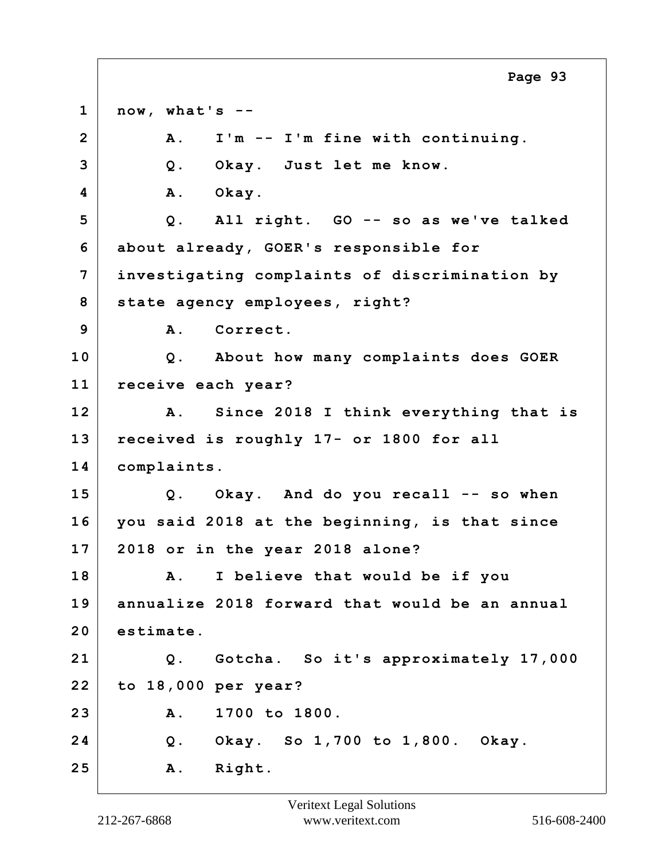**1 now, what's -- 2 A. I'm -- I'm fine with continuing. 3 Q. Okay. Just let me know. 4 A. Okay. 5 Q. All right. GO -- so as we've talked 6 about already, GOER's responsible for 7 investigating complaints of discrimination by 8 state agency employees, right? 9 A. Correct. 10 Q. About how many complaints does GOER 11 receive each year? 12 A. Since 2018 I think everything that is 13 received is roughly 17- or 1800 for all 14 complaints. 15 Q. Okay. And do you recall -- so when 16 you said 2018 at the beginning, is that since 17 2018 or in the year 2018 alone? 18 A. I believe that would be if you 19 annualize 2018 forward that would be an annual 20 estimate. 21 Q. Gotcha. So it's approximately 17,000 22 to 18,000 per year? 23 A. 1700 to 1800. 24 Q. Okay. So 1,700 to 1,800. Okay. 25 A. Right. Page 93**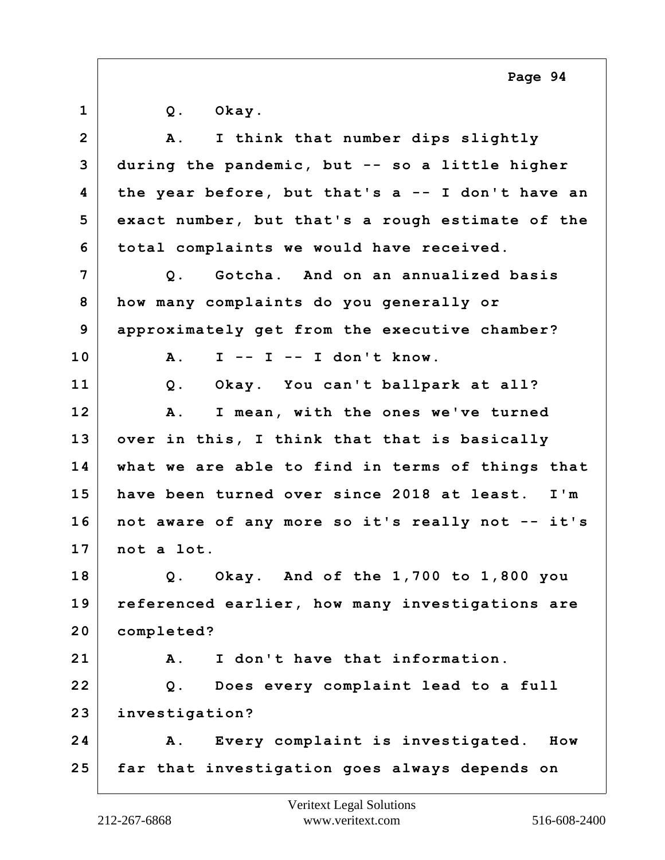| $\mathbf{1}$   | Okay.<br>$Q$ .                                   |
|----------------|--------------------------------------------------|
| $\overline{2}$ | I think that number dips slightly<br><b>A</b> .  |
| 3              | during the pandemic, but -- so a little higher   |
| 4              | the year before, but that's a -- I don't have an |
| 5              | exact number, but that's a rough estimate of the |
| 6              | total complaints we would have received.         |
| 7              | Gotcha. And on an annualized basis<br>$Q$ .      |
| 8              | how many complaints do you generally or          |
| 9              | approximately get from the executive chamber?    |
| 10             | $I - - I - - I$ don't know.<br>A.                |
| 11             | Okay. You can't ballpark at all?<br>Q.           |
| 12             | I mean, with the ones we've turned<br>Α.         |
| 13             | over in this, I think that that is basically     |
| 14             | what we are able to find in terms of things that |
| 15             | have been turned over since 2018 at least. I'm   |
| 16             | not aware of any more so it's really not -- it's |
| 17             | not a lot.                                       |
| 18             | Q. Okay. And of the $1,700$ to $1,800$ you       |
| 19             | referenced earlier, how many investigations are  |
| 20             | completed?                                       |
| 21             | I don't have that information.<br>A.             |
| 22             | Does every complaint lead to a full<br>Q.        |
| 23             | investigation?                                   |
| 24             | Every complaint is investigated.<br>A.<br>How    |
| 25             | far that investigation goes always depends on    |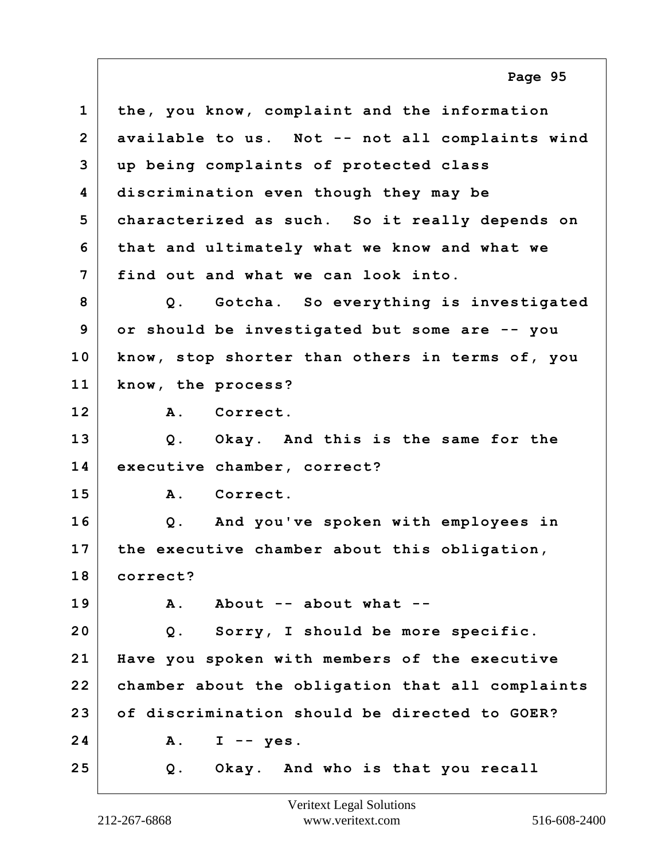**1 the, you know, complaint and the information 2 available to us. Not -- not all complaints wind 3 up being complaints of protected class 4 discrimination even though they may be 5 characterized as such. So it really depends on 6 that and ultimately what we know and what we 7 find out and what we can look into. 8 Q. Gotcha. So everything is investigated 9 or should be investigated but some are -- you 10 know, stop shorter than others in terms of, you 11 know, the process? 12 A. Correct. 13 Q. Okay. And this is the same for the 14 executive chamber, correct? 15 A. Correct. 16 Q. And you've spoken with employees in 17 the executive chamber about this obligation, 18 correct? 19 A. About -- about what -- 20 Q. Sorry, I should be more specific. 21 Have you spoken with members of the executive 22 chamber about the obligation that all complaints 23 of discrimination should be directed to GOER? 24 A. I -- yes. 25 Q. Okay. And who is that you recall Page 95**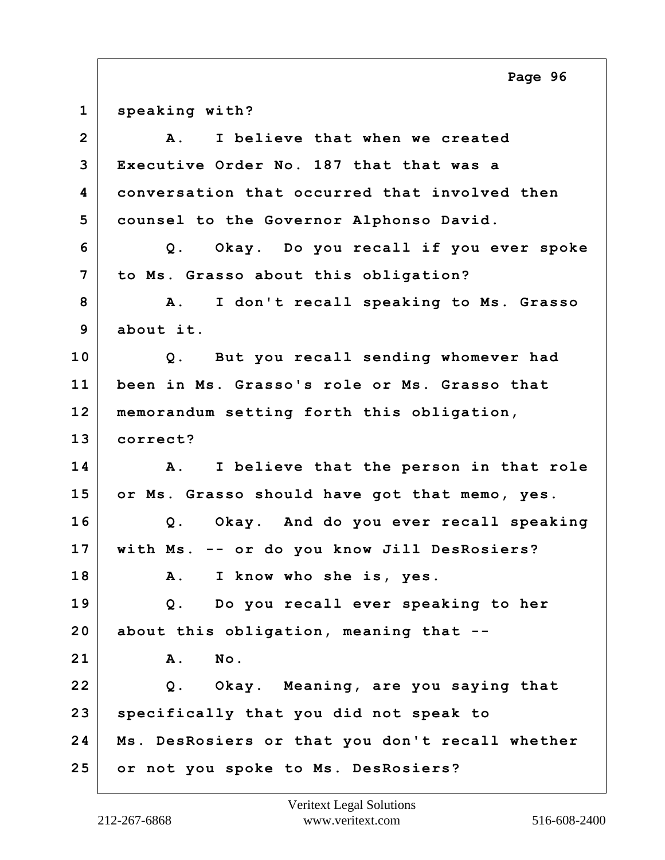| $\mathbf 1$    | speaking with?                                       |
|----------------|------------------------------------------------------|
| $\overline{2}$ | I believe that when we created<br><b>A</b> .         |
| 3              | Executive Order No. 187 that that was a              |
| 4              | conversation that occurred that involved then        |
| 5              | counsel to the Governor Alphonso David.              |
| 6              | Q. Okay. Do you recall if you ever spoke             |
| 7              | to Ms. Grasso about this obligation?                 |
| 8              | A. I don't recall speaking to Ms. Grasso             |
| 9              | about it.                                            |
| 10             | Q. But you recall sending whomever had               |
| 11             | been in Ms. Grasso's role or Ms. Grasso that         |
| 12             | memorandum setting forth this obligation,            |
| 13             | correct?                                             |
| 14             | I believe that the person in that role<br><b>A</b> . |
| 15             | or Ms. Grasso should have got that memo, yes.        |
| 16             | Q. Okay. And do you ever recall speaking             |
| 17             | with Ms. -- or do you know Jill DesRosiers?          |
| 18             | I know who she is, yes.<br><b>A</b> .                |
| 19             | Q. Do you recall ever speaking to her                |
| 20             | about this obligation, meaning that --               |
| 21             | No.<br>A.                                            |
| 22             | Q. Okay. Meaning, are you saying that                |
| 23             | specifically that you did not speak to               |
| 24             | Ms. DesRosiers or that you don't recall whether      |
| 25             | or not you spoke to Ms. DesRosiers?                  |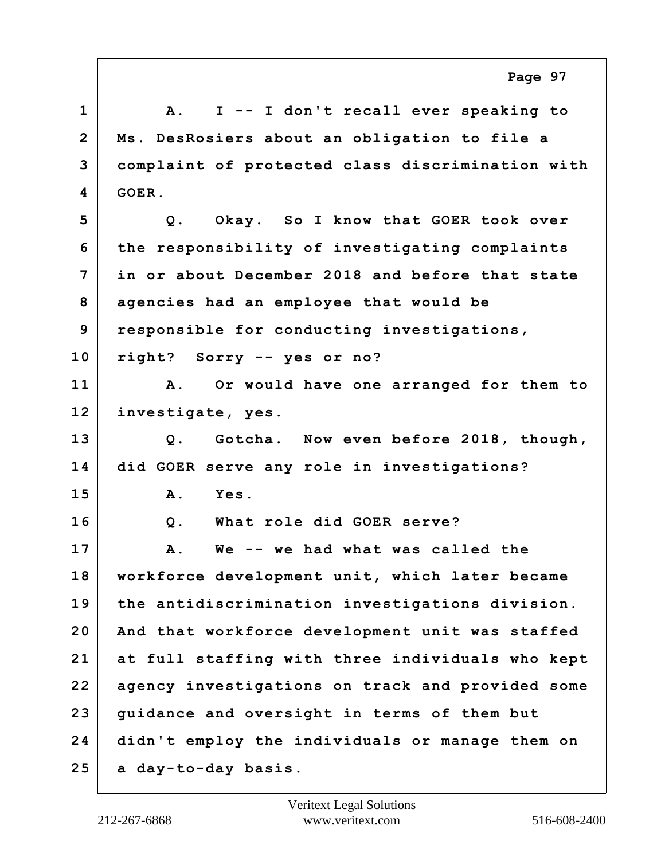**1 A. I -- I don't recall ever speaking to 2 Ms. DesRosiers about an obligation to file a 3 complaint of protected class discrimination with 4 GOER. 5 Q. Okay. So I know that GOER took over 6 the responsibility of investigating complaints 7 in or about December 2018 and before that state 8 agencies had an employee that would be 9 responsible for conducting investigations, 10 right? Sorry -- yes or no? 11 A. Or would have one arranged for them to 12 investigate, yes. 13 Q. Gotcha. Now even before 2018, though, 14 did GOER serve any role in investigations? 15 A. Yes. 16 Q. What role did GOER serve? 17 A. We -- we had what was called the 18 workforce development unit, which later became 19 the antidiscrimination investigations division. 20 And that workforce development unit was staffed 21 at full staffing with three individuals who kept 22 agency investigations on track and provided some 23 guidance and oversight in terms of them but 24 didn't employ the individuals or manage them on 25 a day-to-day basis.**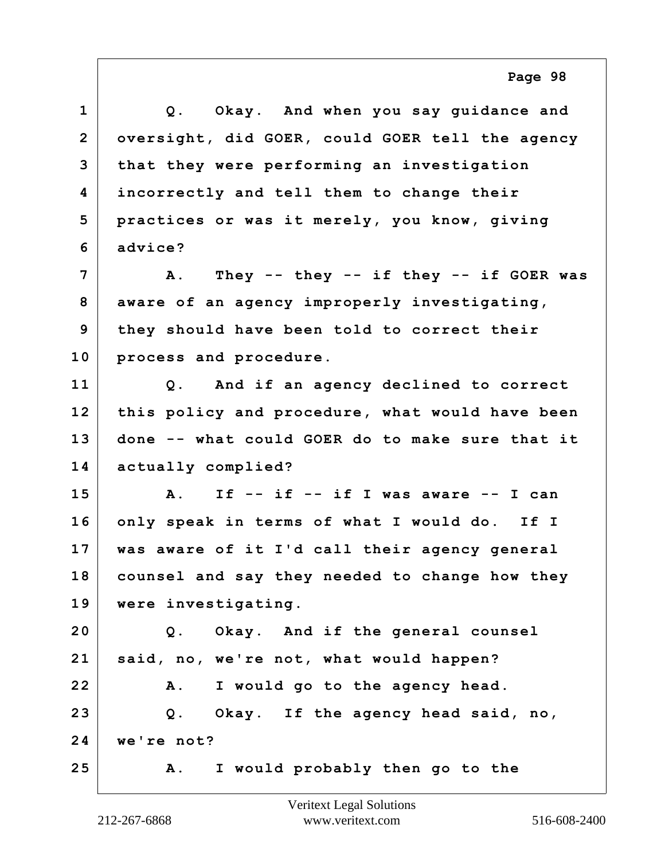| $\mathbf{1}$   | Okay. And when you say guidance and<br>$Q$ .          |
|----------------|-------------------------------------------------------|
| $\overline{2}$ | oversight, did GOER, could GOER tell the agency       |
| 3              | that they were performing an investigation            |
| 4              | incorrectly and tell them to change their             |
| 5              | practices or was it merely, you know, giving          |
| 6              | advice?                                               |
| 7              | A. They -- they -- if they -- if GOER was             |
| 8              | aware of an agency improperly investigating,          |
| 9              | they should have been told to correct their           |
| 10             | process and procedure.                                |
| 11             | Q. And if an agency declined to correct               |
| 12             | this policy and procedure, what would have been       |
| 13             | done -- what could GOER do to make sure that it       |
| 14             | actually complied?                                    |
| 15             | If -- if -- if I was aware -- I can<br>$\mathbf{A}$ . |
| 16             | only speak in terms of what I would do. If I          |
| 17             | was aware of it I'd call their agency general         |
| 18             | counsel and say they needed to change how they        |
| 19             | were investigating.                                   |
| 20             | Okay. And if the general counsel<br>$Q$ .             |
| 21             | said, no, we're not, what would happen?               |
| 22             | I would go to the agency head.<br>A.                  |
| 23             | Q. Okay. If the agency head said, no,                 |
| 24             | we're not?                                            |
| 25             | I would probably then go to the<br>Α.                 |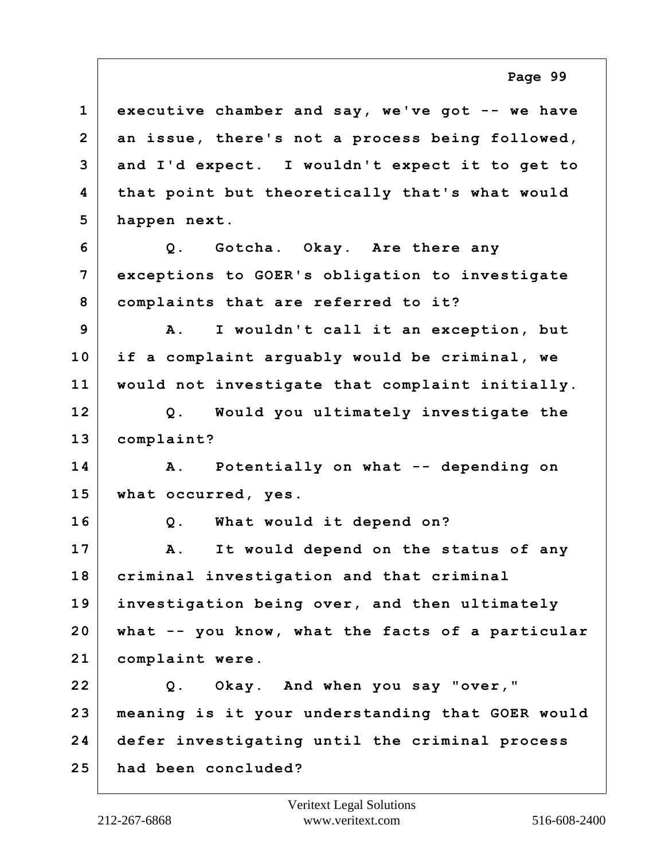**1 executive chamber and say, we've got -- we have 2 an issue, there's not a process being followed, 3 and I'd expect. I wouldn't expect it to get to 4 that point but theoretically that's what would 5 happen next. 6 Q. Gotcha. Okay. Are there any 7 exceptions to GOER's obligation to investigate 8 complaints that are referred to it? 9 A. I wouldn't call it an exception, but 10 if a complaint arguably would be criminal, we 11 would not investigate that complaint initially. 12 Q. Would you ultimately investigate the 13 complaint? 14 A. Potentially on what -- depending on 15 what occurred, yes. 16 Q. What would it depend on? 17 A. It would depend on the status of any 18 criminal investigation and that criminal 19 investigation being over, and then ultimately 20 what -- you know, what the facts of a particular 21 complaint were. 22 Q. Okay. And when you say "over," 23 meaning is it your understanding that GOER would 24 defer investigating until the criminal process 25 had been concluded?**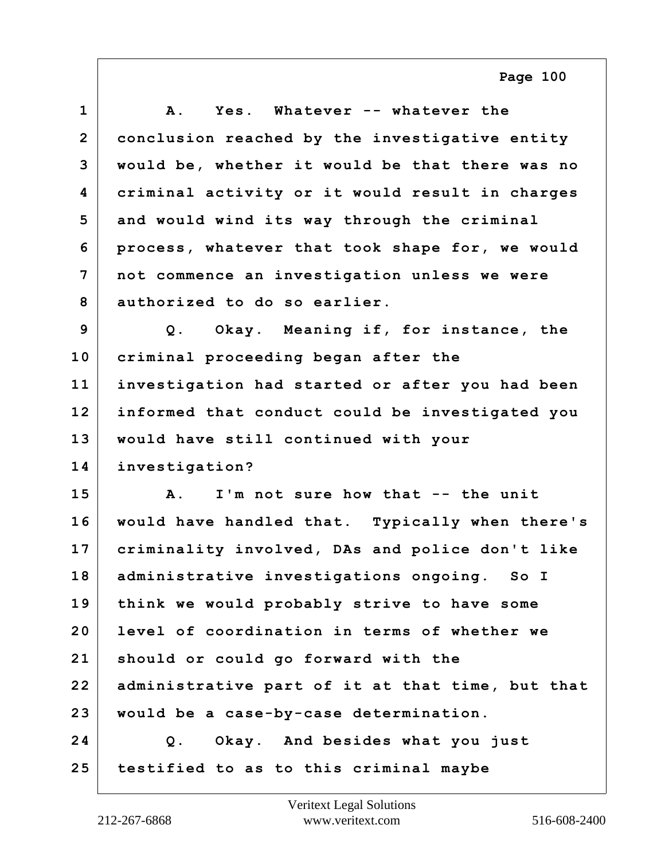| $\mathbf 1$    | Α.<br>Yes. Whatever -- whatever the              |
|----------------|--------------------------------------------------|
| $\overline{2}$ | conclusion reached by the investigative entity   |
| 3              | would be, whether it would be that there was no  |
| 4              | criminal activity or it would result in charges  |
| 5              | and would wind its way through the criminal      |
| 6              | process, whatever that took shape for, we would  |
| 7              | not commence an investigation unless we were     |
| 8              | authorized to do so earlier.                     |
| 9              | Q. Okay. Meaning if, for instance, the           |
| 10             | criminal proceeding began after the              |
| 11             | investigation had started or after you had been  |
| 12             | informed that conduct could be investigated you  |
| 13             | would have still continued with your             |
| 14             | investigation?                                   |
| 15             | I'm not sure how that -- the unit<br><b>A</b> .  |
| 16             | would have handled that. Typically when there's  |
| 17             | criminality involved, DAs and police don't like  |
| 18             | administrative investigations ongoing. So I      |
| 19             | think we would probably strive to have some      |
| 20             | level of coordination in terms of whether we     |
| 21             | should or could go forward with the              |
| 22             | administrative part of it at that time, but that |
| 23             | would be a case-by-case determination.           |
| 24             | Okay. And besides what you just<br>Q.            |
| 25             | testified to as to this criminal maybe           |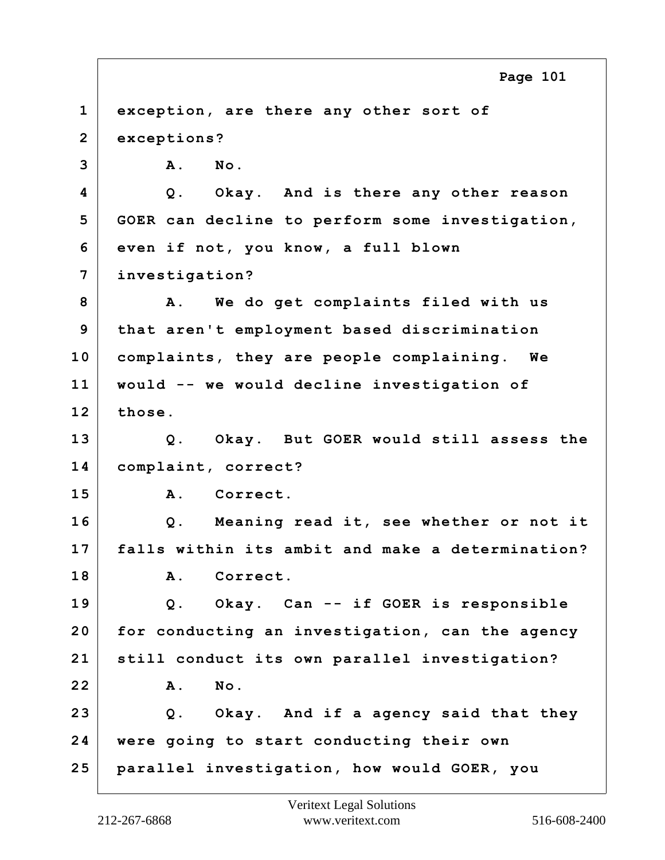**1 exception, are there any other sort of 2 exceptions? 3 A. No. 4 Q. Okay. And is there any other reason 5 GOER can decline to perform some investigation, 6 even if not, you know, a full blown 7 investigation? 8 A. We do get complaints filed with us 9 that aren't employment based discrimination 10 complaints, they are people complaining. We 11 would -- we would decline investigation of 12 those. 13 Q. Okay. But GOER would still assess the 14 complaint, correct? 15 A. Correct. 16 Q. Meaning read it, see whether or not it 17 falls within its ambit and make a determination? 18 A. Correct. 19 Q. Okay. Can -- if GOER is responsible 20 for conducting an investigation, can the agency 21 still conduct its own parallel investigation? 22 A. No. 23 Q. Okay. And if a agency said that they 24 were going to start conducting their own 25 parallel investigation, how would GOER, you Page 101**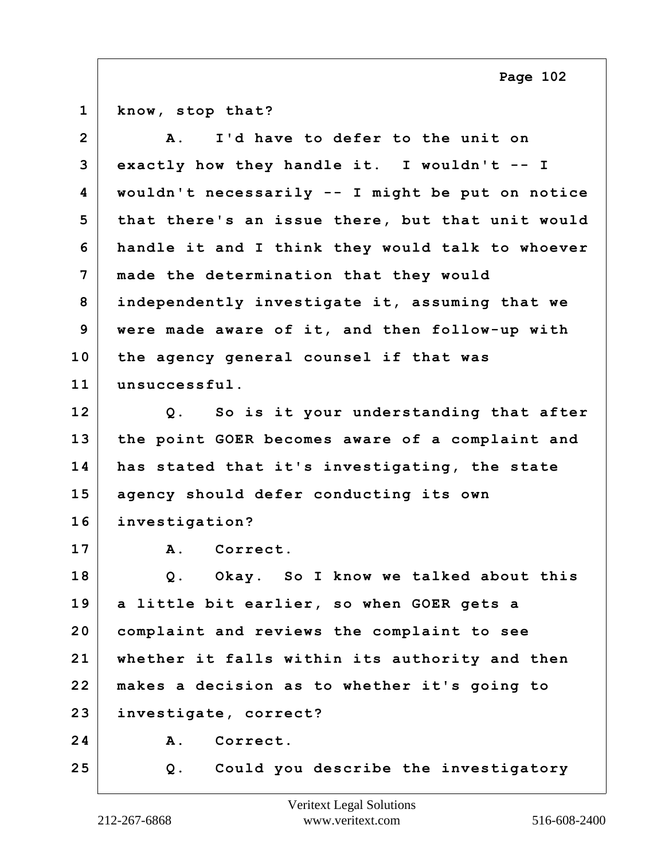| $\mathbf 1$    | know, stop that?                                 |
|----------------|--------------------------------------------------|
| $\overline{2}$ | I'd have to defer to the unit on<br>A.           |
| 3              | exactly how they handle it. I wouldn't $--$ I    |
| 4              | wouldn't necessarily -- I might be put on notice |
| 5              | that there's an issue there, but that unit would |
| 6              | handle it and I think they would talk to whoever |
| 7              | made the determination that they would           |
| 8              | independently investigate it, assuming that we   |
| 9              | were made aware of it, and then follow-up with   |
| 10             | the agency general counsel if that was           |
| 11             | unsuccessful.                                    |
| 12             | Q. So is it your understanding that after        |
| 13             | the point GOER becomes aware of a complaint and  |
| 14             | has stated that it's investigating, the state    |
| 15             | agency should defer conducting its own           |
| 16             | investigation?                                   |
| 17             | Correct.<br>A.                                   |
| 18             | Okay. So I know we talked about this<br>$Q$ .    |
| 19             | a little bit earlier, so when GOER gets a        |
| 20             | complaint and reviews the complaint to see       |
| 21             | whether it falls within its authority and then   |
| 22             | makes a decision as to whether it's going to     |
| 23             | investigate, correct?                            |
| 24             | Correct.<br>Α.                                   |
| 25             | Could you describe the investigatory<br>Q.       |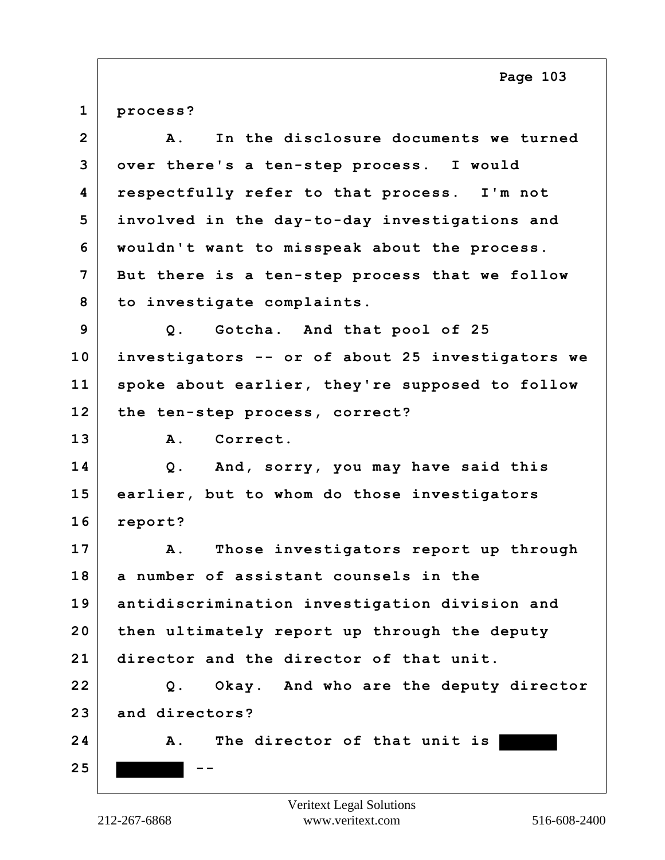**1 process?**

| $\overline{2}$ | In the disclosure documents we turned<br>Α.      |
|----------------|--------------------------------------------------|
| 3              | over there's a ten-step process. I would         |
| 4              | respectfully refer to that process. I'm not      |
| 5              | involved in the day-to-day investigations and    |
| 6              | wouldn't want to misspeak about the process.     |
| $\overline{7}$ | But there is a ten-step process that we follow   |
| 8              | to investigate complaints.                       |
| 9              | Q. Gotcha. And that pool of 25                   |
| 10             | investigators -- or of about 25 investigators we |
| 11             | spoke about earlier, they're supposed to follow  |
| 12             | the ten-step process, correct?                   |
| 13             | A.<br>Correct.                                   |
| 14             | Q. And, sorry, you may have said this            |
| 15             | earlier, but to whom do those investigators      |
| 16             | report?                                          |
| 17             | Those investigators report up through<br>Α.      |
| 18             | a number of assistant counsels in the            |
| 19             | antidiscrimination investigation division and    |
| 20             | then ultimately report up through the deputy     |
| 21             | director and the director of that unit.          |
| 22             | Okay. And who are the deputy director<br>Q.      |
| 23             | and directors?                                   |
| 24             | The director of that unit is<br><b>A</b> .       |
| 25             |                                                  |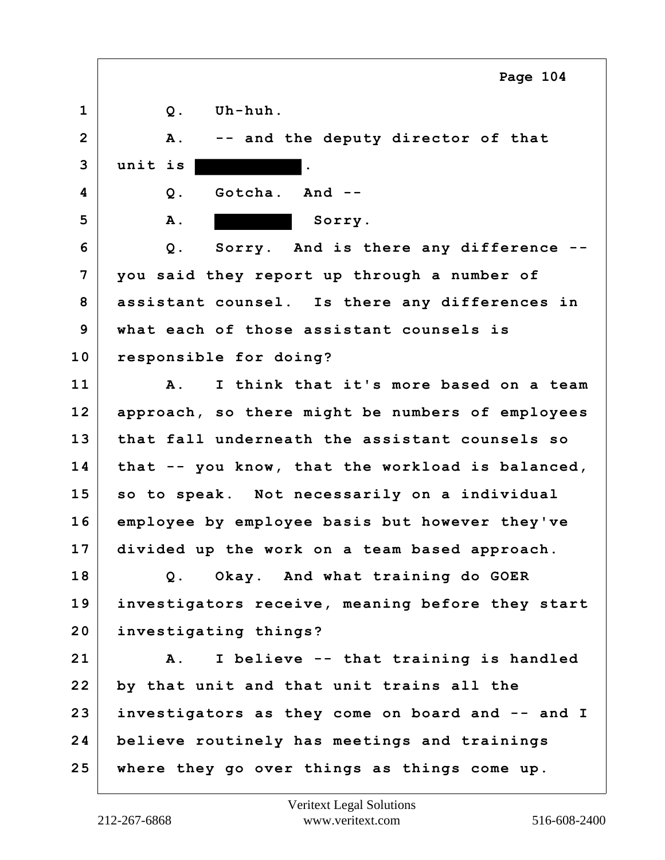**1 Q. Uh-huh. 2 A. -- and the deputy director of that 3 unit is . 4 Q. Gotcha. And --** 5 A. A. Sorry. **6 Q. Sorry. And is there any difference -- 7 you said they report up through a number of 8 assistant counsel. Is there any differences in 9 what each of those assistant counsels is 10 responsible for doing? 11 A. I think that it's more based on a team 12 approach, so there might be numbers of employees 13 that fall underneath the assistant counsels so 14 that -- you know, that the workload is balanced, 15 so to speak. Not necessarily on a individual 16 employee by employee basis but however they've 17 divided up the work on a team based approach. 18 Q. Okay. And what training do GOER 19 investigators receive, meaning before they start 20 investigating things? 21 A. I believe -- that training is handled 22 by that unit and that unit trains all the 23 investigators as they come on board and -- and I 24 believe routinely has meetings and trainings 25 where they go over things as things come up. Page 104**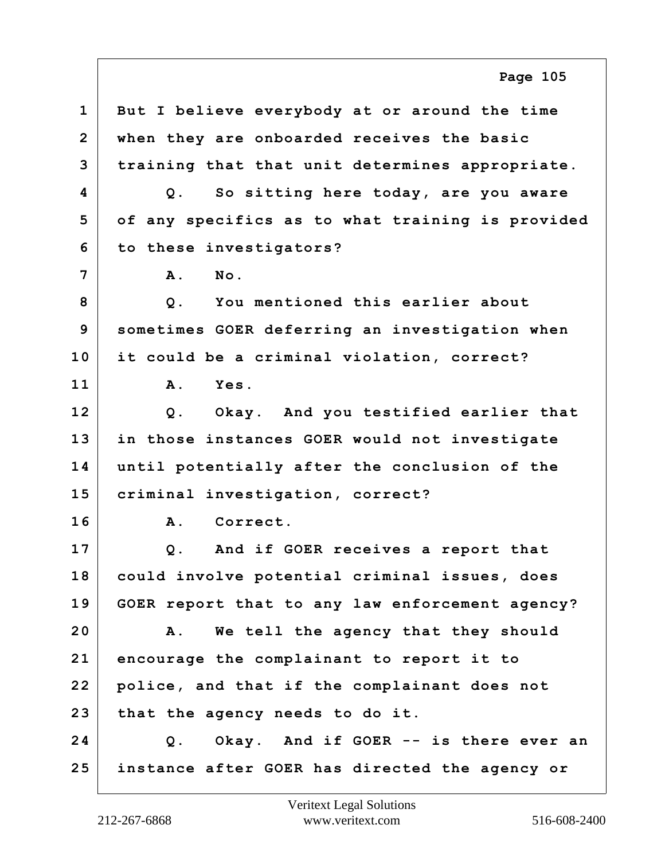**1 But I believe everybody at or around the time 2 when they are onboarded receives the basic 3 training that that unit determines appropriate. 4 Q. So sitting here today, are you aware 5 of any specifics as to what training is provided 6 to these investigators? 7 A. No. 8 Q. You mentioned this earlier about 9 sometimes GOER deferring an investigation when 10 it could be a criminal violation, correct? 11 A. Yes. 12 Q. Okay. And you testified earlier that 13 in those instances GOER would not investigate 14 until potentially after the conclusion of the 15 criminal investigation, correct? 16 A. Correct. 17 Q. And if GOER receives a report that 18 could involve potential criminal issues, does 19 GOER report that to any law enforcement agency? 20 A. We tell the agency that they should 21 encourage the complainant to report it to 22 police, and that if the complainant does not 23 that the agency needs to do it. 24 Q. Okay. And if GOER -- is there ever an 25 instance after GOER has directed the agency or Page 105**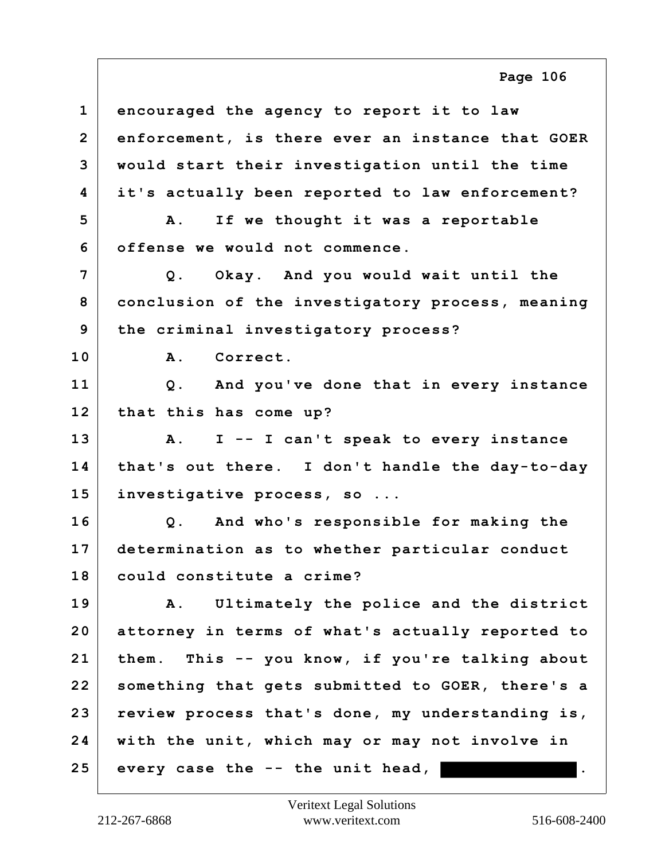**1 encouraged the agency to report it to law 2 enforcement, is there ever an instance that GOER 3 would start their investigation until the time 4 it's actually been reported to law enforcement? 5 A. If we thought it was a reportable 6 offense we would not commence. 7 Q. Okay. And you would wait until the 8 conclusion of the investigatory process, meaning 9 the criminal investigatory process? 10 A. Correct. 11 Q. And you've done that in every instance 12 that this has come up? 13 A. I -- I can't speak to every instance 14 that's out there. I don't handle the day-to-day 15 investigative process, so ... 16 Q. And who's responsible for making the 17 determination as to whether particular conduct 18 could constitute a crime? 19 A. Ultimately the police and the district 20 attorney in terms of what's actually reported to 21 them. This -- you know, if you're talking about 22 something that gets submitted to GOER, there's a 23 review process that's done, my understanding is, 24 with the unit, which may or may not involve in 25 every case the -- the unit head, .**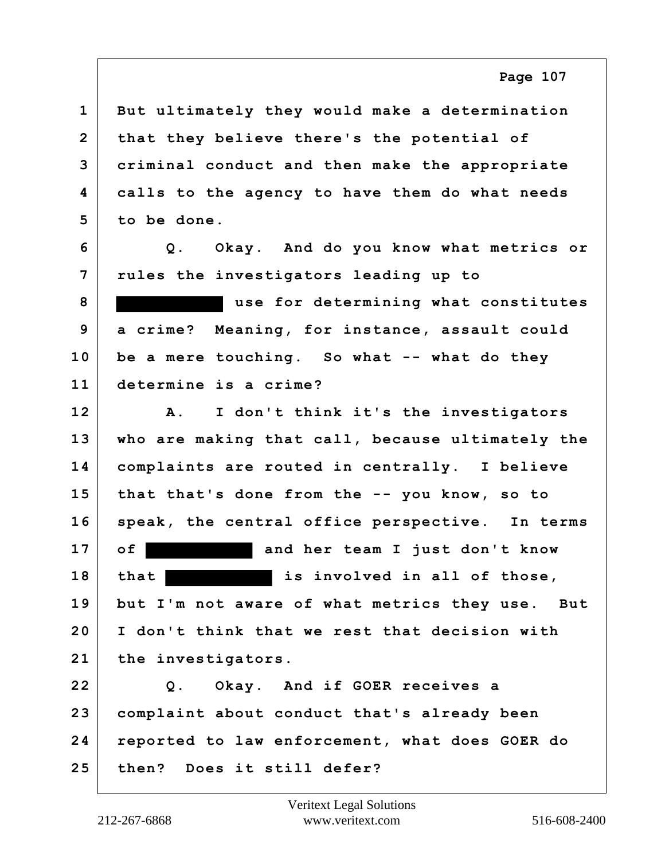**1 But ultimately they would make a determination 2 that they believe there's the potential of 3 criminal conduct and then make the appropriate 4 calls to the agency to have them do what needs 5 to be done.**

**6 Q. Okay. And do you know what metrics or 7 rules the investigators leading up to**

**8 use for determining what constitutes 9 a crime? Meaning, for instance, assault could 10 be a mere touching. So what -- what do they 11 determine is a crime?**

**12 A. I don't think it's the investigators 13 who are making that call, because ultimately the 14 complaints are routed in centrally. I believe 15 that that's done from the -- you know, so to 16 speak, the central office perspective. In terms 17 of and her team I just don't know 18 that is involved in all of those, 19 but I'm not aware of what metrics they use. But 20 I don't think that we rest that decision with 21 the investigators.**

**22 Q. Okay. And if GOER receives a 23 complaint about conduct that's already been 24 reported to law enforcement, what does GOER do 25 then? Does it still defer?**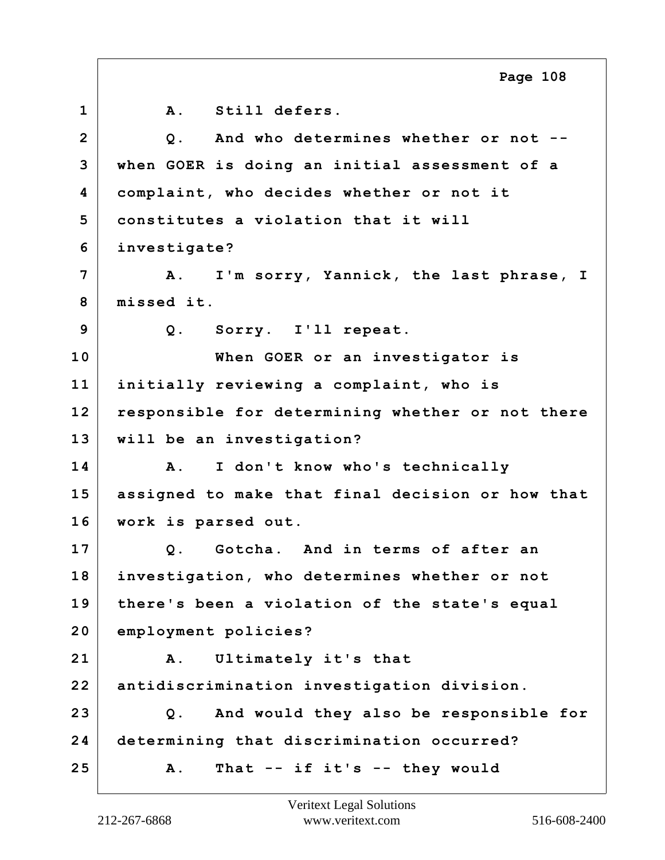**1 A. Still defers. 2 Q. And who determines whether or not -- 3 when GOER is doing an initial assessment of a 4 complaint, who decides whether or not it 5 constitutes a violation that it will 6 investigate? 7 A. I'm sorry, Yannick, the last phrase, I 8 missed it. 9 Q. Sorry. I'll repeat. 10 When GOER or an investigator is 11 initially reviewing a complaint, who is 12 responsible for determining whether or not there 13 will be an investigation? 14 A. I don't know who's technically 15 assigned to make that final decision or how that 16 work is parsed out. 17 Q. Gotcha. And in terms of after an 18 investigation, who determines whether or not 19 there's been a violation of the state's equal 20 employment policies? 21 A. Ultimately it's that 22 antidiscrimination investigation division. 23 Q. And would they also be responsible for 24 determining that discrimination occurred? 25 A. That -- if it's -- they would Page 108**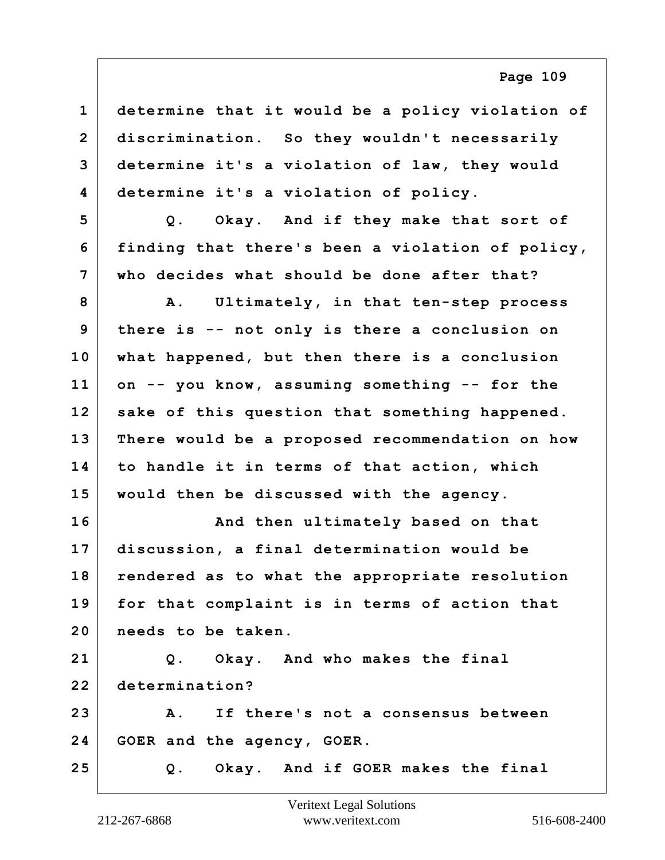| $\mathbf{1}$   | determine that it would be a policy violation of |
|----------------|--------------------------------------------------|
| $\overline{2}$ | discrimination. So they wouldn't necessarily     |
| 3              | determine it's a violation of law, they would    |
| 4              | determine it's a violation of policy.            |
| 5              | Q. Okay. And if they make that sort of           |
| 6              | finding that there's been a violation of policy, |
| 7              | who decides what should be done after that?      |
| 8              | A. Ultimately, in that ten-step process          |
| 9              | there is -- not only is there a conclusion on    |
| 10             | what happened, but then there is a conclusion    |
| 11             | on -- you know, assuming something -- for the    |
| 12             | sake of this question that something happened.   |
| 13             | There would be a proposed recommendation on how  |
| 14             | to handle it in terms of that action, which      |
| 15             | would then be discussed with the agency.         |
| 16             | And then ultimately based on that                |
| 17             | discussion, a final determination would be       |
| 18             | rendered as to what the appropriate resolution   |
| 19             | for that complaint is in terms of action that    |
| 20             | needs to be taken.                               |
| 21             | Q. Okay. And who makes the final                 |
| 22             | determination?                                   |
| 23             | A. If there's not a consensus between            |
| 24             | GOER and the agency, GOER.                       |
| 25             | Q. Okay. And if GOER makes the final             |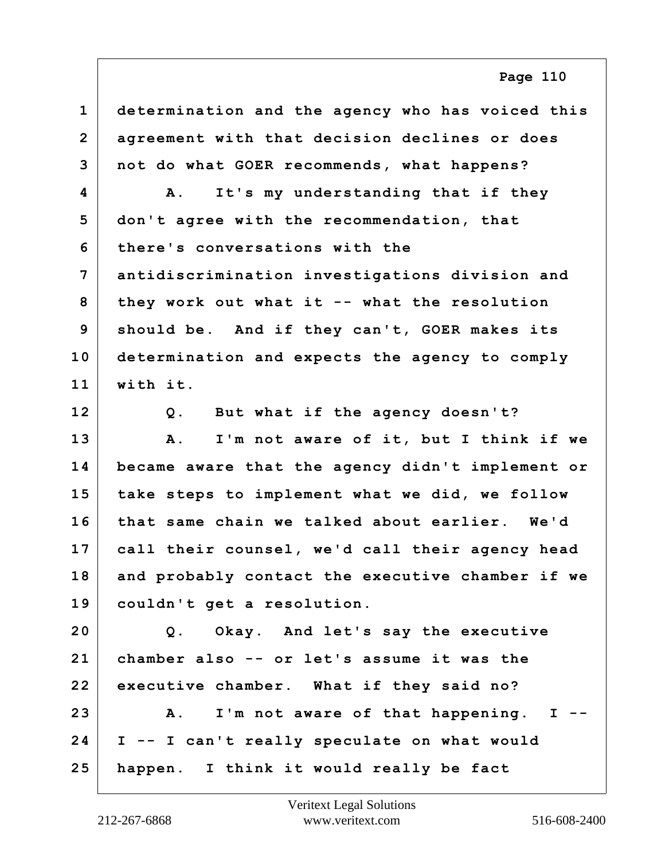**1 determination and the agency who has voiced this 2 agreement with that decision declines or does 3 not do what GOER recommends, what happens? 4 A. It's my understanding that if they 5 don't agree with the recommendation, that 6 there's conversations with the 7 antidiscrimination investigations division and 8 they work out what it -- what the resolution 9 should be. And if they can't, GOER makes its 10 determination and expects the agency to comply 11 with it. 12 Q. But what if the agency doesn't? 13 A. I'm not aware of it, but I think if we 14 became aware that the agency didn't implement or 15 take steps to implement what we did, we follow 16 that same chain we talked about earlier. We'd 17 call their counsel, we'd call their agency head 18 and probably contact the executive chamber if we 19 couldn't get a resolution. 20 Q. Okay. And let's say the executive 21 chamber also -- or let's assume it was the 22 executive chamber. What if they said no? 23 A. I'm not aware of that happening. I -- 24 I -- I can't really speculate on what would 25 happen. I think it would really be fact**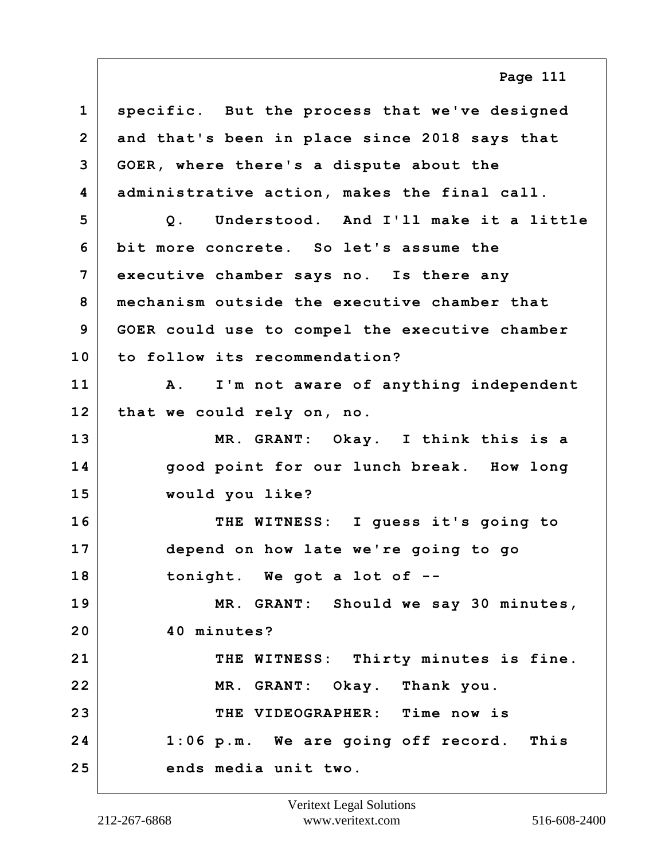**1 specific. But the process that we've designed 2 and that's been in place since 2018 says that 3 GOER, where there's a dispute about the 4 administrative action, makes the final call. 5 Q. Understood. And I'll make it a little 6 bit more concrete. So let's assume the 7 executive chamber says no. Is there any 8 mechanism outside the executive chamber that 9 GOER could use to compel the executive chamber 10 to follow its recommendation? 11 A. I'm not aware of anything independent 12 that we could rely on, no. 13 MR. GRANT: Okay. I think this is a 14 good point for our lunch break. How long 15 would you like? 16 THE WITNESS: I guess it's going to 17 depend on how late we're going to go 18 tonight. We got a lot of -- Page 111**

**19 MR. GRANT: Should we say 30 minutes, 20 40 minutes?** 21 THE WITNESS: Thirty minutes is fine. **22 MR. GRANT: Okay. Thank you. 23 THE VIDEOGRAPHER: Time now is 24 1:06 p.m. We are going off record. This 25 ends media unit two.**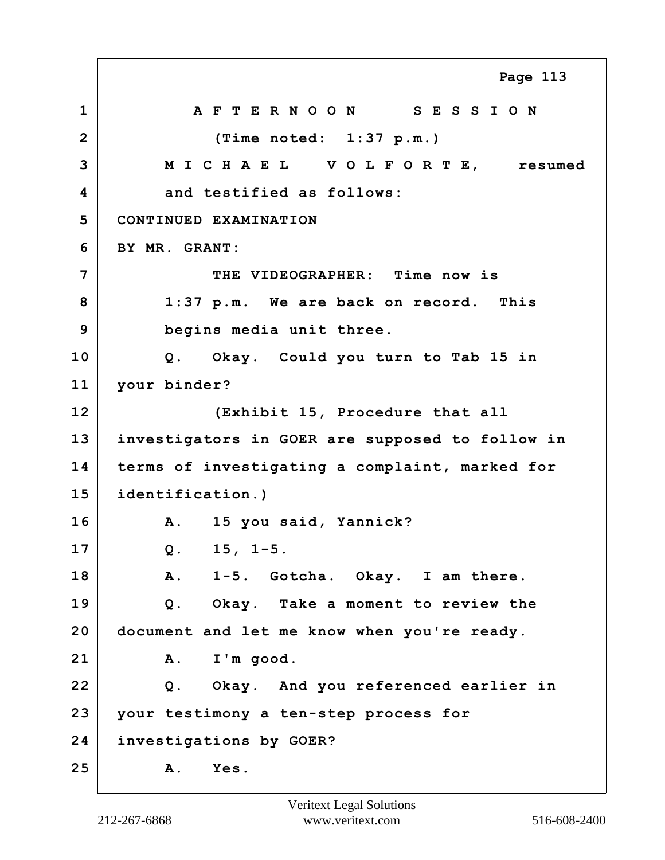**1 A F T E R N O O N S E S S I O N 2 (Time noted: 1:37 p.m.) 3 M I C H A E L V O L F O R T E, resumed 4 and testified as follows: 5 CONTINUED EXAMINATION 6 BY MR. GRANT: 7 THE VIDEOGRAPHER: Time now is 8 1:37 p.m. We are back on record. This 9 begins media unit three. 10 Q. Okay. Could you turn to Tab 15 in 11 your binder? 12 (Exhibit 15, Procedure that all 13 investigators in GOER are supposed to follow in 14 terms of investigating a complaint, marked for 15 identification.) 16 A. 15 you said, Yannick? 17 Q. 15, 1-5. 18 A. 1-5. Gotcha. Okay. I am there. 19 Q. Okay. Take a moment to review the 20 document and let me know when you're ready. 21 A. I'm good. 22 Q. Okay. And you referenced earlier in 23 your testimony a ten-step process for 24 investigations by GOER? 25 A. Yes. Page 113**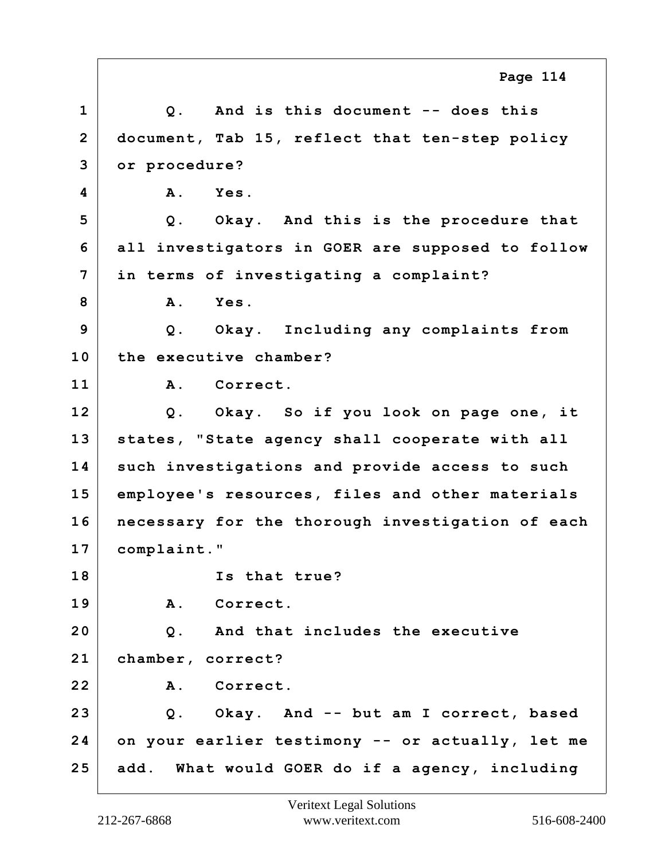|                | Page 114                                         |
|----------------|--------------------------------------------------|
| $\mathbf{1}$   | Q. And is this document -- does this             |
| $\overline{2}$ | document, Tab 15, reflect that ten-step policy   |
| 3              | or procedure?                                    |
| 4              | Α.<br>Yes.                                       |
| 5              | Q. Okay. And this is the procedure that          |
| 6              | all investigators in GOER are supposed to follow |
| 7              | in terms of investigating a complaint?           |
| 8              | Yes.<br>$\mathbf{A}$ .                           |
| 9              | Q. Okay. Including any complaints from           |
| 10             | the executive chamber?                           |
| 11             | A. Correct.                                      |
| 12             | Q. Okay. So if you look on page one, it          |
| 13             | states, "State agency shall cooperate with all   |
| 14             | such investigations and provide access to such   |
| 15             | employee's resources, files and other materials  |
| 16             | necessary for the thorough investigation of each |
| 17             | complaint."                                      |
| 18             | Is that true?                                    |
| 19             | A. Correct.                                      |
| 20             | Q. And that includes the executive               |
| 21             | chamber, correct?                                |
| 22             | A. Correct.                                      |
| 23             | Q. Okay. And -- but am I correct, based          |
| 24             | on your earlier testimony -- or actually, let me |
| 25             | add. What would GOER do if a agency, including   |

Е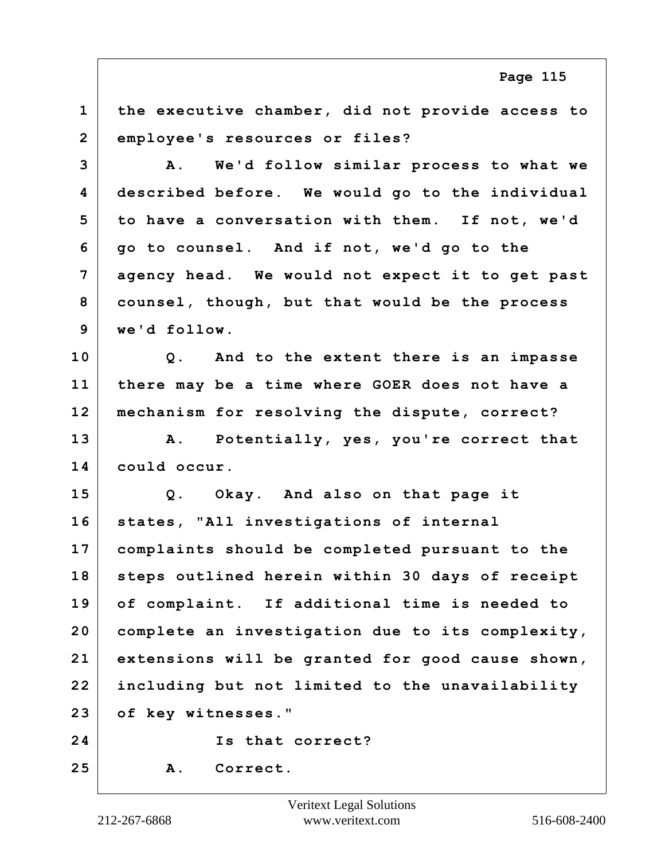**1 the executive chamber, did not provide access to 2 employee's resources or files?**

**3 A. We'd follow similar process to what we 4 described before. We would go to the individual 5 to have a conversation with them. If not, we'd 6 go to counsel. And if not, we'd go to the 7 agency head. We would not expect it to get past 8 counsel, though, but that would be the process 9 we'd follow.**

**10 Q. And to the extent there is an impasse 11 there may be a time where GOER does not have a 12 mechanism for resolving the dispute, correct?**

**13 A. Potentially, yes, you're correct that 14 could occur.**

**15 Q. Okay. And also on that page it 16 states, "All investigations of internal 17 complaints should be completed pursuant to the 18 steps outlined herein within 30 days of receipt 19 of complaint. If additional time is needed to 20 complete an investigation due to its complexity, 21 extensions will be granted for good cause shown, 22 including but not limited to the unavailability 23 of key witnesses."**

**24 Is that correct?**

**25 A. Correct.**

**Page 115**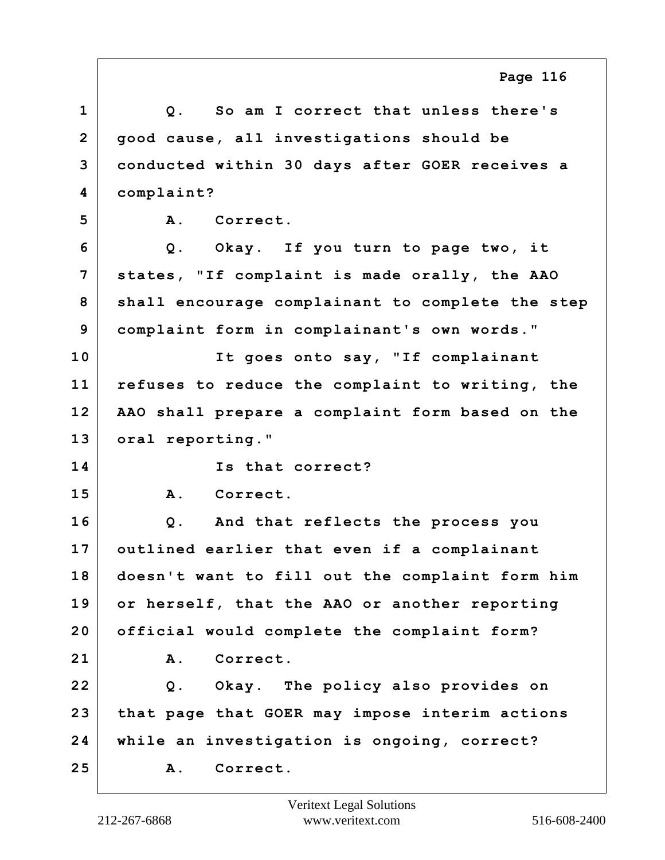**1 Q. So am I correct that unless there's 2 good cause, all investigations should be 3 conducted within 30 days after GOER receives a 4 complaint? 5 A. Correct. 6 Q. Okay. If you turn to page two, it 7 states, "If complaint is made orally, the AAO 8 shall encourage complainant to complete the step 9 complaint form in complainant's own words." 10 It goes onto say, "If complainant 11 refuses to reduce the complaint to writing, the 12 AAO shall prepare a complaint form based on the 13 oral reporting." 14 Is that correct? 15 A. Correct. 16 Q. And that reflects the process you 17 outlined earlier that even if a complainant 18 doesn't want to fill out the complaint form him 19 or herself, that the AAO or another reporting 20 official would complete the complaint form? 21 A. Correct. 22 Q. Okay. The policy also provides on 23 that page that GOER may impose interim actions 24 while an investigation is ongoing, correct? 25 A. Correct. Page 116**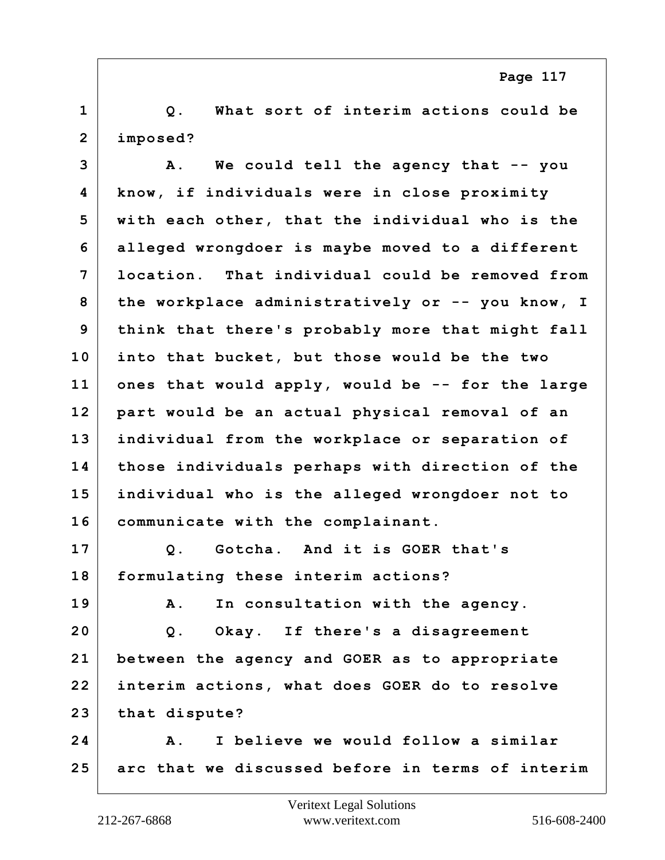**1 Q. What sort of interim actions could be 2 imposed?**

**3 A. We could tell the agency that -- you 4 know, if individuals were in close proximity 5 with each other, that the individual who is the 6 alleged wrongdoer is maybe moved to a different 7 location. That individual could be removed from 8 the workplace administratively or -- you know, I 9 think that there's probably more that might fall 10 into that bucket, but those would be the two 11 ones that would apply, would be -- for the large 12 part would be an actual physical removal of an 13 individual from the workplace or separation of 14 those individuals perhaps with direction of the 15 individual who is the alleged wrongdoer not to 16 communicate with the complainant. 17 Q. Gotcha. And it is GOER that's 18 formulating these interim actions? 19 A. In consultation with the agency. 20 Q. Okay. If there's a disagreement**

**21 between the agency and GOER as to appropriate 22 interim actions, what does GOER do to resolve 23 that dispute?**

**24 A. I believe we would follow a similar 25 arc that we discussed before in terms of interim**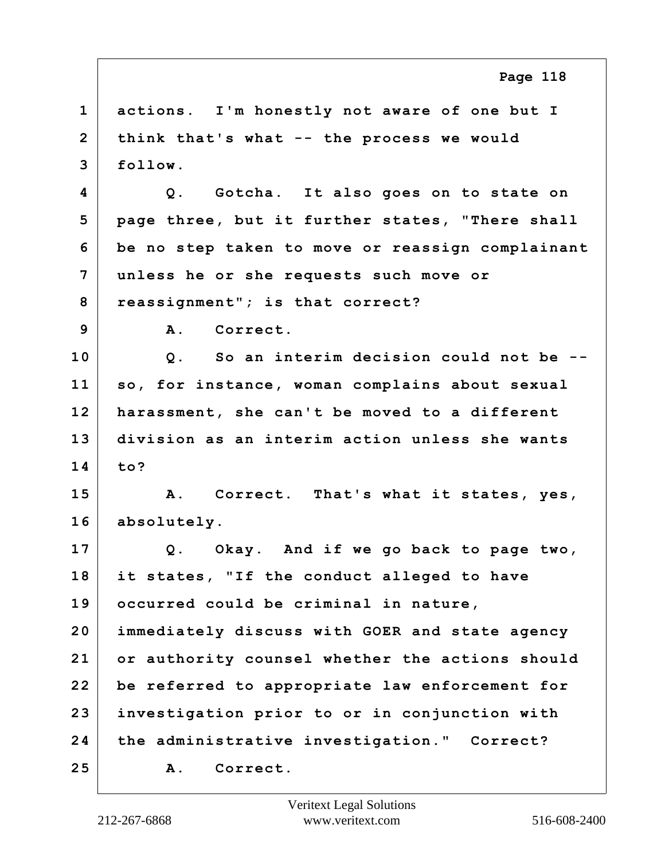**1 actions. I'm honestly not aware of one but I 2 think that's what -- the process we would 3 follow. 4 Q. Gotcha. It also goes on to state on 5 page three, but it further states, "There shall 6 be no step taken to move or reassign complainant 7 unless he or she requests such move or 8 reassignment"; is that correct? 9 A. Correct. 10 Q. So an interim decision could not be -- 11 so, for instance, woman complains about sexual 12 harassment, she can't be moved to a different 13 division as an interim action unless she wants 14 to? 15 A. Correct. That's what it states, yes, 16 absolutely. 17 Q. Okay. And if we go back to page two, 18 it states, "If the conduct alleged to have 19 occurred could be criminal in nature, 20 immediately discuss with GOER and state agency 21 or authority counsel whether the actions should 22 be referred to appropriate law enforcement for 23 investigation prior to or in conjunction with 24 the administrative investigation." Correct? 25 A. Correct. Page 118**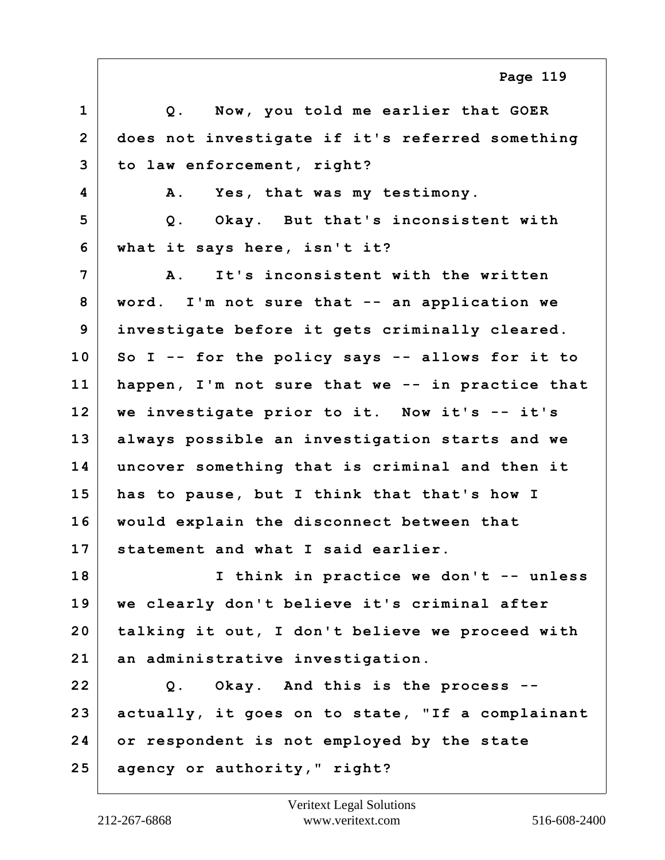|                | Page 119                                         |
|----------------|--------------------------------------------------|
| $\mathbf{1}$   | Q. Now, you told me earlier that GOER            |
| $\overline{2}$ | does not investigate if it's referred something  |
| 3              | to law enforcement, right?                       |
| 4              | Yes, that was my testimony.<br>Α.                |
| 5              | Okay. But that's inconsistent with<br>Q.         |
| 6              | what it says here, isn't it?                     |
| 7              | It's inconsistent with the written<br><b>A</b> . |
| 8              | word. I'm not sure that -- an application we     |
| 9              | investigate before it gets criminally cleared.   |
| 10             | So I -- for the policy says -- allows for it to  |
| 11             | happen, I'm not sure that we -- in practice that |
| 12             | we investigate prior to it. Now it's -- it's     |
| 13             | always possible an investigation starts and we   |
| 14             | uncover something that is criminal and then it   |
| 15             | has to pause, but I think that that's how I      |
| 16             | would explain the disconnect between that        |
| 17             | statement and what I said earlier.               |
| 18             | I think in practice we don't -- unless           |
| 19             | we clearly don't believe it's criminal after     |
| 20             | talking it out, I don't believe we proceed with  |
| 21             | an administrative investigation.                 |
| 22             | Q. Okay. And this is the process --              |
| 23             | actually, it goes on to state, "If a complainant |
| 24             | or respondent is not employed by the state       |
| 25             | agency or authority," right?                     |

Г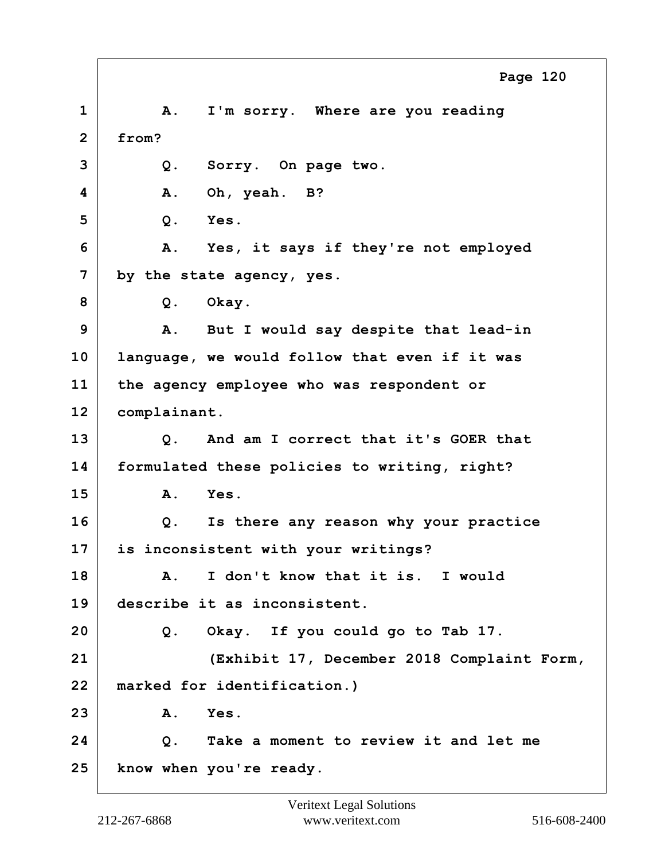**1 A. I'm sorry. Where are you reading 2 from? 3 Q. Sorry. On page two. 4 A. Oh, yeah. B? 5 Q. Yes. 6 A. Yes, it says if they're not employed 7 by the state agency, yes. 8 Q. Okay. 9 A. But I would say despite that lead-in 10 language, we would follow that even if it was 11 the agency employee who was respondent or 12 complainant. 13 Q. And am I correct that it's GOER that 14 formulated these policies to writing, right? 15 A. Yes. 16 Q. Is there any reason why your practice 17 is inconsistent with your writings? 18 A. I don't know that it is. I would 19 describe it as inconsistent. 20 Q. Okay. If you could go to Tab 17. 21 (Exhibit 17, December 2018 Complaint Form, 22 marked for identification.) 23 A. Yes. 24 Q. Take a moment to review it and let me 25 know when you're ready. Page 120**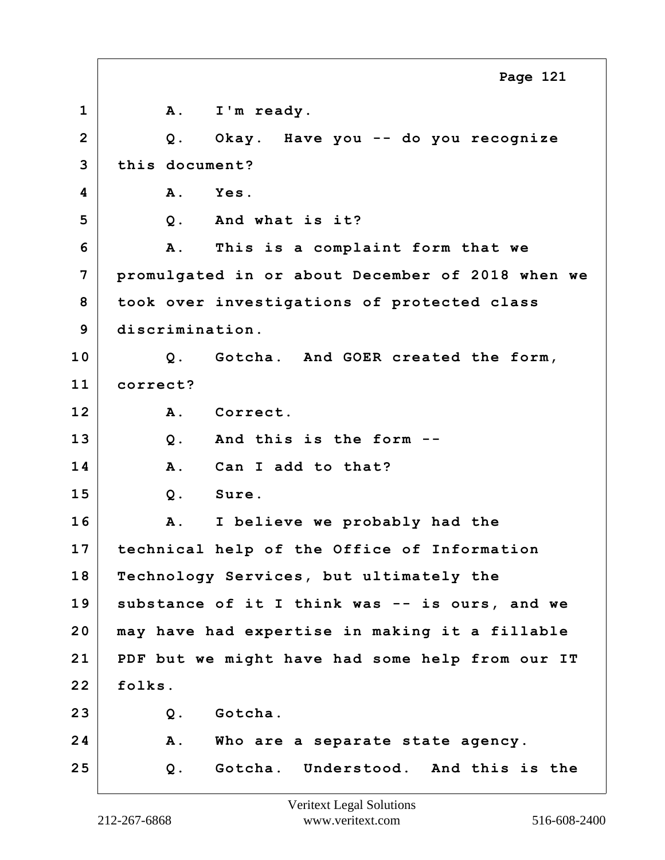1 | A. I'm ready. **2 Q. Okay. Have you -- do you recognize 3 this document? 4 A. Yes. 5 Q. And what is it? 6 A. This is a complaint form that we 7 promulgated in or about December of 2018 when we 8 took over investigations of protected class 9 discrimination. 10 Q. Gotcha. And GOER created the form, 11 correct? 12 A. Correct. 13 Q. And this is the form -- 14 A. Can I add to that? 15 Q. Sure. 16 A. I believe we probably had the 17 technical help of the Office of Information 18 Technology Services, but ultimately the 19 substance of it I think was -- is ours, and we 20 may have had expertise in making it a fillable 21 PDF but we might have had some help from our IT 22 folks. 23 Q. Gotcha. 24 A. Who are a separate state agency. 25 Q. Gotcha. Understood. And this is the Page 121**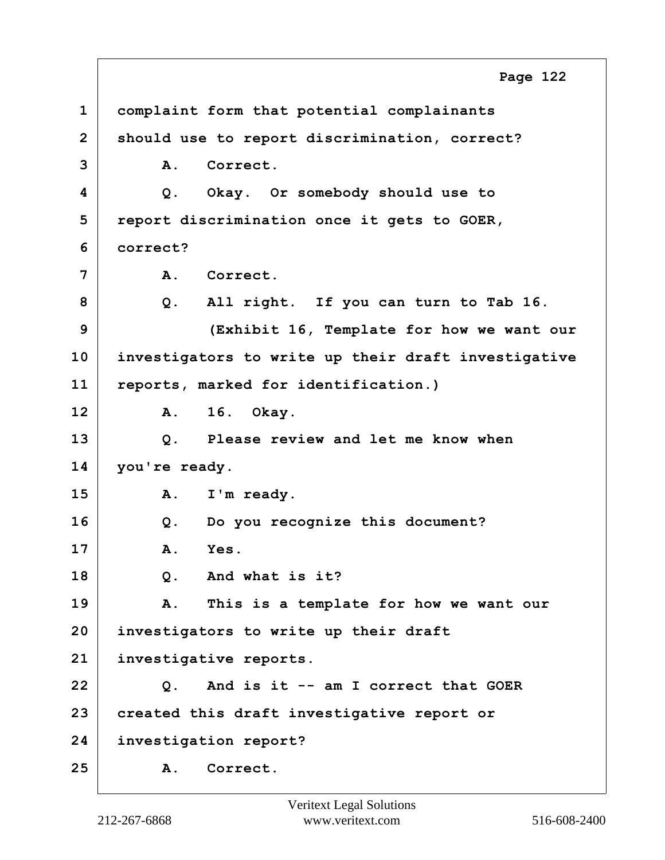**1 complaint form that potential complainants 2 should use to report discrimination, correct? 3 A. Correct. 4 Q. Okay. Or somebody should use to 5 report discrimination once it gets to GOER, 6 correct? 7 A. Correct. 8 Q. All right. If you can turn to Tab 16. 9 (Exhibit 16, Template for how we want our 10 investigators to write up their draft investigative 11 reports, marked for identification.) 12 A. 16. Okay. 13 Q. Please review and let me know when 14 you're ready. 15 A. I'm ready. 16 Q. Do you recognize this document? 17 A. Yes. 18 Q. And what is it? 19 A. This is a template for how we want our 20 investigators to write up their draft 21 investigative reports. 22 Q. And is it -- am I correct that GOER 23 created this draft investigative report or 24 investigation report? 25 A. Correct. Page 122**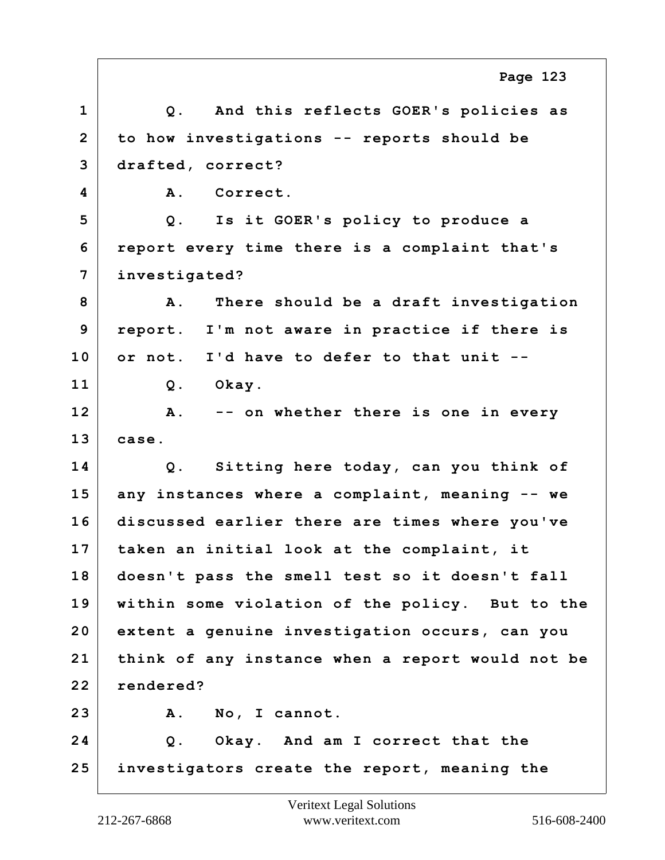**1 Q. And this reflects GOER's policies as 2 to how investigations -- reports should be 3 drafted, correct? 4 A. Correct. 5 Q. Is it GOER's policy to produce a 6 report every time there is a complaint that's 7 investigated? 8 A. There should be a draft investigation 9 report. I'm not aware in practice if there is 10 or not. I'd have to defer to that unit -- 11 Q. Okay. 12 A. -- on whether there is one in every 13 case. 14 Q. Sitting here today, can you think of 15 any instances where a complaint, meaning -- we 16 discussed earlier there are times where you've 17 taken an initial look at the complaint, it 18 doesn't pass the smell test so it doesn't fall 19 within some violation of the policy. But to the 20 extent a genuine investigation occurs, can you 21 think of any instance when a report would not be 22 rendered? 23 A. No, I cannot. 24 Q. Okay. And am I correct that the 25 investigators create the report, meaning the Page 123**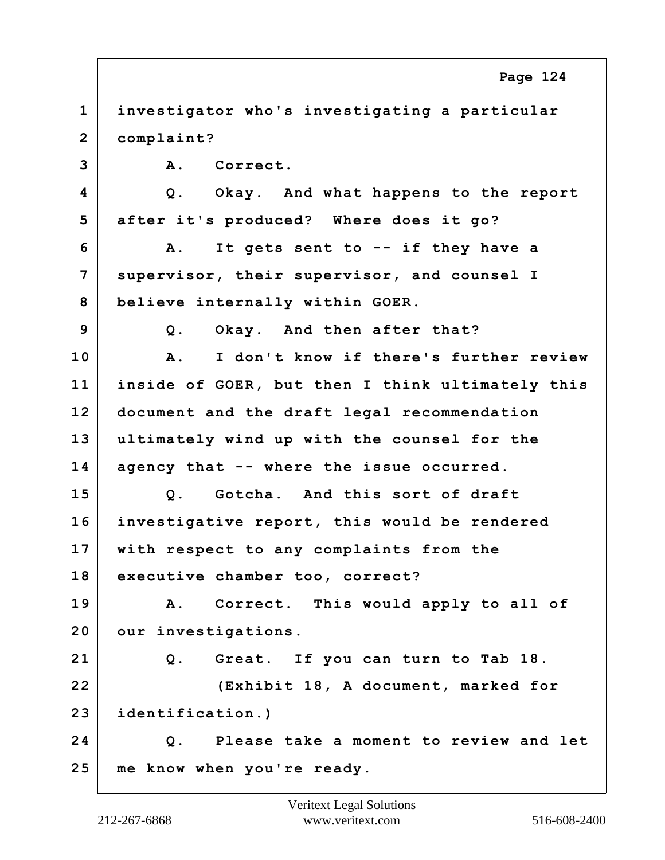**1 investigator who's investigating a particular 2 complaint? 3 A. Correct. 4 Q. Okay. And what happens to the report 5 after it's produced? Where does it go? 6 A. It gets sent to -- if they have a 7 supervisor, their supervisor, and counsel I 8 believe internally within GOER. 9 Q. Okay. And then after that? 10 A. I don't know if there's further review 11 inside of GOER, but then I think ultimately this 12 document and the draft legal recommendation 13 ultimately wind up with the counsel for the 14 agency that -- where the issue occurred. 15 Q. Gotcha. And this sort of draft 16 investigative report, this would be rendered 17 with respect to any complaints from the 18 executive chamber too, correct? 19 A. Correct. This would apply to all of 20 our investigations. 21 Q. Great. If you can turn to Tab 18. 22 (Exhibit 18, A document, marked for 23 identification.) 24 Q. Please take a moment to review and let 25 me know when you're ready. Page 124**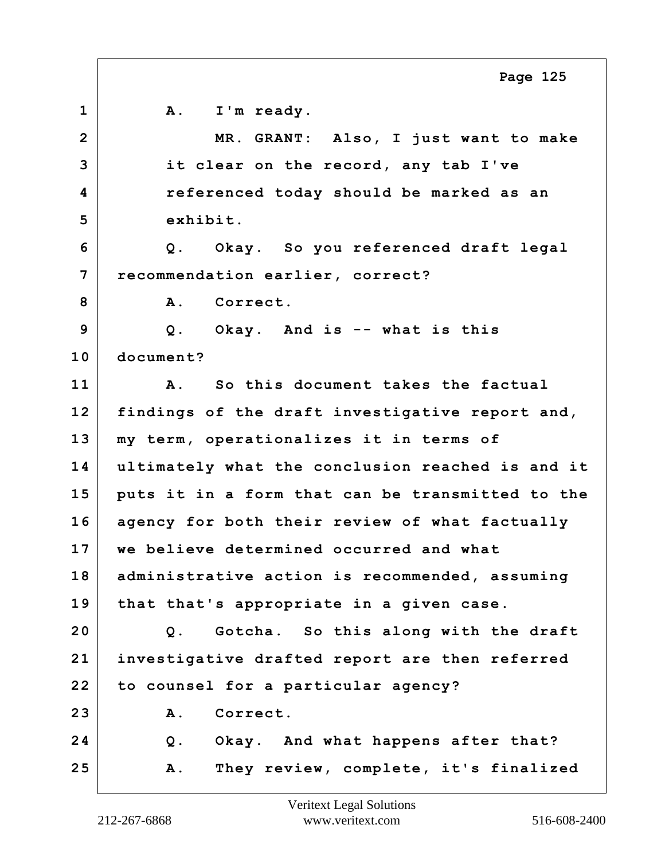**1 A. I'm ready. 2 MR. GRANT: Also, I just want to make 3 it clear on the record, any tab I've 4 referenced today should be marked as an 5 exhibit. 6 Q. Okay. So you referenced draft legal 7 recommendation earlier, correct?** 8 A. Correct. **9 Q. Okay. And is -- what is this 10 document? 11 A. So this document takes the factual 12 findings of the draft investigative report and, 13 my term, operationalizes it in terms of 14 ultimately what the conclusion reached is and it 15 puts it in a form that can be transmitted to the 16 agency for both their review of what factually 17 we believe determined occurred and what 18 administrative action is recommended, assuming 19 that that's appropriate in a given case. 20 Q. Gotcha. So this along with the draft 21 investigative drafted report are then referred 22 to counsel for a particular agency? 23 A. Correct. 24 Q. Okay. And what happens after that? 25 A. They review, complete, it's finalized Page 125**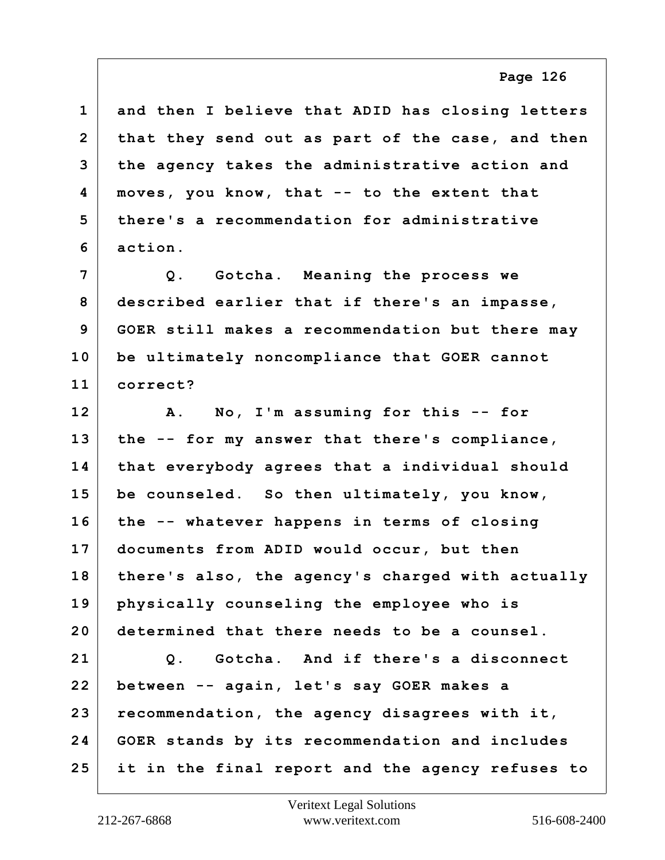| $\mathbf 1$    | and then I believe that ADID has closing letters |
|----------------|--------------------------------------------------|
| $\overline{2}$ | that they send out as part of the case, and then |
| 3              | the agency takes the administrative action and   |
| 4              | moves, you know, that -- to the extent that      |
| 5              | there's a recommendation for administrative      |
| 6              | action.                                          |
| $\overline{7}$ | Q. Gotcha. Meaning the process we                |
| 8              | described earlier that if there's an impasse,    |
| 9              | GOER still makes a recommendation but there may  |
| 10             | be ultimately noncompliance that GOER cannot     |
| 11             | correct?                                         |
| 12             | A. No, I'm assuming for this -- for              |
| 13             | the -- for my answer that there's compliance,    |
| 14             | that everybody agrees that a individual should   |
| 15             | be counseled. So then ultimately, you know,      |
| 16             | the -- whatever happens in terms of closing      |
| 17             | documents from ADID would occur, but then        |
| 18             | there's also, the agency's charged with actually |
| 19             | physically counseling the employee who is        |
| 20             | determined that there needs to be a counsel.     |
| 21             | Q. Gotcha. And if there's a disconnect           |
| 22             | between -- again, let's say GOER makes a         |
| 23             | recommendation, the agency disagrees with it,    |
| 24             | GOER stands by its recommendation and includes   |
| 25             | it in the final report and the agency refuses to |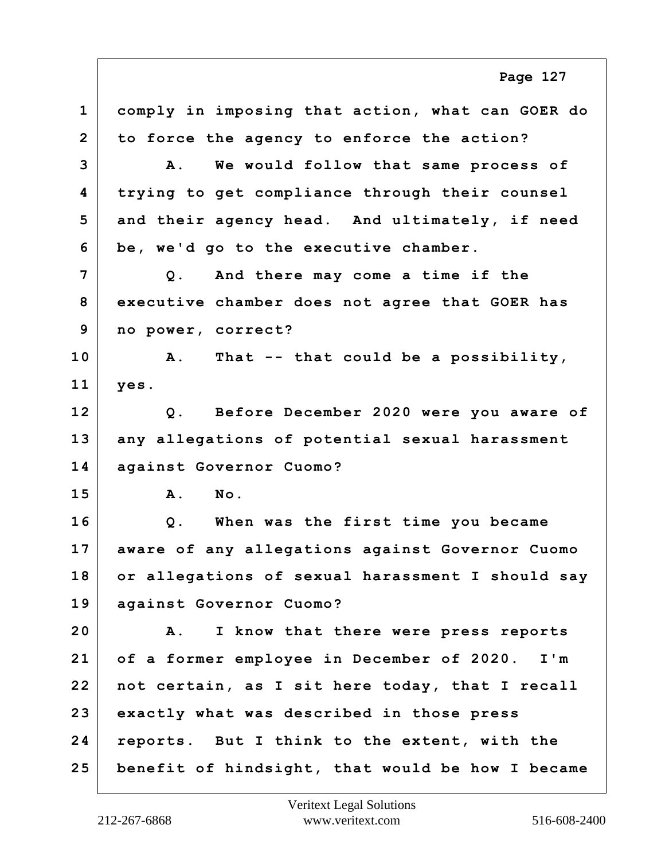**1 comply in imposing that action, what can GOER do 2 to force the agency to enforce the action? 3 A. We would follow that same process of 4 trying to get compliance through their counsel 5 and their agency head. And ultimately, if need 6 be, we'd go to the executive chamber. 7 Q. And there may come a time if the 8 executive chamber does not agree that GOER has 9 no power, correct? 10 A. That -- that could be a possibility, 11 yes. 12 Q. Before December 2020 were you aware of 13 any allegations of potential sexual harassment 14 against Governor Cuomo? 15 A. No. 16 Q. When was the first time you became 17 aware of any allegations against Governor Cuomo 18 or allegations of sexual harassment I should say 19 against Governor Cuomo? 20 A. I know that there were press reports 21 of a former employee in December of 2020. I'm 22 not certain, as I sit here today, that I recall 23 exactly what was described in those press 24 reports. But I think to the extent, with the 25 benefit of hindsight, that would be how I became Page 127**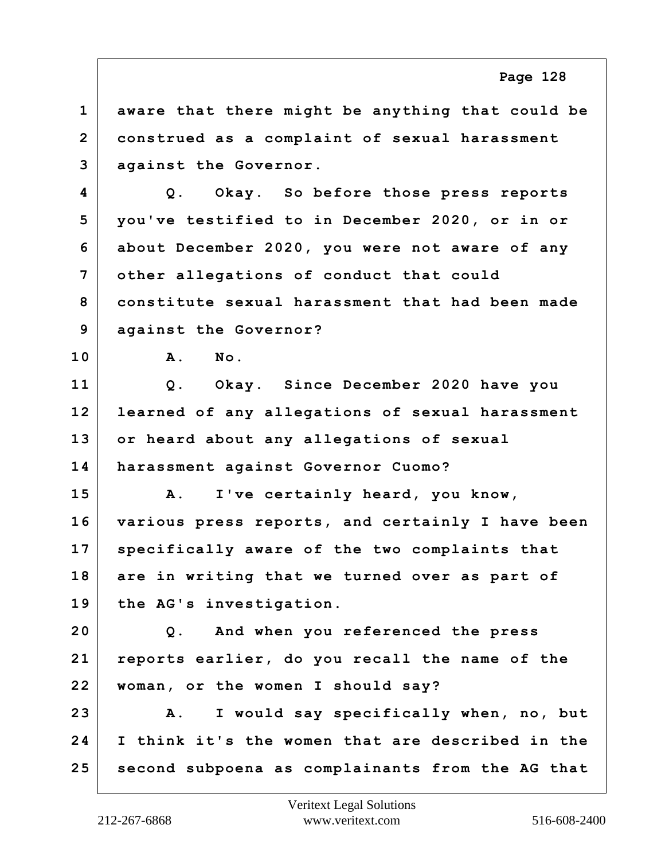**1 aware that there might be anything that could be 2 construed as a complaint of sexual harassment 3 against the Governor. 4 Q. Okay. So before those press reports 5 you've testified to in December 2020, or in or 6 about December 2020, you were not aware of any 7 other allegations of conduct that could 8 constitute sexual harassment that had been made 9 against the Governor? 10 A. No. 11 Q. Okay. Since December 2020 have you 12 learned of any allegations of sexual harassment 13 or heard about any allegations of sexual 14 harassment against Governor Cuomo? 15 A. I've certainly heard, you know, 16 various press reports, and certainly I have been 17 specifically aware of the two complaints that 18 are in writing that we turned over as part of 19 the AG's investigation. 20 Q. And when you referenced the press 21 reports earlier, do you recall the name of the 22 woman, or the women I should say? 23 A. I would say specifically when, no, but 24 I think it's the women that are described in the 25 second subpoena as complainants from the AG that Page 128**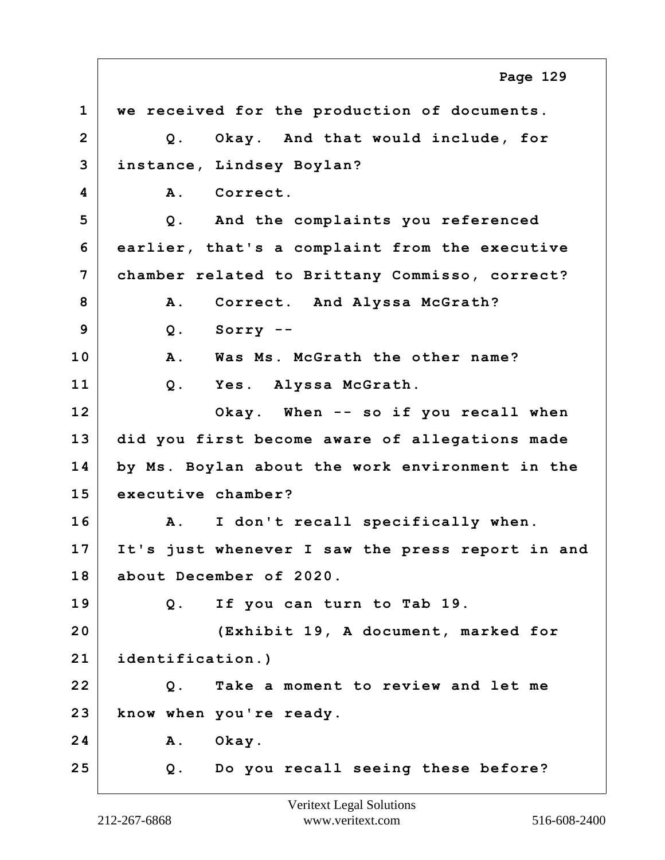**1 we received for the production of documents. 2 Q. Okay. And that would include, for 3 instance, Lindsey Boylan? 4 A. Correct. 5 Q. And the complaints you referenced 6 earlier, that's a complaint from the executive 7 chamber related to Brittany Commisso, correct?** 8 A. Correct. And Alyssa McGrath? **9 Q. Sorry -- 10 A. Was Ms. McGrath the other name? 11 Q. Yes. Alyssa McGrath. 12 Okay. When -- so if you recall when 13 did you first become aware of allegations made 14 by Ms. Boylan about the work environment in the 15 executive chamber? 16 A. I don't recall specifically when. 17 It's just whenever I saw the press report in and 18 about December of 2020. 19 Q. If you can turn to Tab 19. 20 (Exhibit 19, A document, marked for 21 identification.) 22 Q. Take a moment to review and let me 23 know when you're ready. 24 A. Okay. 25 Q. Do you recall seeing these before? Page 129**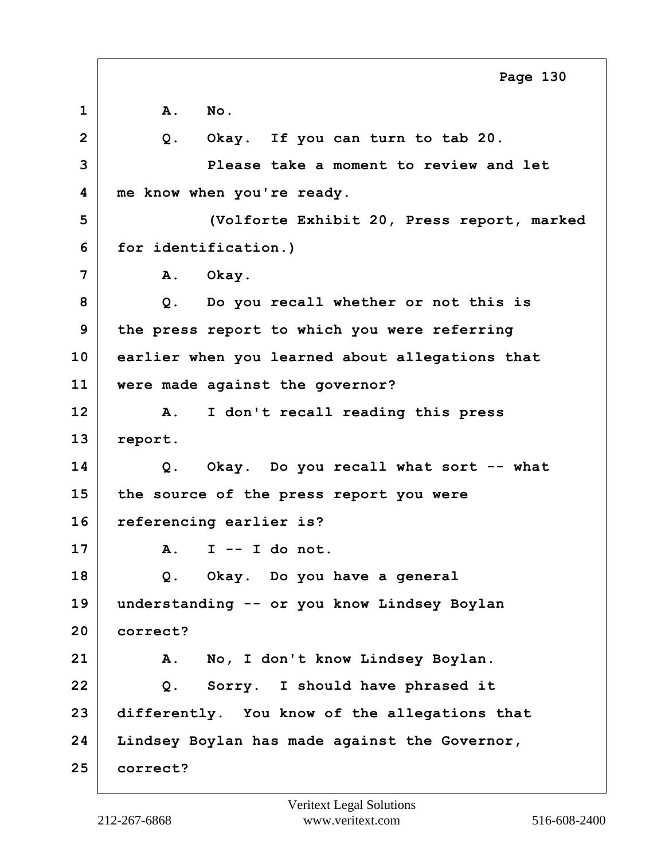**1 A. No. 2 Q. Okay. If you can turn to tab 20. 3 Please take a moment to review and let 4 me know when you're ready. 5 (Volforte Exhibit 20, Press report, marked 6 for identification.) 7 A. Okay. 8 Q. Do you recall whether or not this is 9 the press report to which you were referring 10 earlier when you learned about allegations that 11 were made against the governor? 12 A. I don't recall reading this press 13 report. 14 Q. Okay. Do you recall what sort -- what 15 the source of the press report you were 16 referencing earlier is? 17 A. I -- I do not. 18 Q. Okay. Do you have a general 19 understanding -- or you know Lindsey Boylan 20 correct? 21 A. No, I don't know Lindsey Boylan. 22 Q. Sorry. I should have phrased it 23 differently. You know of the allegations that 24 Lindsey Boylan has made against the Governor, 25 correct? Page 130**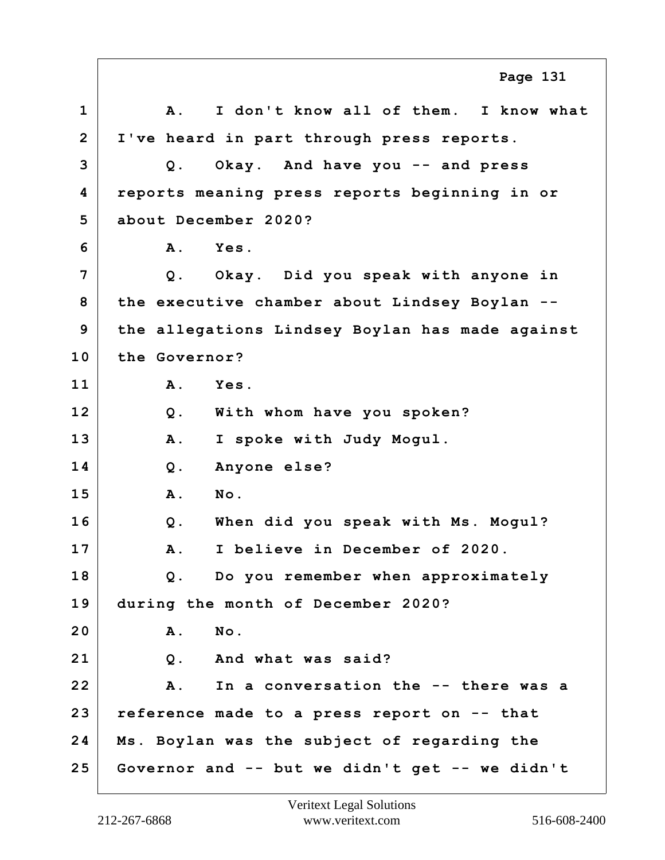**1 A. I don't know all of them. I know what 2 I've heard in part through press reports. 3 Q. Okay. And have you -- and press 4 reports meaning press reports beginning in or 5 about December 2020? 6 A. Yes. 7 Q. Okay. Did you speak with anyone in 8 the executive chamber about Lindsey Boylan -- 9 the allegations Lindsey Boylan has made against 10 the Governor? 11 A. Yes. 12 Q. With whom have you spoken? 13 A. I spoke with Judy Mogul. 14 Q. Anyone else? 15 A. No. 16 Q. When did you speak with Ms. Mogul? 17 A. I believe in December of 2020. 18 Q. Do you remember when approximately 19 during the month of December 2020? 20 A. No. 21 Q. And what was said? 22 A. In a conversation the -- there was a 23 reference made to a press report on -- that 24 Ms. Boylan was the subject of regarding the 25 Governor and -- but we didn't get -- we didn't Page 131**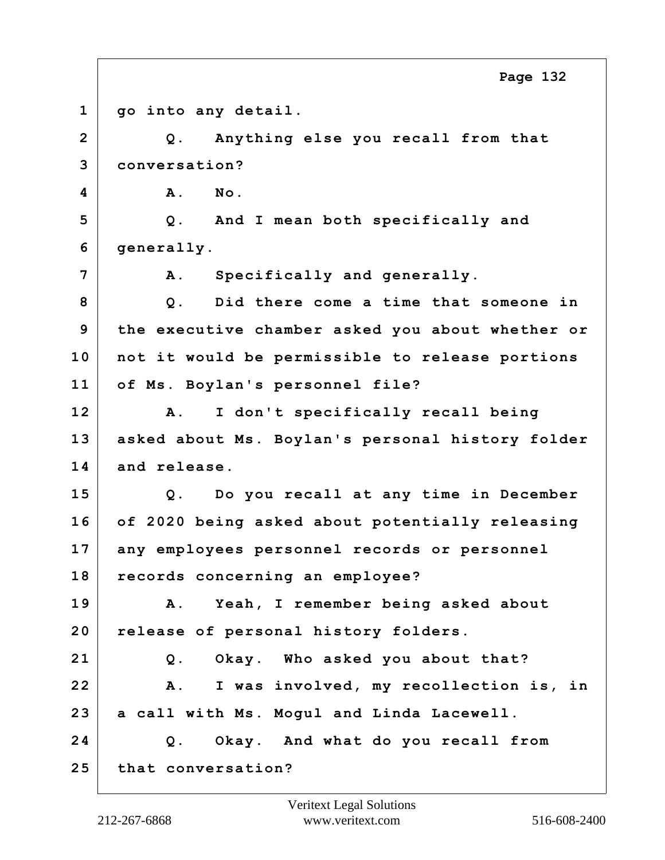**1 go into any detail. 2 Q. Anything else you recall from that 3 conversation? 4 A. No. 5 Q. And I mean both specifically and 6 generally. 7 A. Specifically and generally. 8 Q. Did there come a time that someone in 9 the executive chamber asked you about whether or 10 not it would be permissible to release portions 11 of Ms. Boylan's personnel file? 12 A. I don't specifically recall being 13 asked about Ms. Boylan's personal history folder 14 and release. 15 Q. Do you recall at any time in December 16 of 2020 being asked about potentially releasing 17 any employees personnel records or personnel 18 records concerning an employee? 19 A. Yeah, I remember being asked about 20 release of personal history folders. 21 Q. Okay. Who asked you about that? 22 A. I was involved, my recollection is, in 23 a call with Ms. Mogul and Linda Lacewell. 24 Q. Okay. And what do you recall from 25 that conversation? Page 132**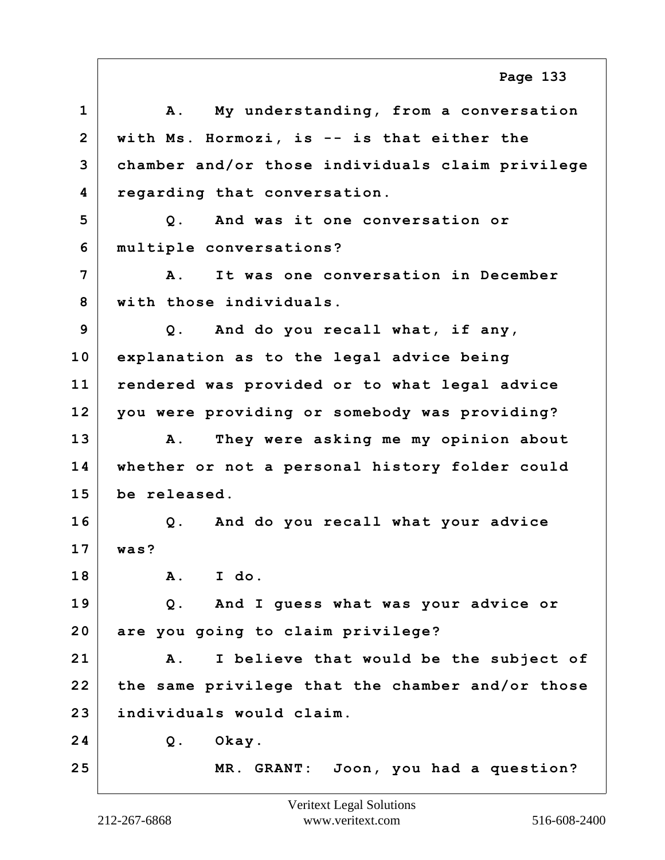|                | Page 133                                             |
|----------------|------------------------------------------------------|
| $\mathbf{1}$   | My understanding, from a conversation<br>Α.          |
| $\overline{2}$ | with Ms. Hormozi, is -- is that either the           |
| 3              | chamber and/or those individuals claim privilege     |
| 4              | regarding that conversation.                         |
| 5              | And was it one conversation or<br>$Q$ .              |
| 6              | multiple conversations?                              |
| 7              | It was one conversation in December<br><b>A</b> .    |
| 8              | with those individuals.                              |
| 9              | Q. And do you recall what, if any,                   |
| 10             | explanation as to the legal advice being             |
| 11             | rendered was provided or to what legal advice        |
| 12             | you were providing or somebody was providing?        |
| 13             | They were asking me my opinion about<br>Α.           |
| 14             | whether or not a personal history folder could       |
| 15             | be released.                                         |
| 16             | Q. And do you recall what your advice                |
| 17             | was?                                                 |
| 18             | A. I do.                                             |
| 19             | Q. And I guess what was your advice or               |
| 20             | are you going to claim privilege?                    |
| 21             | I believe that would be the subject of<br><b>A</b> . |
| 22             | the same privilege that the chamber and/or those     |
| 23             | individuals would claim.                             |
| 24             | Okay.<br>$Q$ .                                       |
| 25             | MR. GRANT: Joon, you had a question?                 |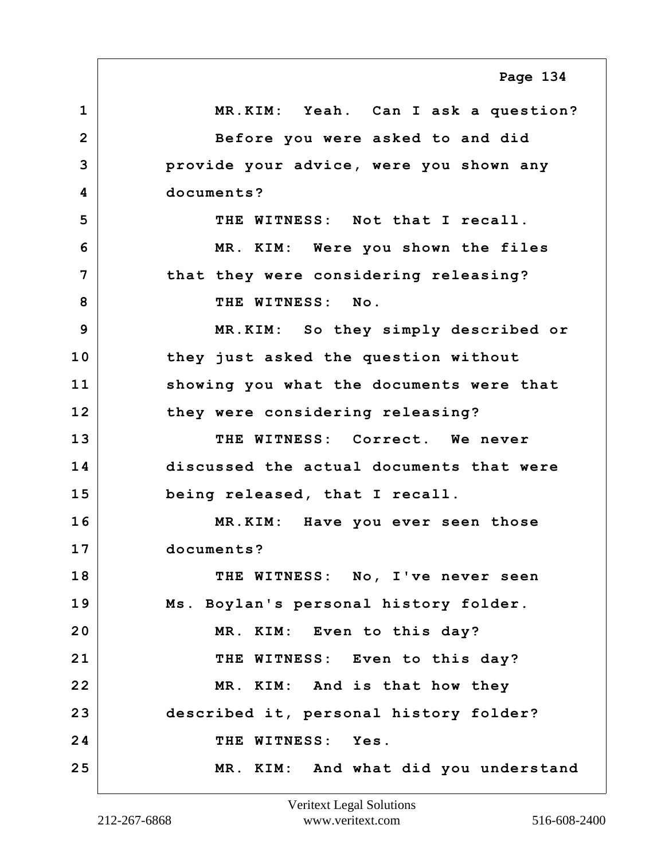**1 MR.KIM: Yeah. Can I ask a question? 2 Before you were asked to and did 3 provide your advice, were you shown any 4 documents? 5 THE WITNESS: Not that I recall. 6 MR. KIM: Were you shown the files 7 that they were considering releasing?** 8 THE WITNESS: No. **9 MR.KIM: So they simply described or 10 they just asked the question without 11 showing you what the documents were that 12 they were considering releasing? 13 THE WITNESS: Correct. We never 14 discussed the actual documents that were 15 being released, that I recall. 16 MR.KIM: Have you ever seen those 17 documents? 18 THE WITNESS: No, I've never seen 19 Ms. Boylan's personal history folder. 20 MR. KIM: Even to this day?** 21 THE WITNESS: Even to this day? **22 MR. KIM: And is that how they 23 described it, personal history folder? 24 THE WITNESS: Yes. 25 MR. KIM: And what did you understand Page 134**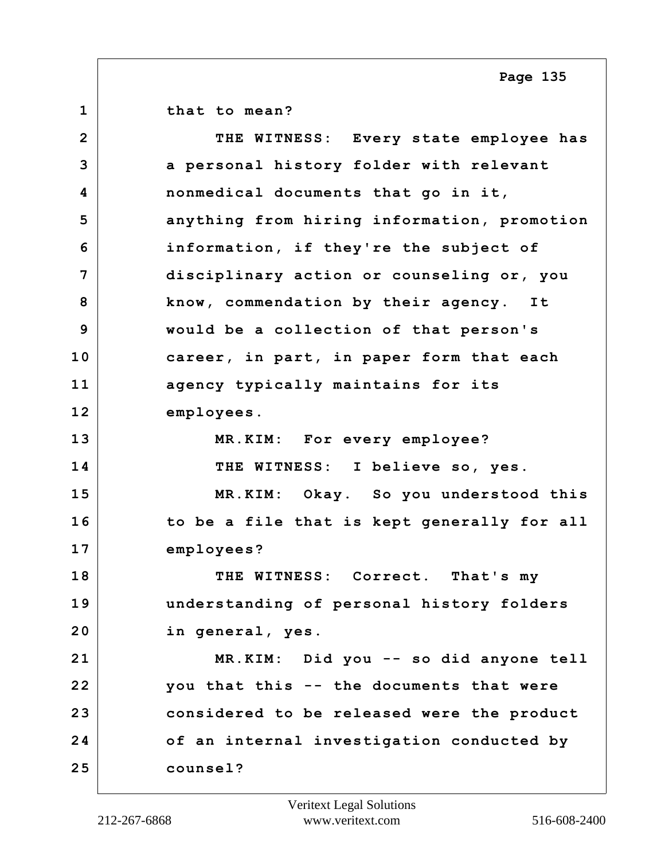**1 that to mean? 2 THE WITNESS: Every state employee has 3 a personal history folder with relevant 4 nonmedical documents that go in it, 5 anything from hiring information, promotion 6 information, if they're the subject of 7 disciplinary action or counseling or, you 8 know, commendation by their agency. It 9 would be a collection of that person's 10 career, in part, in paper form that each 11 agency typically maintains for its 12 employees. 13 MR.KIM: For every employee? 14 THE WITNESS: I believe so, yes. 15 MR.KIM: Okay. So you understood this 16 to be a file that is kept generally for all 17 employees? 18 THE WITNESS: Correct. That's my 19 understanding of personal history folders 20 in general, yes. 21 MR.KIM: Did you -- so did anyone tell 22 you that this -- the documents that were 23 considered to be released were the product 24 of an internal investigation conducted by 25 counsel?**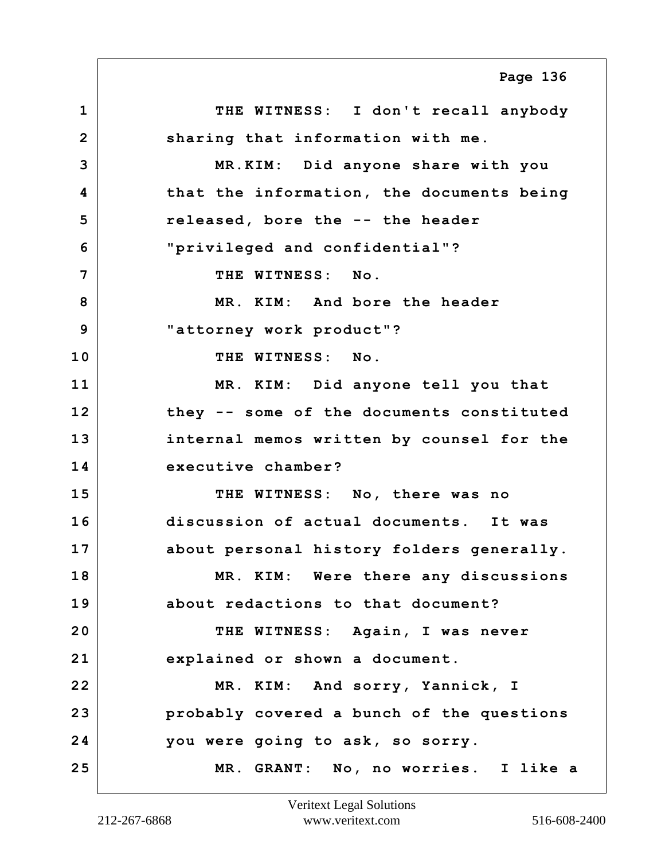**1 THE WITNESS: I don't recall anybody 2 sharing that information with me. 3 MR.KIM: Did anyone share with you 4 that the information, the documents being 5 released, bore the -- the header 6 "privileged and confidential"? 7 THE WITNESS: No. 8 MR. KIM: And bore the header 9 "attorney work product"? 10 THE WITNESS: No. 11 MR. KIM: Did anyone tell you that 12 they -- some of the documents constituted 13 internal memos written by counsel for the 14 executive chamber? 15 THE WITNESS: No, there was no 16 discussion of actual documents. It was 17 about personal history folders generally. 18 MR. KIM: Were there any discussions 19 about redactions to that document? 20 THE WITNESS: Again, I was never 21 explained or shown a document. 22 MR. KIM: And sorry, Yannick, I 23 probably covered a bunch of the questions 24 you were going to ask, so sorry. 25 MR. GRANT: No, no worries. I like a Page 136**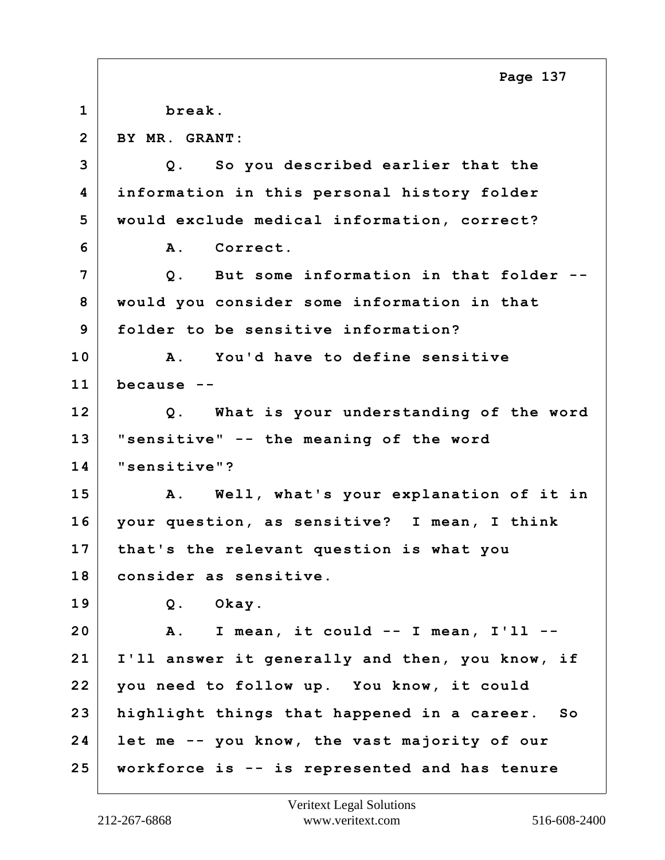**1 break. 2 BY MR. GRANT: 3 Q. So you described earlier that the 4 information in this personal history folder 5 would exclude medical information, correct? 6 A. Correct. 7 Q. But some information in that folder -- 8 would you consider some information in that 9 folder to be sensitive information? 10 A. You'd have to define sensitive 11 because -- 12 Q. What is your understanding of the word 13 "sensitive" -- the meaning of the word 14 "sensitive"? 15 A. Well, what's your explanation of it in 16 your question, as sensitive? I mean, I think 17 that's the relevant question is what you 18 consider as sensitive. 19 Q. Okay. 20 A. I mean, it could -- I mean, I'll -- 21 I'll answer it generally and then, you know, if 22 you need to follow up. You know, it could 23 highlight things that happened in a career. So 24 let me -- you know, the vast majority of our 25 workforce is -- is represented and has tenure Page 137**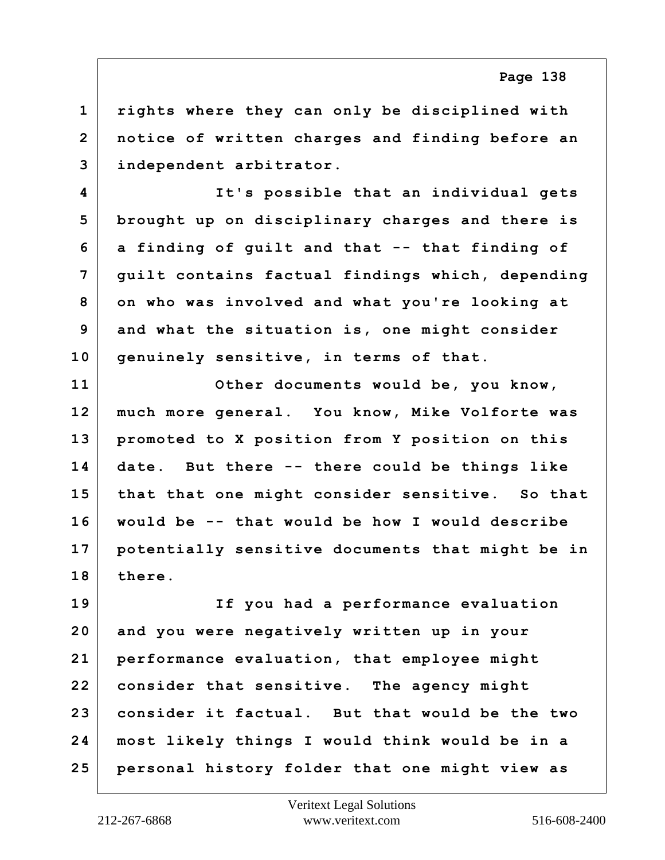**1 rights where they can only be disciplined with 2 notice of written charges and finding before an 3 independent arbitrator.**

**4 It's possible that an individual gets 5 brought up on disciplinary charges and there is 6 a finding of guilt and that -- that finding of 7 guilt contains factual findings which, depending 8 on who was involved and what you're looking at 9 and what the situation is, one might consider 10 genuinely sensitive, in terms of that.**

**11 Other documents would be, you know, 12 much more general. You know, Mike Volforte was 13 promoted to X position from Y position on this 14 date. But there -- there could be things like 15 that that one might consider sensitive. So that 16 would be -- that would be how I would describe 17 potentially sensitive documents that might be in 18 there.**

**19 If you had a performance evaluation 20 and you were negatively written up in your 21 performance evaluation, that employee might 22 consider that sensitive. The agency might 23 consider it factual. But that would be the two 24 most likely things I would think would be in a 25 personal history folder that one might view as**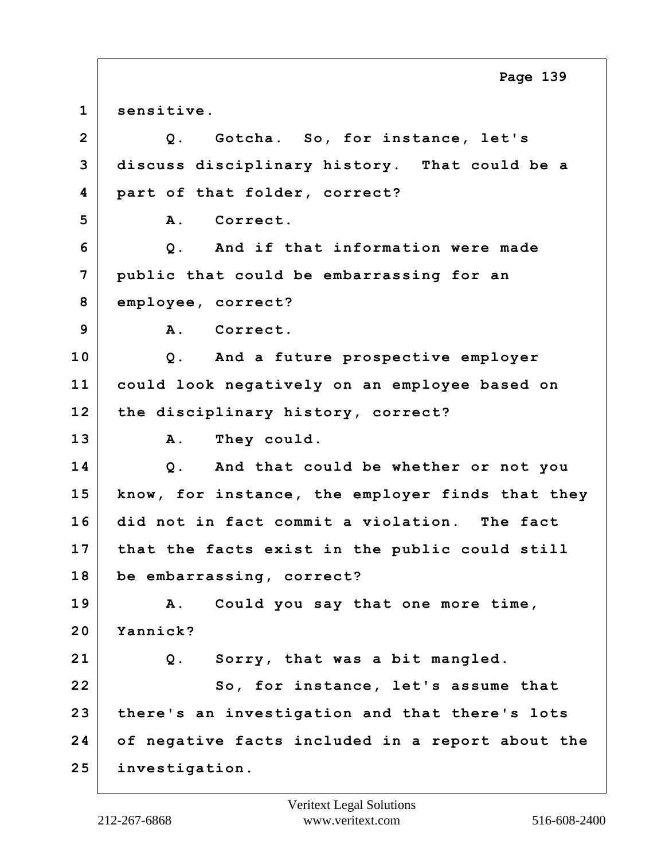**1 sensitive. 2 Q. Gotcha. So, for instance, let's 3 discuss disciplinary history. That could be a 4 part of that folder, correct? 5 A. Correct. 6 Q. And if that information were made 7 public that could be embarrassing for an 8 employee, correct? 9 A. Correct. 10 Q. And a future prospective employer 11 could look negatively on an employee based on 12 the disciplinary history, correct?** 13 A. They could. **14 Q. And that could be whether or not you 15 know, for instance, the employer finds that they 16 did not in fact commit a violation. The fact 17 that the facts exist in the public could still 18 be embarrassing, correct? 19 A. Could you say that one more time, 20 Yannick? 21 Q. Sorry, that was a bit mangled.** 22 So, for instance, let's assume that **23 there's an investigation and that there's lots 24 of negative facts included in a report about the 25 investigation. Page 139**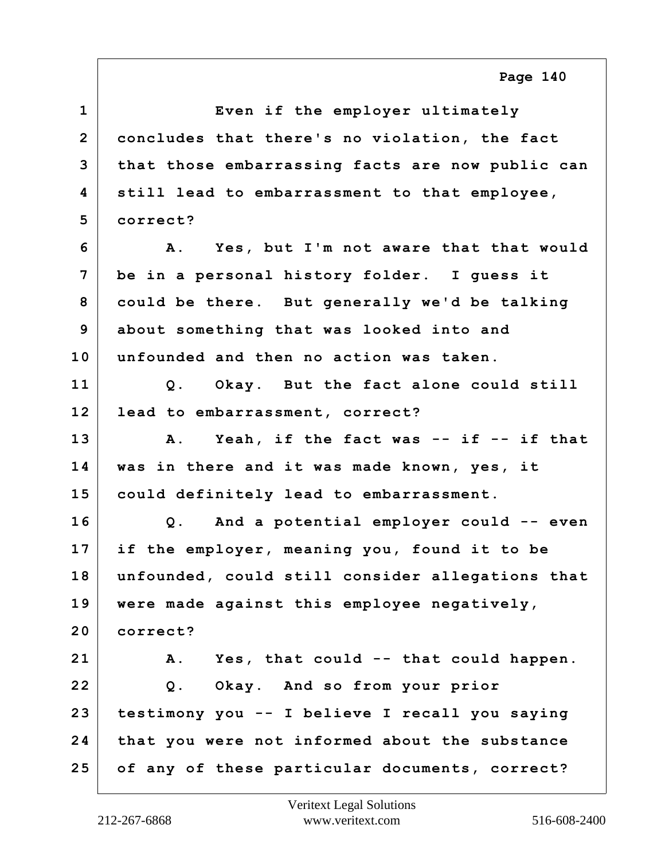**1 Even if the employer ultimately 2 concludes that there's no violation, the fact 3 that those embarrassing facts are now public can 4 still lead to embarrassment to that employee, 5 correct? 6 A. Yes, but I'm not aware that that would 7 be in a personal history folder. I guess it 8 could be there. But generally we'd be talking 9 about something that was looked into and 10 unfounded and then no action was taken. 11 Q. Okay. But the fact alone could still 12 lead to embarrassment, correct? 13 A. Yeah, if the fact was -- if -- if that 14 was in there and it was made known, yes, it 15 could definitely lead to embarrassment. 16 Q. And a potential employer could -- even 17 if the employer, meaning you, found it to be 18 unfounded, could still consider allegations that 19 were made against this employee negatively, 20 correct? 21 A. Yes, that could -- that could happen. 22 Q. Okay. And so from your prior 23 testimony you -- I believe I recall you saying 24 that you were not informed about the substance 25 of any of these particular documents, correct?**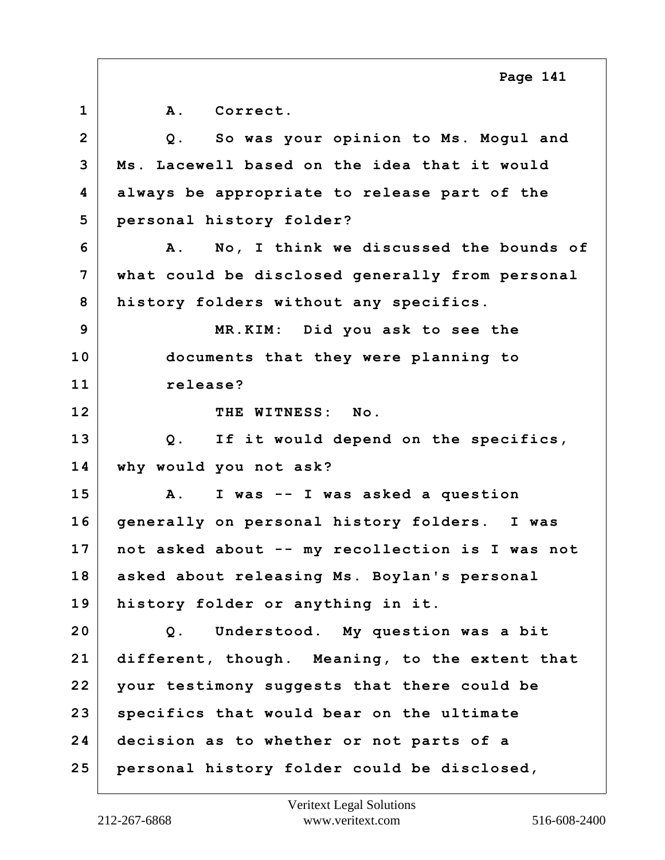**1 A. Correct. 2 Q. So was your opinion to Ms. Mogul and 3 Ms. Lacewell based on the idea that it would 4 always be appropriate to release part of the 5 personal history folder? 6 A. No, I think we discussed the bounds of 7 what could be disclosed generally from personal 8 history folders without any specifics. 9 MR.KIM: Did you ask to see the 10 documents that they were planning to 11 release? 12 THE WITNESS: No. 13 Q. If it would depend on the specifics, 14 why would you not ask? 15 A. I was -- I was asked a question 16 generally on personal history folders. I was 17 not asked about -- my recollection is I was not 18 asked about releasing Ms. Boylan's personal 19 history folder or anything in it. 20 Q. Understood. My question was a bit 21 different, though. Meaning, to the extent that 22 your testimony suggests that there could be 23 specifics that would bear on the ultimate 24 decision as to whether or not parts of a 25 personal history folder could be disclosed, Page 141**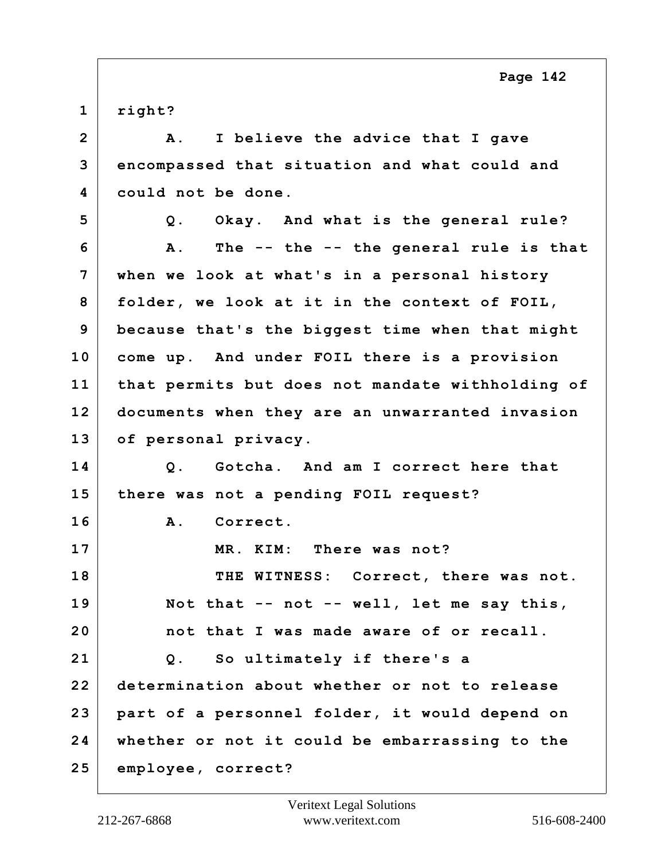**1 right?**

**2 A. I believe the advice that I gave 3 encompassed that situation and what could and 4 could not be done. 5 Q. Okay. And what is the general rule? 6 A. The -- the -- the general rule is that 7 when we look at what's in a personal history 8 folder, we look at it in the context of FOIL, 9 because that's the biggest time when that might 10 come up. And under FOIL there is a provision 11 that permits but does not mandate withholding of 12 documents when they are an unwarranted invasion 13 of personal privacy. 14 Q. Gotcha. And am I correct here that 15 there was not a pending FOIL request? 16 A. Correct. 17 MR. KIM: There was not? 18 THE WITNESS: Correct, there was not. 19 Not that -- not -- well, let me say this, 20 not that I was made aware of or recall. 21 Q. So ultimately if there's a 22 determination about whether or not to release 23 part of a personnel folder, it would depend on 24 whether or not it could be embarrassing to the 25 employee, correct?**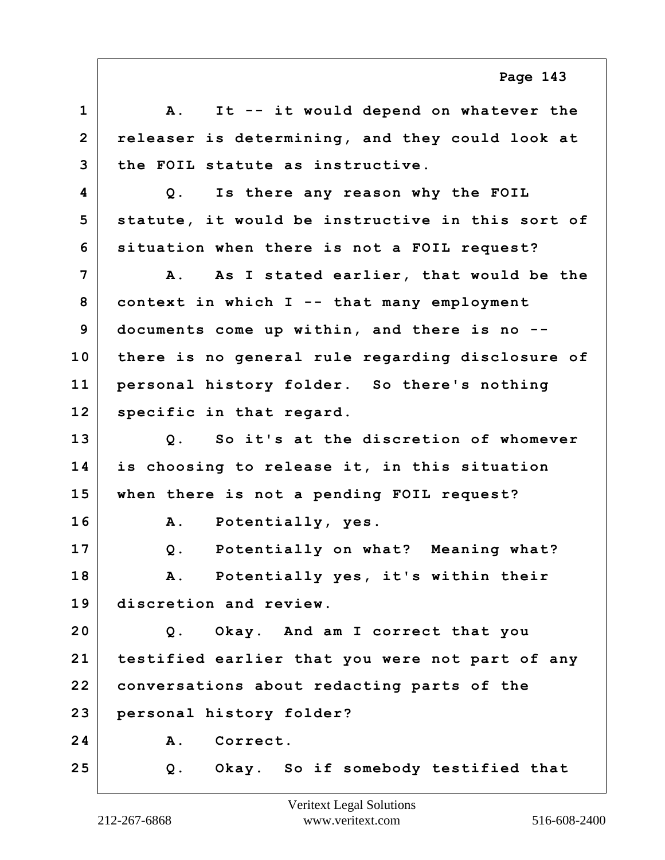| $\mathbf{1}$   | It -- it would depend on whatever the<br>${\bf A}$ .     |
|----------------|----------------------------------------------------------|
| $\overline{2}$ | releaser is determining, and they could look at          |
| 3              | the FOIL statute as instructive.                         |
| 4              | Q. Is there any reason why the FOIL                      |
| 5              | statute, it would be instructive in this sort of         |
| 6              | situation when there is not a FOIL request?              |
| 7              | As I stated earlier, that would be the<br>$\mathbf{A}$ . |
| 8              | context in which I -- that many employment               |
| 9              | documents come up within, and there is no --             |
| 10             | there is no general rule regarding disclosure of         |
| 11             | personal history folder. So there's nothing              |
| 12             | specific in that regard.                                 |
| 13             | Q. So it's at the discretion of whomever                 |
| 14             | is choosing to release it, in this situation             |
| 15             | when there is not a pending FOIL request?                |
| 16             | Potentially, yes.<br><b>A</b> .                          |
| 17             | Potentially on what? Meaning what?<br>$Q$ .              |
| 18             | Potentially yes, it's within their<br>Α.                 |
| 19             | discretion and review.                                   |
| 20             | Q. Okay. And am I correct that you                       |
| 21             | testified earlier that you were not part of any          |
| 22             | conversations about redacting parts of the               |
| 23             | personal history folder?                                 |
| 24             | Correct.<br>A.                                           |
| 25             | Q. Okay. So if somebody testified that                   |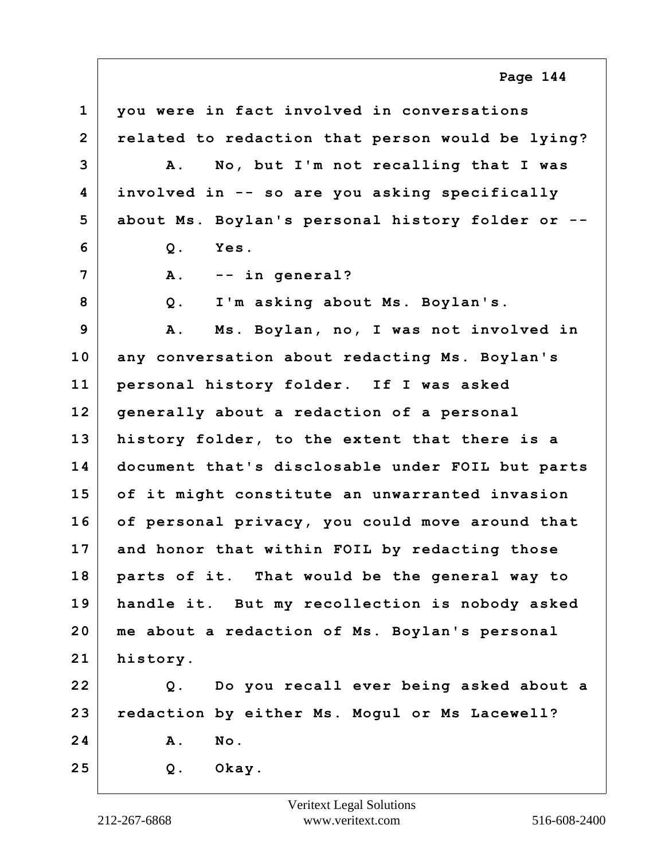**1 you were in fact involved in conversations 2 related to redaction that person would be lying? 3 A. No, but I'm not recalling that I was 4 involved in -- so are you asking specifically 5 about Ms. Boylan's personal history folder or -- 6 Q. Yes. 7 A. -- in general? 8 Q. I'm asking about Ms. Boylan's. 9 A. Ms. Boylan, no, I was not involved in 10 any conversation about redacting Ms. Boylan's 11 personal history folder. If I was asked 12 generally about a redaction of a personal 13 history folder, to the extent that there is a 14 document that's disclosable under FOIL but parts 15 of it might constitute an unwarranted invasion 16 of personal privacy, you could move around that 17 and honor that within FOIL by redacting those 18 parts of it. That would be the general way to 19 handle it. But my recollection is nobody asked 20 me about a redaction of Ms. Boylan's personal 21 history. 22 Q. Do you recall ever being asked about a 23 redaction by either Ms. Mogul or Ms Lacewell? 24 A. No. 25 Q. Okay. Page 144**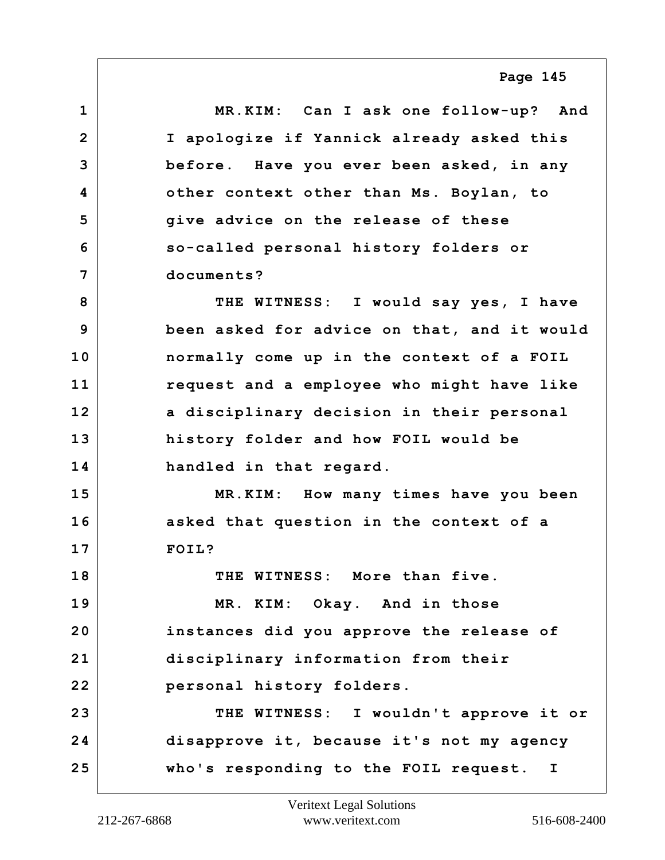**1 MR.KIM: Can I ask one follow-up? And 2 I apologize if Yannick already asked this 3 before. Have you ever been asked, in any 4 other context other than Ms. Boylan, to 5 give advice on the release of these 6 so-called personal history folders or 7 documents? 8 THE WITNESS: I would say yes, I have 9 been asked for advice on that, and it would 10 normally come up in the context of a FOIL 11 request and a employee who might have like 12 a disciplinary decision in their personal 13 history folder and how FOIL would be 14 handled in that regard. 15 MR.KIM: How many times have you been 16 asked that question in the context of a 17 FOIL? 18 THE WITNESS: More than five. 19 MR. KIM: Okay. And in those 20 instances did you approve the release of 21 disciplinary information from their 22 personal history folders. 23 THE WITNESS: I wouldn't approve it or 24 disapprove it, because it's not my agency 25 who's responding to the FOIL request. I**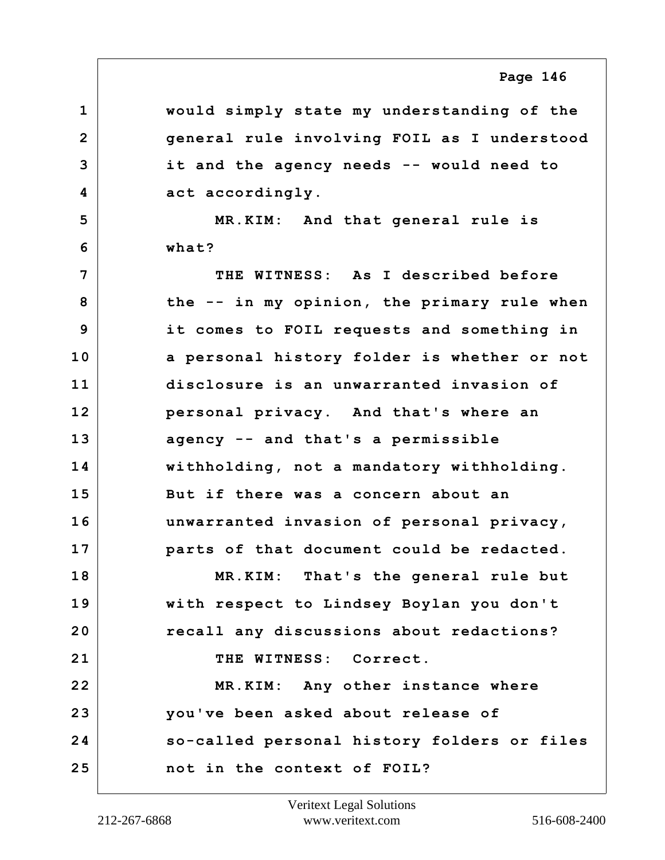**1 would simply state my understanding of the 2 general rule involving FOIL as I understood 3 it and the agency needs -- would need to** 4 act accordingly.

**5 MR.KIM: And that general rule is 6 what?**

**7 THE WITNESS: As I described before 8 the -- in my opinion, the primary rule when 9 it comes to FOIL requests and something in 10 a personal history folder is whether or not 11 disclosure is an unwarranted invasion of 12 personal privacy. And that's where an 13 agency -- and that's a permissible 14 withholding, not a mandatory withholding. 15 But if there was a concern about an 16 unwarranted invasion of personal privacy, 17 parts of that document could be redacted. 18 MR.KIM: That's the general rule but 19 with respect to Lindsey Boylan you don't 20 recall any discussions about redactions?** 21 THE WITNESS: Correct. **22 MR.KIM: Any other instance where 23 you've been asked about release of 24 so-called personal history folders or files 25 not in the context of FOIL?**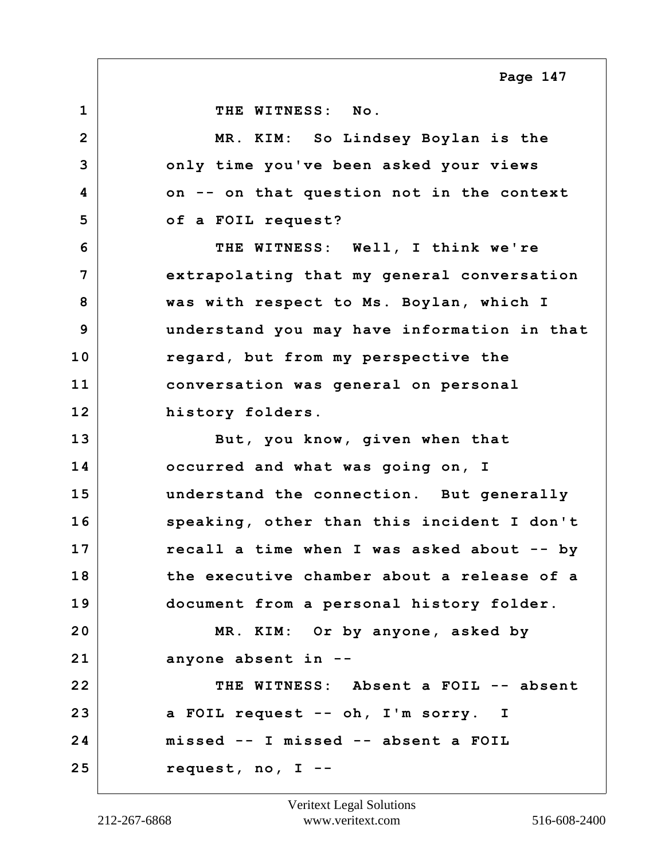**1 THE WITNESS: No. 2 MR. KIM: So Lindsey Boylan is the 3 only time you've been asked your views 4 on -- on that question not in the context 5 of a FOIL request? 6 THE WITNESS: Well, I think we're 7 extrapolating that my general conversation 8 was with respect to Ms. Boylan, which I 9 understand you may have information in that 10 regard, but from my perspective the 11 conversation was general on personal 12 history folders. 13 But, you know, given when that 14 occurred and what was going on, I 15 understand the connection. But generally 16 speaking, other than this incident I don't 17 recall a time when I was asked about -- by 18 the executive chamber about a release of a 19 document from a personal history folder. 20 MR. KIM: Or by anyone, asked by 21 anyone absent in -- 22 THE WITNESS: Absent a FOIL -- absent 23 a FOIL request -- oh, I'm sorry. I 24 missed -- I missed -- absent a FOIL 25 request, no, I --**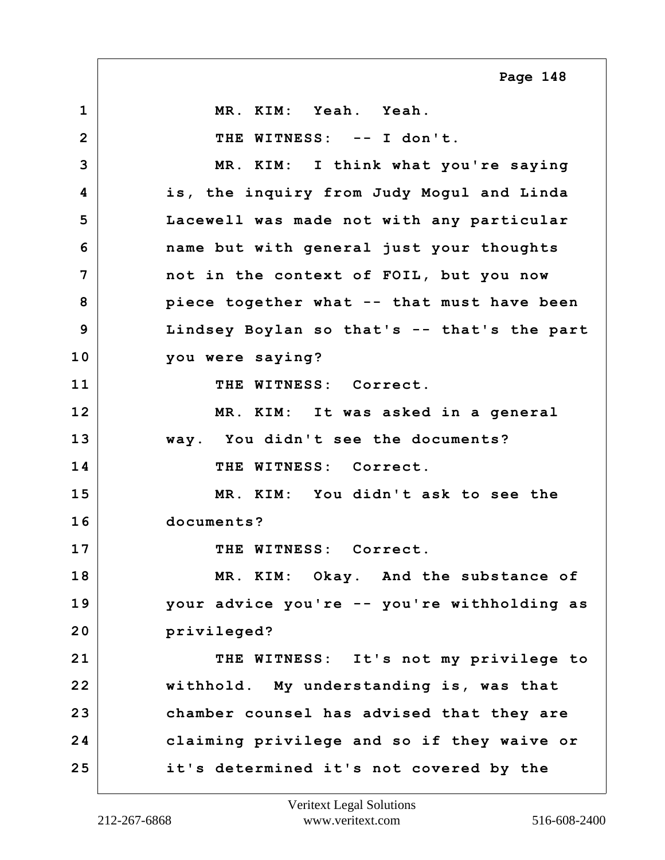**1 MR. KIM: Yeah. Yeah. 2 THE WITNESS: -- I don't. 3 MR. KIM: I think what you're saying 4 is, the inquiry from Judy Mogul and Linda 5 Lacewell was made not with any particular 6 name but with general just your thoughts 7 not in the context of FOIL, but you now 8 piece together what -- that must have been 9 Lindsey Boylan so that's -- that's the part 10 you were saying? 11 THE WITNESS: Correct. 12 MR. KIM: It was asked in a general 13 way. You didn't see the documents? 14 THE WITNESS: Correct. 15 MR. KIM: You didn't ask to see the 16 documents? 17 THE WITNESS: Correct. 18 MR. KIM: Okay. And the substance of 19 your advice you're -- you're withholding as 20 privileged? 21 THE WITNESS: It's not my privilege to 22 withhold. My understanding is, was that 23 chamber counsel has advised that they are 24 claiming privilege and so if they waive or 25 it's determined it's not covered by the Page 148**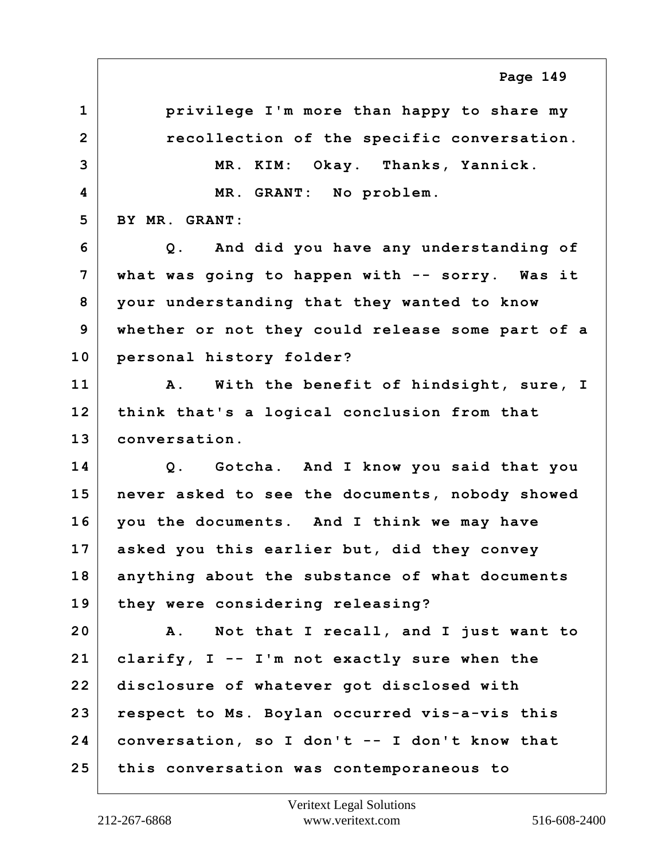**1 privilege I'm more than happy to share my 2 recollection of the specific conversation. 3 MR. KIM: Okay. Thanks, Yannick. 4 MR. GRANT: No problem. 5 BY MR. GRANT: 6 Q. And did you have any understanding of 7 what was going to happen with -- sorry. Was it 8 your understanding that they wanted to know 9 whether or not they could release some part of a 10 personal history folder? 11 A. With the benefit of hindsight, sure, I 12 think that's a logical conclusion from that 13 conversation. 14 Q. Gotcha. And I know you said that you 15 never asked to see the documents, nobody showed 16 you the documents. And I think we may have 17 asked you this earlier but, did they convey 18 anything about the substance of what documents 19 they were considering releasing? 20 A. Not that I recall, and I just want to 21 clarify, I -- I'm not exactly sure when the 22 disclosure of whatever got disclosed with 23 respect to Ms. Boylan occurred vis-a-vis this 24 conversation, so I don't -- I don't know that 25 this conversation was contemporaneous to Page 149**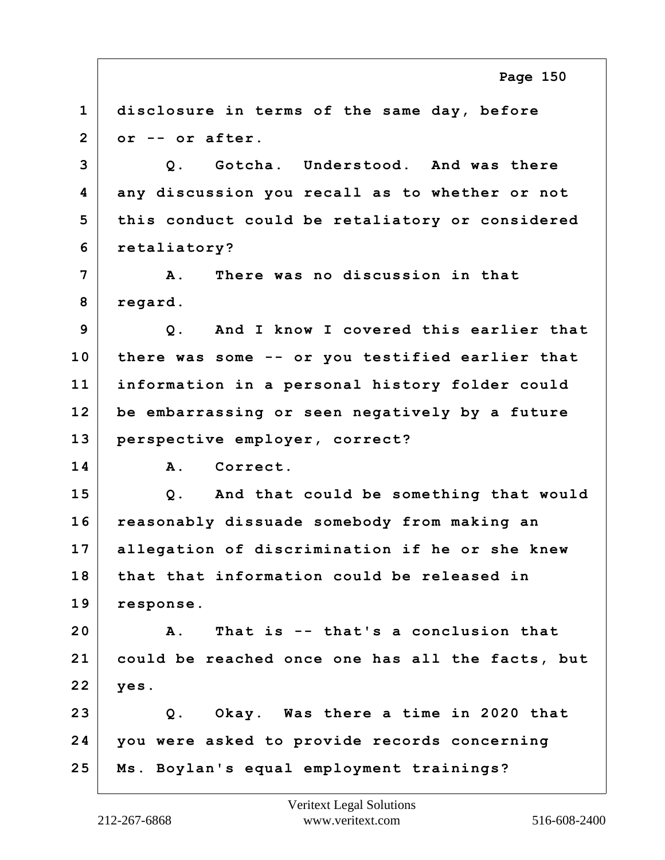**1 disclosure in terms of the same day, before 2 or -- or after. 3 Q. Gotcha. Understood. And was there 4 any discussion you recall as to whether or not 5 this conduct could be retaliatory or considered 6 retaliatory? 7 A. There was no discussion in that 8 regard. 9 Q. And I know I covered this earlier that 10 there was some -- or you testified earlier that 11 information in a personal history folder could 12 be embarrassing or seen negatively by a future 13 perspective employer, correct? 14 A. Correct. 15 Q. And that could be something that would 16 reasonably dissuade somebody from making an 17 allegation of discrimination if he or she knew 18 that that information could be released in 19 response. 20 A. That is -- that's a conclusion that 21 could be reached once one has all the facts, but 22 yes. 23 Q. Okay. Was there a time in 2020 that 24 you were asked to provide records concerning 25 Ms. Boylan's equal employment trainings? Page 150**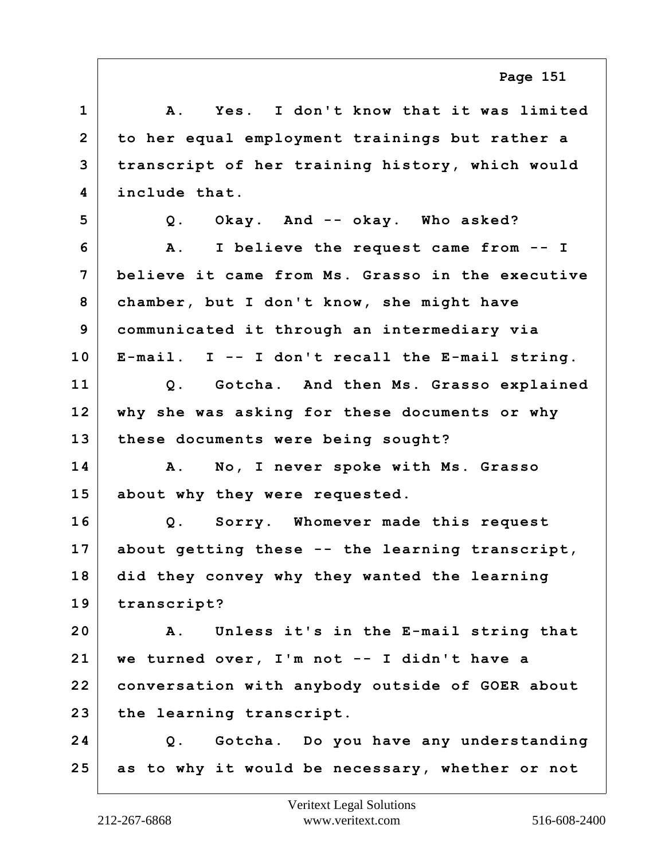| $\mathbf 1$    | I don't know that it was limited<br>Α.<br>Yes.      |
|----------------|-----------------------------------------------------|
| $\overline{2}$ | to her equal employment trainings but rather a      |
| 3              | transcript of her training history, which would     |
| 4              | include that.                                       |
| 5              | Okay. And -- okay. Who asked?<br>$Q$ .              |
| 6              | I believe the request came from -- I<br>${\bf A}$ . |
| 7              | believe it came from Ms. Grasso in the executive    |
| 8              | chamber, but I don't know, she might have           |
| 9              | communicated it through an intermediary via         |
| 10             | E-mail. $I - I$ don't recall the E-mail string.     |
| 11             | Q. Gotcha. And then Ms. Grasso explained            |
| 12             | why she was asking for these documents or why       |
| 13             | these documents were being sought?                  |
| 14             | No, I never spoke with Ms. Grasso<br>A.             |
| 15             | about why they were requested.                      |
| 16             | Q. Sorry. Whomever made this request                |
| 17             | about getting these -- the learning transcript,     |
| 18             | did they convey why they wanted the learning        |
| 19             | transcript?                                         |
| 20             | Unless it's in the E-mail string that<br>A.         |
| 21             | we turned over, I'm not -- I didn't have a          |
| 22             | conversation with anybody outside of GOER about     |
| 23             | the learning transcript.                            |
| 24             | Q. Gotcha. Do you have any understanding            |
| 25             | as to why it would be necessary, whether or not     |
|                |                                                     |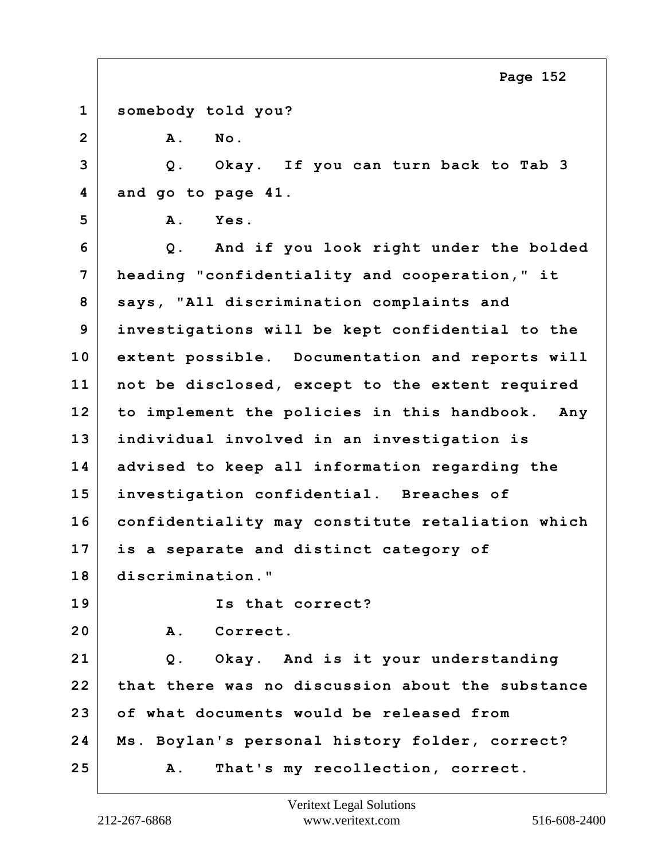|                | Page 152                                           |
|----------------|----------------------------------------------------|
| $\mathbf{1}$   | somebody told you?                                 |
| $\overline{2}$ | A.<br>No.                                          |
| 3              | Q. Okay. If you can turn back to Tab 3             |
| 4              | and go to page 41.                                 |
| 5              | Yes.<br>A.                                         |
| 6              | Q. And if you look right under the bolded          |
| 7              | heading "confidentiality and cooperation," it      |
| 8              | says, "All discrimination complaints and           |
| 9              | investigations will be kept confidential to the    |
| 10             | extent possible. Documentation and reports will    |
| 11             | not be disclosed, except to the extent required    |
| 12             | to implement the policies in this handbook.<br>Any |
| 13             | individual involved in an investigation is         |
| 14             | advised to keep all information regarding the      |
| 15             | investigation confidential. Breaches of            |
| 16             | confidentiality may constitute retaliation which   |
| 17             | is a separate and distinct category of             |
| 18             | discrimination."                                   |
| 19             | Is that correct?                                   |
| 20             | $A$ .<br>Correct.                                  |
| 21             | Q. Okay. And is it your understanding              |
| 22             | that there was no discussion about the substance   |
| 23             | of what documents would be released from           |
| 24             | Ms. Boylan's personal history folder, correct?     |
| 25             | That's my recollection, correct.<br>Α.             |

Г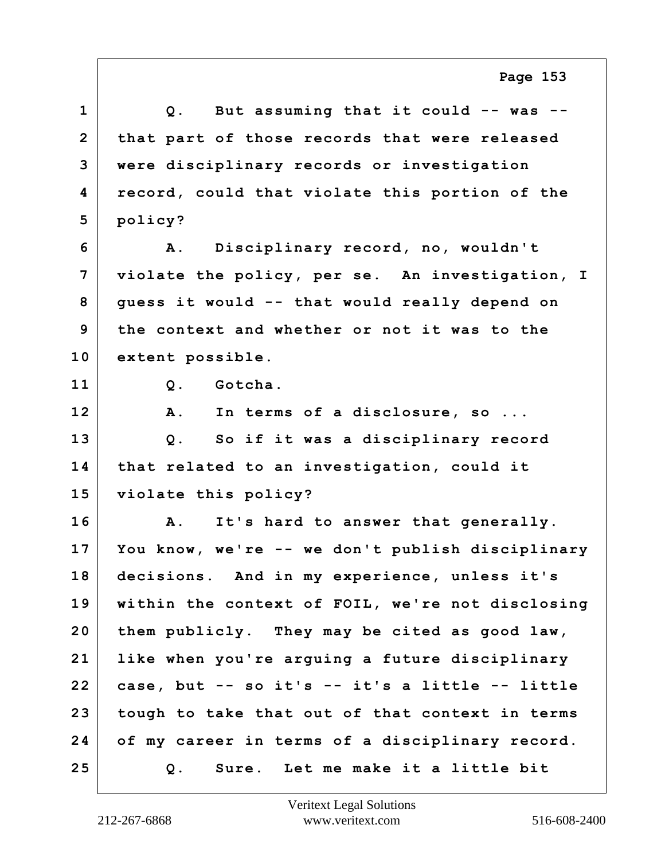**1 Q. But assuming that it could -- was -- 2 that part of those records that were released 3 were disciplinary records or investigation 4 record, could that violate this portion of the 5 policy? 6 A. Disciplinary record, no, wouldn't 7 violate the policy, per se. An investigation, I 8 guess it would -- that would really depend on 9 the context and whether or not it was to the 10 extent possible. 11 Q. Gotcha. 12 A. In terms of a disclosure, so ... 13 Q. So if it was a disciplinary record 14 that related to an investigation, could it 15 violate this policy? 16 A. It's hard to answer that generally. 17 You know, we're -- we don't publish disciplinary 18 decisions. And in my experience, unless it's 19 within the context of FOIL, we're not disclosing 20 them publicly. They may be cited as good law, 21 like when you're arguing a future disciplinary 22 case, but -- so it's -- it's a little -- little 23 tough to take that out of that context in terms 24 of my career in terms of a disciplinary record. 25 Q. Sure. Let me make it a little bit**

**Page 153**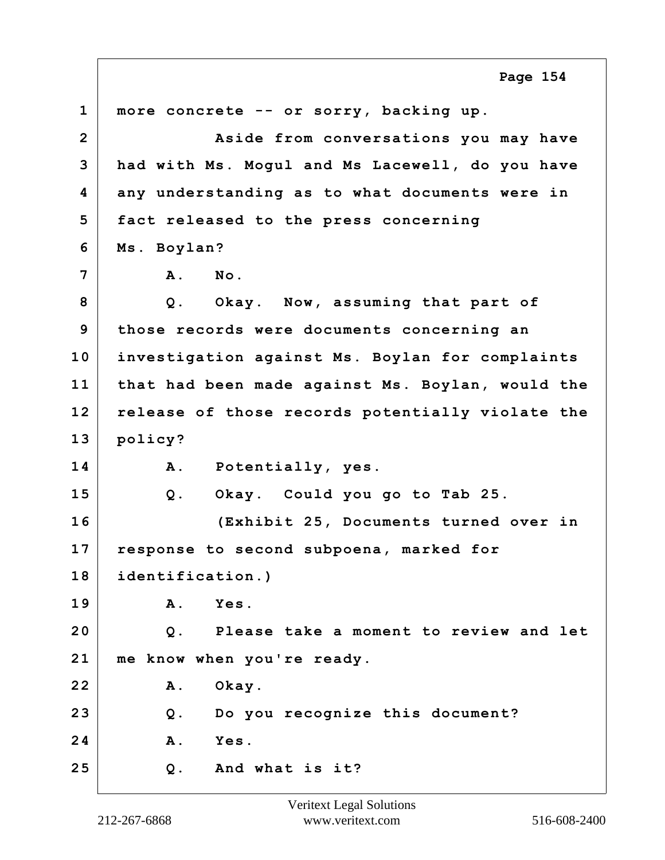**1 more concrete -- or sorry, backing up. 2 Aside from conversations you may have 3 had with Ms. Mogul and Ms Lacewell, do you have 4 any understanding as to what documents were in 5 fact released to the press concerning 6 Ms. Boylan? 7 A. No. 8 Q. Okay. Now, assuming that part of 9 those records were documents concerning an 10 investigation against Ms. Boylan for complaints 11 that had been made against Ms. Boylan, would the 12 release of those records potentially violate the 13 policy? 14 A. Potentially, yes. 15 Q. Okay. Could you go to Tab 25. 16 (Exhibit 25, Documents turned over in 17 response to second subpoena, marked for 18 identification.) 19 A. Yes. 20 Q. Please take a moment to review and let 21 me know when you're ready. 22 A. Okay. 23 Q. Do you recognize this document? 24 A. Yes. 25 Q. And what is it? Page 154**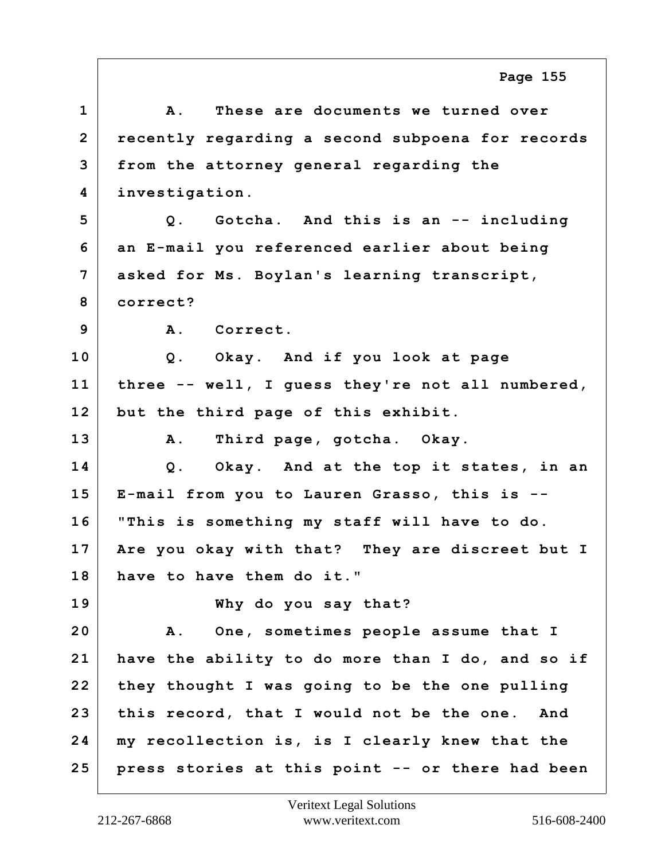**1 A. These are documents we turned over 2 recently regarding a second subpoena for records 3 from the attorney general regarding the 4 investigation. 5 Q. Gotcha. And this is an -- including 6 an E-mail you referenced earlier about being 7 asked for Ms. Boylan's learning transcript, 8 correct? 9 A. Correct. 10 Q. Okay. And if you look at page 11 three -- well, I guess they're not all numbered, 12 but the third page of this exhibit. 13 A. Third page, gotcha. Okay. 14 Q. Okay. And at the top it states, in an 15 E-mail from you to Lauren Grasso, this is -- 16 "This is something my staff will have to do. 17 Are you okay with that? They are discreet but I 18 have to have them do it." 19 Why do you say that? 20 A. One, sometimes people assume that I 21 have the ability to do more than I do, and so if 22 they thought I was going to be the one pulling 23 this record, that I would not be the one. And 24 my recollection is, is I clearly knew that the 25 press stories at this point -- or there had been Page 155**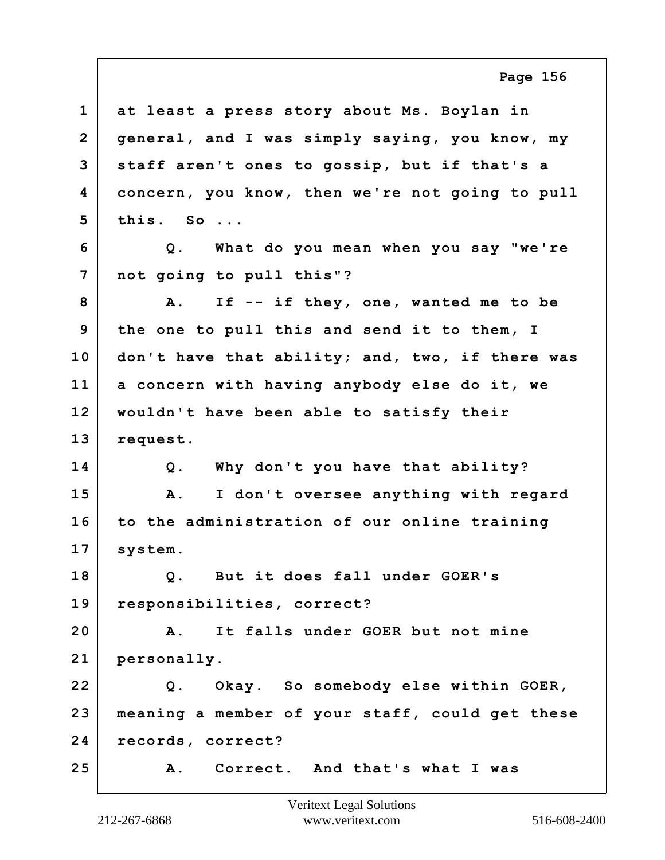| $\mathbf 1$    | at least a press story about Ms. Boylan in         |
|----------------|----------------------------------------------------|
| $\overline{2}$ | general, and I was simply saying, you know, my     |
| 3              | staff aren't ones to gossip, but if that's a       |
| 4              | concern, you know, then we're not going to pull    |
| 5              | this. So                                           |
| 6              | Q. What do you mean when you say "we're            |
| 7              | not going to pull this"?                           |
| 8              | If -- if they, one, wanted me to be<br><b>A</b> .  |
| 9              | the one to pull this and send it to them, I        |
| 10             | don't have that ability; and, two, if there was    |
| 11             | a concern with having anybody else do it, we       |
| 12             | wouldn't have been able to satisfy their           |
| 13             | request.                                           |
| 14             | Q. Why don't you have that ability?                |
| 15             | I don't oversee anything with regard<br>Α.         |
| 16             | to the administration of our online training       |
| 17             | system.                                            |
| 18             | But it does fall under GOER's<br>Q.                |
| 19             | responsibilities, correct?                         |
| 20             | It falls under GOER but not mine<br>$\mathbf{A}$ . |
| 21             | personally.                                        |
| 22             | Q. Okay. So somebody else within GOER,             |
| 23             | meaning a member of your staff, could get these    |
| 24             | records, correct?                                  |
| 25             | A. Correct. And that's what I was                  |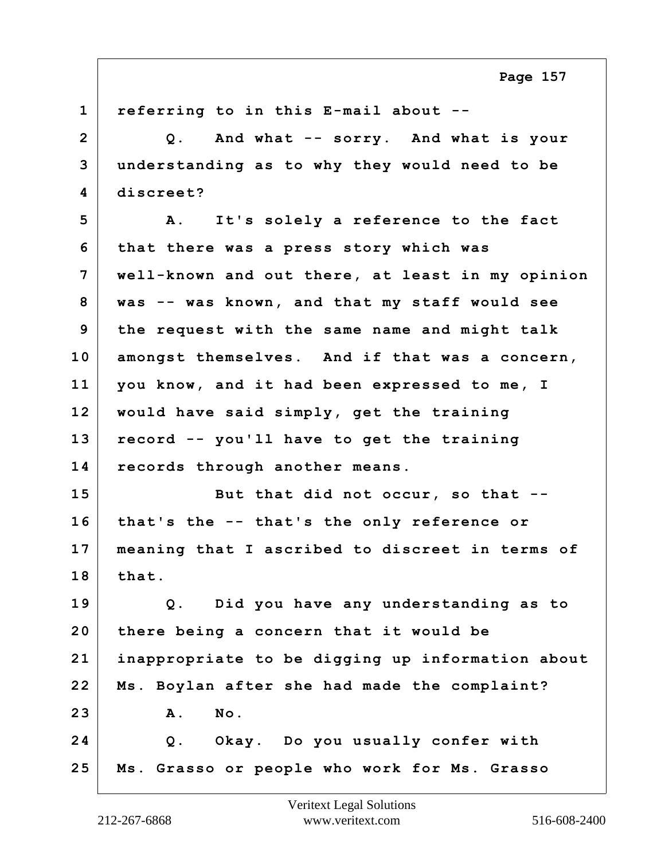**1 referring to in this E-mail about -- 2 Q. And what -- sorry. And what is your 3 understanding as to why they would need to be 4 discreet? 5 A. It's solely a reference to the fact 6 that there was a press story which was 7 well-known and out there, at least in my opinion 8 was -- was known, and that my staff would see 9 the request with the same name and might talk 10 amongst themselves. And if that was a concern, 11 you know, and it had been expressed to me, I 12 would have said simply, get the training 13 record -- you'll have to get the training 14 records through another means. 15 But that did not occur, so that -- 16 that's the -- that's the only reference or 17 meaning that I ascribed to discreet in terms of 18 that. 19 Q. Did you have any understanding as to 20 there being a concern that it would be 21 inappropriate to be digging up information about 22 Ms. Boylan after she had made the complaint? 23 A. No. 24 Q. Okay. Do you usually confer with 25 Ms. Grasso or people who work for Ms. Grasso**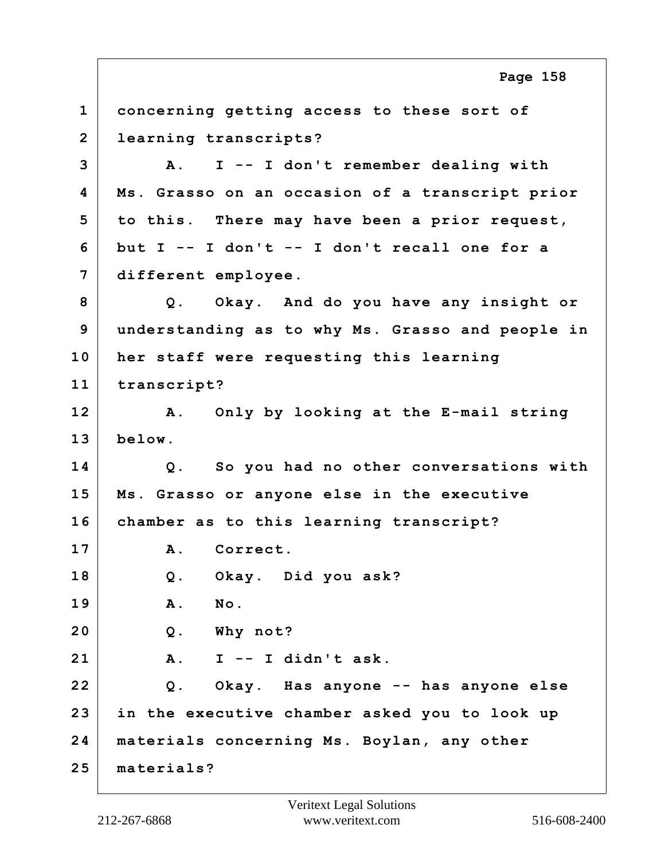**1 concerning getting access to these sort of 2 learning transcripts? 3 A. I -- I don't remember dealing with 4 Ms. Grasso on an occasion of a transcript prior 5 to this. There may have been a prior request, 6 but I -- I don't -- I don't recall one for a 7 different employee. 8 Q. Okay. And do you have any insight or 9 understanding as to why Ms. Grasso and people in 10 her staff were requesting this learning 11 transcript? 12 A. Only by looking at the E-mail string 13 below. 14 Q. So you had no other conversations with 15 Ms. Grasso or anyone else in the executive 16 chamber as to this learning transcript? 17 A. Correct. 18 Q. Okay. Did you ask? 19 A. No. 20 Q. Why not? 21 A. I -- I didn't ask. 22 Q. Okay. Has anyone -- has anyone else 23 in the executive chamber asked you to look up 24 materials concerning Ms. Boylan, any other 25 materials? Page 158**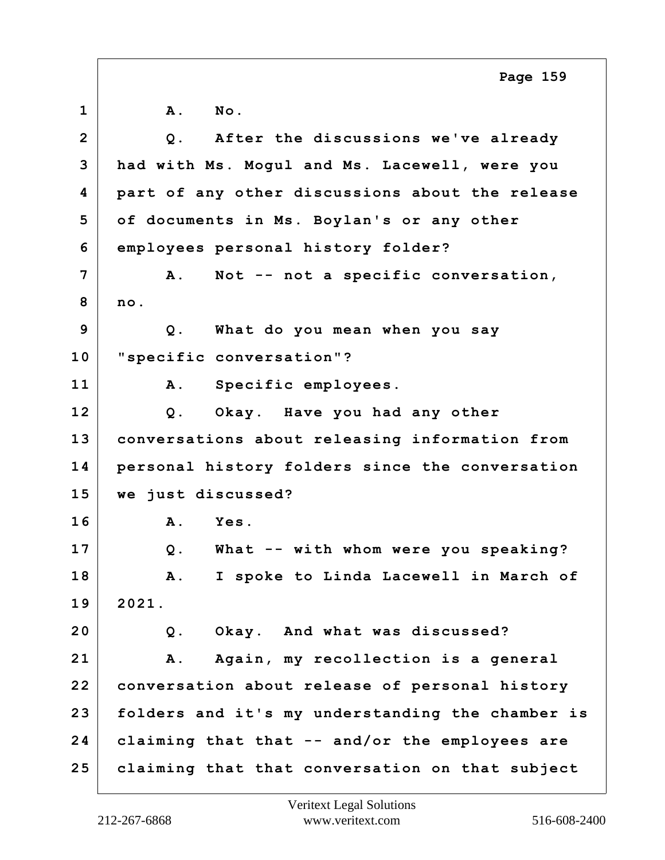**1 A. No. 2 Q. After the discussions we've already 3 had with Ms. Mogul and Ms. Lacewell, were you 4 part of any other discussions about the release 5 of documents in Ms. Boylan's or any other 6 employees personal history folder? 7 A. Not -- not a specific conversation, 8 no. 9 Q. What do you mean when you say 10 "specific conversation"? 11 A. Specific employees. 12 Q. Okay. Have you had any other 13 conversations about releasing information from 14 personal history folders since the conversation 15 we just discussed? 16 A. Yes. 17 Q. What -- with whom were you speaking? 18 A. I spoke to Linda Lacewell in March of 19 2021. 20 Q. Okay. And what was discussed? 21 A. Again, my recollection is a general 22 conversation about release of personal history 23 folders and it's my understanding the chamber is 24 claiming that that -- and/or the employees are 25 claiming that that conversation on that subject Page 159**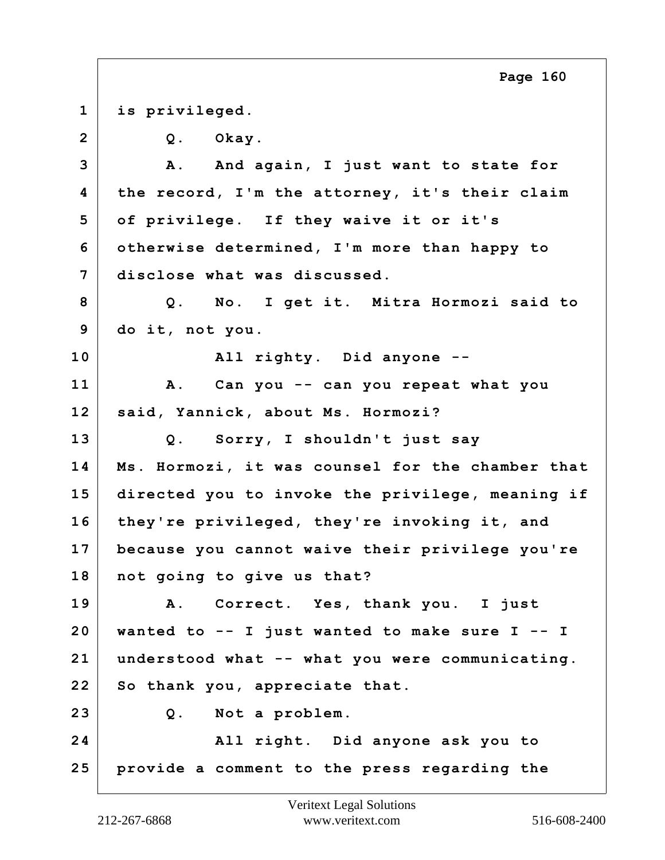**1 is privileged. 2 Q. Okay. 3 A. And again, I just want to state for 4 the record, I'm the attorney, it's their claim 5 of privilege. If they waive it or it's 6 otherwise determined, I'm more than happy to 7 disclose what was discussed. 8 Q. No. I get it. Mitra Hormozi said to 9 do it, not you. 10 All righty. Did anyone -- 11 A. Can you -- can you repeat what you 12 said, Yannick, about Ms. Hormozi? 13 Q. Sorry, I shouldn't just say 14 Ms. Hormozi, it was counsel for the chamber that 15 directed you to invoke the privilege, meaning if 16 they're privileged, they're invoking it, and 17 because you cannot waive their privilege you're 18 not going to give us that? 19 A. Correct. Yes, thank you. I just 20 wanted to -- I just wanted to make sure I -- I 21 understood what -- what you were communicating. 22 So thank you, appreciate that. 23 Q. Not a problem. 24 All right. Did anyone ask you to 25 provide a comment to the press regarding the Page 160**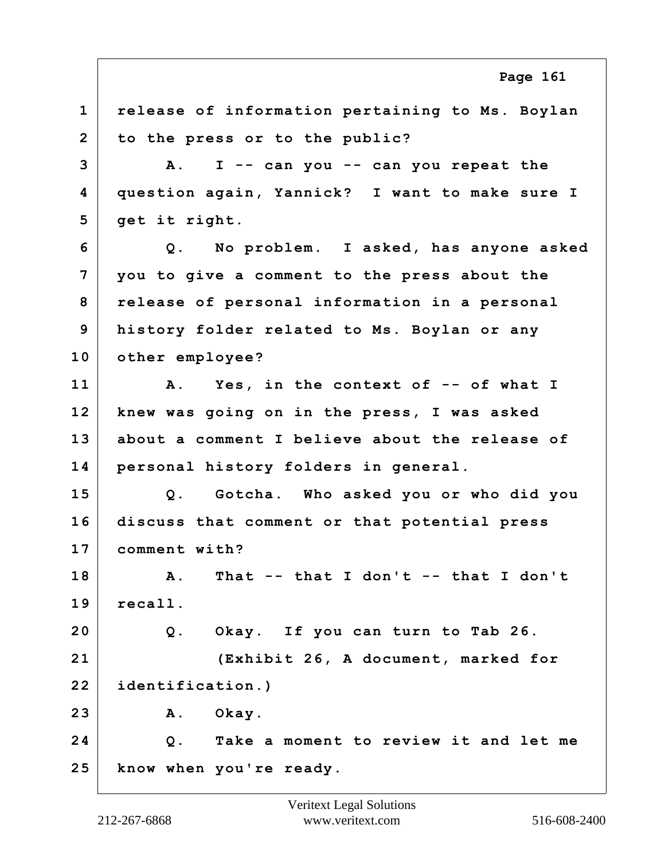**1 release of information pertaining to Ms. Boylan 2 to the press or to the public? 3 A. I -- can you -- can you repeat the 4 question again, Yannick? I want to make sure I 5 get it right. 6 Q. No problem. I asked, has anyone asked 7 you to give a comment to the press about the 8 release of personal information in a personal 9 history folder related to Ms. Boylan or any 10 other employee? 11 A. Yes, in the context of -- of what I 12 knew was going on in the press, I was asked 13 about a comment I believe about the release of 14 personal history folders in general. 15 Q. Gotcha. Who asked you or who did you 16 discuss that comment or that potential press 17 comment with? 18 A. That -- that I don't -- that I don't 19 recall. 20 Q. Okay. If you can turn to Tab 26. 21 (Exhibit 26, A document, marked for 22 identification.) 23 A. Okay. 24 Q. Take a moment to review it and let me 25 know when you're ready. Page 161**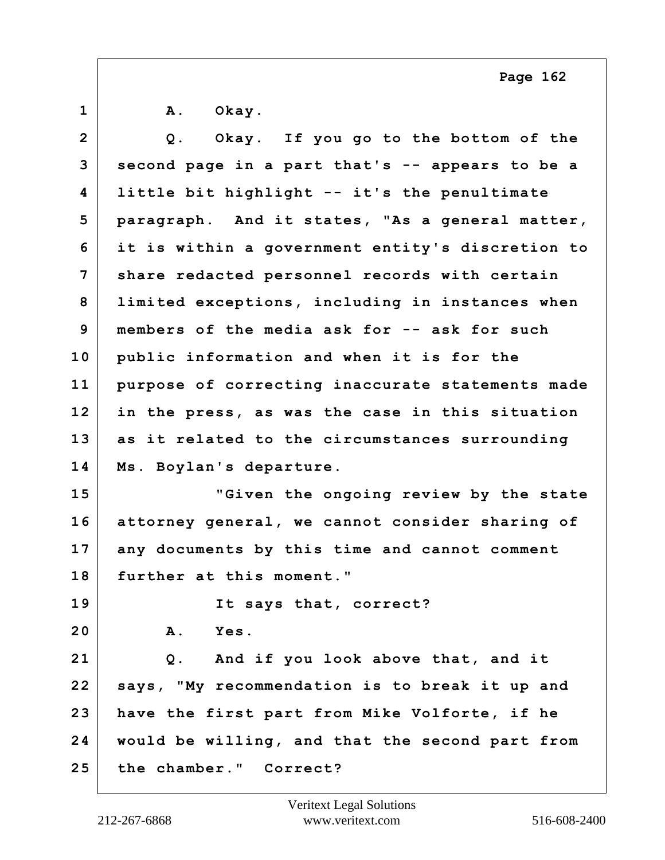**1 A. Okay. 2 Q. Okay. If you go to the bottom of the 3 second page in a part that's -- appears to be a 4 little bit highlight -- it's the penultimate 5 paragraph. And it states, "As a general matter, 6 it is within a government entity's discretion to 7 share redacted personnel records with certain 8 limited exceptions, including in instances when 9 members of the media ask for -- ask for such 10 public information and when it is for the 11 purpose of correcting inaccurate statements made 12 in the press, as was the case in this situation 13 as it related to the circumstances surrounding 14 Ms. Boylan's departure. 15 "Given the ongoing review by the state 16 attorney general, we cannot consider sharing of 17 any documents by this time and cannot comment 18 further at this moment." 19 It says that, correct? 20 A. Yes. 21 Q. And if you look above that, and it 22 says, "My recommendation is to break it up and 23 have the first part from Mike Volforte, if he 24 would be willing, and that the second part from 25 the chamber." Correct?**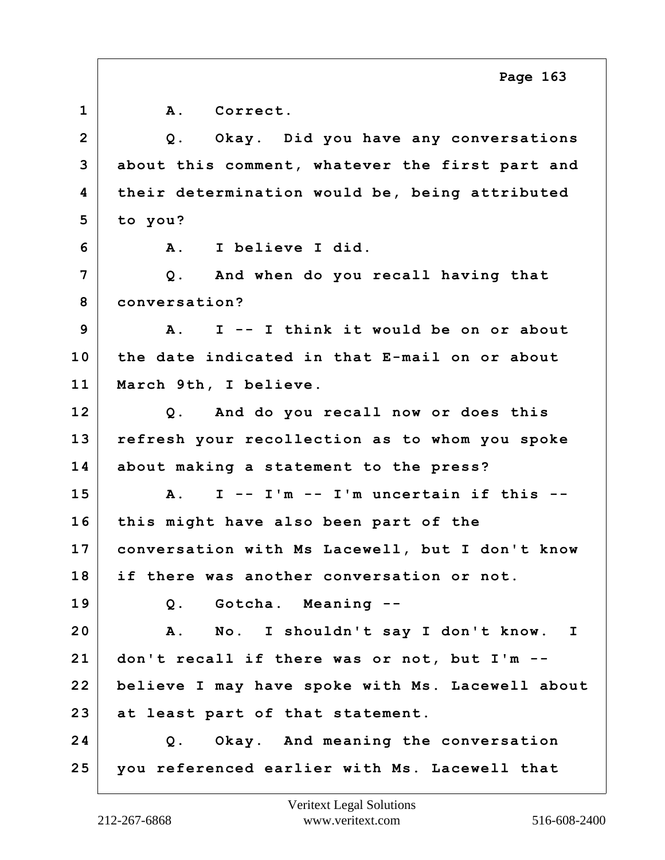**1 A. Correct. 2 Q. Okay. Did you have any conversations 3 about this comment, whatever the first part and 4 their determination would be, being attributed 5 to you? 6 A. I believe I did. 7 Q. And when do you recall having that 8 conversation? 9 A. I -- I think it would be on or about 10 the date indicated in that E-mail on or about 11 March 9th, I believe. 12 Q. And do you recall now or does this 13 refresh your recollection as to whom you spoke 14 about making a statement to the press? 15 A. I -- I'm -- I'm uncertain if this -- 16 this might have also been part of the 17 conversation with Ms Lacewell, but I don't know 18 if there was another conversation or not. 19 Q. Gotcha. Meaning -- 20 A. No. I shouldn't say I don't know. I 21 don't recall if there was or not, but I'm -- 22 believe I may have spoke with Ms. Lacewell about 23 at least part of that statement. 24 Q. Okay. And meaning the conversation 25 you referenced earlier with Ms. Lacewell that Page 163**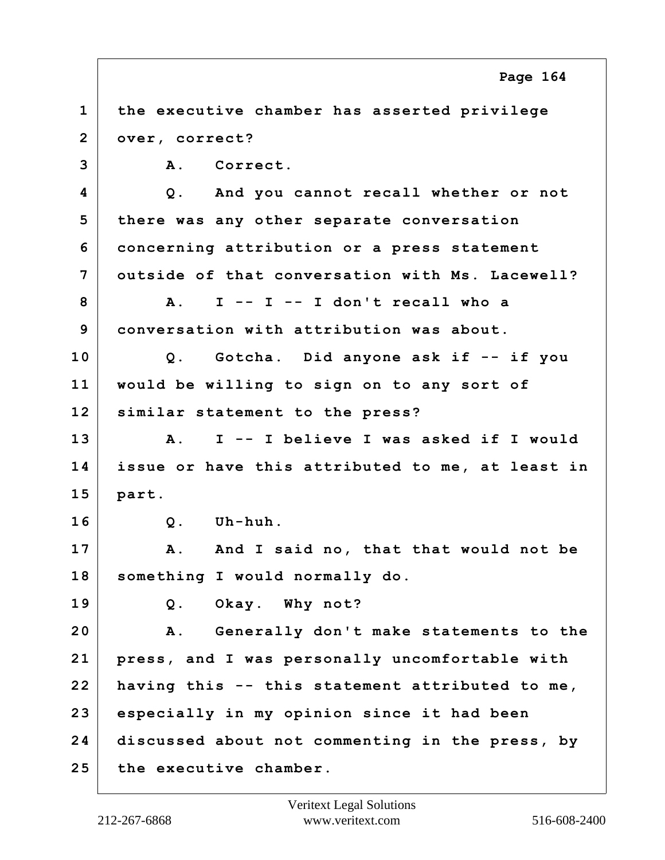**1 the executive chamber has asserted privilege 2 over, correct? 3 A. Correct. 4 Q. And you cannot recall whether or not 5 there was any other separate conversation 6 concerning attribution or a press statement 7 outside of that conversation with Ms. Lacewell? 8 A. I -- I -- I don't recall who a 9 conversation with attribution was about. 10 Q. Gotcha. Did anyone ask if -- if you 11 would be willing to sign on to any sort of 12 similar statement to the press? 13 A. I -- I believe I was asked if I would 14 issue or have this attributed to me, at least in 15 part. 16 Q. Uh-huh.** 17 | A. And I said no, that that would not be **18 something I would normally do. 19 Q. Okay. Why not? 20 A. Generally don't make statements to the 21 press, and I was personally uncomfortable with 22 having this -- this statement attributed to me, 23 especially in my opinion since it had been 24 discussed about not commenting in the press, by 25 the executive chamber. Page 164**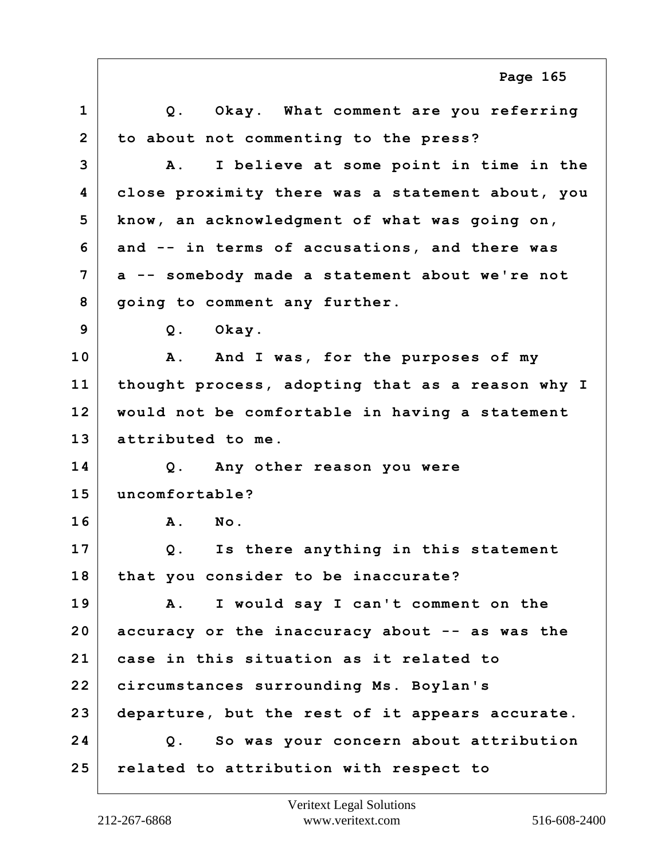|                | Page 165                                              |
|----------------|-------------------------------------------------------|
| $\mathbf{1}$   | Q. Okay. What comment are you referring               |
| $\overline{2}$ | to about not commenting to the press?                 |
| 3              | I believe at some point in time in the<br>${\bf A}$ . |
| 4              | close proximity there was a statement about, you      |
| 5              | know, an acknowledgment of what was going on,         |
| 6              | and -- in terms of accusations, and there was         |
| 7              | a -- somebody made a statement about we're not        |
| 8              | going to comment any further.                         |
| 9              | Q. Okay.                                              |
| 10             | A. And I was, for the purposes of my                  |
| 11             | thought process, adopting that as a reason why I      |
| 12             | would not be comfortable in having a statement        |
| 13             | attributed to me.                                     |
| 14             | Q. Any other reason you were                          |
| 15             | uncomfortable?                                        |
| 16             | Α.<br>No.                                             |
| 17             | Is there anything in this statement<br>Q.             |
| 18             | that you consider to be inaccurate?                   |
| 19             | I would say I can't comment on the<br><b>A</b> .      |
| 20             | accuracy or the inaccuracy about -- as was the        |
| 21             | case in this situation as it related to               |
| 22             | circumstances surrounding Ms. Boylan's                |
| 23             | departure, but the rest of it appears accurate.       |
| 24             | So was your concern about attribution<br>Q.           |
| 25             | related to attribution with respect to                |

Г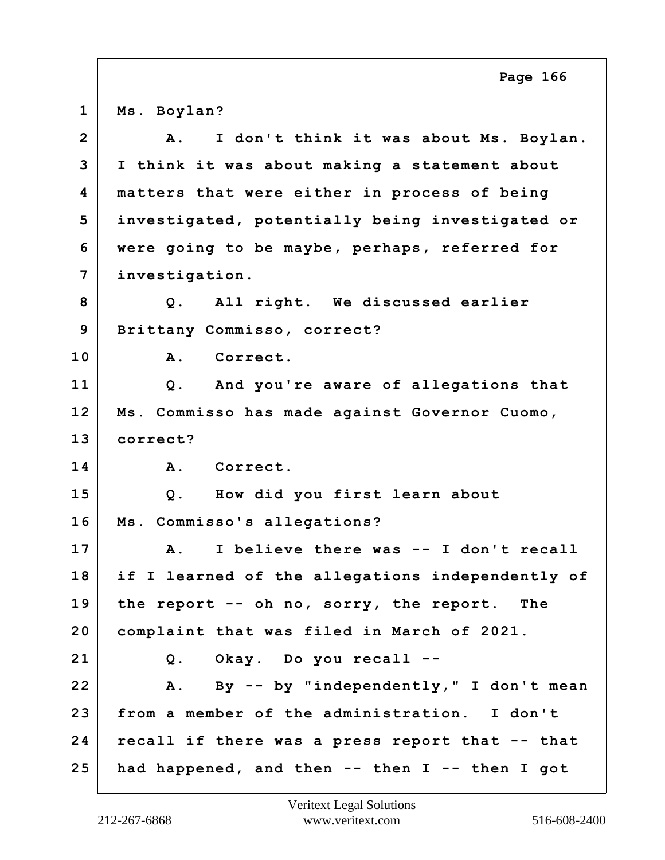**1 Ms. Boylan?**

| 2 <sup>1</sup> | I don't think it was about Ms. Boylan.<br>Α.         |
|----------------|------------------------------------------------------|
| 3              | I think it was about making a statement about        |
| 4              | matters that were either in process of being         |
| 5              | investigated, potentially being investigated or      |
| 6              | were going to be maybe, perhaps, referred for        |
| 7              | investigation.                                       |
| 8              | Q. All right. We discussed earlier                   |
| 9              | Brittany Commisso, correct?                          |
| 10             | A. Correct.                                          |
| 11             | Q. And you're aware of allegations that              |
| 12             | Ms. Commisso has made against Governor Cuomo,        |
| 13             | correct?                                             |
| 14             | A. Correct.                                          |
| 15             | Q. How did you first learn about                     |
| 16             | Ms. Commisso's allegations?                          |
| 17             | I believe there was -- I don't recall<br>${\bf A}$ . |
| 18             | if I learned of the allegations independently of     |
| 19             | the report -- oh no, sorry, the report.<br>The       |
| 20             | complaint that was filed in March of 2021.           |
| 21             | Q. Okay. Do you recall --                            |
| 22             | A. By -- by "independently," I don't mean            |
| 23             | from a member of the administration. I don't         |
| 24             | recall if there was a press report that -- that      |
| 25             | had happened, and then -- then I -- then I got       |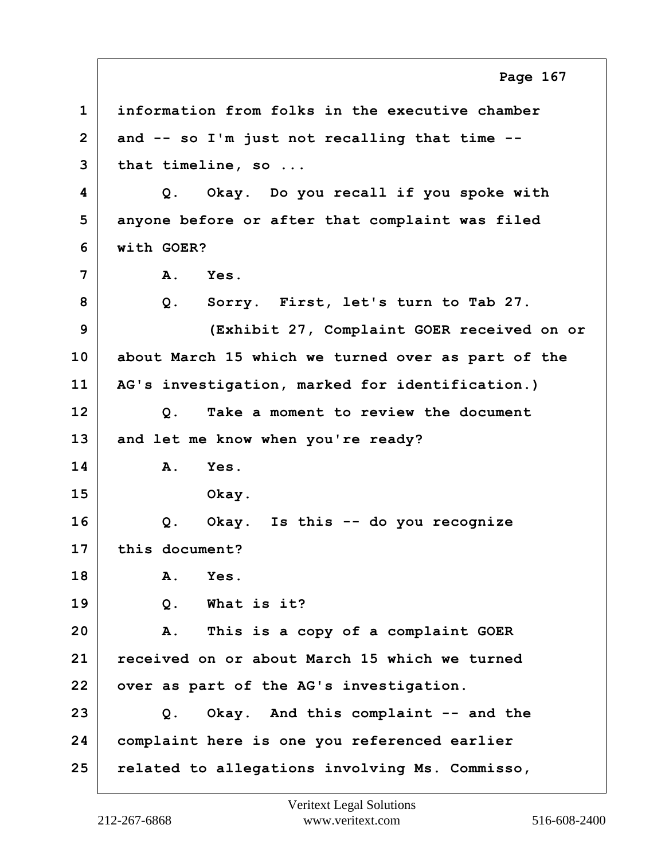|                | Page 167                                           |
|----------------|----------------------------------------------------|
| $\mathbf 1$    | information from folks in the executive chamber    |
| $\overline{2}$ | and -- so I'm just not recalling that time --      |
| 3              | that timeline, so                                  |
| 4              | Okay. Do you recall if you spoke with<br>Q.        |
| 5              | anyone before or after that complaint was filed    |
| 6              | with GOER?                                         |
| 7              | Yes.<br>Α.                                         |
| 8              | Sorry. First, let's turn to Tab 27.<br>$Q$ .       |
| 9              | (Exhibit 27, Complaint GOER received on or         |
| 10             | about March 15 which we turned over as part of the |
| 11             | AG's investigation, marked for identification.)    |
| 12             | Take a moment to review the document<br>Q.         |
| 13             | and let me know when you're ready?                 |
| 14             | Yes.<br>Α.                                         |
| 15             | Okay.                                              |
| 16             | Okay. Is this -- do you recognize<br>Q.            |
| 17             | this document?                                     |
| 18             | Yes.<br>Α.                                         |
| 19             | What is it?<br>Q.                                  |
| 20             | This is a copy of a complaint GOER<br>Α.           |
| 21             | received on or about March 15 which we turned      |
| 22             | over as part of the AG's investigation.            |
| 23             | Okay. And this complaint -- and the<br>Q.          |
| 24             | complaint here is one you referenced earlier       |
| 25             | related to allegations involving Ms. Commisso,     |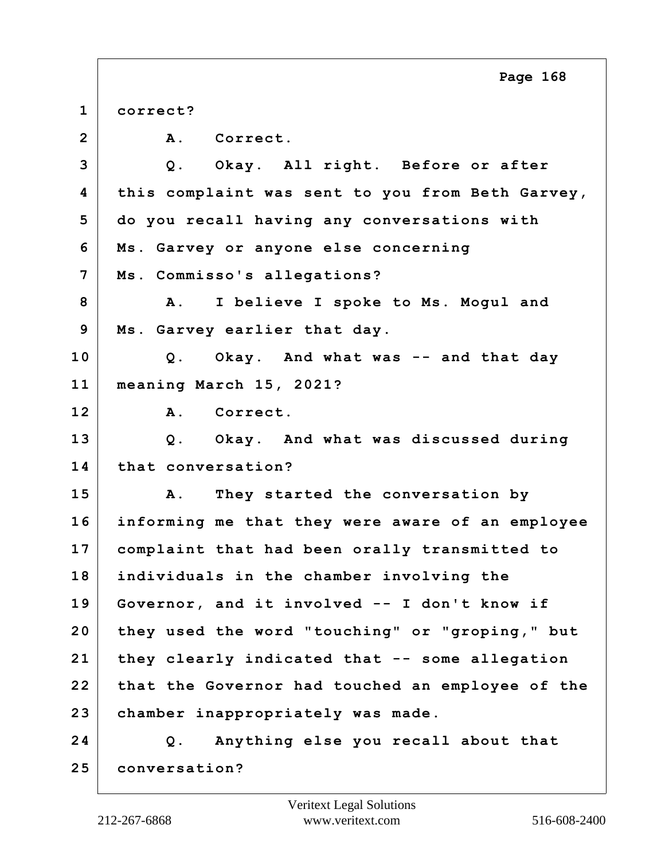**1 correct?** 2 A. Correct. **3 Q. Okay. All right. Before or after 4 this complaint was sent to you from Beth Garvey, 5 do you recall having any conversations with 6 Ms. Garvey or anyone else concerning 7 Ms. Commisso's allegations? 8 A. I believe I spoke to Ms. Mogul and 9 Ms. Garvey earlier that day. 10 Q. Okay. And what was -- and that day 11 meaning March 15, 2021? 12 A. Correct. 13 Q. Okay. And what was discussed during 14 that conversation? 15 A. They started the conversation by 16 informing me that they were aware of an employee 17 complaint that had been orally transmitted to 18 individuals in the chamber involving the 19 Governor, and it involved -- I don't know if 20 they used the word "touching" or "groping," but 21 they clearly indicated that -- some allegation 22 that the Governor had touched an employee of the 23 chamber inappropriately was made. 24 Q. Anything else you recall about that 25 conversation? Page 168**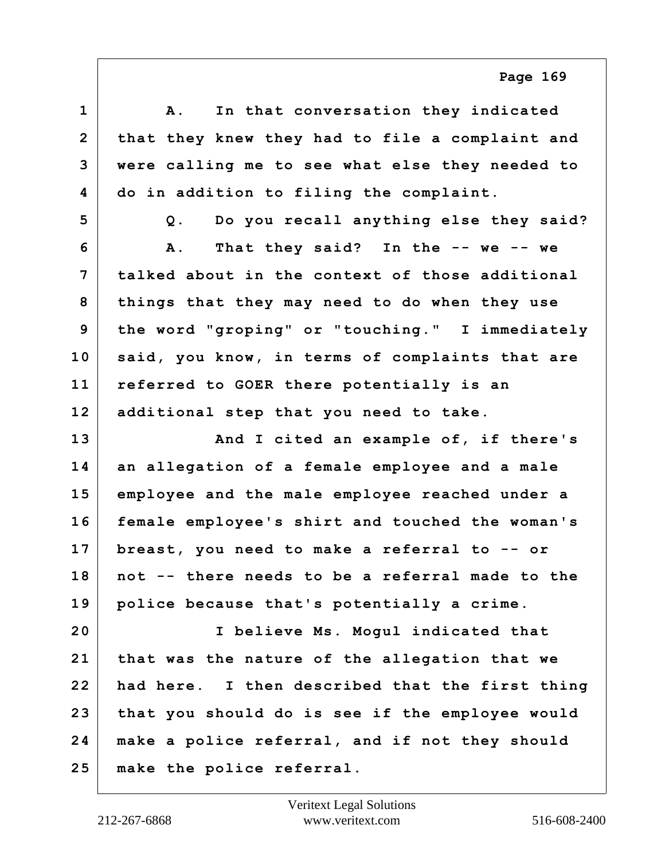**1 A. In that conversation they indicated 2 that they knew they had to file a complaint and 3 were calling me to see what else they needed to 4 do in addition to filing the complaint. 5 Q. Do you recall anything else they said? 6 A. That they said? In the -- we -- we 7 talked about in the context of those additional 8 things that they may need to do when they use 9 the word "groping" or "touching." I immediately 10 said, you know, in terms of complaints that are 11 referred to GOER there potentially is an 12 additional step that you need to take. 13 And I cited an example of, if there's 14 an allegation of a female employee and a male 15 employee and the male employee reached under a 16 female employee's shirt and touched the woman's 17 breast, you need to make a referral to -- or 18 not -- there needs to be a referral made to the 19 police because that's potentially a crime. 20 I believe Ms. Mogul indicated that 21 that was the nature of the allegation that we 22 had here. I then described that the first thing 23 that you should do is see if the employee would 24 make a police referral, and if not they should 25 make the police referral.**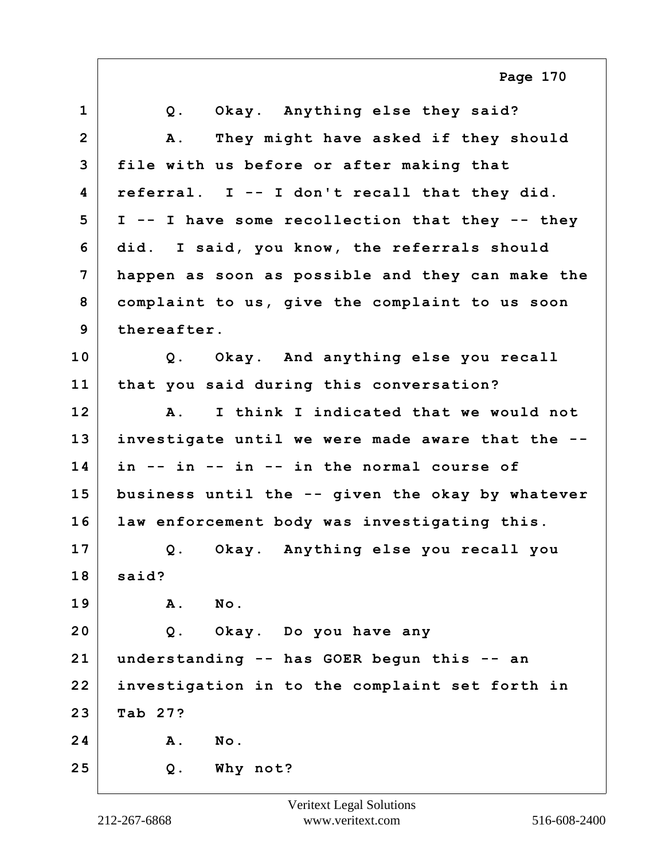**1 Q. Okay. Anything else they said? 2 A. They might have asked if they should 3 file with us before or after making that 4 referral. I -- I don't recall that they did. 5 I -- I have some recollection that they -- they 6 did. I said, you know, the referrals should 7 happen as soon as possible and they can make the 8 complaint to us, give the complaint to us soon 9 thereafter. 10 Q. Okay. And anything else you recall 11 that you said during this conversation? 12 A. I think I indicated that we would not 13 investigate until we were made aware that the -- 14 in -- in -- in -- in the normal course of 15 business until the -- given the okay by whatever 16 law enforcement body was investigating this. 17 Q. Okay. Anything else you recall you 18 said? 19 A. No. 20 Q. Okay. Do you have any 21 understanding -- has GOER begun this -- an 22 investigation in to the complaint set forth in 23 Tab 27? 24 A. No. 25 Q. Why not? Page 170**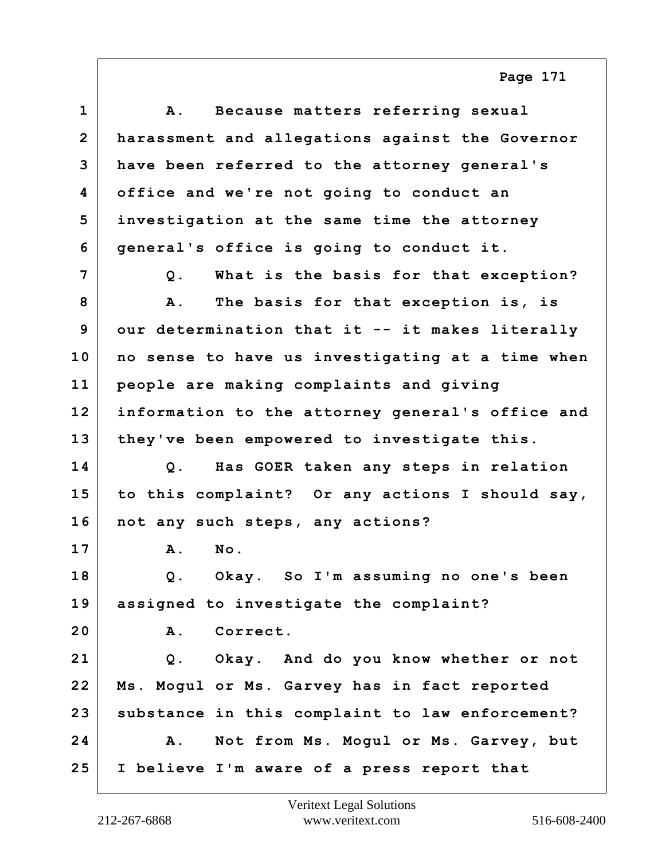| $\mathbf{1}$   | Because matters referring sexual<br>A.              |
|----------------|-----------------------------------------------------|
| $\overline{2}$ | harassment and allegations against the Governor     |
| 3              | have been referred to the attorney general's        |
| 4              | office and we're not going to conduct an            |
| 5              | investigation at the same time the attorney         |
| 6              | general's office is going to conduct it.            |
| 7              | What is the basis for that exception?<br>Q.         |
| 8              | The basis for that exception is, is<br><b>A</b> .   |
| 9              | our determination that it -- it makes literally     |
| 10             | no sense to have us investigating at a time when    |
| 11             | people are making complaints and giving             |
| 12             | information to the attorney general's office and    |
| 13             | they've been empowered to investigate this.         |
| 14             | Has GOER taken any steps in relation<br>$Q$ .       |
| 15             | to this complaint? Or any actions I should say,     |
| 16             | not any such steps, any actions?                    |
| 17             | No.<br>A.                                           |
| 18             | Okay. So I'm assuming no one's been<br>$Q$ .        |
| 19             | assigned to investigate the complaint?              |
| 20             | <b>A</b> .<br>Correct.                              |
| 21             | Q. Okay. And do you know whether or not             |
| 22             | Ms. Mogul or Ms. Garvey has in fact reported        |
| 23             | substance in this complaint to law enforcement?     |
| 24             | Not from Ms. Mogul or Ms. Garvey, but<br><b>A</b> . |
| 25             | I believe I'm aware of a press report that          |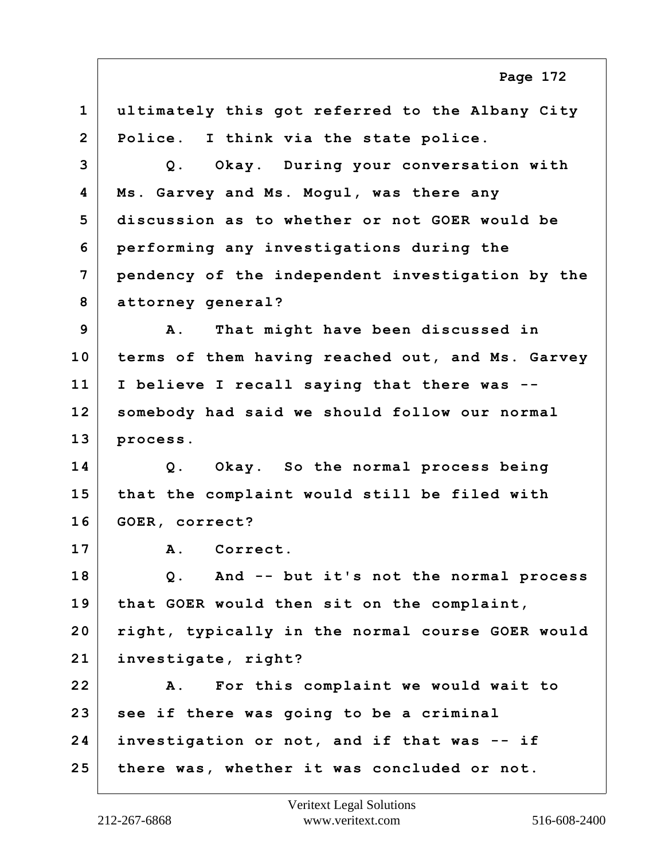**1 ultimately this got referred to the Albany City 2 Police. I think via the state police. 3 Q. Okay. During your conversation with 4 Ms. Garvey and Ms. Mogul, was there any 5 discussion as to whether or not GOER would be 6 performing any investigations during the 7 pendency of the independent investigation by the 8 attorney general? 9 A. That might have been discussed in 10 terms of them having reached out, and Ms. Garvey 11 I believe I recall saying that there was -- 12 somebody had said we should follow our normal 13 process. 14 Q. Okay. So the normal process being 15 that the complaint would still be filed with 16 GOER, correct? 17 A. Correct. 18 Q. And -- but it's not the normal process 19 that GOER would then sit on the complaint, 20 right, typically in the normal course GOER would 21 investigate, right? 22 A. For this complaint we would wait to 23 see if there was going to be a criminal 24 investigation or not, and if that was -- if 25 there was, whether it was concluded or not. Page 172**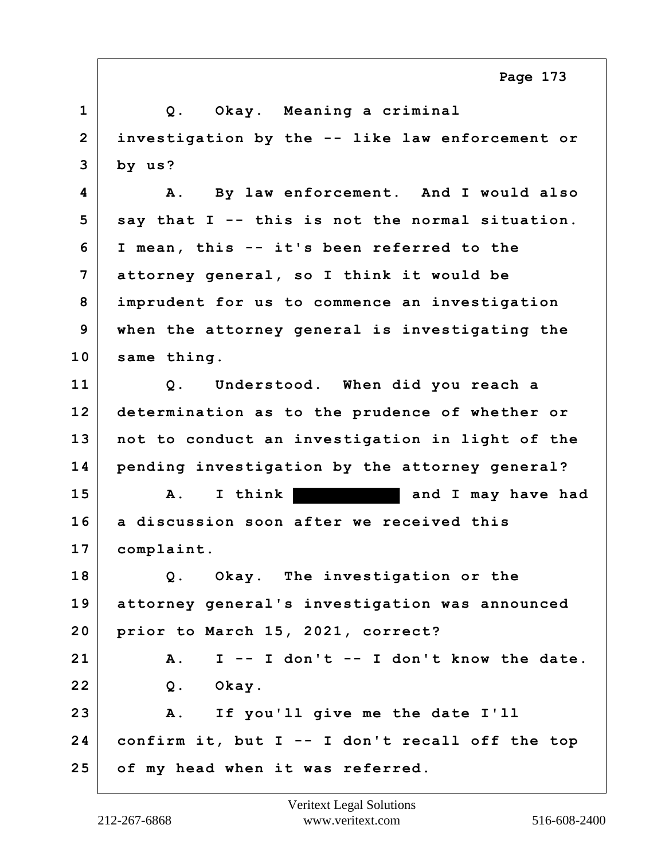|                | Page 173                                           |
|----------------|----------------------------------------------------|
| $\mathbf{1}$   | Q. Okay. Meaning a criminal                        |
| $\overline{2}$ | investigation by the -- like law enforcement or    |
| 3              | by us?                                             |
| 4              | By law enforcement. And I would also<br>Α.         |
| 5              | say that I -- this is not the normal situation.    |
| 6              | I mean, this -- it's been referred to the          |
| $\overline{7}$ | attorney general, so I think it would be           |
| 8              | imprudent for us to commence an investigation      |
| 9              | when the attorney general is investigating the     |
| 10             | same thing.                                        |
| 11             | Understood. When did you reach a<br>Q.             |
| 12             | determination as to the prudence of whether or     |
| 13             | not to conduct an investigation in light of the    |
| 14             | pending investigation by the attorney general?     |
| 15             | I think<br>and I may have had<br>A.                |
| 16             | a discussion soon after we received this           |
| 17             | complaint.                                         |
| 18             | Q. Okay. The investigation or the                  |
| 19             | attorney general's investigation was announced     |
| 20             | prior to March 15, 2021, correct?                  |
| 21             | I -- I don't -- I don't know the date.<br>Α.       |
| 22             | Okay.<br>$Q$ .                                     |
| 23             | $\mathbf{A}$ .<br>If you'll give me the date I'll  |
| 24             | confirm it, but $I - - I$ don't recall off the top |
| 25             | of my head when it was referred.                   |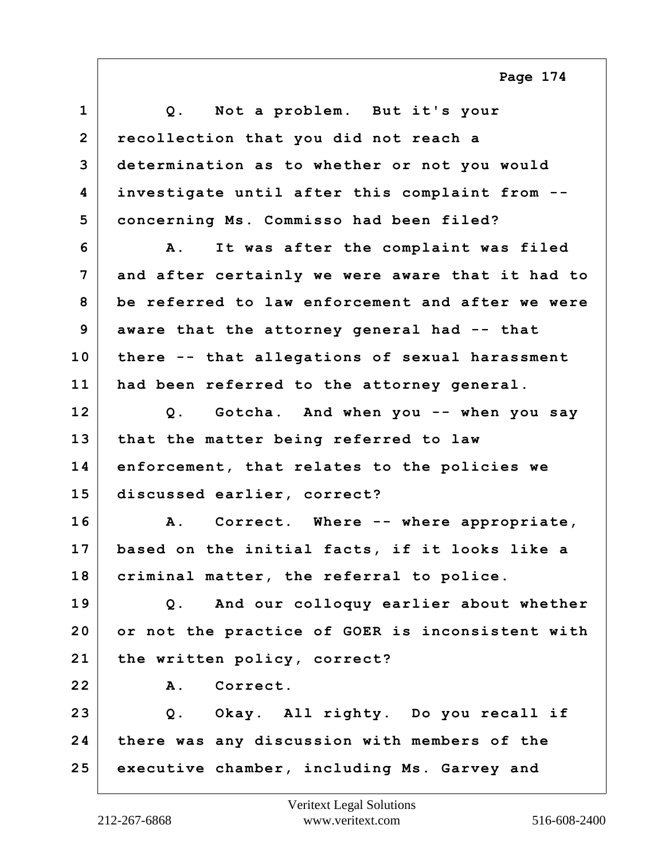| $\mathbf 1$    | Q. Not a problem. But it's your                        |
|----------------|--------------------------------------------------------|
| $\overline{2}$ | recollection that you did not reach a                  |
| 3              | determination as to whether or not you would           |
| 4              | investigate until after this complaint from --         |
| 5              | concerning Ms. Commisso had been filed?                |
| 6              | It was after the complaint was filed<br>$\mathbf{A}$ . |
| $\overline{7}$ | and after certainly we were aware that it had to       |
| 8              | be referred to law enforcement and after we were       |
| 9              | aware that the attorney general had -- that            |
| 10             | there -- that allegations of sexual harassment         |
| 11             | had been referred to the attorney general.             |
| 12             | Q. Gotcha. And when you -- when you say                |
| 13             | that the matter being referred to law                  |
| 14             | enforcement, that relates to the policies we           |
| 15             | discussed earlier, correct?                            |
| 16             | Correct. Where -- where appropriate,<br>Α.             |
| 17             | based on the initial facts, if it looks like a         |
| 18             | criminal matter, the referral to police.               |
| 19             | Q. And our colloquy earlier about whether              |
| 20             | or not the practice of GOER is inconsistent with       |
| 21             | the written policy, correct?                           |
| 22             | Correct.<br>A.                                         |
| 23             | Q. Okay. All righty. Do you recall if                  |
| 24             | there was any discussion with members of the           |
| 25             | executive chamber, including Ms. Garvey and            |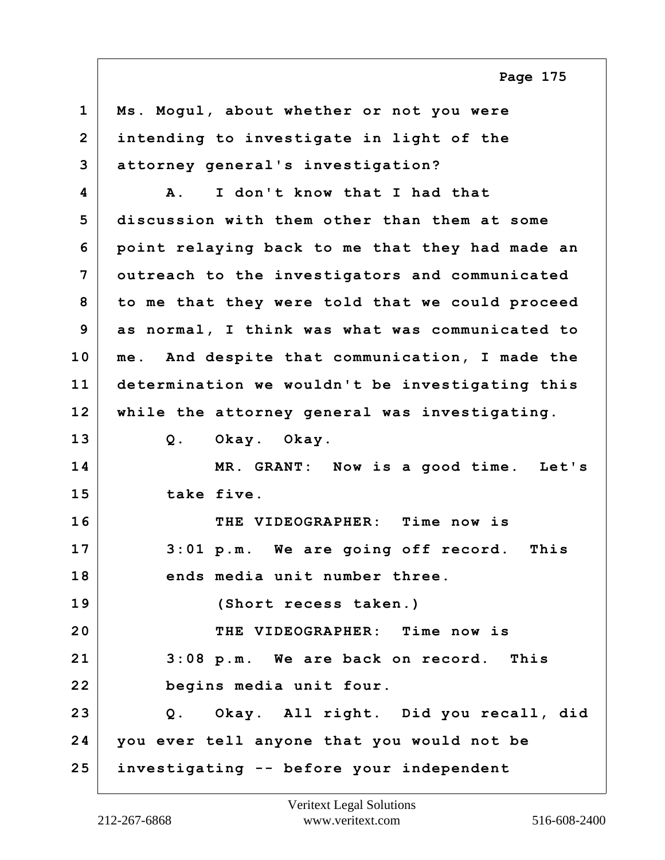**1 Ms. Mogul, about whether or not you were 2 intending to investigate in light of the 3 attorney general's investigation? 4 A. I don't know that I had that 5 discussion with them other than them at some 6 point relaying back to me that they had made an 7 outreach to the investigators and communicated 8 to me that they were told that we could proceed 9 as normal, I think was what was communicated to 10 me. And despite that communication, I made the 11 determination we wouldn't be investigating this 12 while the attorney general was investigating. 13 Q. Okay. Okay. 14 MR. GRANT: Now is a good time. Let's 15 take five. 16 THE VIDEOGRAPHER: Time now is 17 3:01 p.m. We are going off record. This 18 ends media unit number three. 19 (Short recess taken.) 20 THE VIDEOGRAPHER: Time now is 21 3:08 p.m. We are back on record. This 22 begins media unit four. 23 Q. Okay. All right. Did you recall, did 24 you ever tell anyone that you would not be 25 investigating -- before your independent**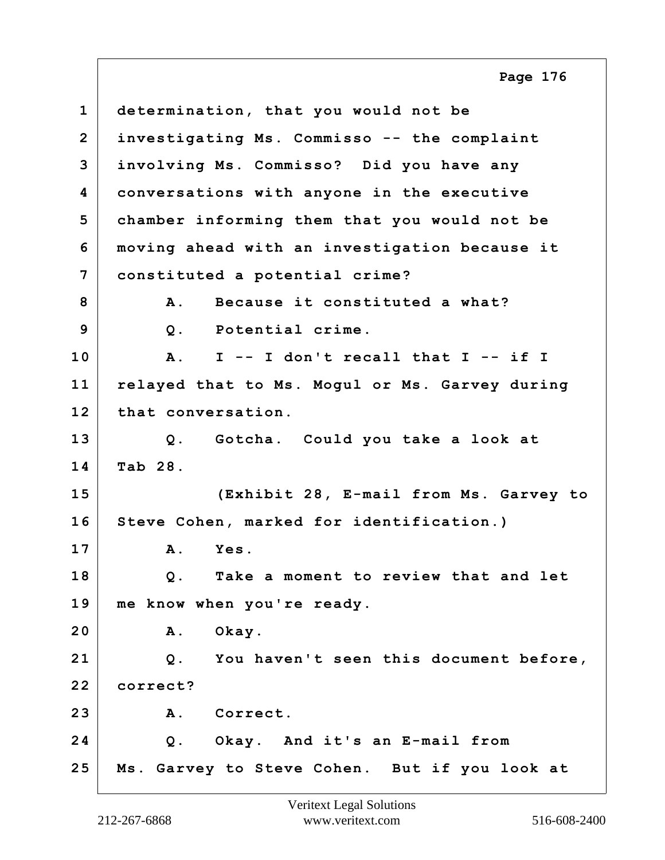**1 determination, that you would not be 2 investigating Ms. Commisso -- the complaint 3 involving Ms. Commisso? Did you have any 4 conversations with anyone in the executive 5 chamber informing them that you would not be 6 moving ahead with an investigation because it 7 constituted a potential crime? 8 A. Because it constituted a what? 9 Q. Potential crime. 10 A. I -- I don't recall that I -- if I 11 relayed that to Ms. Mogul or Ms. Garvey during 12 that conversation. 13 Q. Gotcha. Could you take a look at 14 Tab 28. 15 (Exhibit 28, E-mail from Ms. Garvey to 16 Steve Cohen, marked for identification.) 17 A. Yes. 18 Q. Take a moment to review that and let 19 me know when you're ready. 20 A. Okay. 21 Q. You haven't seen this document before, 22 correct? 23 A. Correct. 24 Q. Okay. And it's an E-mail from 25 Ms. Garvey to Steve Cohen. But if you look at Page 176**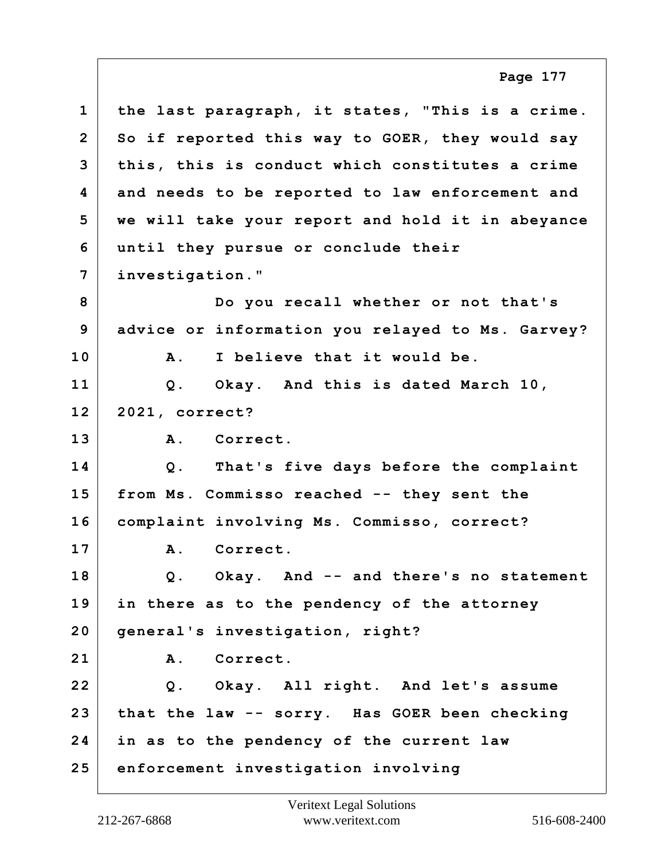**1 the last paragraph, it states, "This is a crime. 2 So if reported this way to GOER, they would say 3 this, this is conduct which constitutes a crime 4 and needs to be reported to law enforcement and 5 we will take your report and hold it in abeyance 6 until they pursue or conclude their 7 investigation." 8 Do you recall whether or not that's 9 advice or information you relayed to Ms. Garvey? 10 A. I believe that it would be. 11 Q. Okay. And this is dated March 10, 12 2021, correct? 13 A. Correct. 14 Q. That's five days before the complaint 15 from Ms. Commisso reached -- they sent the 16 complaint involving Ms. Commisso, correct? 17 A. Correct. 18 Q. Okay. And -- and there's no statement 19 in there as to the pendency of the attorney 20 general's investigation, right? 21 A. Correct. 22 Q. Okay. All right. And let's assume 23 that the law -- sorry. Has GOER been checking 24 in as to the pendency of the current law 25 enforcement investigation involving Page 177**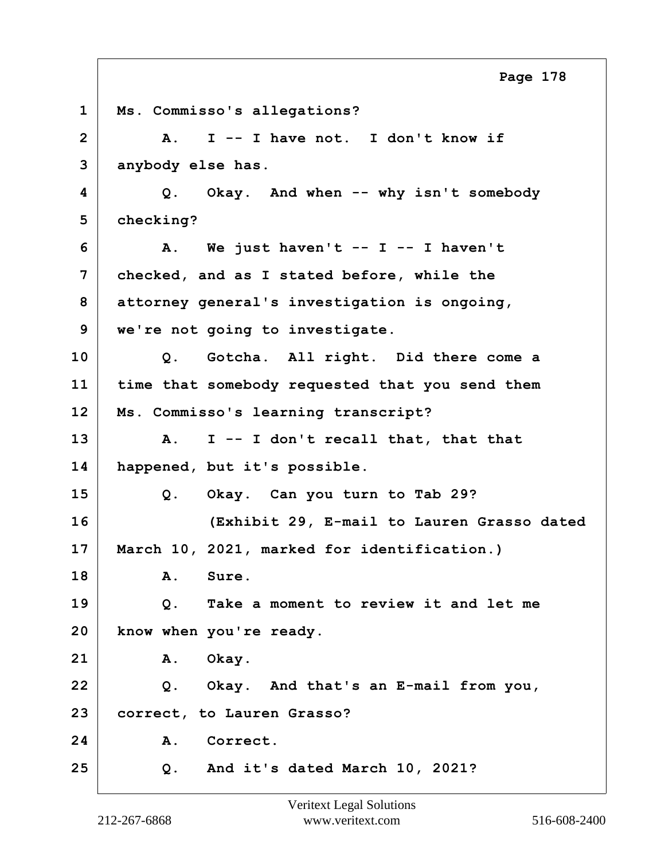**1 Ms. Commisso's allegations? 2 A. I -- I have not. I don't know if 3 anybody else has. 4 Q. Okay. And when -- why isn't somebody 5 checking? 6 A. We just haven't -- I -- I haven't 7 checked, and as I stated before, while the 8 attorney general's investigation is ongoing, 9 we're not going to investigate. 10 Q. Gotcha. All right. Did there come a 11 time that somebody requested that you send them 12 Ms. Commisso's learning transcript? 13 A. I -- I don't recall that, that that 14 happened, but it's possible. 15 Q. Okay. Can you turn to Tab 29? 16 (Exhibit 29, E-mail to Lauren Grasso dated 17 March 10, 2021, marked for identification.) 18 A. Sure. 19 Q. Take a moment to review it and let me 20 know when you're ready. 21 A. Okay. 22 Q. Okay. And that's an E-mail from you, 23 correct, to Lauren Grasso?** 24 A. Correct. **25 Q. And it's dated March 10, 2021? Page 178**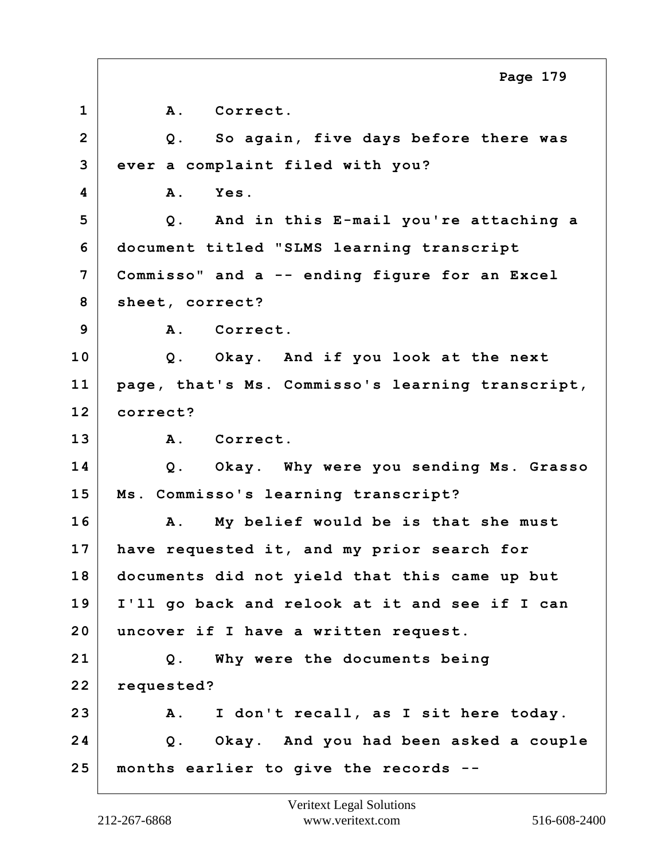**1 A. Correct. 2 Q. So again, five days before there was 3 ever a complaint filed with you? 4 A. Yes. 5 Q. And in this E-mail you're attaching a 6 document titled "SLMS learning transcript 7 Commisso" and a -- ending figure for an Excel 8 sheet, correct? 9 A. Correct. 10 Q. Okay. And if you look at the next 11 page, that's Ms. Commisso's learning transcript, 12 correct? 13 A. Correct. 14 Q. Okay. Why were you sending Ms. Grasso 15 Ms. Commisso's learning transcript? 16 A. My belief would be is that she must 17 have requested it, and my prior search for 18 documents did not yield that this came up but 19 I'll go back and relook at it and see if I can 20 uncover if I have a written request. 21 Q. Why were the documents being 22 requested? 23 A. I don't recall, as I sit here today. 24 Q. Okay. And you had been asked a couple 25 months earlier to give the records -- Page 179**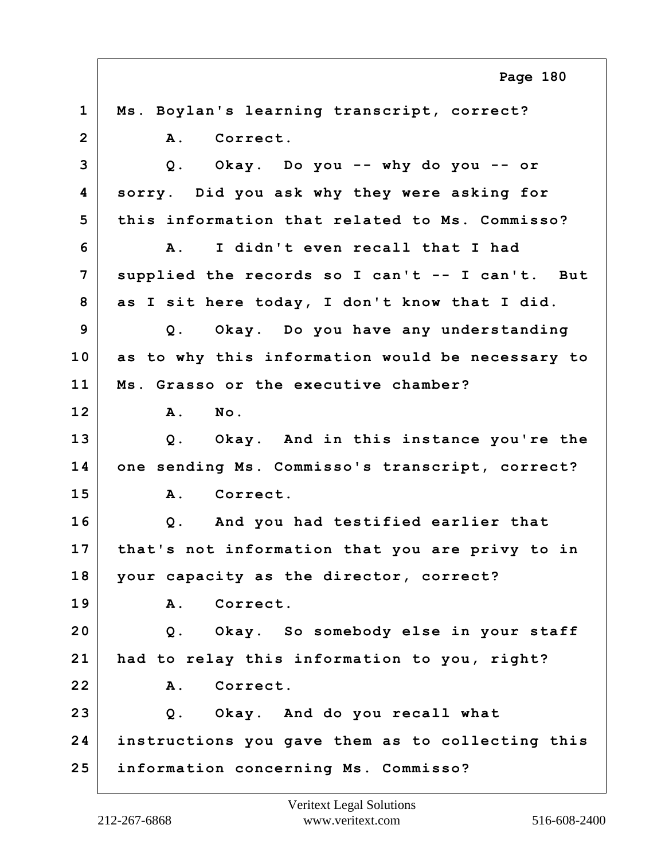**1 Ms. Boylan's learning transcript, correct?** 2 A. Correct. **3 Q. Okay. Do you -- why do you -- or 4 sorry. Did you ask why they were asking for 5 this information that related to Ms. Commisso? 6 A. I didn't even recall that I had 7 supplied the records so I can't -- I can't. But 8 as I sit here today, I don't know that I did. 9 Q. Okay. Do you have any understanding 10 as to why this information would be necessary to 11 Ms. Grasso or the executive chamber? 12 A. No. 13 Q. Okay. And in this instance you're the 14 one sending Ms. Commisso's transcript, correct? 15 A. Correct. 16 Q. And you had testified earlier that 17 that's not information that you are privy to in 18 your capacity as the director, correct? 19 A. Correct. 20 Q. Okay. So somebody else in your staff 21 had to relay this information to you, right? 22 A. Correct. 23 Q. Okay. And do you recall what 24 instructions you gave them as to collecting this 25 information concerning Ms. Commisso? Page 180**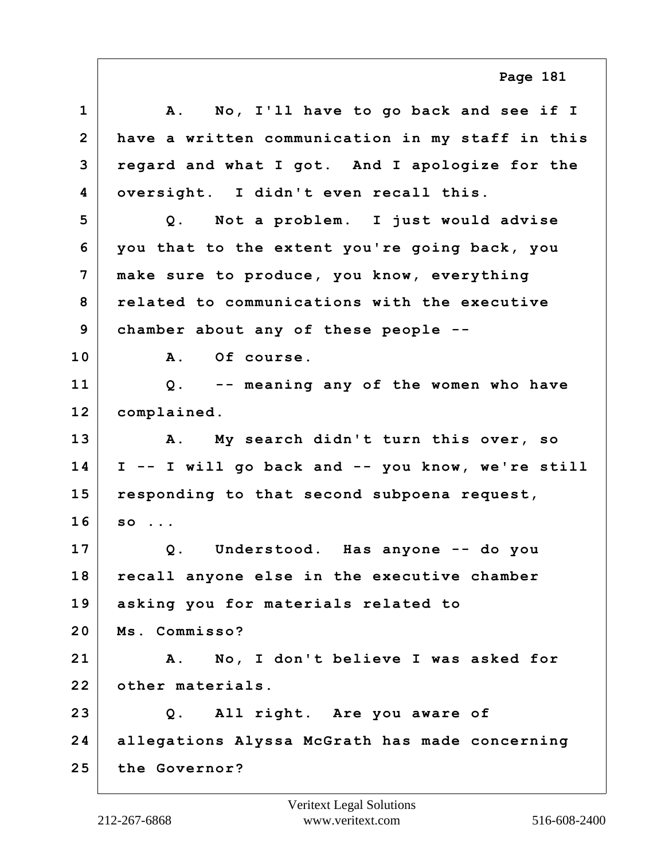**1 A. No, I'll have to go back and see if I 2 have a written communication in my staff in this 3 regard and what I got. And I apologize for the 4 oversight. I didn't even recall this. 5 Q. Not a problem. I just would advise 6 you that to the extent you're going back, you 7 make sure to produce, you know, everything 8 related to communications with the executive 9 chamber about any of these people -- 10 A. Of course. 11 Q. -- meaning any of the women who have 12 complained. 13 A. My search didn't turn this over, so 14 I -- I will go back and -- you know, we're still 15 responding to that second subpoena request, 16 so ... 17 Q. Understood. Has anyone -- do you 18 recall anyone else in the executive chamber 19 asking you for materials related to 20 Ms. Commisso? 21 A. No, I don't believe I was asked for 22 other materials. 23 Q. All right. Are you aware of 24 allegations Alyssa McGrath has made concerning 25 the Governor? Page 181**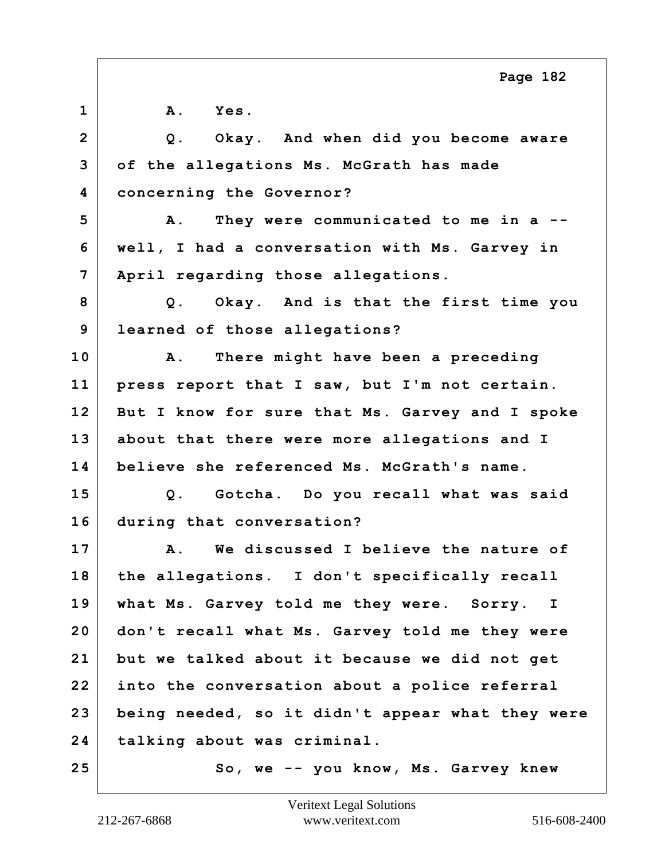| $\mathbf{1}$   | $\mathbf{A}$ .<br><b>Yes.</b>                      |
|----------------|----------------------------------------------------|
| $\overline{2}$ | Q. Okay. And when did you become aware             |
| 3              | of the allegations Ms. McGrath has made            |
| 4              | concerning the Governor?                           |
| 5              | They were communicated to me in a --<br><b>A</b> . |
| 6              | well, I had a conversation with Ms. Garvey in      |
| 7              | April regarding those allegations.                 |
| 8              | Q. Okay. And is that the first time you            |
| 9              | learned of those allegations?                      |
| 10             | There might have been a preceding<br>Α.            |
| 11             | press report that I saw, but I'm not certain.      |
| 12             | But I know for sure that Ms. Garvey and I spoke    |
| 13             | about that there were more allegations and I       |
| 14             | believe she referenced Ms. McGrath's name.         |
| 15             | Q. Gotcha. Do you recall what was said             |
| 16             | during that conversation?                          |
| 17             | A. We discussed I believe the nature of            |
| 18             | the allegations. I don't specifically recall       |
| 19             | what Ms. Garvey told me they were. Sorry. I        |
| 20             | don't recall what Ms. Garvey told me they were     |
| 21             | but we talked about it because we did not get      |
| 22             | into the conversation about a police referral      |
| 23             | being needed, so it didn't appear what they were   |
| 24             | talking about was criminal.                        |
| 25             | So, we -- you know, Ms. Garvey knew                |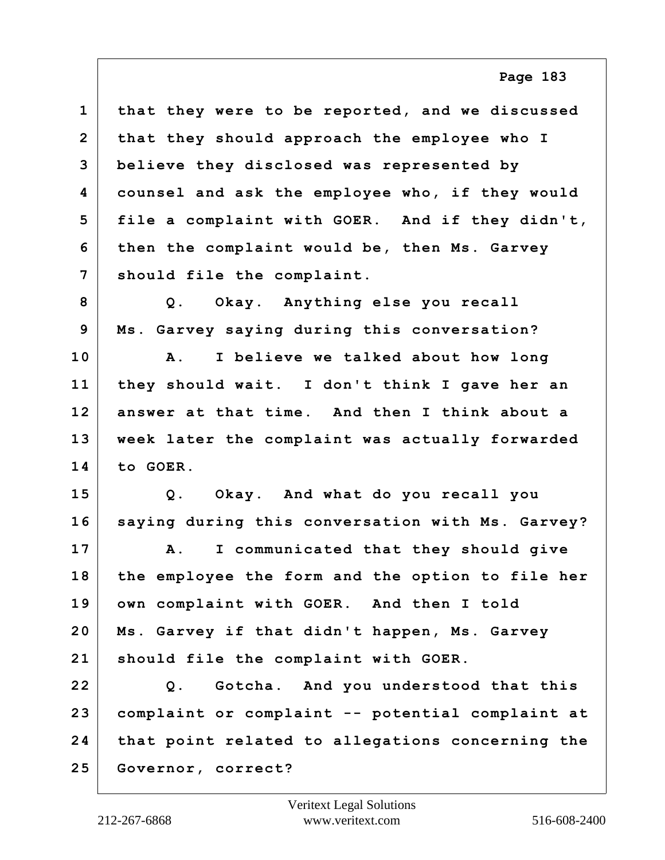**1 that they were to be reported, and we discussed 2 that they should approach the employee who I 3 believe they disclosed was represented by 4 counsel and ask the employee who, if they would 5 file a complaint with GOER. And if they didn't, 6 then the complaint would be, then Ms. Garvey 7 should file the complaint.**

**8 Q. Okay. Anything else you recall 9 Ms. Garvey saying during this conversation?**

**10 A. I believe we talked about how long 11 they should wait. I don't think I gave her an 12 answer at that time. And then I think about a 13 week later the complaint was actually forwarded 14 to GOER.**

**15 Q. Okay. And what do you recall you 16 saying during this conversation with Ms. Garvey?**

**17 A. I communicated that they should give 18 the employee the form and the option to file her 19 own complaint with GOER. And then I told 20 Ms. Garvey if that didn't happen, Ms. Garvey 21 should file the complaint with GOER.**

**22 Q. Gotcha. And you understood that this 23 complaint or complaint -- potential complaint at 24 that point related to allegations concerning the 25 Governor, correct?**

**Page 183**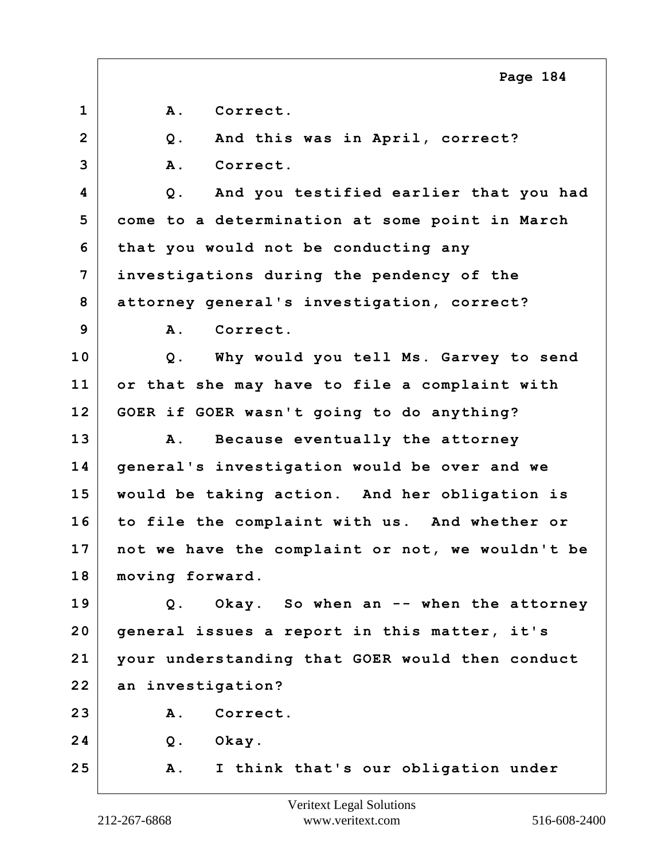|                | Page 184                                              |
|----------------|-------------------------------------------------------|
| $\mathbf{1}$   | Correct.<br><b>A</b> .                                |
| $\overline{2}$ | And this was in April, correct?<br>Q.                 |
| 3              | A.<br>Correct.                                        |
| 4              | And you testified earlier that you had<br>$Q$ .       |
| 5              | come to a determination at some point in March        |
| 6              | that you would not be conducting any                  |
| 7              | investigations during the pendency of the             |
| 8              | attorney general's investigation, correct?            |
| 9              | Correct.<br>Α.                                        |
| 10             | Why would you tell Ms. Garvey to send<br>$Q$ .        |
| 11             | or that she may have to file a complaint with         |
| 12             | GOER if GOER wasn't going to do anything?             |
| 13             | Because eventually the attorney<br>Α.                 |
| 14             | general's investigation would be over and we          |
| 15             | would be taking action. And her obligation is         |
| 16             | to file the complaint with us. And whether or         |
| 17             | not we have the complaint or not, we wouldn't be      |
| 18             | moving forward.                                       |
| 19             | Okay. So when an -- when the attorney<br>$Q_{\cdot}$  |
| 20             | general issues a report in this matter, it's          |
| 21             | your understanding that GOER would then conduct       |
| 22             | an investigation?                                     |
| 23             | A. Correct.                                           |
| 24             | Q. Okay.                                              |
| 25             | I think that's our obligation under<br>$\mathbf{A}$ . |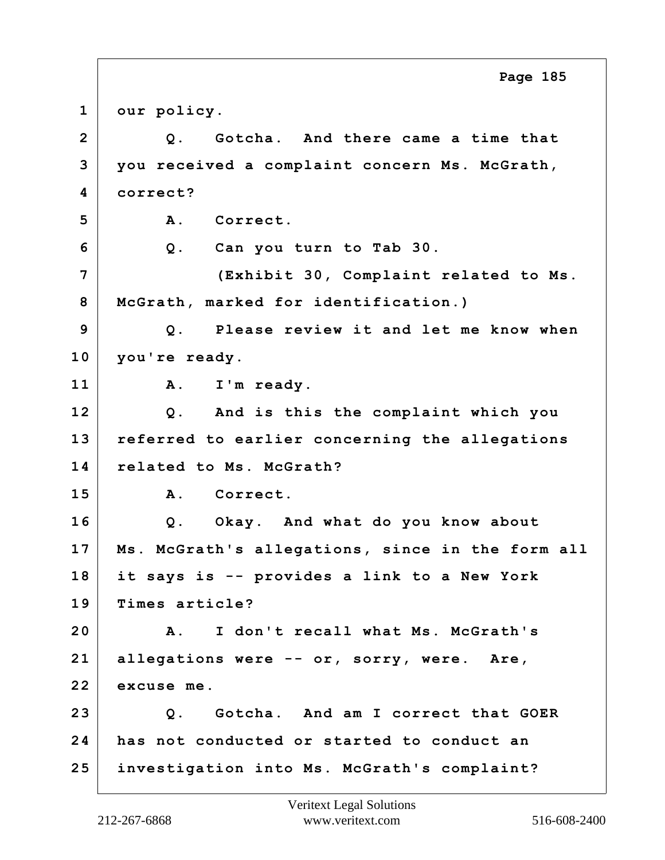**1 our policy. 2 Q. Gotcha. And there came a time that 3 you received a complaint concern Ms. McGrath, 4 correct? 5 A. Correct. 6 Q. Can you turn to Tab 30. 7 (Exhibit 30, Complaint related to Ms. 8 McGrath, marked for identification.) 9 Q. Please review it and let me know when 10 you're ready. 11 A. I'm ready. 12 Q. And is this the complaint which you 13 referred to earlier concerning the allegations 14 related to Ms. McGrath? 15 A. Correct. 16 Q. Okay. And what do you know about 17 Ms. McGrath's allegations, since in the form all 18 it says is -- provides a link to a New York 19 Times article? 20 A. I don't recall what Ms. McGrath's 21 allegations were -- or, sorry, were. Are, 22 excuse me. 23 Q. Gotcha. And am I correct that GOER 24 has not conducted or started to conduct an 25 investigation into Ms. McGrath's complaint? Page 185**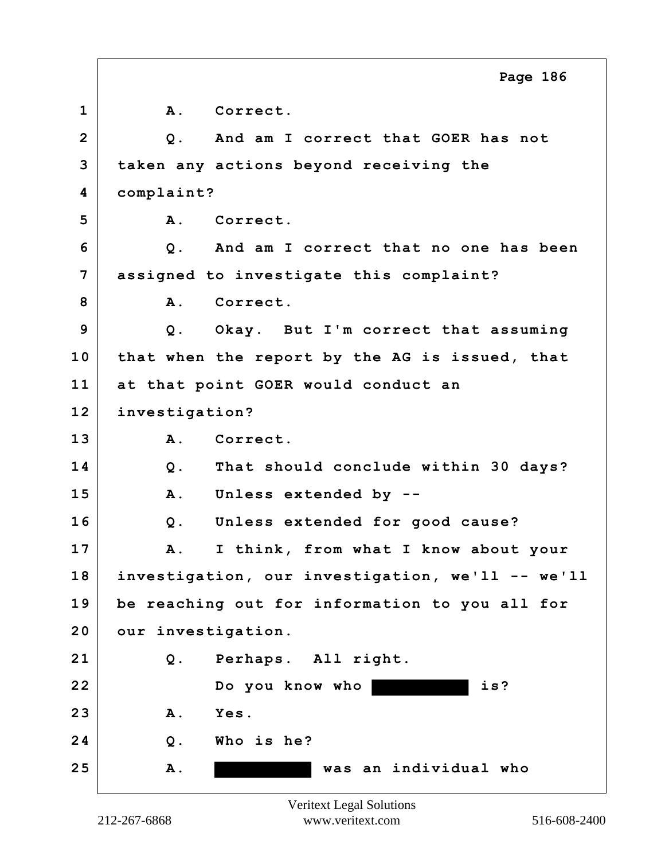|              | Page 186                                         |
|--------------|--------------------------------------------------|
| $\mathbf{1}$ | A. Correct.                                      |
| $\mathbf{2}$ | Q. And am I correct that GOER has not            |
| 3            | taken any actions beyond receiving the           |
| 4            | complaint?                                       |
| 5            | Correct.<br><b>A</b> .                           |
| 6            | Q. And am I correct that no one has been         |
| 7            | assigned to investigate this complaint?          |
| 8            | A. Correct.                                      |
| 9            | Q. Okay. But I'm correct that assuming           |
| 10           | that when the report by the AG is issued, that   |
| 11           | at that point GOER would conduct an              |
| 12           | investigation?                                   |
| 13           | Correct.<br>A.                                   |
| 14           | That should conclude within 30 days?<br>$Q$ .    |
| 15           | Unless extended by --<br>Α.                      |
| 16           | Unless extended for good cause?<br>$Q$ .         |
| 17           | I think, from what I know about your<br>Α.       |
| 18           | investigation, our investigation, we'll -- we'll |
| 19           | be reaching out for information to you all for   |
| 20           | our investigation.                               |
| 21           | Perhaps. All right.<br>$Q$ .                     |
| 22           | Do you know who<br>is?                           |
| 23           | A.<br>Yes.                                       |
| 24           | Who is he?<br>$Q$ .                              |
| 25           | was an individual who<br><b>A</b> .              |
|              |                                                  |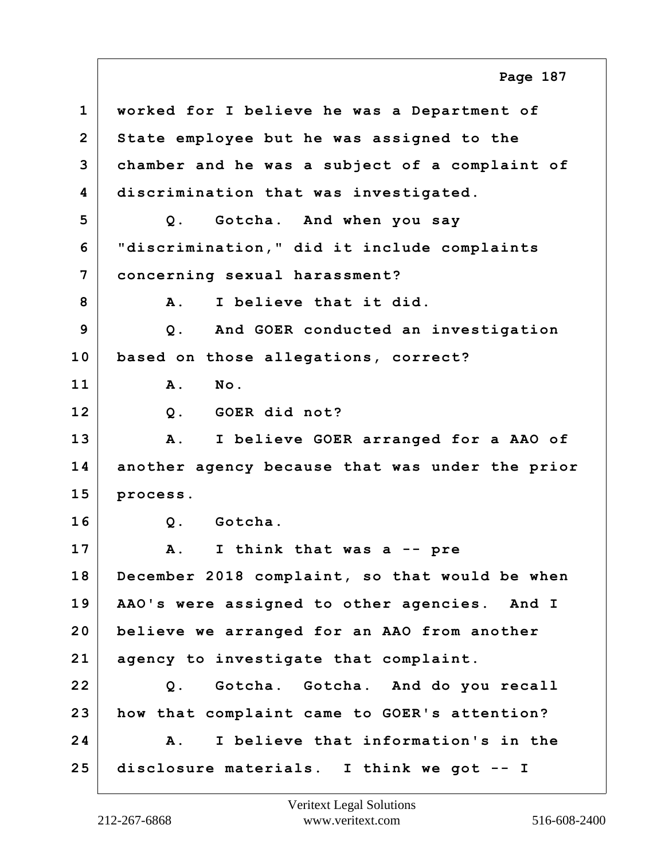**1 worked for I believe he was a Department of 2 State employee but he was assigned to the 3 chamber and he was a subject of a complaint of 4 discrimination that was investigated. 5 Q. Gotcha. And when you say 6 "discrimination," did it include complaints 7 concerning sexual harassment? 8 A. I believe that it did. 9 Q. And GOER conducted an investigation 10 based on those allegations, correct? 11 A. No. 12 Q. GOER did not? 13 A. I believe GOER arranged for a AAO of 14 another agency because that was under the prior 15 process. 16 Q. Gotcha. 17 A. I think that was a -- pre 18 December 2018 complaint, so that would be when 19 AAO's were assigned to other agencies. And I 20 believe we arranged for an AAO from another 21 agency to investigate that complaint. 22 Q. Gotcha. Gotcha. And do you recall 23 how that complaint came to GOER's attention? 24 A. I believe that information's in the 25 disclosure materials. I think we got -- I Page 187**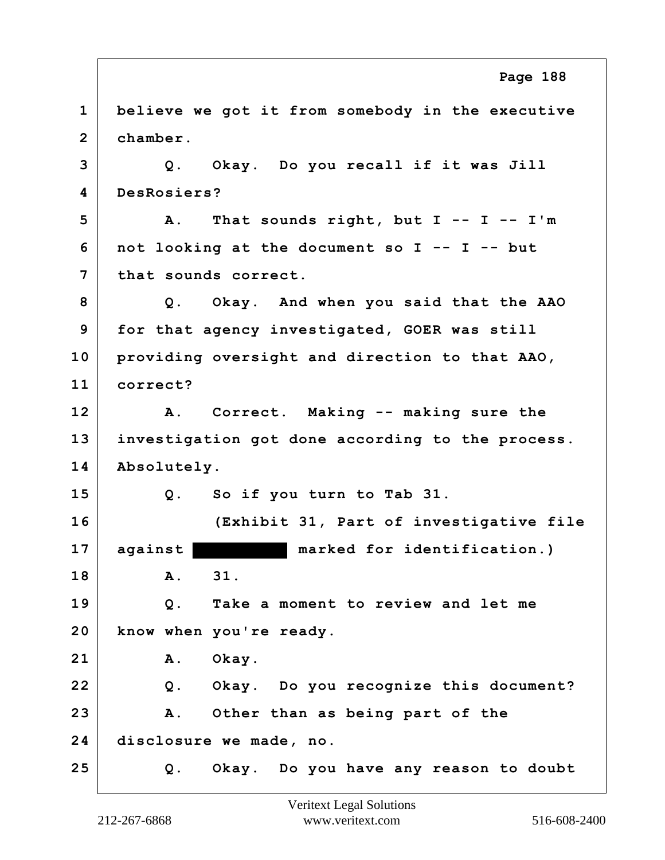**1 believe we got it from somebody in the executive 2 chamber. 3 Q. Okay. Do you recall if it was Jill 4 DesRosiers? 5 A. That sounds right, but I -- I -- I'm 6 not looking at the document so I -- I -- but 7 that sounds correct. 8 Q. Okay. And when you said that the AAO 9 for that agency investigated, GOER was still 10 providing oversight and direction to that AAO, 11 correct? 12 A. Correct. Making -- making sure the 13 investigation got done according to the process. 14 Absolutely. 15 Q. So if you turn to Tab 31. 16 (Exhibit 31, Part of investigative file 17 against marked for identification.) 18 A. 31. 19 Q. Take a moment to review and let me 20 know when you're ready. 21 A. Okay. 22 Q. Okay. Do you recognize this document? 23 A. Other than as being part of the 24 disclosure we made, no. 25 Q. Okay. Do you have any reason to doubt Page 188**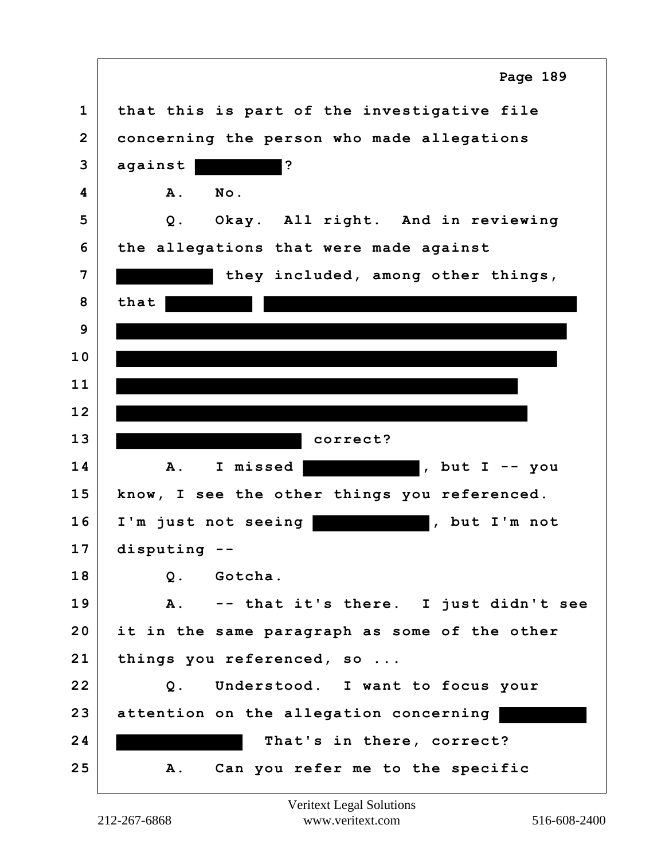|                | Page 189                                      |
|----------------|-----------------------------------------------|
| $\mathbf{1}$   | that this is part of the investigative file   |
| $\overline{2}$ | concerning the person who made allegations    |
| 3              | $\ddot{\phantom{0}}$<br>against               |
| 4              | No.<br>${\bf A}$ .                            |
| 5              | Q. Okay. All right. And in reviewing          |
| 6              | the allegations that were made against        |
| 7              | they included, among other things,            |
| 8              | that                                          |
| 9              |                                               |
| 10             |                                               |
| 11             |                                               |
| 12             |                                               |
| 13             | correct?                                      |
| 14             | I missed<br>, but $I$ -- you<br>A.            |
| 15             | know, I see the other things you referenced.  |
| 16             | I'm just not seeing<br>, but I'm not          |
| 17             |                                               |
|                | disputing                                     |
| 18             | Q. Gotcha.                                    |
| 19             | A. -- that it's there. I just didn't see      |
| 20             | it in the same paragraph as some of the other |
| 21             | things you referenced, so                     |
| 22             | Understood. I want to focus your<br>Q.        |
| 23             | attention on the allegation concerning        |
| 24             | That's in there, correct?                     |

 $\Gamma$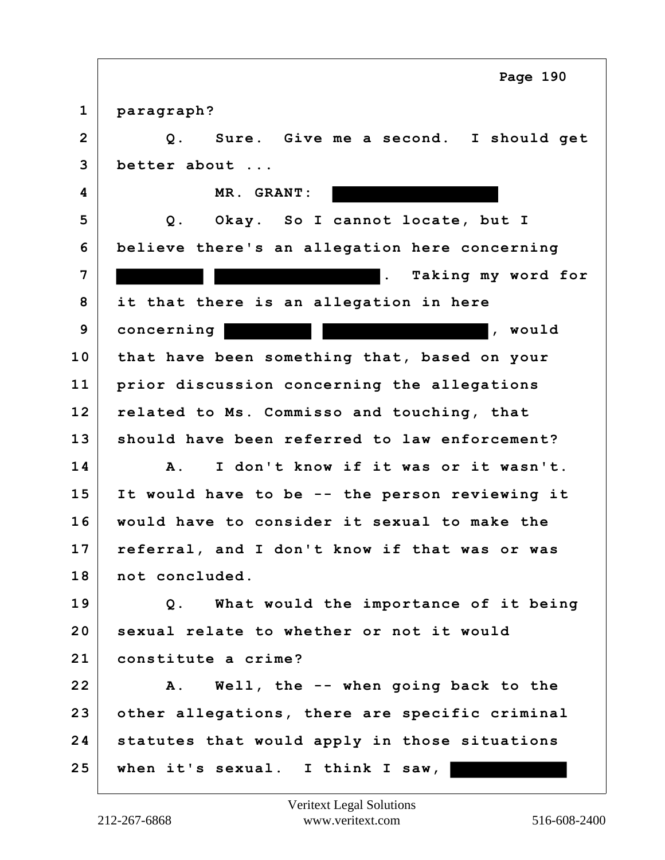**1 paragraph? 2 Q. Sure. Give me a second. I should get 3 better about ... 4 MR. GRANT: 5 Q. Okay. So I cannot locate, but I 6 believe there's an allegation here concerning 7 . Taking my word for 8 it that there is an allegation in here 9** concerning the set of the set of the set of the set of the set of the set of the set of the set of the set of the set of the set of the set of the set of the set of the set of the set of the set of the set of the set o **10 that have been something that, based on your 11 prior discussion concerning the allegations 12 related to Ms. Commisso and touching, that 13 should have been referred to law enforcement? 14 A. I don't know if it was or it wasn't. 15 It would have to be -- the person reviewing it 16 would have to consider it sexual to make the 17 referral, and I don't know if that was or was 18 not concluded. 19 Q. What would the importance of it being 20 sexual relate to whether or not it would 21 constitute a crime? 22 A. Well, the -- when going back to the 23 other allegations, there are specific criminal 24 statutes that would apply in those situations 25 when it's sexual. I think I saw, Page 190**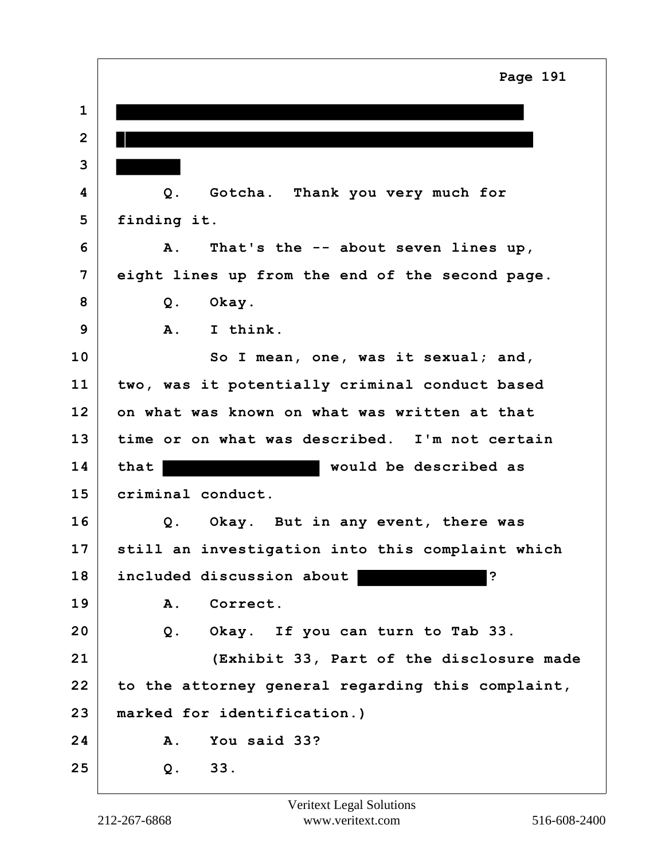|              | Page 191                                          |
|--------------|---------------------------------------------------|
| $\mathbf 1$  |                                                   |
| $\mathbf{2}$ |                                                   |
| 3            |                                                   |
| 4            | $Q$ .<br>Gotcha. Thank you very much for          |
| 5            | finding it.                                       |
| 6            | That's the -- about seven lines up,<br>A.         |
| 7            | eight lines up from the end of the second page.   |
| 8            | $Q$ .<br>Okay.                                    |
| 9            | I think.<br>$\mathbf{A}$ .                        |
| 10           | So I mean, one, was it sexual; and,               |
| 11           | two, was it potentially criminal conduct based    |
| 12           | on what was known on what was written at that     |
| 13           | time or on what was described. I'm not certain    |
| 14           | would be described as<br>that                     |
| 15           | criminal conduct.                                 |
| 16           | Q. Okay. But in any event, there was              |
| 17           | still an investigation into this complaint which  |
| 18           | ?<br>included discussion about                    |
| 19           | A.<br>Correct.                                    |
| 20           | Q. Okay. If you can turn to Tab 33.               |
| 21           | (Exhibit 33, Part of the disclosure made          |
| 22           | to the attorney general regarding this complaint, |
| 23           | marked for identification.)                       |
| 24           | You said 33?<br>A.                                |
| 25           | 33.<br>Q.                                         |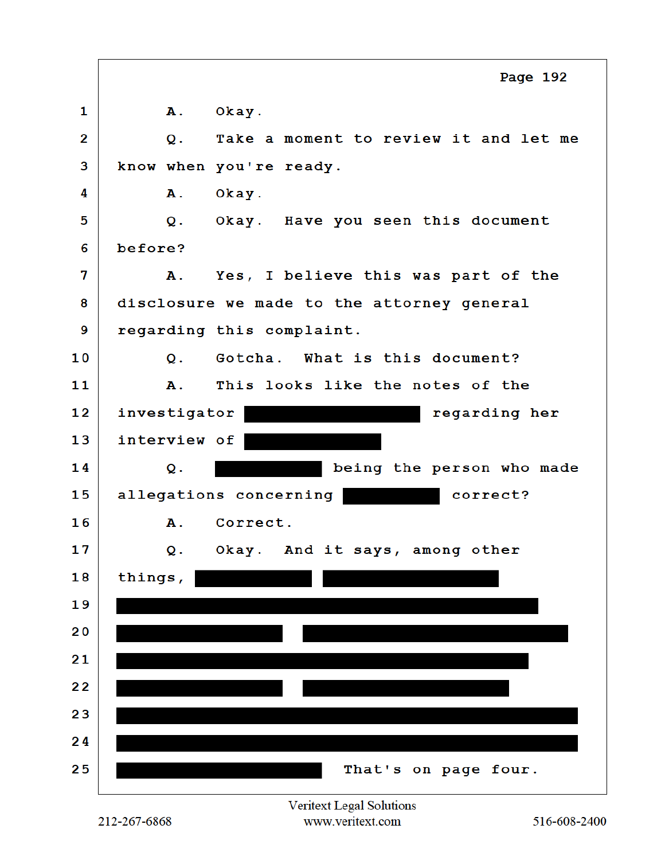|    | Page 192                                    |
|----|---------------------------------------------|
| 1  | A. Okay.                                    |
| 2  | Take a moment to review it and let me<br>Q. |
| 3  | know when you're ready.                     |
| 4  | Α.<br>Okay.                                 |
| 5  | Q. Okay. Have you seen this document        |
| 6  | before?                                     |
| 7  | A. Yes, I believe this was part of the      |
| 8  | disclosure we made to the attorney general  |
| 9  | regarding this complaint.                   |
| 10 | Gotcha. What is this document?<br>Q.        |
| 11 | This looks like the notes of the<br>A.,     |
| 12 | investigator<br>regarding her               |
| 13 | interview of                                |
| 14 | being the person who made<br>Q.             |
| 15 | allegations concerning<br>correct?          |
| 16 | A. Correct.                                 |
| 17 | Okay. And it says, among other<br>$Q$ .     |
| 18 | things,                                     |
| 19 |                                             |
| 20 |                                             |
| 21 |                                             |
| 22 |                                             |
| 23 |                                             |
| 24 |                                             |
| 25 | That's on page four.                        |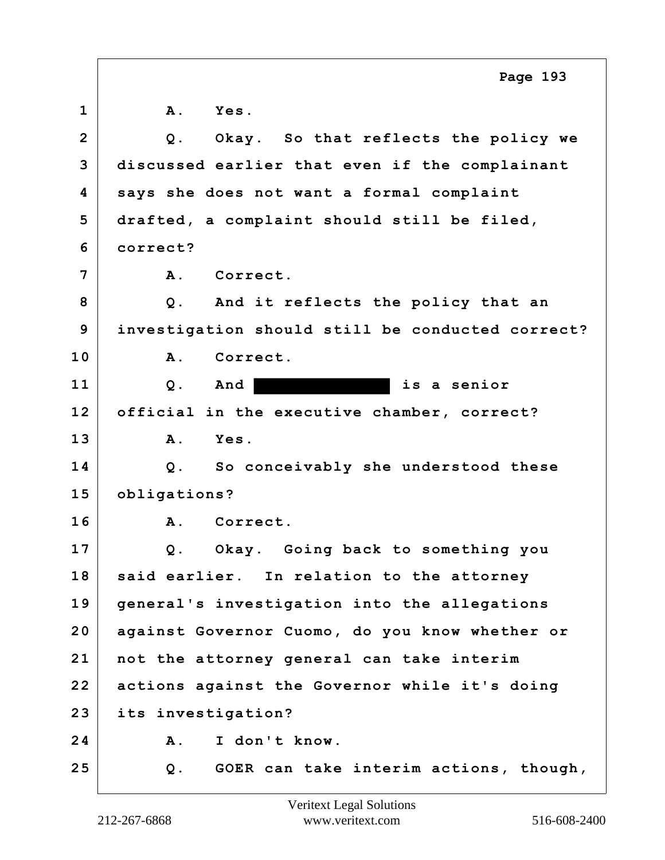|                | Page 193                                         |
|----------------|--------------------------------------------------|
| $\mathbf 1$    | <b>A</b> .<br>Yes.                               |
| $\overline{2}$ | Q. Okay. So that reflects the policy we          |
| 3              | discussed earlier that even if the complainant   |
| 4              | says she does not want a formal complaint        |
| 5              | drafted, a complaint should still be filed,      |
| 6              | correct?                                         |
| 7              | A. Correct.                                      |
| 8              | Q. And it reflects the policy that an            |
| 9              | investigation should still be conducted correct? |
| 10             | $\mathbf{A}$ .<br>Correct.                       |
| 11             | is a senior<br>Q.<br>And                         |
| 12             | official in the executive chamber, correct?      |
| 13             | A.<br>Yes.                                       |
| 14             | Q. So conceivably she understood these           |
| 15             | obligations?                                     |
| 16             | A. Correct.                                      |
| 17             | Okay. Going back to something you<br>Q.          |
| 18             | said earlier. In relation to the attorney        |
| 19             | general's investigation into the allegations     |
| 20             | against Governor Cuomo, do you know whether or   |
| 21             | not the attorney general can take interim        |
| 22             | actions against the Governor while it's doing    |
| 23             | its investigation?                               |
| 24             | Α.<br>I don't know.                              |
| 25             | GOER can take interim actions, though,<br>Q.     |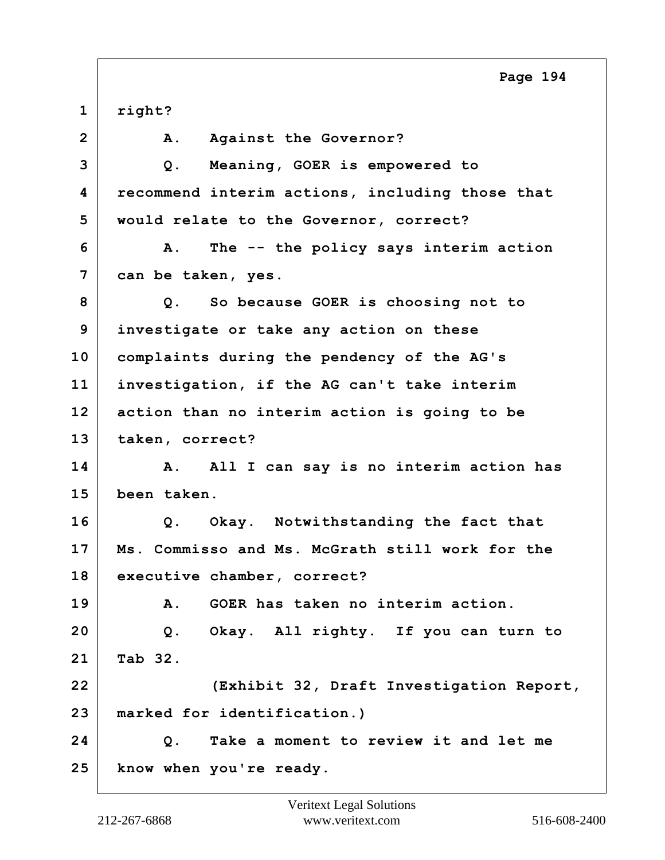**1 right?** 2 A. Against the Governor? **3 Q. Meaning, GOER is empowered to 4 recommend interim actions, including those that 5 would relate to the Governor, correct? 6 A. The -- the policy says interim action 7 can be taken, yes. 8 Q. So because GOER is choosing not to 9 investigate or take any action on these 10 complaints during the pendency of the AG's 11 investigation, if the AG can't take interim 12 action than no interim action is going to be 13 taken, correct? 14 A. All I can say is no interim action has 15 been taken. 16 Q. Okay. Notwithstanding the fact that 17 Ms. Commisso and Ms. McGrath still work for the 18 executive chamber, correct? 19 A. GOER has taken no interim action. 20 Q. Okay. All righty. If you can turn to 21 Tab 32. 22 (Exhibit 32, Draft Investigation Report, 23 marked for identification.) 24 Q. Take a moment to review it and let me 25 know when you're ready.**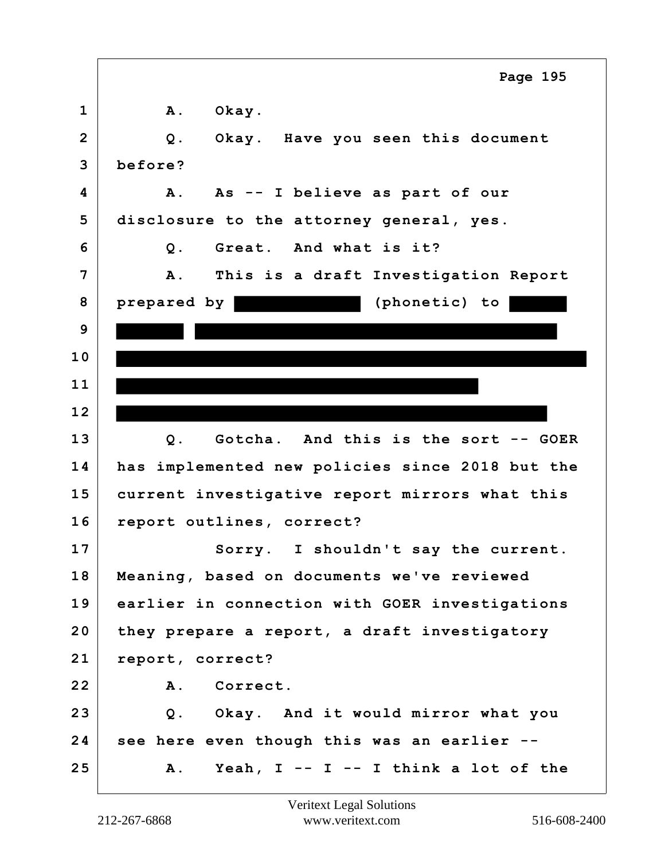|                | Page 195                                           |
|----------------|----------------------------------------------------|
| $\mathbf 1$    | <b>A</b> .<br>Okay.                                |
| $\overline{2}$ | $Q$ .<br>Okay. Have you seen this document         |
| 3              | before?                                            |
| 4              | As -- I believe as part of our<br>Α.               |
| 5              | disclosure to the attorney general, yes.           |
| 6              | Great. And what is it?<br>$Q$ .                    |
| $\overline{7}$ | This is a draft Investigation Report<br><b>A</b> . |
| 8              | (phonetic) to<br>prepared by                       |
| 9              |                                                    |
| 10             |                                                    |
| 11             |                                                    |
| 12             |                                                    |
| 13             | Gotcha. And this is the sort -- GOER<br>Q.         |
| 14             | has implemented new policies since 2018 but the    |
| 15             | current investigative report mirrors what this     |
| 16             | report outlines, correct?                          |
| 17             | Sorry. I shouldn't say the current.                |
| 18             | Meaning, based on documents we've reviewed         |
| 19             | earlier in connection with GOER investigations     |
| 20             | they prepare a report, a draft investigatory       |
| 21             | report, correct?                                   |
| 22             | A. Correct.                                        |
| 23             | Q. Okay. And it would mirror what you              |
| 24             | see here even though this was an earlier --        |
| 25             | Yeah, $I - - I - I$ think a lot of the<br>Α.       |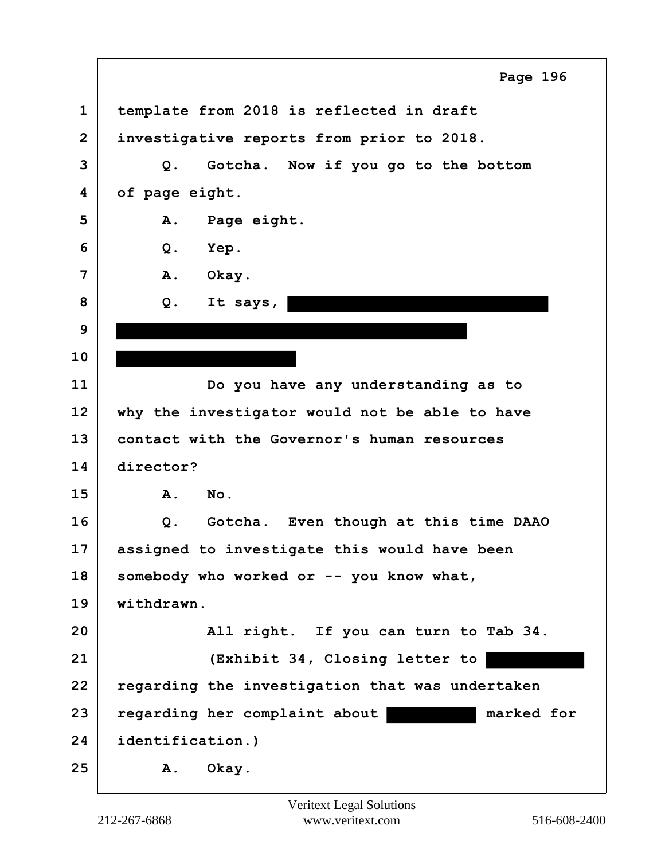|                | Page 196                                        |
|----------------|-------------------------------------------------|
| $\mathbf 1$    | template from 2018 is reflected in draft        |
| $\overline{2}$ | investigative reports from prior to 2018.       |
| 3              | Gotcha. Now if you go to the bottom<br>Q.       |
| 4              | of page eight.                                  |
| 5              | Α.<br>Page eight.                               |
| 6              | $Q$ .<br>Yep.                                   |
| 7              | A.<br>Okay.                                     |
| 8              | It says,<br>Q.                                  |
| 9              |                                                 |
| 10             |                                                 |
| 11             | Do you have any understanding as to             |
| 12             | why the investigator would not be able to have  |
| 13             | contact with the Governor's human resources     |
| 14             | director?                                       |
| 15             | Α.<br>No.                                       |
| 16             | Q.<br>Gotcha. Even though at this time DAAO     |
| 17             | assigned to investigate this would have been    |
| 18             | somebody who worked or -- you know what,        |
| 19             | withdrawn.                                      |
| 20             | All right. If you can turn to Tab 34.           |
| 21             | (Exhibit 34, Closing letter to                  |
| 22             | regarding the investigation that was undertaken |
| 23             | regarding her complaint about<br>marked for     |
| 24             | identification.)                                |
| 25             | Okay.<br>Α.                                     |

 $\Gamma$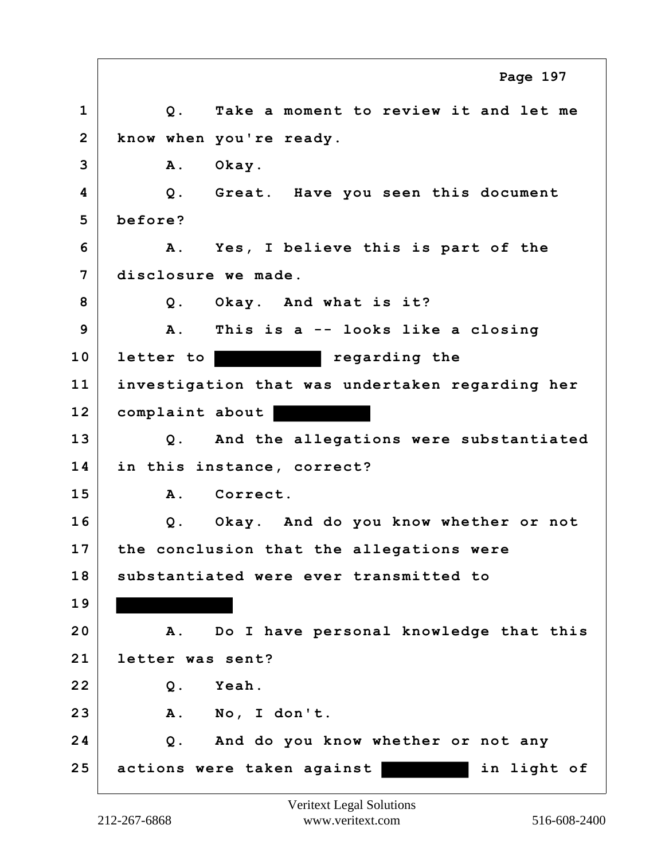**1 Q. Take a moment to review it and let me 2 know when you're ready. 3 A. Okay. 4 Q. Great. Have you seen this document 5 before? 6 A. Yes, I believe this is part of the 7 disclosure we made. 8 Q. Okay. And what is it? 9 A. This is a -- looks like a closing** 10 **letter to the regarding the 11 investigation that was undertaken regarding her 12 complaint about 13 Q. And the allegations were substantiated 14 in this instance, correct? 15 A. Correct. 16 Q. Okay. And do you know whether or not 17 the conclusion that the allegations were 18 substantiated were ever transmitted to 19 20 A. Do I have personal knowledge that this 21 letter was sent? 22 Q. Yeah. 23 A. No, I don't. 24 Q. And do you know whether or not any 25 actions were taken against in light of Page 197**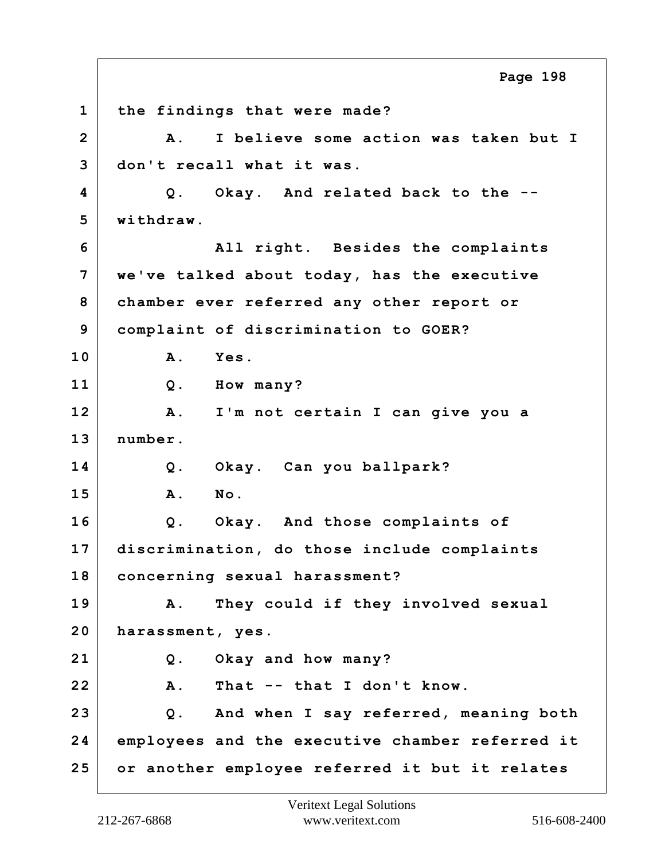**1 the findings that were made? 2 A. I believe some action was taken but I 3 don't recall what it was. 4 Q. Okay. And related back to the -- 5 withdraw. 6 All right. Besides the complaints 7 we've talked about today, has the executive 8 chamber ever referred any other report or 9 complaint of discrimination to GOER? 10 A. Yes. 11 Q. How many? 12 A. I'm not certain I can give you a 13 number. 14 Q. Okay. Can you ballpark? 15 A. No. 16 Q. Okay. And those complaints of 17 discrimination, do those include complaints 18 concerning sexual harassment? 19 A. They could if they involved sexual 20 harassment, yes. 21 Q. Okay and how many? 22 A. That -- that I don't know. 23 Q. And when I say referred, meaning both 24 employees and the executive chamber referred it 25 or another employee referred it but it relates Page 198**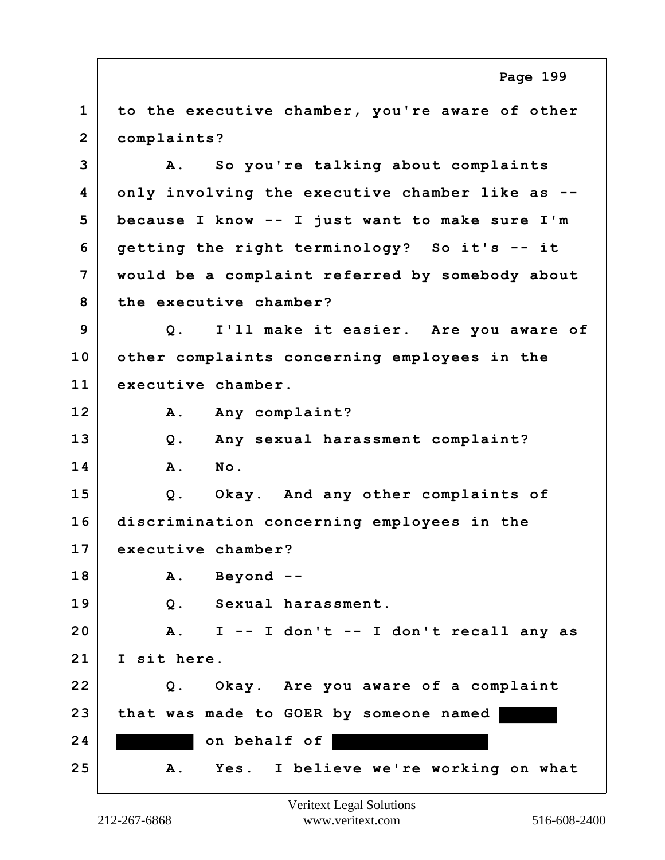**1 to the executive chamber, you're aware of other 2 complaints? 3 A. So you're talking about complaints 4 only involving the executive chamber like as -- 5 because I know -- I just want to make sure I'm 6 getting the right terminology? So it's -- it 7 would be a complaint referred by somebody about 8 the executive chamber? 9 Q. I'll make it easier. Are you aware of 10 other complaints concerning employees in the 11 executive chamber.** 12 A. Any complaint? **13 Q. Any sexual harassment complaint? 14 A. No. 15 Q. Okay. And any other complaints of 16 discrimination concerning employees in the 17 executive chamber? 18 A. Beyond -- 19 Q. Sexual harassment. 20 A. I -- I don't -- I don't recall any as 21 I sit here. 22 Q. Okay. Are you aware of a complaint 23 that was made to GOER by someone named**  24 on behalf of **25 A. Yes. I believe we're working on what Page 199**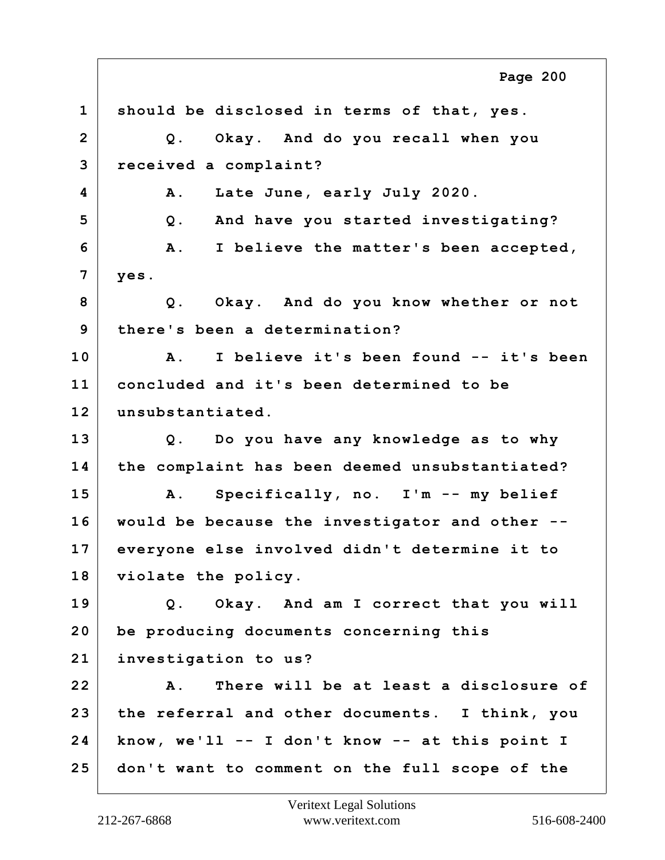**1 should be disclosed in terms of that, yes. 2 Q. Okay. And do you recall when you 3 received a complaint? 4 A. Late June, early July 2020. 5 Q. And have you started investigating? 6 A. I believe the matter's been accepted, 7 yes. 8 Q. Okay. And do you know whether or not 9 there's been a determination? 10 A. I believe it's been found -- it's been 11 concluded and it's been determined to be 12 unsubstantiated. 13 Q. Do you have any knowledge as to why 14 the complaint has been deemed unsubstantiated? 15 A. Specifically, no. I'm -- my belief 16 would be because the investigator and other -- 17 everyone else involved didn't determine it to 18 violate the policy. 19 Q. Okay. And am I correct that you will 20 be producing documents concerning this 21 investigation to us? 22 A. There will be at least a disclosure of 23 the referral and other documents. I think, you 24 know, we'll -- I don't know -- at this point I 25 don't want to comment on the full scope of the Page 200**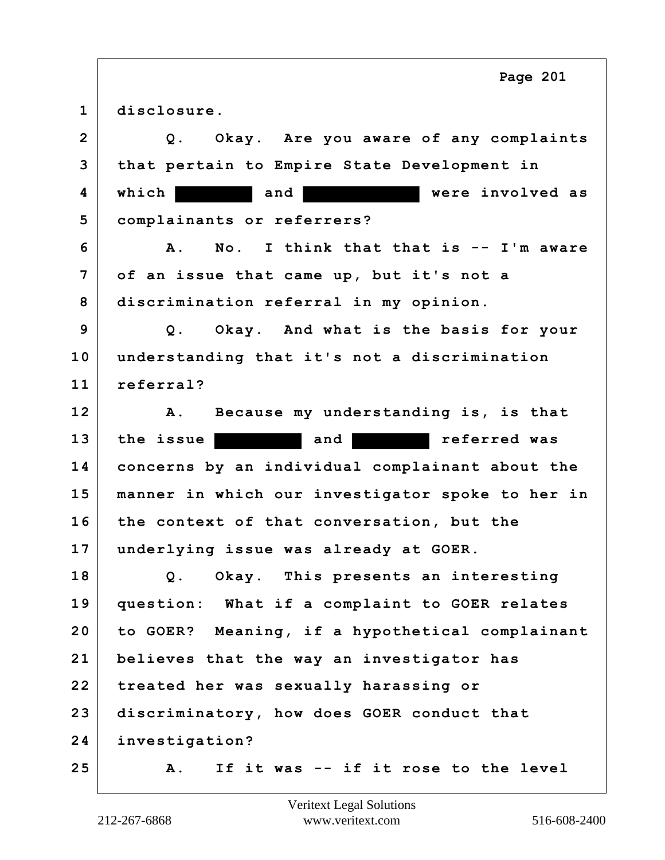| $\mathbf{1}$   | disclosure.                                            |
|----------------|--------------------------------------------------------|
| $\overline{2}$ | Okay. Are you aware of any complaints<br>$Q$ .         |
| 3              | that pertain to Empire State Development in            |
| 4              | were involved as<br>which  <br>and                     |
| 5              | complainants or referrers?                             |
| 6              | I think that that is -- I'm aware<br>No.<br><b>A</b> . |
| 7              | of an issue that came up, but it's not a               |
| 8              | discrimination referral in my opinion.                 |
| 9              | Q. Okay. And what is the basis for your                |
| 10             | understanding that it's not a discrimination           |
| 11             | referral?                                              |
| 12             | Because my understanding is, is that<br><b>A</b> .     |
| 13             | referred was<br>the issue<br>and                       |
| 14             | concerns by an individual complainant about the        |
| 15             | manner in which our investigator spoke to her in       |
| 16             | the context of that conversation, but the              |
| 17             | underlying issue was already at GOER.                  |
| 18             | Q. Okay. This presents an interesting                  |
| 19             | question: What if a complaint to GOER relates          |
| 20             | to GOER?<br>Meaning, if a hypothetical complainant     |
| 21             | believes that the way an investigator has              |
| 22             | treated her was sexually harassing or                  |
| 23             | discriminatory, how does GOER conduct that             |
| 24             | investigation?                                         |
| 25             | If it was -- if it rose to the level<br>Α.             |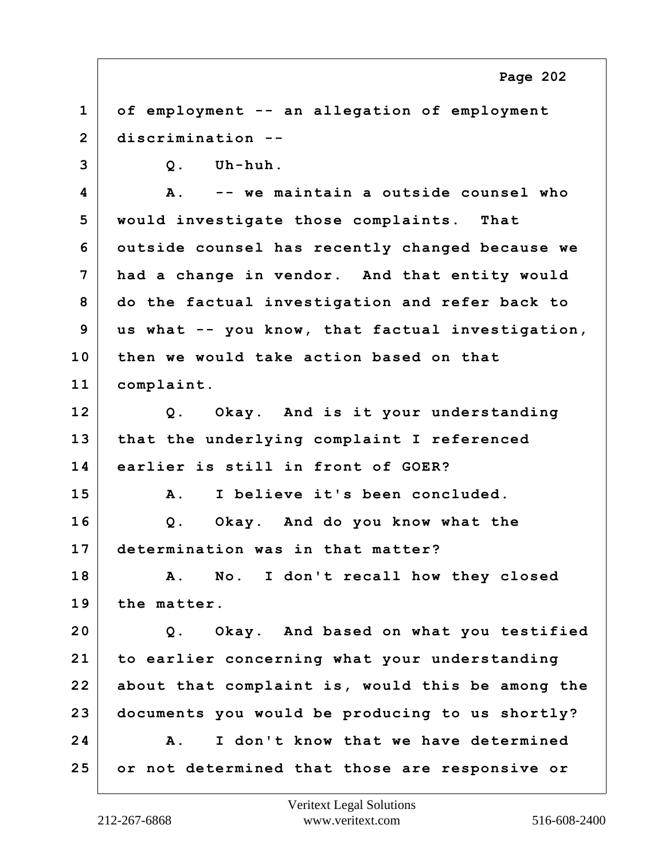**1 of employment -- an allegation of employment 2 discrimination --**

**3 Q. Uh-huh.**

**4 A. -- we maintain a outside counsel who 5 would investigate those complaints. That 6 outside counsel has recently changed because we 7 had a change in vendor. And that entity would 8 do the factual investigation and refer back to 9 us what -- you know, that factual investigation, 10 then we would take action based on that 11 complaint.**

**12 Q. Okay. And is it your understanding 13 that the underlying complaint I referenced 14 earlier is still in front of GOER?**

**15 A. I believe it's been concluded. 16 Q. Okay. And do you know what the 17 determination was in that matter?**

**18 A. No. I don't recall how they closed 19 the matter.**

**20 Q. Okay. And based on what you testified 21 to earlier concerning what your understanding 22 about that complaint is, would this be among the 23 documents you would be producing to us shortly? 24 A. I don't know that we have determined 25 or not determined that those are responsive or**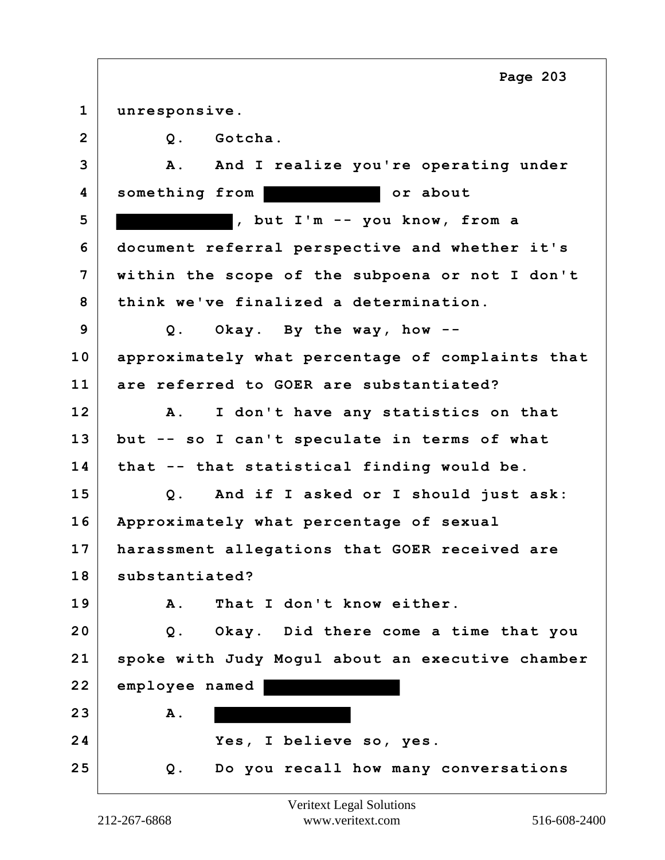|                | Page 203                                           |
|----------------|----------------------------------------------------|
| $\mathbf 1$    | unresponsive.                                      |
| $\overline{2}$ | Gotcha.<br>Q.                                      |
| 3              | And I realize you're operating under<br><b>A</b> . |
| 4              | something from<br>or about                         |
| 5              | , but I'm -- you know, from a                      |
| 6              | document referral perspective and whether it's     |
| 7              | within the scope of the subpoena or not I don't    |
| 8              | think we've finalized a determination.             |
| 9              | Okay. By the way, how $-$ -<br>$Q$ .               |
| 10             | approximately what percentage of complaints that   |
| 11             | are referred to GOER are substantiated?            |
| 12             | I don't have any statistics on that<br>${\bf A}$ . |
| 13             | but -- so I can't speculate in terms of what       |
| 14             | that -- that statistical finding would be.         |
| 15             | Q. And if I asked or I should just ask:            |
| 16             | Approximately what percentage of sexual            |
| 17             | harassment allegations that GOER received are      |
| 18             | substantiated?                                     |
| 19             | That I don't know either.<br><b>A</b> .            |
| 20             | Q. Okay. Did there come a time that you            |
| 21             | spoke with Judy Mogul about an executive chamber   |
| 22             | employee named                                     |
| 23             | A.                                                 |
| 24             | Yes, I believe so, yes.                            |
| 25             | Do you recall how many conversations<br>Q.         |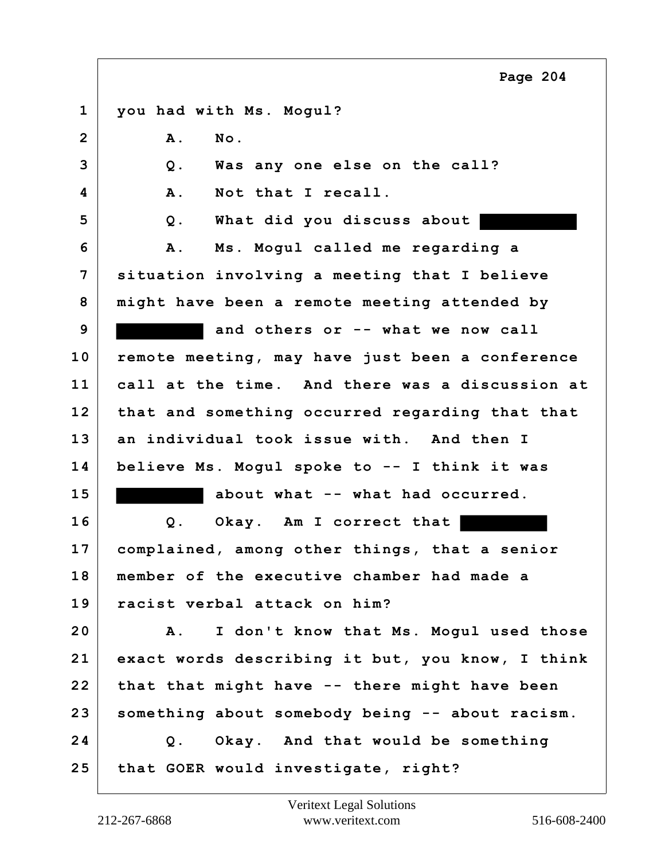**1 you had with Ms. Mogul? 2 A. No. 3 Q. Was any one else on the call? 4 A. Not that I recall. 5 Q. What did you discuss about 6 A. Ms. Mogul called me regarding a 7 situation involving a meeting that I believe 8 might have been a remote meeting attended by 9 and others or -- what we now call 10 remote meeting, may have just been a conference 11 call at the time. And there was a discussion at 12 that and something occurred regarding that that 13 an individual took issue with. And then I 14 believe Ms. Mogul spoke to -- I think it was 15 about what -- what had occurred. 16 Q. Okay. Am I correct that 17 complained, among other things, that a senior 18 member of the executive chamber had made a 19 racist verbal attack on him? 20 A. I don't know that Ms. Mogul used those 21 exact words describing it but, you know, I think 22 that that might have -- there might have been 23 something about somebody being -- about racism. 24 Q. Okay. And that would be something 25 that GOER would investigate, right? Page 204**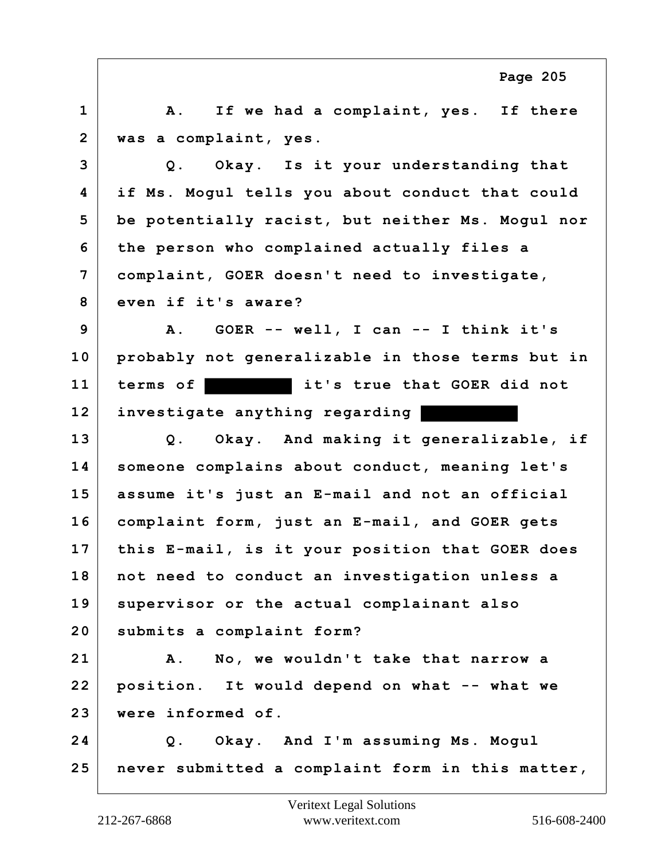**1 A. If we had a complaint, yes. If there 2 was a complaint, yes. 3 Q. Okay. Is it your understanding that 4 if Ms. Mogul tells you about conduct that could 5 be potentially racist, but neither Ms. Mogul nor 6 the person who complained actually files a 7 complaint, GOER doesn't need to investigate, 8 even if it's aware? 9 A. GOER -- well, I can -- I think it's 10 probably not generalizable in those terms but in 11 terms of it's true that GOER did not 12 investigate anything regarding 13 Q. Okay. And making it generalizable, if 14 someone complains about conduct, meaning let's 15 assume it's just an E-mail and not an official 16 complaint form, just an E-mail, and GOER gets 17 this E-mail, is it your position that GOER does 18 not need to conduct an investigation unless a 19 supervisor or the actual complainant also 20 submits a complaint form? 21 A. No, we wouldn't take that narrow a 22 position. It would depend on what -- what we 23 were informed of. 24 Q. Okay. And I'm assuming Ms. Mogul 25 never submitted a complaint form in this matter, Page 205**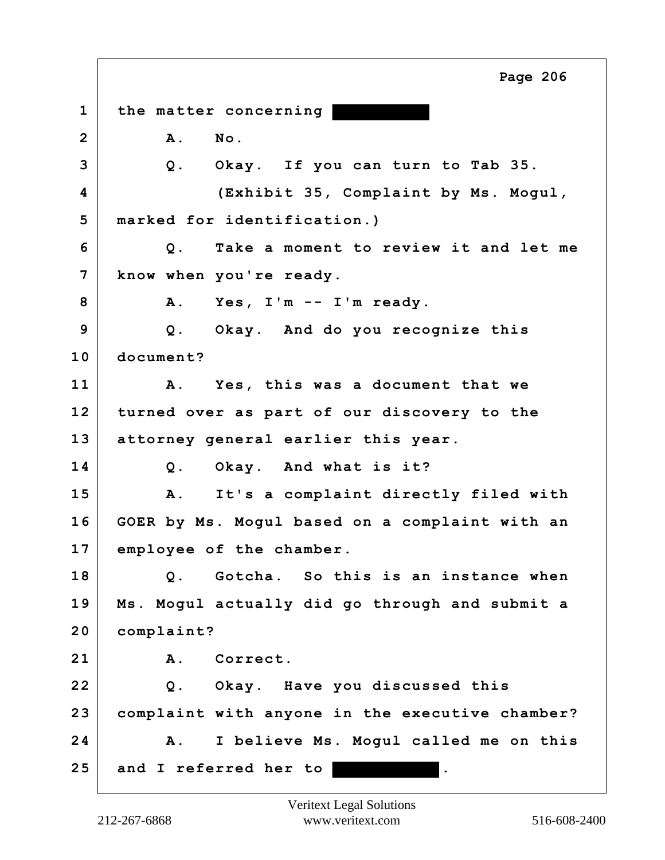**1 the matter concerning 2 A. No. 3 Q. Okay. If you can turn to Tab 35. 4 (Exhibit 35, Complaint by Ms. Mogul, 5 marked for identification.) 6 Q. Take a moment to review it and let me 7 know when you're ready. 8 A. Yes, I'm -- I'm ready. 9 Q. Okay. And do you recognize this 10 document? 11 A. Yes, this was a document that we 12 turned over as part of our discovery to the 13 attorney general earlier this year. 14 Q. Okay. And what is it? 15 A. It's a complaint directly filed with 16 GOER by Ms. Mogul based on a complaint with an 17 employee of the chamber. 18 Q. Gotcha. So this is an instance when 19 Ms. Mogul actually did go through and submit a 20 complaint? 21 A. Correct. 22 Q. Okay. Have you discussed this 23 complaint with anyone in the executive chamber? 24 A. I believe Ms. Mogul called me on this 25 and I referred her to . Page 206**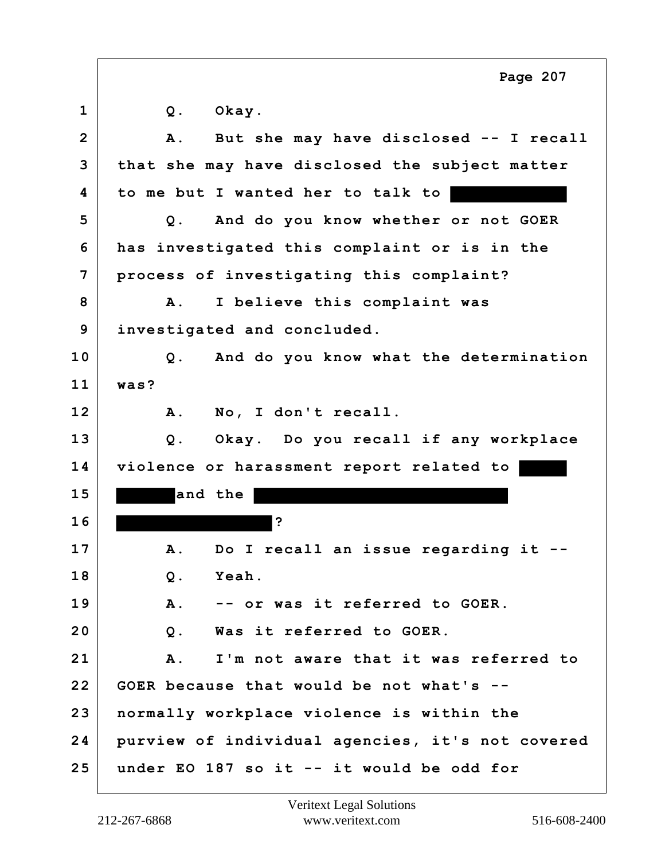|                | Page 207                                            |
|----------------|-----------------------------------------------------|
| $\mathbf{1}$   | Okay.<br>$Q$ .                                      |
| $\overline{2}$ | But she may have disclosed -- I recall<br>Α.        |
| 3              | that she may have disclosed the subject matter      |
| 4              | to me but I wanted her to talk to                   |
| 5              | And do you know whether or not GOER<br>$Q$ .        |
| 6              | has investigated this complaint or is in the        |
| 7              | process of investigating this complaint?            |
| 8              | I believe this complaint was<br><b>A</b> .          |
| 9              | investigated and concluded.                         |
| 10             | And do you know what the determination<br>Q.        |
| 11             | was?                                                |
| 12             | No, I don't recall.<br>Α.                           |
| 13             | Okay. Do you recall if any workplace<br>Q.          |
| 14             | violence or harassment report related to            |
| 15             | and the                                             |
| 16             | ?                                                   |
| 17             | Do I recall an issue regarding it<br>Α.             |
| 18             | Yeah.<br>Q.                                         |
| 19             | -- or was it referred to GOER.<br>Α.                |
| 20             | Was it referred to GOER.<br>$Q$ .                   |
| 21             | I'm not aware that it was referred to<br><b>A</b> . |
| 22             | GOER because that would be not what's --            |
| 23             | normally workplace violence is within the           |
| 24             | purview of individual agencies, it's not covered    |
| 25             | under EO 187 so it -- it would be odd for           |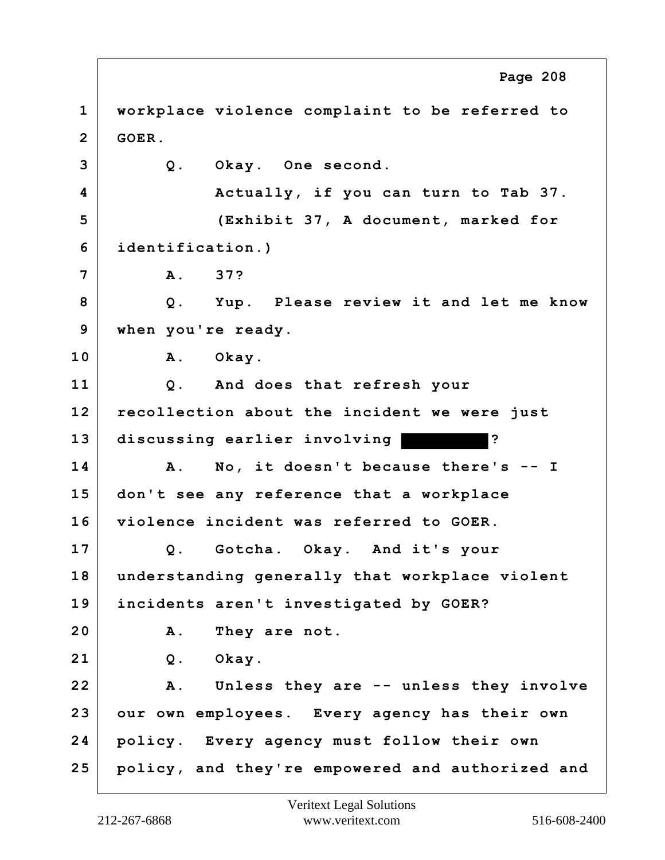**1 workplace violence complaint to be referred to 2 GOER. 3 Q. Okay. One second. 4 Actually, if you can turn to Tab 37. 5 (Exhibit 37, A document, marked for 6 identification.) 7 A. 37? 8 Q. Yup. Please review it and let me know 9 when you're ready. 10 A. Okay. 11 Q. And does that refresh your 12 recollection about the incident we were just 13 discussing earlier involving ? 14 A. No, it doesn't because there's -- I 15 don't see any reference that a workplace 16 violence incident was referred to GOER. 17 Q. Gotcha. Okay. And it's your 18 understanding generally that workplace violent 19 incidents aren't investigated by GOER? 20 A. They are not. 21 Q. Okay. 22 A. Unless they are -- unless they involve 23 our own employees. Every agency has their own 24 policy. Every agency must follow their own 25 policy, and they're empowered and authorized and Page 208**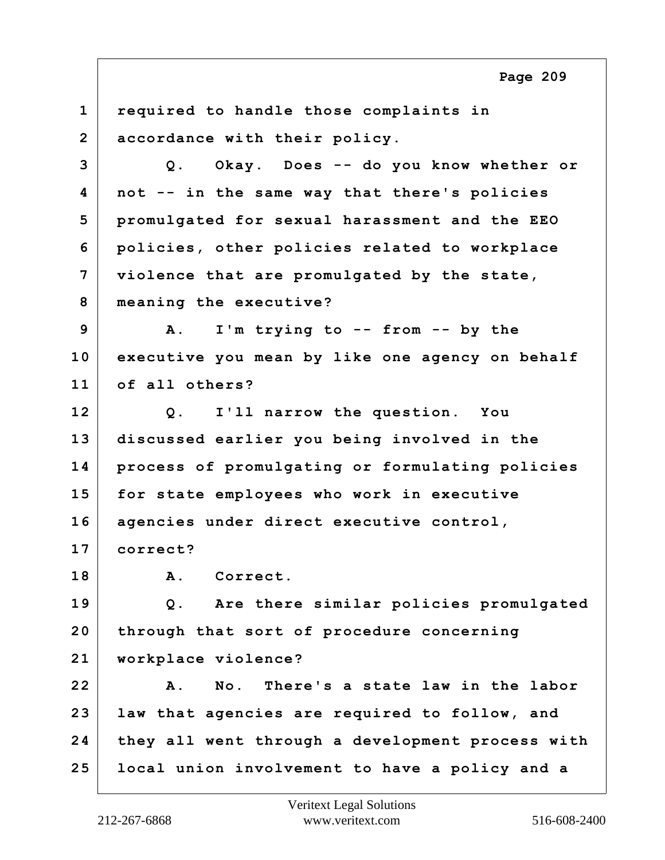**1 required to handle those complaints in 2 accordance with their policy. 3 Q. Okay. Does -- do you know whether or 4 not -- in the same way that there's policies 5 promulgated for sexual harassment and the EEO 6 policies, other policies related to workplace 7 violence that are promulgated by the state, 8 meaning the executive? 9 A. I'm trying to -- from -- by the 10 executive you mean by like one agency on behalf 11 of all others? 12 Q. I'll narrow the question. You 13 discussed earlier you being involved in the 14 process of promulgating or formulating policies 15 for state employees who work in executive 16 agencies under direct executive control, 17 correct? 18 A. Correct. 19 Q. Are there similar policies promulgated 20 through that sort of procedure concerning 21 workplace violence? 22 A. No. There's a state law in the labor 23 law that agencies are required to follow, and 24 they all went through a development process with 25 local union involvement to have a policy and a**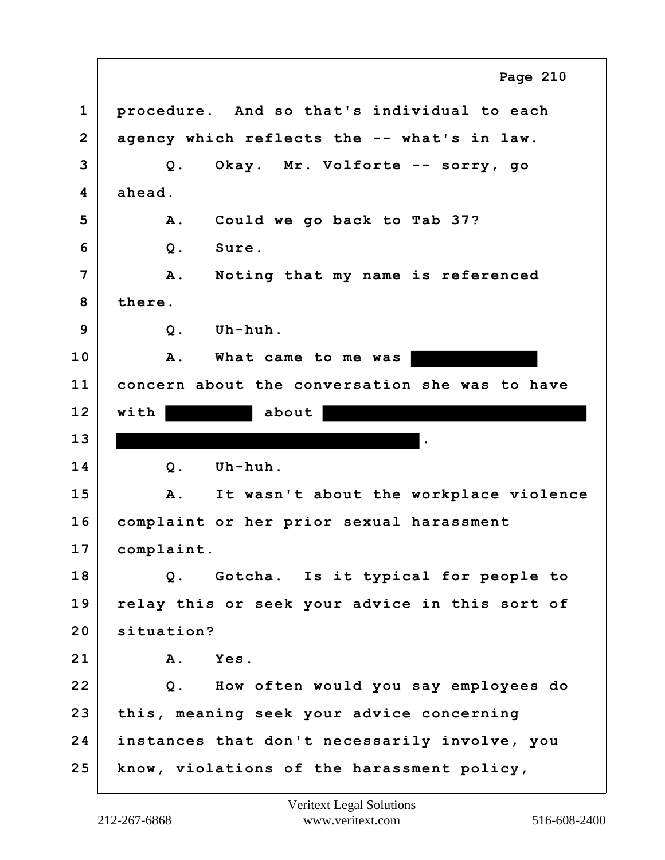**1 procedure. And so that's individual to each 2 agency which reflects the -- what's in law. 3 Q. Okay. Mr. Volforte -- sorry, go 4 ahead. 5 A. Could we go back to Tab 37? 6 Q. Sure. 7 A. Noting that my name is referenced 8 there. 9 Q. Uh-huh. 10 A. What came to me was 11 concern about the conversation she was to have 12 with about 13 . 14 Q. Uh-huh. 15 A. It wasn't about the workplace violence 16 complaint or her prior sexual harassment 17 complaint. 18 Q. Gotcha. Is it typical for people to 19 relay this or seek your advice in this sort of 20 situation? 21 A. Yes. 22 Q. How often would you say employees do 23 this, meaning seek your advice concerning 24 instances that don't necessarily involve, you 25 know, violations of the harassment policy, Page 210**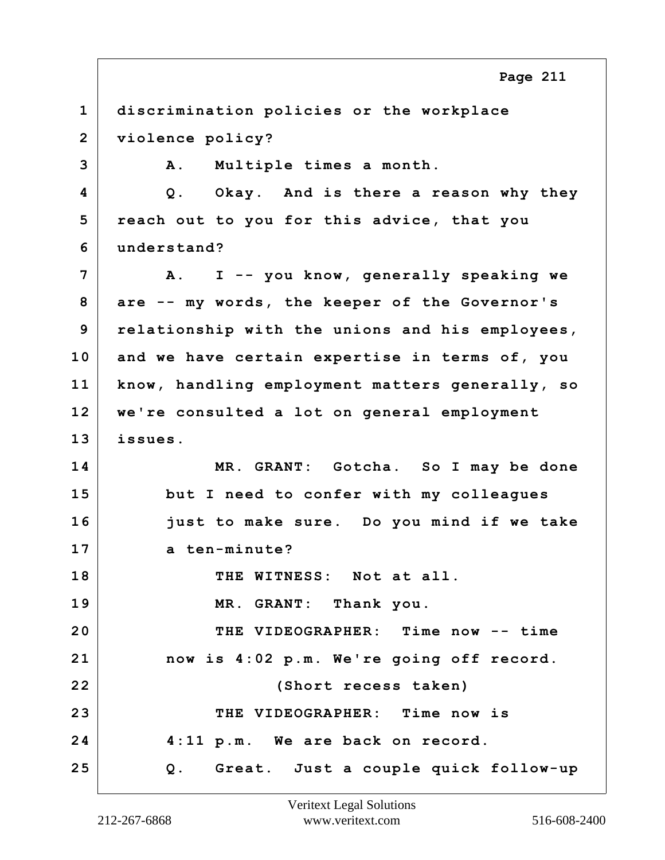**1 discrimination policies or the workplace 2 violence policy? 3 A. Multiple times a month. 4 Q. Okay. And is there a reason why they 5 reach out to you for this advice, that you 6 understand? 7 A. I -- you know, generally speaking we 8 are -- my words, the keeper of the Governor's 9 relationship with the unions and his employees, 10 and we have certain expertise in terms of, you 11 know, handling employment matters generally, so 12 we're consulted a lot on general employment 13 issues. 14 MR. GRANT: Gotcha. So I may be done 15 but I need to confer with my colleagues 16 just to make sure. Do you mind if we take 17 a ten-minute? 18 THE WITNESS: Not at all. 19 MR. GRANT: Thank you. 20 THE VIDEOGRAPHER: Time now -- time 21 now is 4:02 p.m. We're going off record. 22 (Short recess taken) 23 THE VIDEOGRAPHER: Time now is 24 4:11 p.m. We are back on record. 25 Q. Great. Just a couple quick follow-up Page 211**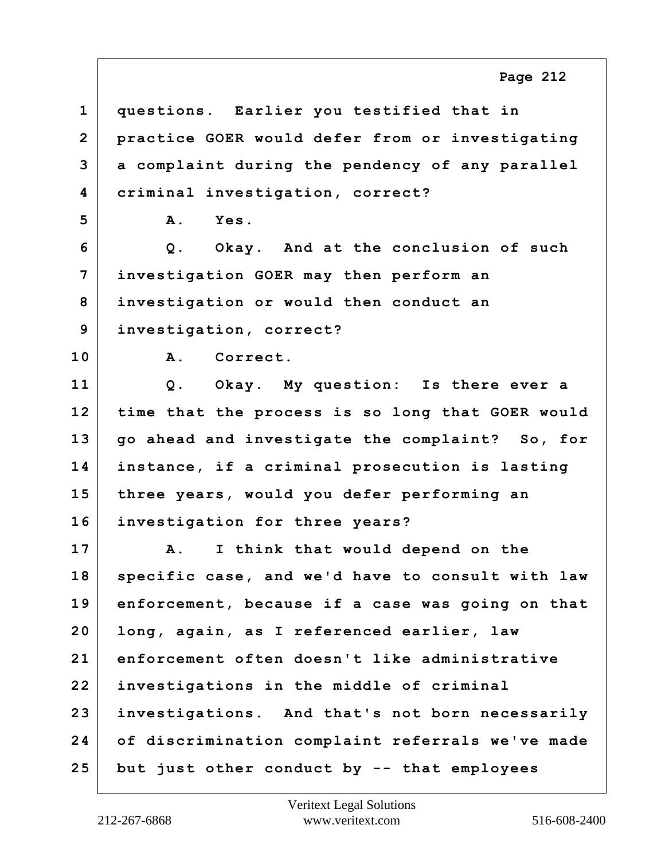**1 questions. Earlier you testified that in 2 practice GOER would defer from or investigating 3 a complaint during the pendency of any parallel 4 criminal investigation, correct? 5 A. Yes. 6 Q. Okay. And at the conclusion of such 7 investigation GOER may then perform an 8 investigation or would then conduct an 9 investigation, correct? 10 A. Correct. 11 Q. Okay. My question: Is there ever a 12 time that the process is so long that GOER would 13 go ahead and investigate the complaint? So, for 14 instance, if a criminal prosecution is lasting 15 three years, would you defer performing an 16 investigation for three years? 17 A. I think that would depend on the 18 specific case, and we'd have to consult with law 19 enforcement, because if a case was going on that 20 long, again, as I referenced earlier, law 21 enforcement often doesn't like administrative 22 investigations in the middle of criminal 23 investigations. And that's not born necessarily 24 of discrimination complaint referrals we've made**

**Page 212**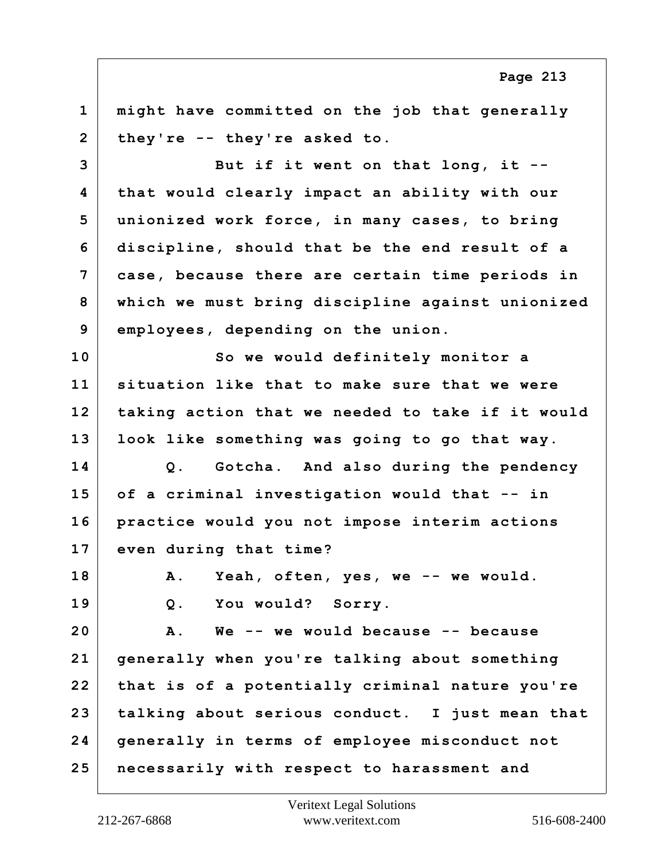**1 might have committed on the job that generally 2 they're -- they're asked to.**

**3 But if it went on that long, it -- 4 that would clearly impact an ability with our 5 unionized work force, in many cases, to bring 6 discipline, should that be the end result of a 7 case, because there are certain time periods in 8 which we must bring discipline against unionized 9 employees, depending on the union.**

**10 So we would definitely monitor a 11 situation like that to make sure that we were 12 taking action that we needed to take if it would 13 look like something was going to go that way.**

**14 Q. Gotcha. And also during the pendency 15 of a criminal investigation would that -- in 16 practice would you not impose interim actions 17 even during that time?**

**18 A. Yeah, often, yes, we -- we would.**

**19 Q. You would? Sorry.**

**20 A. We -- we would because -- because 21 generally when you're talking about something 22 that is of a potentially criminal nature you're 23 talking about serious conduct. I just mean that 24 generally in terms of employee misconduct not 25 necessarily with respect to harassment and**

**Page 213**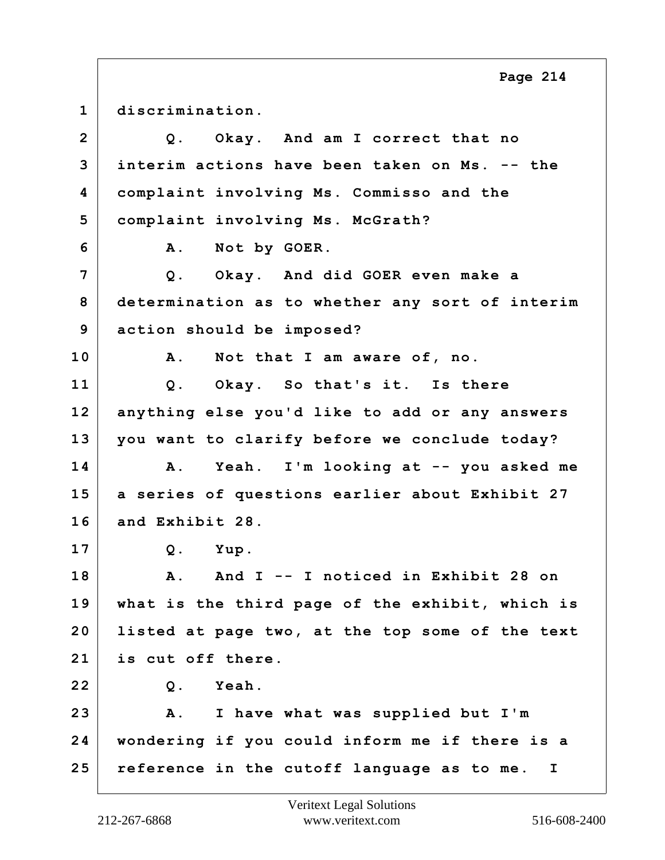**1 discrimination. 2 Q. Okay. And am I correct that no 3 interim actions have been taken on Ms. -- the 4 complaint involving Ms. Commisso and the 5 complaint involving Ms. McGrath? 6 A. Not by GOER. 7 Q. Okay. And did GOER even make a 8 determination as to whether any sort of interim 9 action should be imposed? 10 A. Not that I am aware of, no. 11 Q. Okay. So that's it. Is there 12 anything else you'd like to add or any answers 13 you want to clarify before we conclude today? 14 A. Yeah. I'm looking at -- you asked me 15 a series of questions earlier about Exhibit 27 16 and Exhibit 28. 17 Q. Yup. 18 A. And I -- I noticed in Exhibit 28 on 19 what is the third page of the exhibit, which is 20 listed at page two, at the top some of the text 21 is cut off there. 22 Q. Yeah. 23 A. I have what was supplied but I'm 24 wondering if you could inform me if there is a 25 reference in the cutoff language as to me. I**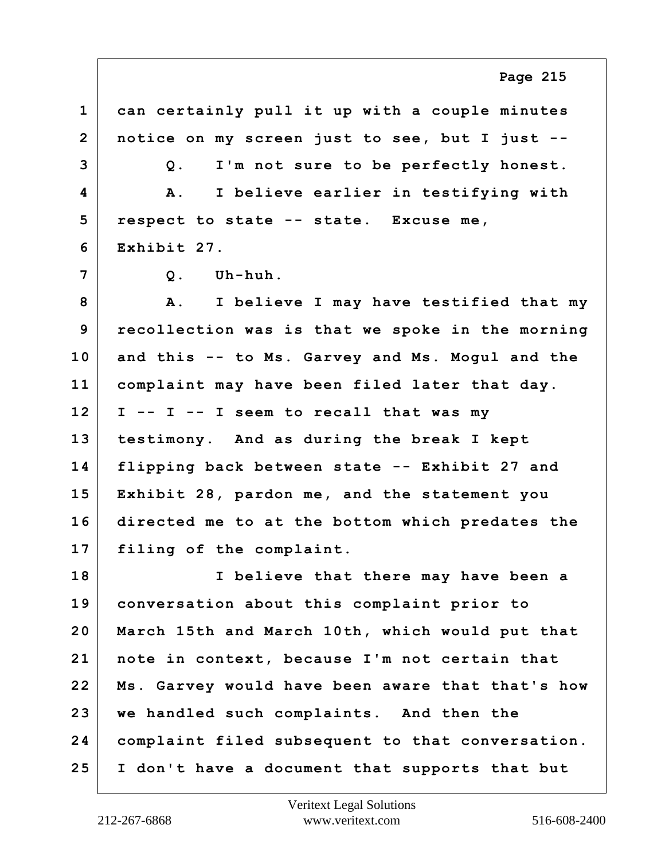**1 can certainly pull it up with a couple minutes 2 notice on my screen just to see, but I just -- 3 Q. I'm not sure to be perfectly honest. 4 A. I believe earlier in testifying with 5 respect to state -- state. Excuse me, 6 Exhibit 27. 7 Q. Uh-huh. 8 A. I believe I may have testified that my 9 recollection was is that we spoke in the morning 10 and this -- to Ms. Garvey and Ms. Mogul and the 11 complaint may have been filed later that day. 12 I -- I -- I seem to recall that was my 13 testimony. And as during the break I kept 14 flipping back between state -- Exhibit 27 and 15 Exhibit 28, pardon me, and the statement you 16 directed me to at the bottom which predates the 17 filing of the complaint. 18 I believe that there may have been a 19 conversation about this complaint prior to 20 March 15th and March 10th, which would put that 21 note in context, because I'm not certain that 22 Ms. Garvey would have been aware that that's how 23 we handled such complaints. And then the 24 complaint filed subsequent to that conversation. 25 I don't have a document that supports that but**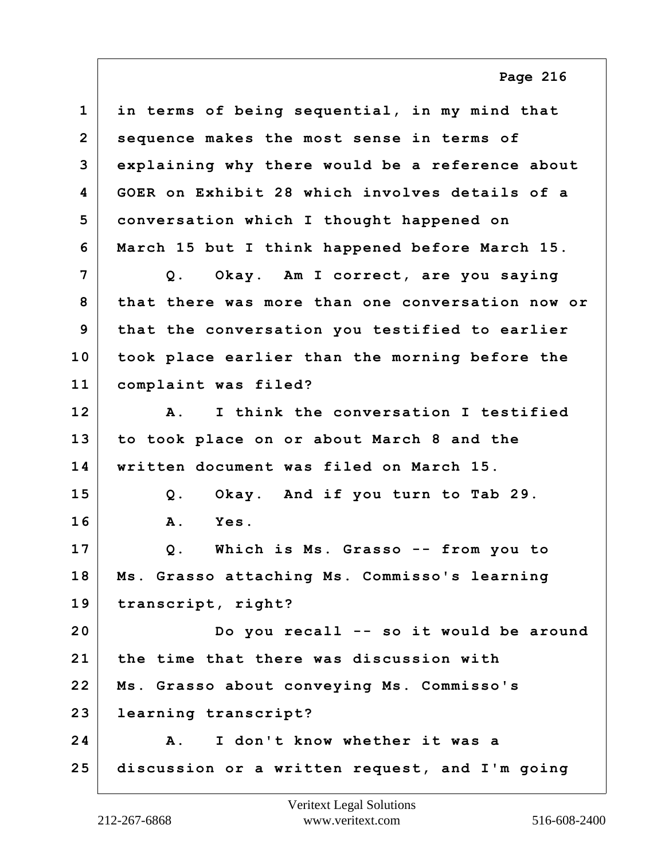**1 in terms of being sequential, in my mind that 2 sequence makes the most sense in terms of 3 explaining why there would be a reference about 4 GOER on Exhibit 28 which involves details of a 5 conversation which I thought happened on 6 March 15 but I think happened before March 15. 7 Q. Okay. Am I correct, are you saying 8 that there was more than one conversation now or 9 that the conversation you testified to earlier 10 took place earlier than the morning before the 11 complaint was filed? 12 A. I think the conversation I testified 13 to took place on or about March 8 and the 14 written document was filed on March 15. 15 Q. Okay. And if you turn to Tab 29. 16 A. Yes. 17 Q. Which is Ms. Grasso -- from you to 18 Ms. Grasso attaching Ms. Commisso's learning 19 transcript, right? 20 Do you recall -- so it would be around 21 the time that there was discussion with 22 Ms. Grasso about conveying Ms. Commisso's 23 learning transcript? 24 A. I don't know whether it was a 25 discussion or a written request, and I'm going**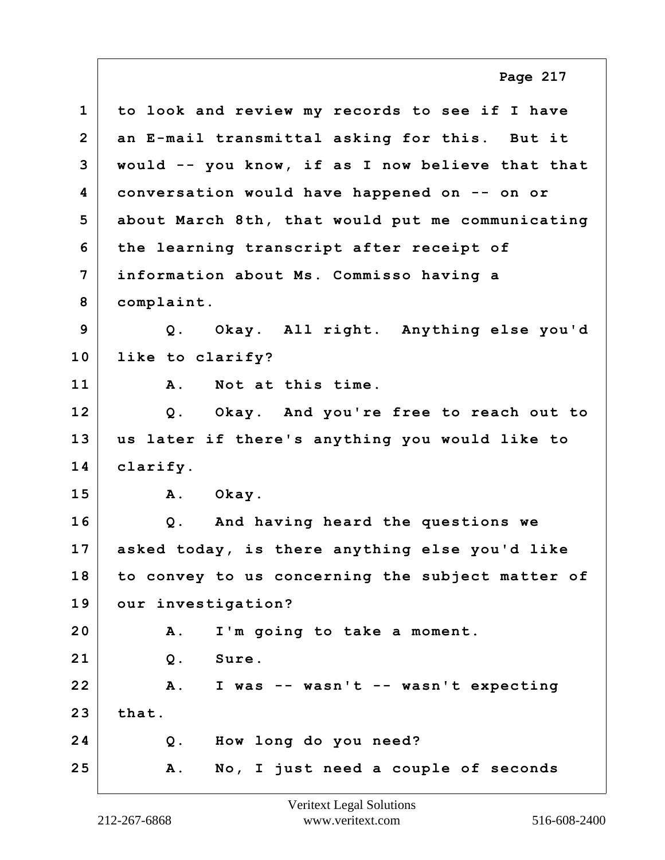**1 to look and review my records to see if I have 2 an E-mail transmittal asking for this. But it 3 would -- you know, if as I now believe that that 4 conversation would have happened on -- on or 5 about March 8th, that would put me communicating 6 the learning transcript after receipt of 7 information about Ms. Commisso having a 8 complaint. 9 Q. Okay. All right. Anything else you'd 10 like to clarify? 11 A. Not at this time. 12 Q. Okay. And you're free to reach out to 13 us later if there's anything you would like to 14 clarify. 15 A. Okay. 16 Q. And having heard the questions we 17 asked today, is there anything else you'd like 18 to convey to us concerning the subject matter of 19 our investigation? 20 A. I'm going to take a moment. 21 Q. Sure. 22 A. I was -- wasn't -- wasn't expecting 23 that. 24 Q. How long do you need? 25 A. No, I just need a couple of seconds Page 217**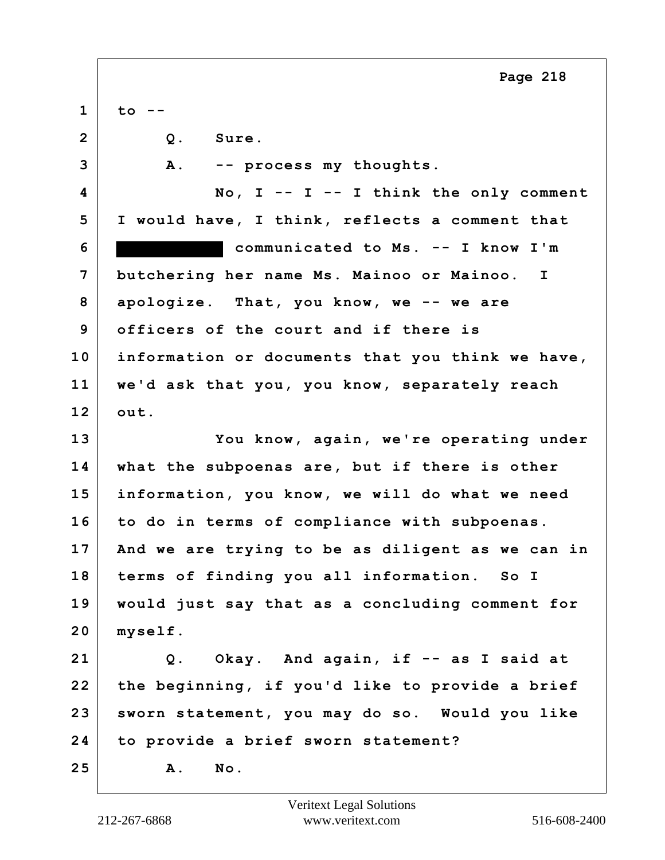**1 to -- 2 Q. Sure. 3 A. -- process my thoughts. 4 No, I -- I -- I think the only comment 5 I would have, I think, reflects a comment that 6 communicated to Ms. -- I know I'm 7 butchering her name Ms. Mainoo or Mainoo. I 8 apologize. That, you know, we -- we are 9 officers of the court and if there is 10 information or documents that you think we have, 11 we'd ask that you, you know, separately reach 12 out. 13 You know, again, we're operating under 14 what the subpoenas are, but if there is other 15 information, you know, we will do what we need 16 to do in terms of compliance with subpoenas. 17 And we are trying to be as diligent as we can in 18 terms of finding you all information. So I 19 would just say that as a concluding comment for 20 myself. 21 Q. Okay. And again, if -- as I said at 22 the beginning, if you'd like to provide a brief 23 sworn statement, you may do so. Would you like 24 to provide a brief sworn statement? 25 A. No.**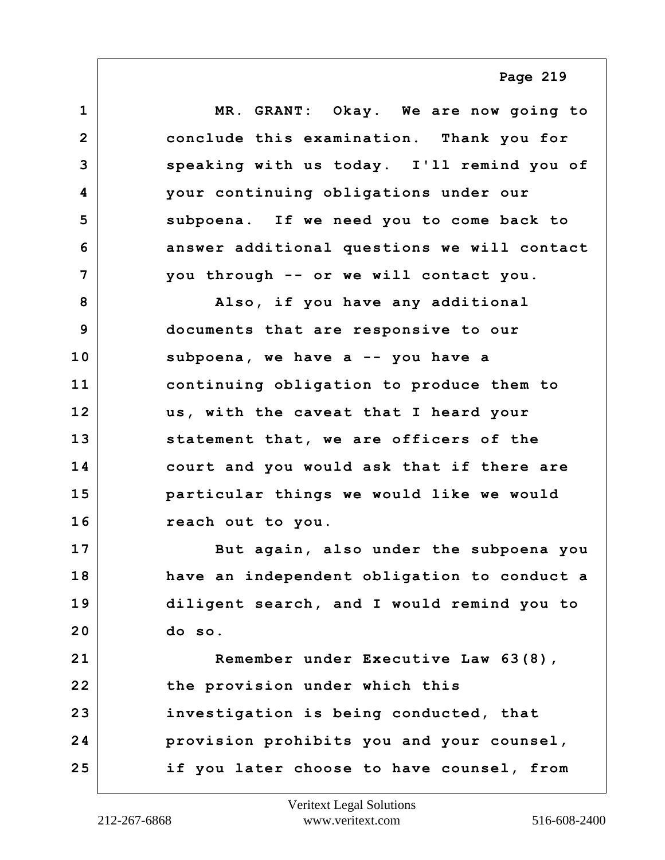**1 MR. GRANT: Okay. We are now going to 2 conclude this examination. Thank you for 3 speaking with us today. I'll remind you of 4 your continuing obligations under our 5 subpoena. If we need you to come back to 6 answer additional questions we will contact 7 you through -- or we will contact you. 8 Also, if you have any additional 9 documents that are responsive to our 10 subpoena, we have a -- you have a 11 continuing obligation to produce them to 12 us, with the caveat that I heard your 13 statement that, we are officers of the 14 court and you would ask that if there are 15 particular things we would like we would 16 reach out to you. 17 But again, also under the subpoena you 18 have an independent obligation to conduct a 19 diligent search, and I would remind you to 20 do so. 21 Remember under Executive Law 63(8), 22 the provision under which this 23 investigation is being conducted, that 24 provision prohibits you and your counsel, 25 if you later choose to have counsel, from**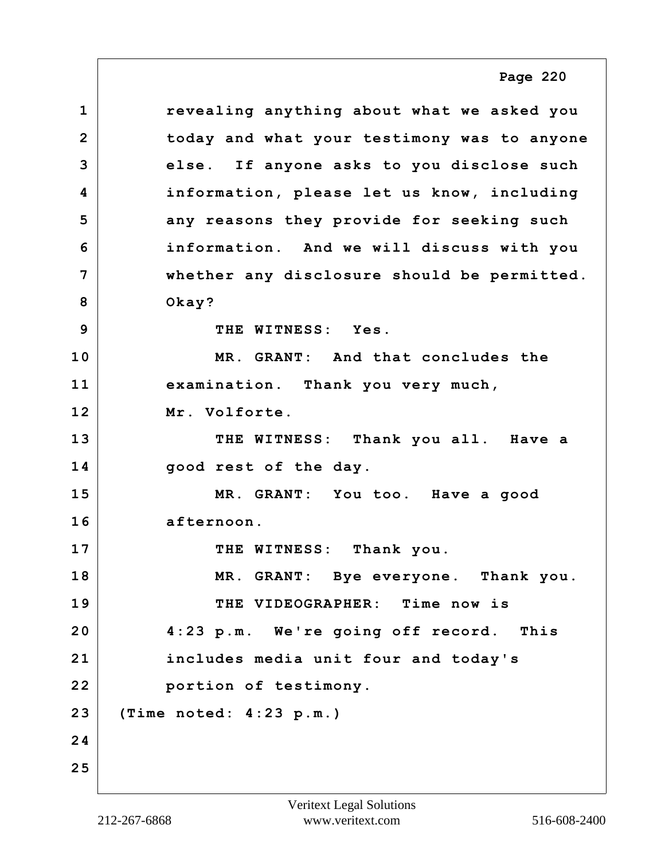**1 revealing anything about what we asked you 2 today and what your testimony was to anyone 3 else. If anyone asks to you disclose such 4 information, please let us know, including 5 any reasons they provide for seeking such 6 information. And we will discuss with you 7 whether any disclosure should be permitted. 8 Okay? 9 THE WITNESS: Yes. 10 MR. GRANT: And that concludes the 11 examination. Thank you very much, 12 Mr. Volforte. 13 THE WITNESS: Thank you all. Have a 14 good rest of the day. 15 MR. GRANT: You too. Have a good 16 afternoon. 17** THE WITNESS: Thank you. **18 MR. GRANT: Bye everyone. Thank you. 19 THE VIDEOGRAPHER: Time now is 20 4:23 p.m. We're going off record. This 21 includes media unit four and today's 22 portion of testimony. 23 (Time noted: 4:23 p.m.) 24 25 Page 220**